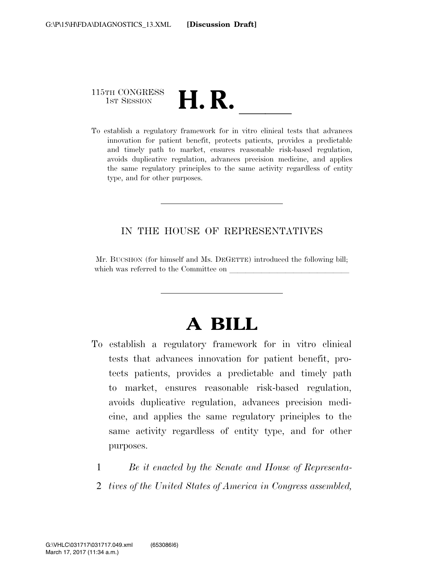# 115TH CONGRESS 115TH CONGRESS<br>
1ST SESSION<br>
To establish a regulatory framework for in vitro clinical tests that advances

innovation for patient benefit, protects patients, provides a predictable and timely path to market, ensures reasonable risk-based regulation, avoids duplicative regulation, advances precision medicine, and applies the same regulatory principles to the same activity regardless of entity type, and for other purposes.

#### IN THE HOUSE OF REPRESENTATIVES

Mr. BUCSHON (for himself and Ms. DEGETTE) introduced the following bill; which was referred to the Committee on

## **A BILL**

- To establish a regulatory framework for in vitro clinical tests that advances innovation for patient benefit, protects patients, provides a predictable and timely path to market, ensures reasonable risk-based regulation, avoids duplicative regulation, advances precision medicine, and applies the same regulatory principles to the same activity regardless of entity type, and for other purposes.
	- 1 *Be it enacted by the Senate and House of Representa-*
	- 2 *tives of the United States of America in Congress assembled,*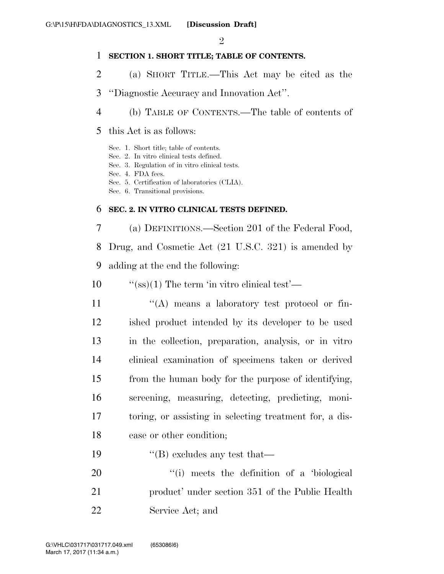#### 1 **SECTION 1. SHORT TITLE; TABLE OF CONTENTS.**

- 2 (a) SHORT TITLE.—This Act may be cited as the
- 3 ''Diagnostic Accuracy and Innovation Act''.
- 4 (b) TABLE OF CONTENTS.—The table of contents of
- 5 this Act is as follows:
	- Sec. 1. Short title; table of contents.
	- Sec. 2. In vitro clinical tests defined.
	- Sec. 3. Regulation of in vitro clinical tests.
	- Sec. 4. FDA fees.
	- Sec. 5. Certification of laboratories (CLIA).
	- Sec. 6. Transitional provisions.

#### 6 **SEC. 2. IN VITRO CLINICAL TESTS DEFINED.**

7 (a) DEFINITIONS.—Section 201 of the Federal Food,

8 Drug, and Cosmetic Act (21 U.S.C. 321) is amended by

- 9 adding at the end the following:
- $10$  ''(ss)(1) The term 'in vitro clinical test'—
- $\mathcal{L}(\mathbf{A})$  means a laboratory test protocol or fin-12 ished product intended by its developer to be used 13 in the collection, preparation, analysis, or in vitro 14 clinical examination of specimens taken or derived 15 from the human body for the purpose of identifying, 16 screening, measuring, detecting, predicting, moni-17 toring, or assisting in selecting treatment for, a dis-18 ease or other condition;
- 19 ''(B) excludes any test that—
- 20  $\frac{1}{1}$  meets the definition of a 'biological' 21 **product'** under section 351 of the Public Health 22 Service Act; and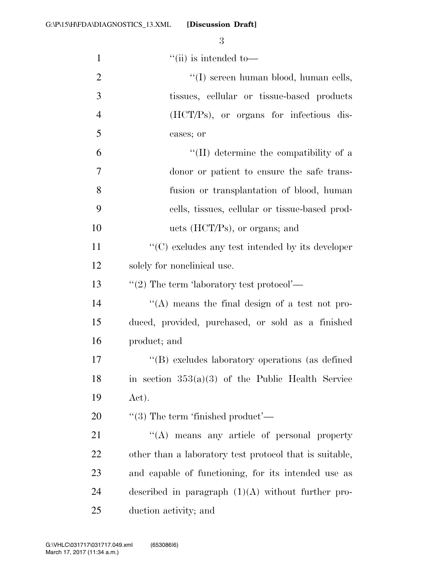| $\mathbf{1}$   | $``$ (ii) is intended to—                               |
|----------------|---------------------------------------------------------|
| $\overline{2}$ | "(I) screen human blood, human cells,                   |
| 3              | tissues, cellular or tissue-based products              |
| $\overline{4}$ | (HCT/Ps), or organs for infectious dis-                 |
| 5              | eases; or                                               |
| 6              | "(II) determine the compatibility of a                  |
| $\overline{7}$ | donor or patient to ensure the safe trans-              |
| 8              | fusion or transplantation of blood, human               |
| 9              | cells, tissues, cellular or tissue-based prod-          |
| 10             | ucts $(HCT/Ps)$ , or organs; and                        |
| 11             | $\lq\lq$ excludes any test intended by its developer    |
| 12             | solely for nonclinical use.                             |
| 13             | "(2) The term 'laboratory test protocol'—               |
| 14             | $\lq\lq$ means the final design of a test not pro-      |
| 15             | duced, provided, purchased, or sold as a finished       |
| 16             | product; and                                            |
| 17             | "(B) excludes laboratory operations (as defined         |
| 18             | in section $353(a)(3)$ of the Public Health Service     |
| 19             | Act).                                                   |
| 20             | $\cdot$ (3) The term 'finished product'—                |
| 21             | "(A) means any article of personal property             |
| 22             | other than a laboratory test protocol that is suitable, |
| 23             | and capable of functioning, for its intended use as     |
| 24             | described in paragraph $(1)(A)$ without further pro-    |
| 25             | duction activity; and                                   |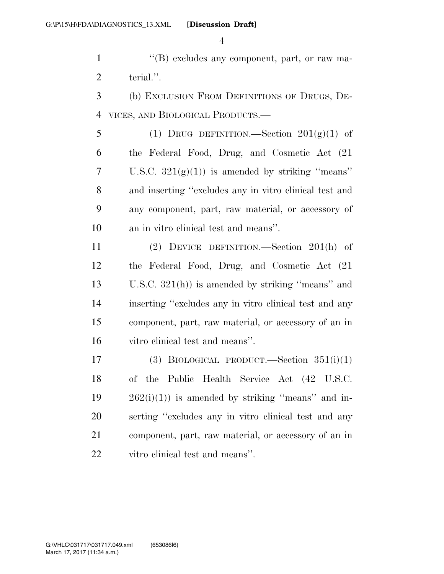1  $\langle$  (B) excludes any component, part, or raw ma-terial.''.

 (b) EXCLUSION FROM DEFINITIONS OF DRUGS, DE-VICES, AND BIOLOGICAL PRODUCTS.—

5 (1) DRUG DEFINITION.—Section  $201(g)(1)$  of the Federal Food, Drug, and Cosmetic Act (21 7 U.S.C.  $321(g)(1)$  is amended by striking "means" and inserting ''excludes any in vitro clinical test and any component, part, raw material, or accessory of an in vitro clinical test and means''.

 (2) DEVICE DEFINITION.—Section 201(h) of the Federal Food, Drug, and Cosmetic Act (21 U.S.C. 321(h)) is amended by striking ''means'' and inserting ''excludes any in vitro clinical test and any component, part, raw material, or accessory of an in vitro clinical test and means''.

 (3) BIOLOGICAL PRODUCT.—Section 351(i)(1) of the Public Health Service Act (42 U.S.C.  $262(i)(1)$  is amended by striking "means" and in- serting ''excludes any in vitro clinical test and any component, part, raw material, or accessory of an in vitro clinical test and means''.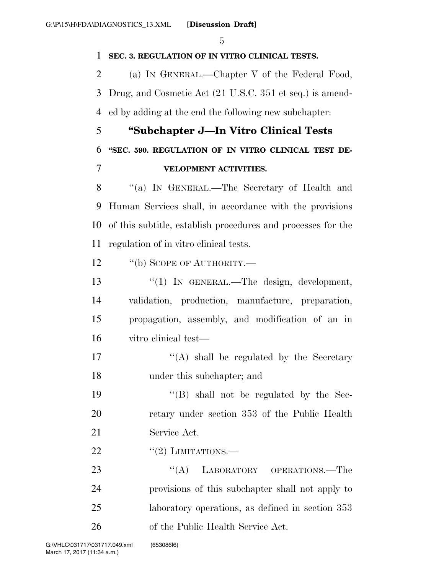#### **SEC. 3. REGULATION OF IN VITRO CLINICAL TESTS.**

 (a) IN GENERAL.—Chapter V of the Federal Food, Drug, and Cosmetic Act (21 U.S.C. 351 et seq.) is amend-ed by adding at the end the following new subchapter:

### **''Subchapter J—In Vitro Clinical Tests ''SEC. 590. REGULATION OF IN VITRO CLINICAL TEST DE-VELOPMENT ACTIVITIES.**

 ''(a) IN GENERAL.—The Secretary of Health and Human Services shall, in accordance with the provisions of this subtitle, establish procedures and processes for the regulation of in vitro clinical tests.

12 "(b) SCOPE OF AUTHORITY.—

| 13 | $\lq(1)$ IN GENERAL.—The design, development,     |
|----|---------------------------------------------------|
| 14 | validation, production, manufacture, preparation, |
| 15 | propagation, assembly, and modification of an in  |
| 16 | vitro clinical test—                              |

17  $\langle (A) \rangle$  shall be regulated by the Secretary under this subchapter; and

 ''(B) shall not be regulated by the Sec- retary under section 353 of the Public Health Service Act.

22  $"$ (2) LIMITATIONS.—

23 "(A) LABORATORY OPERATIONS.—The provisions of this subchapter shall not apply to laboratory operations, as defined in section 353 26 of the Public Health Service Act.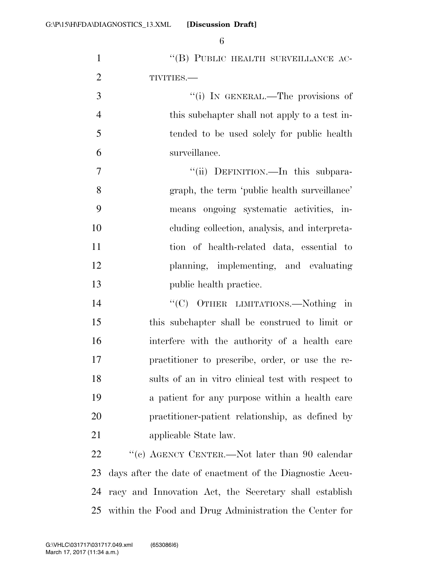| $\mathbf{1}$   | "(B) PUBLIC HEALTH SURVEILLANCE AC-                      |
|----------------|----------------------------------------------------------|
| $\overline{2}$ | TIVITIES.-                                               |
| 3              | "(i) IN GENERAL.—The provisions of                       |
| $\overline{4}$ | this subchapter shall not apply to a test in-            |
| 5              | tended to be used solely for public health               |
| 6              | surveillance.                                            |
| $\overline{7}$ | "(ii) DEFINITION.—In this subpara-                       |
| 8              | graph, the term 'public health surveillance'             |
| 9              | means ongoing systematic activities, in-                 |
| 10             | cluding collection, analysis, and interpreta-            |
| 11             | tion of health-related data, essential to                |
| 12             | planning, implementing, and evaluating                   |
| 13             | public health practice.                                  |
| 14             | "(C) OTHER LIMITATIONS.—Nothing in                       |
| 15             | this subchapter shall be construed to limit or           |
| 16             | interfere with the authority of a health care            |
| 17             | practitioner to prescribe, order, or use the re-         |
| 18             | sults of an in vitro clinical test with respect to       |
| 19             | a patient for any purpose within a health care           |
| 20             | practitioner-patient relationship, as defined by         |
| 21             | applicable State law.                                    |
| 22             | "(c) AGENCY CENTER.—Not later than 90 calendar           |
| 23             | days after the date of enactment of the Diagnostic Accu- |
| 24             | racy and Innovation Act, the Secretary shall establish   |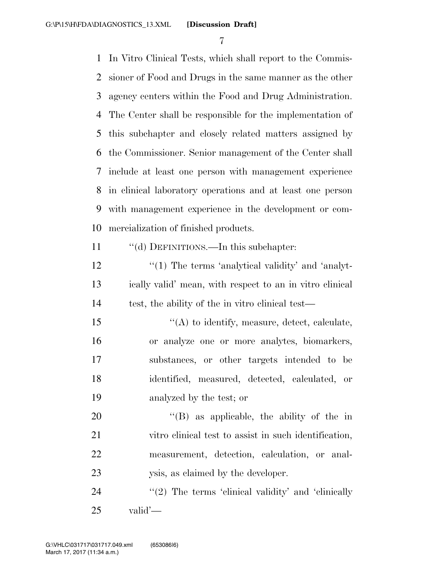In Vitro Clinical Tests, which shall report to the Commis- sioner of Food and Drugs in the same manner as the other agency centers within the Food and Drug Administration. The Center shall be responsible for the implementation of this subchapter and closely related matters assigned by the Commissioner. Senior management of the Center shall include at least one person with management experience in clinical laboratory operations and at least one person with management experience in the development or com-mercialization of finished products.

11 ""(d) DEFINITIONS.—In this subchapter:

 ''(1) The terms 'analytical validity' and 'analyt- ically valid' mean, with respect to an in vitro clinical test, the ability of the in vitro clinical test—

15 "(A) to identify, measure, detect, calculate, or analyze one or more analytes, biomarkers, substances, or other targets intended to be identified, measured, detected, calculated, or analyzed by the test; or

 ''(B) as applicable, the ability of the in vitro clinical test to assist in such identification, measurement, detection, calculation, or anal-23 ysis, as claimed by the developer.

24 "(2) The terms 'clinical validity' and 'clinically valid'—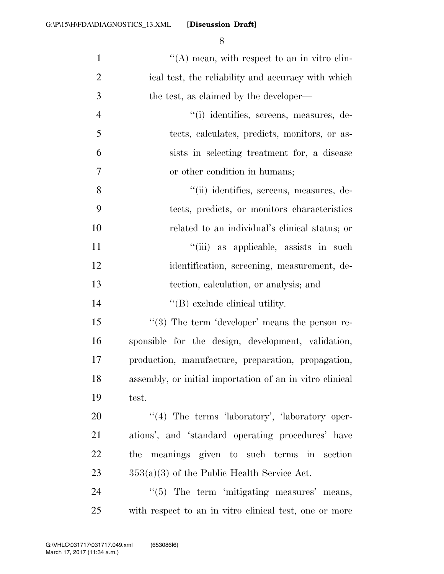| $\mathbf{1}$   | $\lq\lq$ mean, with respect to an in vitro clin-         |
|----------------|----------------------------------------------------------|
| $\overline{2}$ | ical test, the reliability and accuracy with which       |
| 3              | the test, as claimed by the developer—                   |
| $\overline{4}$ | "(i) identifies, screens, measures, de-                  |
| 5              | tects, calculates, predicts, monitors, or as-            |
| 6              | sists in selecting treatment for, a disease              |
| 7              | or other condition in humans;                            |
| 8              | "(ii) identifies, screens, measures, de-                 |
| 9              | tects, predicts, or monitors characteristics             |
| 10             | related to an individual's clinical status; or           |
| 11             | "(iii) as applicable, assists in such                    |
| 12             | identification, screening, measurement, de-              |
| 13             | tection, calculation, or analysis; and                   |
| 14             | $\lq$ (B) exclude clinical utility.                      |
| 15             | $"$ (3) The term 'developer' means the person re-        |
| 16             | sponsible for the design, development, validation,       |
| 17             | production, manufacture, preparation, propagation,       |
| 18             | assembly, or initial importation of an in vitro clinical |
| 19             | test.                                                    |
| 20             | $\lq(4)$ The terms 'laboratory', 'laboratory oper-       |
| 21             | ations', and 'standard operating procedures' have        |
| 22             | the meanings given to such terms in section              |
| 23             | $353(a)(3)$ of the Public Health Service Act.            |
| 24             | $\lq(5)$ The term 'mitigating measures' means,           |
| 25             | with respect to an in vitro clinical test, one or more   |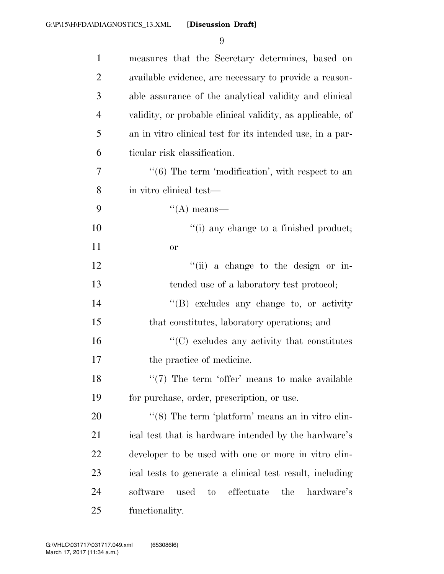| $\mathbf{1}$   | measures that the Secretary determines, based on           |
|----------------|------------------------------------------------------------|
| $\overline{2}$ | available evidence, are necessary to provide a reason-     |
| 3              | able assurance of the analytical validity and clinical     |
| $\overline{4}$ | validity, or probable clinical validity, as applicable, of |
| 5              | an in vitro clinical test for its intended use, in a par-  |
| 6              | ticular risk classification.                               |
| 7              | $((6)$ The term 'modification', with respect to an         |
| 8              | in vitro clinical test—                                    |
| 9              | $\lq\lq$ means—                                            |
| 10             | "(i) any change to a finished product;                     |
| 11             | <b>or</b>                                                  |
| 12             | "(ii) a change to the design or in-                        |
| 13             | tended use of a laboratory test protocol;                  |
| 14             | $\lq\lq(B)$ excludes any change to, or activity            |
| 15             | that constitutes, laboratory operations; and               |
| 16             | $"$ (C) excludes any activity that constitutes             |
| 17             | the practice of medicine.                                  |
| 18             | $\lq(7)$ The term 'offer' means to make available          |
| 19             | for purchase, order, prescription, or use.                 |
| 20             | "(8) The term 'platform' means an in vitro clin-           |
| 21             | ical test that is hardware intended by the hardware's      |
| 22             | developer to be used with one or more in vitro clin-       |
| 23             | ical tests to generate a clinical test result, including   |
| 24             | effectuate<br>the<br>software<br>used<br>hardware's<br>to  |
| 25             | functionality.                                             |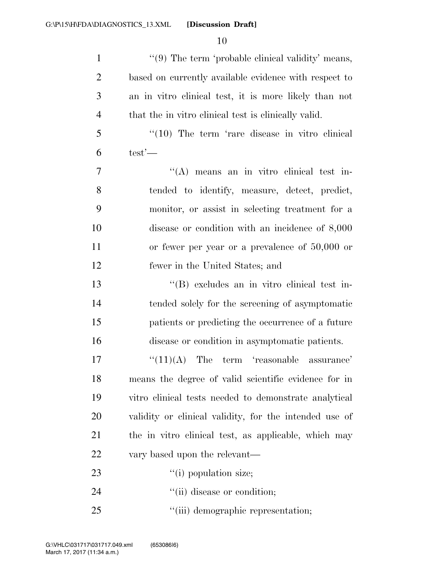| 1              | " $(9)$ The term 'probable clinical validity' means,   |
|----------------|--------------------------------------------------------|
| $\overline{2}$ | based on currently available evidence with respect to  |
| 3              | an in vitro clinical test, it is more likely than not  |
| $\overline{4}$ | that the in vitro clinical test is clinically valid.   |
| 5              | $\lq(10)$ The term 'rare disease in vitro clinical     |
| 6              | $test'$ —                                              |
| $\tau$         | $\lq\lq$ means an in vitro clinical test in-           |
| 8              | tended to identify, measure, detect, predict,          |
| 9              | monitor, or assist in selecting treatment for a        |
| 10             | disease or condition with an incidence of 8,000        |
| 11             | or fewer per year or a prevalence of $50,000$ or       |
| 12             | fewer in the United States; and                        |
| 13             | "(B) excludes an in vitro clinical test in-            |
| 14             | tended solely for the screening of asymptomatic        |
| 15             | patients or predicting the occurrence of a future      |
| 16             | disease or condition in asymptomatic patients.         |
| 17             | $\lq(11)(A)$ The<br>term 'reasonable assurance'        |
| 18             | means the degree of valid scientific evidence for in   |
| 19             | vitro clinical tests needed to demonstrate analytical  |
| 20             | validity or clinical validity, for the intended use of |
| 21             | the in vitro clinical test, as applicable, which may   |
| 22             | vary based upon the relevant—                          |
| 23             | "(i) population size;                                  |
| 24             | "(ii) disease or condition;                            |
| 25             | "(iii) demographic representation;                     |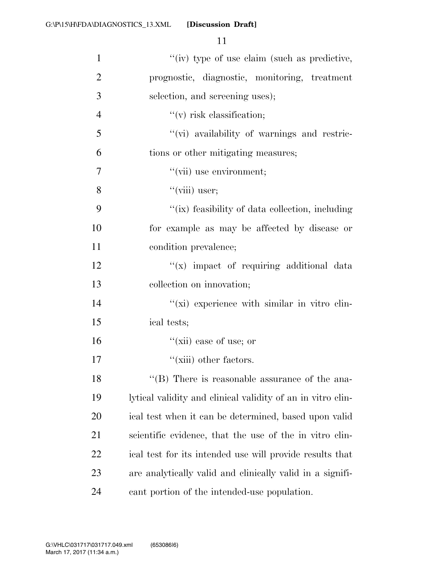| $\mathbf{1}$   | "(iv) type of use claim (such as predictive,                |
|----------------|-------------------------------------------------------------|
| $\overline{2}$ | prognostic, diagnostic, monitoring, treatment               |
| 3              | selection, and screening uses);                             |
| $\overline{4}$ | $f'(v)$ risk classification;                                |
| 5              | "(vi) availability of warnings and restric-                 |
| 6              | tions or other mitigating measures;                         |
| $\overline{7}$ | "(vii) use environment;                                     |
| 8              | "(viii) user;                                               |
| 9              | "(ix) feasibility of data collection, including             |
| 10             | for example as may be affected by disease or                |
| 11             | condition prevalence;                                       |
| 12             | "(x) impact of requiring additional data                    |
| 13             | collection on innovation;                                   |
| 14             | "(xi) experience with similar in vitro clin-                |
| 15             | ical tests;                                                 |
| 16             | "(xii) ease of use; or                                      |
| 17             | "(xiii) other factors.                                      |
| 18             | "(B) There is reasonable assurance of the ana-              |
| 19             | lytical validity and clinical validity of an in vitro clin- |
| <b>20</b>      | ical test when it can be determined, based upon valid       |
| 21             | scientific evidence, that the use of the in vitro clin-     |
| 22             | ical test for its intended use will provide results that    |
| 23             | are analytically valid and clinically valid in a signifi-   |
| 24             | cant portion of the intended-use population.                |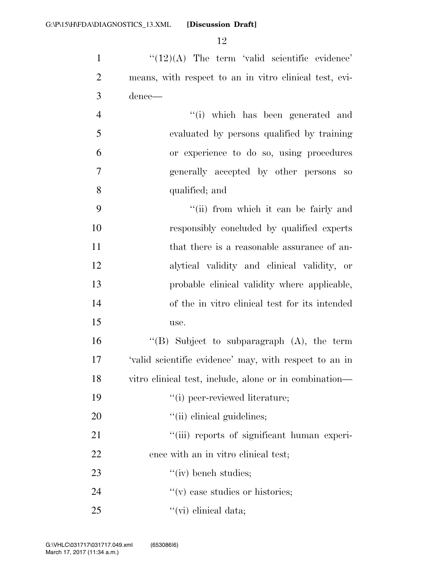| $\mathbf{1}$   | $\lq(12)(A)$ The term 'valid scientific evidence'      |
|----------------|--------------------------------------------------------|
| $\overline{2}$ | means, with respect to an in vitro clinical test, evi- |
| 3              | dence—                                                 |
| $\overline{4}$ | "(i) which has been generated and                      |
| 5              | evaluated by persons qualified by training             |
| 6              | or experience to do so, using procedures               |
| 7              | generally accepted by other persons so                 |
| 8              | qualified; and                                         |
| 9              | "(ii) from which it can be fairly and                  |
| 10             | responsibly concluded by qualified experts             |
| 11             | that there is a reasonable assurance of an-            |
| 12             | alytical validity and clinical validity, or            |
| 13             | probable clinical validity where applicable,           |
| 14             | of the in vitro clinical test for its intended         |
| 15             | use.                                                   |
| 16             | "(B) Subject to subparagraph $(A)$ , the term          |
| 17             | 'valid scientific evidence' may, with respect to an in |
| 18             | vitro clinical test, include, alone or in combination- |
| 19             | "(i) peer-reviewed literature;                         |
| 20             | "(ii) clinical guidelines;                             |
| 21             | "(iii) reports of significant human experi-            |
| 22             | ence with an in vitro clinical test;                   |
| 23             | $\lq\lq$ (iv) bench studies;                           |
| 24             | $f'(v)$ case studies or histories;                     |
| 25             | $\lq\lq$ (vi) clinical data;                           |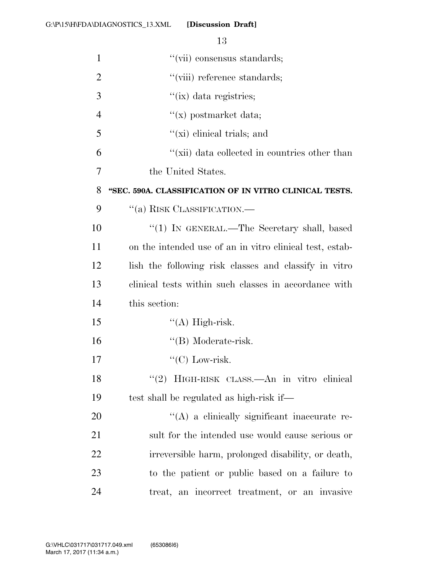| $\mathbf{1}$   | "(vii) consensus standards;                              |
|----------------|----------------------------------------------------------|
| $\overline{2}$ | "(viii) reference standards;                             |
| 3              | $\lq\lq$ (ix) data registries;                           |
| $\overline{4}$ | "(x) postmarket data;                                    |
| 5              | $f(x)$ clinical trials; and                              |
| 6              | "(xii) data collected in countries other than            |
| 7              | the United States.                                       |
| 8              | "SEC. 590A. CLASSIFICATION OF IN VITRO CLINICAL TESTS.   |
| 9              | "(a) RISK CLASSIFICATION.—                               |
| 10             | "(1) IN GENERAL.—The Secretary shall, based              |
| 11             | on the intended use of an in vitro clinical test, estab- |
| 12             | lish the following risk classes and classify in vitro    |
| 13             | clinical tests within such classes in accordance with    |
| 14             | this section:                                            |
| 15             | $\lq\lq$ (A) High-risk.                                  |
| 16             | $\lq\lq (B)$ Moderate-risk.                              |
| 17             | " $(C)$ Low-risk.                                        |
| 18             | "(2) HIGH-RISK CLASS.—An in vitro clinical               |
| 19             | test shall be regulated as high-risk if—                 |
| 20             | $\lq\lq$ a clinically significant inaccurate re-         |
| 21             | sult for the intended use would cause serious or         |
| 22             | irreversible harm, prolonged disability, or death,       |
| 23             | to the patient or public based on a failure to           |
| 24             | treat, an incorrect treatment, or an invasive            |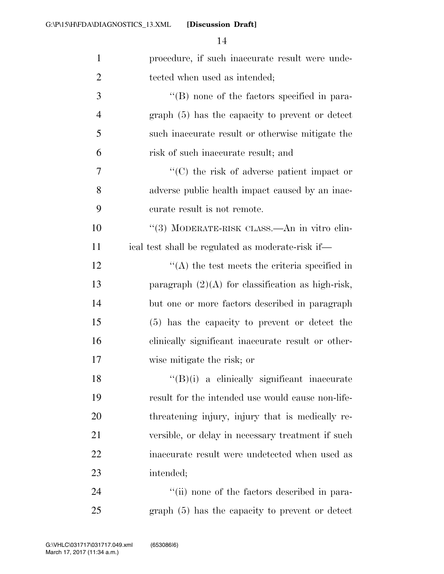| $\mathbf{1}$   | procedure, if such inaccurate result were unde-     |
|----------------|-----------------------------------------------------|
| $\overline{2}$ | tected when used as intended;                       |
| 3              | $\lq\lq (B)$ none of the factors specified in para- |
| 4              | $graph(5)$ has the capacity to prevent or detect    |
| 5              | such inaccurate result or otherwise mitigate the    |
| 6              | risk of such inaccurate result; and                 |
| 7              | $\lq\lq$ (C) the risk of adverse patient impact or  |
| 8              | adverse public health impact caused by an inac-     |
| 9              | curate result is not remote.                        |
| 10             | "(3) MODERATE-RISK CLASS.—An in vitro clin-         |
| 11             | ical test shall be regulated as moderate-risk if—   |
| 12             | $\lq\lq$ the test meets the criteria specified in   |
| 13             | paragraph $(2)(A)$ for classification as high-risk, |
| 14             | but one or more factors described in paragraph      |
| 15             | (5) has the capacity to prevent or detect the       |
| 16             | clinically significant inaccurate result or other-  |
| 17             | wise mitigate the risk; or                          |
| 18             | $\lq\lq(B)(i)$ a clinically significant inaccurate  |
| 19             | result for the intended use would cause non-life-   |
| 20             | threatening injury, injury that is medically re-    |
| 21             | versible, or delay in necessary treatment if such   |
| 22             | inaccurate result were undetected when used as      |
| 23             | intended;                                           |
| 24             | "(ii) none of the factors described in para-        |
| 25             | $graph(5)$ has the capacity to prevent or detect    |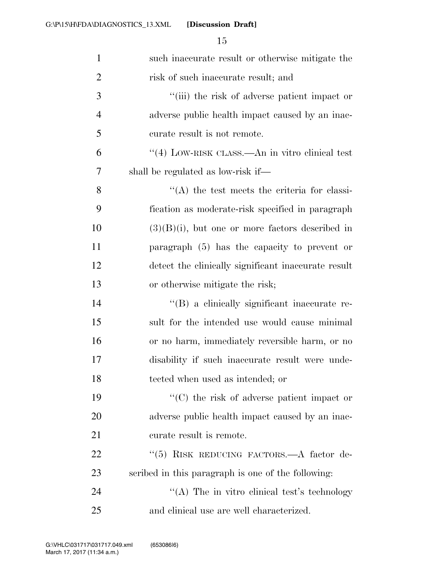| $\mathbf{1}$   | such inaccurate result or otherwise mitigate the    |
|----------------|-----------------------------------------------------|
| $\overline{2}$ | risk of such inaccurate result; and                 |
| 3              | "(iii) the risk of adverse patient impact or        |
| $\overline{4}$ | adverse public health impact caused by an inac-     |
| 5              | curate result is not remote.                        |
| 6              | "(4) LOW-RISK CLASS.—An in vitro clinical test      |
| 7              | shall be regulated as low-risk if—                  |
| 8              | $\lq\lq$ the test meets the criteria for classi-    |
| 9              | fication as moderate-risk specified in paragraph    |
| 10             | $(3)(B)(i)$ , but one or more factors described in  |
| 11             | paragraph (5) has the capacity to prevent or        |
| 12             | detect the clinically significant inaccurate result |
| 13             | or otherwise mitigate the risk;                     |
| 14             | "(B) a clinically significant inaccurate re-        |
| 15             | sult for the intended use would cause minimal       |
| 16             | or no harm, immediately reversible harm, or no      |
| 17             | disability if such inaccurate result were unde-     |
| 18             | tected when used as intended; or                    |
| 19             | "(C) the risk of adverse patient impact or          |
| 20             | adverse public health impact caused by an inac-     |
| 21             | curate result is remote.                            |
| 22             | " $(5)$ RISK REDUCING FACTORS.—A factor de-         |
| 23             | scribed in this paragraph is one of the following:  |
| 24             | "(A) The in vitro clinical test's technology        |
| 25             | and clinical use are well characterized.            |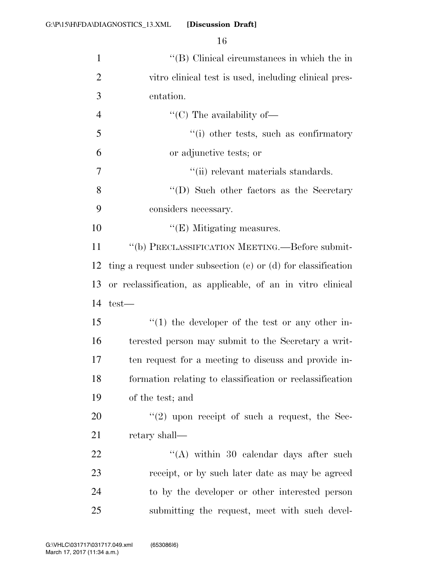| $\mathbf{1}$   | $\lq\lq$ (B) Clinical circumstances in which the in               |
|----------------|-------------------------------------------------------------------|
| $\overline{2}$ | vitro clinical test is used, including clinical pres-             |
| 3              | entation.                                                         |
| $\overline{4}$ | "(C) The availability of—                                         |
| 5              | "(i) other tests, such as confirmatory                            |
| 6              | or adjunctive tests; or                                           |
| 7              | "(ii) relevant materials standards.                               |
| 8              | $\lq\lq$ (D) Such other factors as the Secretary                  |
| 9              | considers necessary.                                              |
| 10             | $\lq\lq$ (E) Mitigating measures.                                 |
| 11             | "(b) PRECLASSIFICATION MEETING.—Before submit-                    |
| 12             | ting a request under subsection $(e)$ or $(d)$ for classification |
| 13             | or reclassification, as applicable, of an in vitro clinical       |
| 14             | $test-$                                                           |
| 15             | $\lq(1)$ the developer of the test or any other in-               |
| 16             | terested person may submit to the Secretary a writ-               |
| 17             | ten request for a meeting to discuss and provide in-              |
| 18             | formation relating to classification or reclassification          |
| 19             | of the test; and                                                  |
| 20             | $\lq(2)$ upon receipt of such a request, the Sec-                 |
| 21             | retary shall—                                                     |
| 22             | "(A) within 30 calendar days after such                           |
| 23             | receipt, or by such later date as may be agreed                   |
| 24             | to by the developer or other interested person                    |
| 25             | submitting the request, meet with such devel-                     |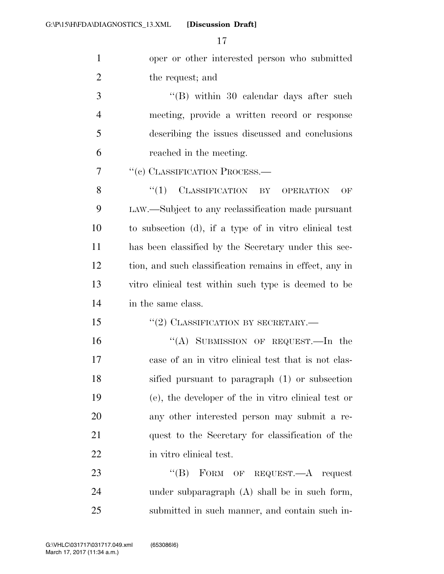| $\mathbf{1}$   | oper or other interested person who submitted           |
|----------------|---------------------------------------------------------|
| $\overline{2}$ | the request; and                                        |
| 3              | $\lq\lq$ (B) within 30 calendar days after such         |
| $\overline{4}$ | meeting, provide a written record or response           |
| 5              | describing the issues discussed and conclusions         |
| 6              | reached in the meeting.                                 |
| 7              | "(c) CLASSIFICATION PROCESS.—                           |
| 8              | $``(1)$ CLASSIFICATION BY OPERATION<br>OF               |
| 9              | LAW.—Subject to any reclassification made pursuant      |
| 10             | to subsection (d), if a type of in vitro clinical test  |
| 11             | has been classified by the Secretary under this sec-    |
| 12             | tion, and such classification remains in effect, any in |
| 13             | vitro clinical test within such type is deemed to be    |
| 14             | in the same class.                                      |
| 15             | "(2) CLASSIFICATION BY SECRETARY.—                      |
| 16             | "(A) SUBMISSION OF REQUEST.—In the                      |
| 17             | case of an in vitro clinical test that is not clas-     |
| 18             | sified pursuant to paragraph (1) or subsection          |
| 19             | (e), the developer of the in vitro clinical test or     |
| 20             | any other interested person may submit a re-            |
| 21             | quest to the Secretary for classification of the        |
| 22             | in vitro clinical test.                                 |
| 23             | "(B) FORM OF REQUEST.— $A$ request                      |
| 24             | under subparagraph (A) shall be in such form,           |
| 25             | submitted in such manner, and contain such in-          |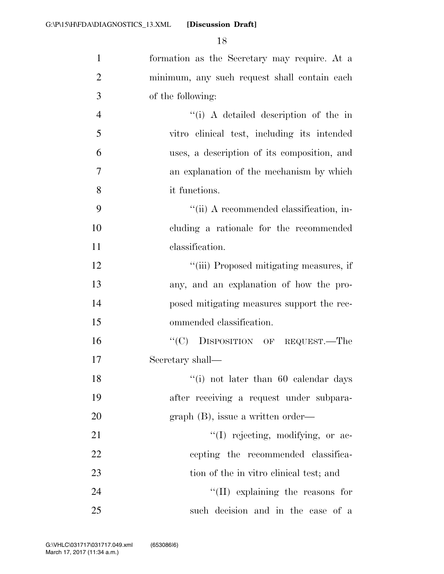| $\mathbf{1}$   | formation as the Secretary may require. At a |
|----------------|----------------------------------------------|
| $\overline{2}$ | minimum, any such request shall contain each |
| 3              | of the following:                            |
| $\overline{4}$ | "(i) A detailed description of the in        |
| 5              | vitro clinical test, including its intended  |
| 6              | uses, a description of its composition, and  |
| 7              | an explanation of the mechanism by which     |
| 8              | it functions.                                |
| 9              | "(ii) A recommended classification, in-      |
| 10             | cluding a rationale for the recommended      |
| 11             | classification.                              |
| 12             | "(iii) Proposed mitigating measures, if      |
| 13             | any, and an explanation of how the pro-      |
| 14             | posed mitigating measures support the rec-   |
| 15             | ommended classification.                     |
| 16             | "(C) DISPOSITION OF REQUEST.—The             |
| 17             | Secretary shall-                             |
| 18             | "(i) not later than 60 calendar days         |
| 19             | after receiving a request under subpara-     |
| 20             | $graph(B)$ , issue a written order—          |
| 21             | "(I) rejecting, modifying, or ac-            |
| 22             | cepting the recommended classifica-          |
| 23             | tion of the in vitro clinical test; and      |
| 24             | "(II) explaining the reasons for             |
| 25             | such decision and in the case of a           |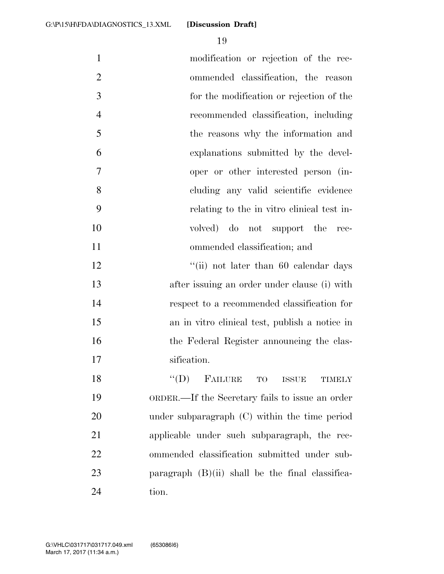**[Discussion Draft]** 

| $\mathbf{1}$   | modification or rejection of the rec-                |
|----------------|------------------------------------------------------|
| $\overline{2}$ | ommended classification, the reason                  |
| 3              | for the modification or rejection of the             |
| $\overline{4}$ | recommended classification, including                |
| 5              | the reasons why the information and                  |
| 6              | explanations submitted by the devel-                 |
| 7              | oper or other interested person (in-                 |
| 8              | cluding any valid scientific evidence                |
| 9              | relating to the in vitro clinical test in-           |
| 10             | volved) do not support the<br>rec-                   |
| 11             | ommended classification; and                         |
| 12             | "(ii) not later than 60 calendar days                |
| 13             | after issuing an order under clause (i) with         |
| 14             | respect to a recommended classification for          |
| 15             | an in vitro clinical test, publish a notice in       |
| 16             | the Federal Register announcing the clas-            |
| 17             | sification.                                          |
| 18             | $\lq\lq (D)$<br>FAILURE TO<br><b>ISSUE</b><br>TIMELY |
| 19             | ORDER.—If the Secretary fails to issue an order      |
| 20             | under subparagraph $(C)$ within the time period      |
| 21             | applicable under such subparagraph, the rec-         |
| 22             | ommended classification submitted under sub-         |
| 23             | paragraph $(B)(ii)$ shall be the final classifica-   |
| 24             | tion.                                                |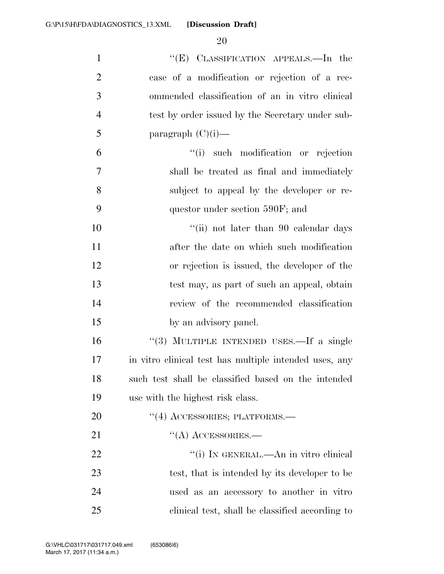| $\mathbf{1}$   | "(E) CLASSIFICATION APPEALS.—In the                    |
|----------------|--------------------------------------------------------|
| $\overline{2}$ | case of a modification or rejection of a rec-          |
| 3              | ommended classification of an in vitro clinical        |
| $\overline{4}$ | test by order issued by the Secretary under sub-       |
| 5              | paragraph $(C)(i)$ —                                   |
| 6              | "(i) such modification or rejection                    |
| 7              | shall be treated as final and immediately              |
| 8              | subject to appeal by the developer or re-              |
| 9              | questor under section 590F; and                        |
| 10             | "(ii) not later than 90 calendar days                  |
| 11             | after the date on which such modification              |
| 12             | or rejection is issued, the developer of the           |
| 13             | test may, as part of such an appeal, obtain            |
| 14             | review of the recommended classification               |
| 15             | by an advisory panel.                                  |
| 16             | "(3) MULTIPLE INTENDED USES.—If a single               |
| 17             | in vitro clinical test has multiple intended uses, any |
| 18             | such test shall be classified based on the intended    |
| 19             | use with the highest risk class.                       |
| 20             | "(4) ACCESSORIES; PLATFORMS.—                          |
| 21             | $\cdot$ (A) ACCESSORIES.—                              |
| 22             | "(i) IN GENERAL.—An in vitro clinical                  |
| 23             | test, that is intended by its developer to be          |
| 24             | used as an accessory to another in vitro               |
| 25             | clinical test, shall be classified according to        |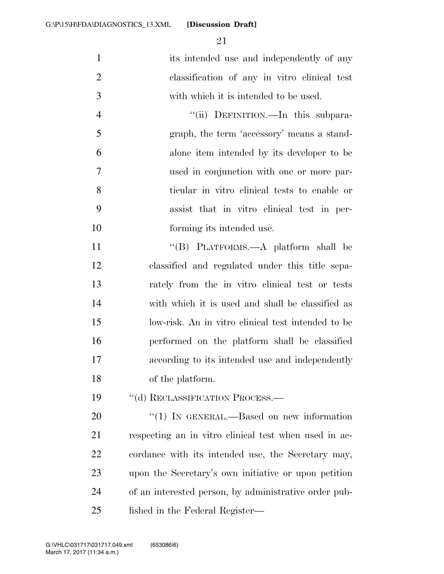its intended use and independently of any classification of any in vitro clinical test with which it is intended to be used.

4 "(ii) DEFINITION.—In this subpara- graph, the term 'accessory' means a stand- alone item intended by its developer to be used in conjunction with one or more par- ticular in vitro clinical tests to enable or assist that in vitro clinical test in per-forming its intended use.

11 "(B) PLATFORMS.—A platform shall be classified and regulated under this title sepa- rately from the in vitro clinical test or tests with which it is used and shall be classified as low-risk. An in vitro clinical test intended to be performed on the platform shall be classified according to its intended use and independently of the platform.

19 "(d) RECLASSIFICATION PROCESS.—

20 "(1) IN GENERAL.—Based on new information respecting an in vitro clinical test when used in ac- cordance with its intended use, the Secretary may, upon the Secretary's own initiative or upon petition of an interested person, by administrative order pub-lished in the Federal Register—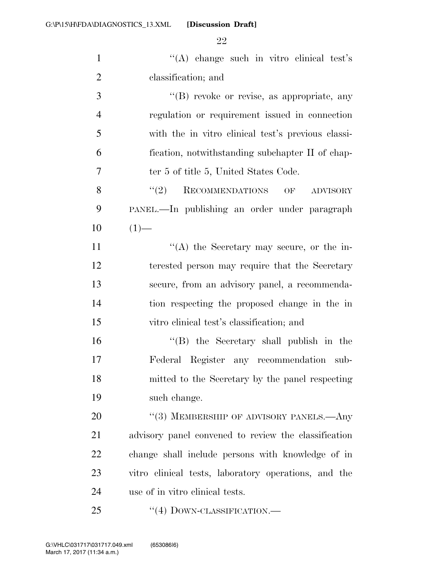| $\mathbf{1}$   | "(A) change such in vitro clinical test's              |
|----------------|--------------------------------------------------------|
| $\overline{2}$ | classification; and                                    |
| 3              | "(B) revoke or revise, as appropriate, any             |
| $\overline{4}$ | regulation or requirement issued in connection         |
| 5              | with the in vitro clinical test's previous classi-     |
| 6              | fication, notwithstanding subchapter II of chap-       |
| 7              | ter 5 of title 5, United States Code.                  |
| 8              | (2)<br><b>RECOMMENDATIONS</b><br>OF<br><b>ADVISORY</b> |
| 9              | PANEL.—In publishing an order under paragraph          |
| 10             | $(1)$ —                                                |
| 11             | $\lq\lq$ the Secretary may secure, or the in-          |
| 12             | terested person may require that the Secretary         |
| 13             | secure, from an advisory panel, a recommenda-          |
| 14             | tion respecting the proposed change in the in          |
| 15             | vitro clinical test's classification; and              |
| 16             | $\lq\lq$ the Secretary shall publish in the            |
| 17             | Federal Register any recommendation sub-               |
| 18             | mitted to the Secretary by the panel respecting        |
| 19             | such change.                                           |
| 20             | "(3) MEMBERSHIP OF ADVISORY PANELS.—Any                |
| 21             | advisory panel convened to review the classification   |
| 22             | change shall include persons with knowledge of in      |
| 23             | vitro clinical tests, laboratory operations, and the   |
| 24             | use of in vitro clinical tests.                        |

25 "(4) DOWN-CLASSIFICATION.—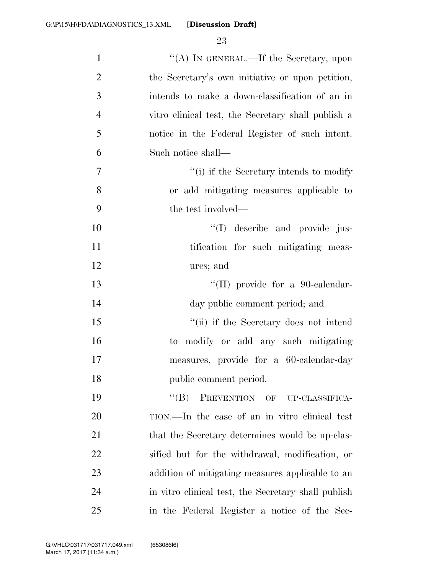| $\mathbf{1}$   | "(A) IN GENERAL.—If the Secretary, upon             |
|----------------|-----------------------------------------------------|
| $\overline{2}$ | the Secretary's own initiative or upon petition,    |
| 3              | intends to make a down-classification of an in      |
| $\overline{4}$ | vitro clinical test, the Secretary shall publish a  |
| 5              | notice in the Federal Register of such intent.      |
| 6              | Such notice shall—                                  |
| $\overline{7}$ | "(i) if the Secretary intends to modify             |
| 8              | or add mitigating measures applicable to            |
| 9              | the test involved—                                  |
| 10             | "(I) describe and provide jus-                      |
| 11             | tification for such mitigating meas-                |
| 12             | ures; and                                           |
| 13             | $\lq\lq$ (II) provide for a 90-calendar-            |
| 14             | day public comment period; and                      |
| 15             | "(ii) if the Secretary does not intend              |
| 16             | modify or add any such mitigating<br>$\rm{to}$      |
| 17             | measures, provide for a 60-calendar-day             |
| 18             | public comment period.                              |
| 19             | $\lq\lq (B)$<br>PREVENTION OF UP-CLASSIFICA-        |
| 20             | TION.—In the case of an in vitro clinical test      |
| 21             | that the Secretary determines would be up-clas-     |
| 22             | sified but for the withdrawal, modification, or     |
| 23             | addition of mitigating measures applicable to an    |
| 24             | in vitro clinical test, the Secretary shall publish |
| 25             | in the Federal Register a notice of the Sec-        |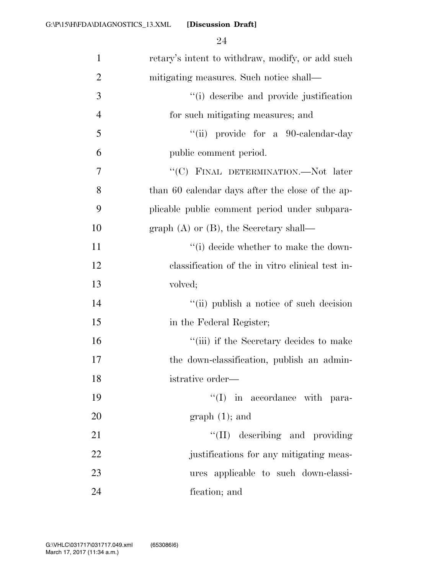| $\mathbf{1}$   | retary's intent to withdraw, modify, or add such |
|----------------|--------------------------------------------------|
| $\overline{2}$ | mitigating measures. Such notice shall—          |
| 3              | "(i) describe and provide justification          |
| $\overline{4}$ | for such mitigating measures; and                |
| 5              | "(ii) provide for a 90-calendar-day              |
| 6              | public comment period.                           |
| $\overline{7}$ | "(C) FINAL DETERMINATION.—Not later              |
| 8              | than 60 calendar days after the close of the ap- |
| 9              | plicable public comment period under subpara-    |
| 10             | graph $(A)$ or $(B)$ , the Secretary shall—      |
| 11             | "(i) decide whether to make the down-            |
| 12             | classification of the in vitro clinical test in- |
| 13             | volved;                                          |
| 14             | "(ii) publish a notice of such decision          |
| 15             | in the Federal Register;                         |
| 16             | "(iii) if the Secretary decides to make          |
| 17             | the down-classification, publish an admin-       |
| 18             | istrative order—                                 |
| 19             | "(I) in accordance with para-                    |
| 20             | $graph(1);$ and                                  |
| 21             | "(II) describing and providing                   |
| 22             | justifications for any mitigating meas-          |
| 23             | ures applicable to such down-classi-             |
| 24             | fication; and                                    |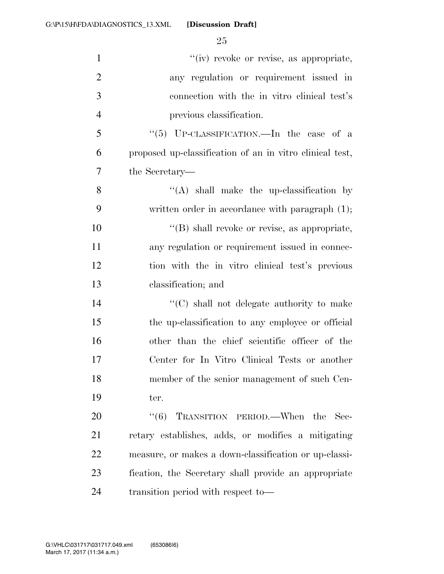| $\mathbf{1}$   | "(iv) revoke or revise, as appropriate,                  |
|----------------|----------------------------------------------------------|
| $\overline{2}$ | any regulation or requirement issued in                  |
| 3              | connection with the in vitro clinical test's             |
| $\overline{4}$ | previous classification.                                 |
| 5              | "(5) UP-CLASSIFICATION.—In the case of a                 |
| 6              | proposed up-classification of an in vitro clinical test, |
| 7              | the Secretary—                                           |
| 8              | $\lq\lq$ shall make the up-classification by             |
| 9              | written order in accordance with paragraph $(1)$ ;       |
| 10             | $\lq\lq$ (B) shall revoke or revise, as appropriate,     |
| 11             | any regulation or requirement issued in connec-          |
| 12             | tion with the in vitro clinical test's previous          |
| 13             | classification; and                                      |
| 14             | $\cdot$ (C) shall not delegate authority to make         |
| 15             | the up-classification to any employee or official        |
| 16             | other than the chief scientific officer of the           |
| 17             | Center for In Vitro Clinical Tests or another            |
| 18             | member of the senior management of such Cen-             |
| 19             | ter.                                                     |
| 20             | "(6) TRANSITION PERIOD.—When the Sec-                    |
| 21             | retary establishes, adds, or modifies a mitigating       |
| 22             | measure, or makes a down-classification or up-classi-    |
| 23             | fication, the Secretary shall provide an appropriate     |
| 24             | transition period with respect to-                       |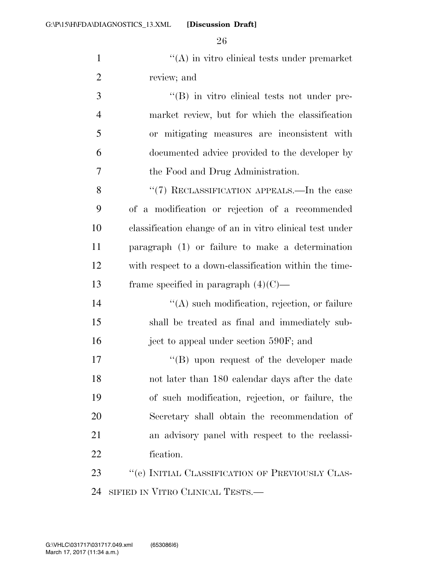1  $\langle (A) \rangle$  in vitro clinical tests under premarket review; and

3 ''(B) in vitro clinical tests not under pre- market review, but for which the classification or mitigating measures are inconsistent with documented advice provided to the developer by the Food and Drug Administration.

8 "(7) RECLASSIFICATION APPEALS.—In the case of a modification or rejection of a recommended classification change of an in vitro clinical test under paragraph (1) or failure to make a determination with respect to a down-classification within the time-frame specified in paragraph (4)(C)—

14  $\langle (A) \rangle$  such modification, rejection, or failure shall be treated as final and immediately sub-16 ject to appeal under section 590F; and

 $\text{``(B)}$  upon request of the developer made not later than 180 calendar days after the date of such modification, rejection, or failure, the Secretary shall obtain the recommendation of an advisory panel with respect to the reclassi-fication.

23 "(e) INITIAL CLASSIFICATION OF PREVIOUSLY CLAS-SIFIED IN VITRO CLINICAL TESTS.—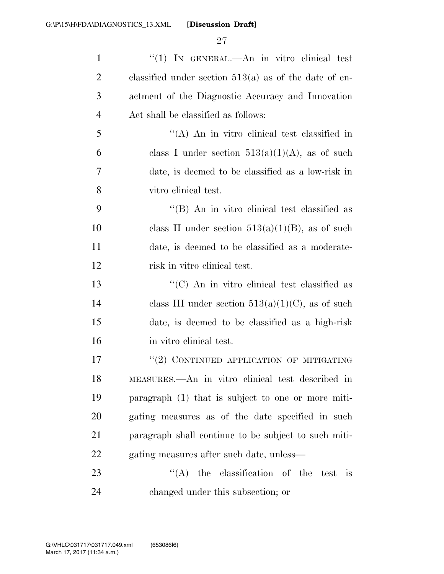| $\mathbf{1}$   | "(1) IN GENERAL.—An in vitro clinical test                       |
|----------------|------------------------------------------------------------------|
| $\overline{2}$ | classified under section $513(a)$ as of the date of en-          |
| 3              | actment of the Diagnostic Accuracy and Innovation                |
| $\overline{4}$ | Act shall be classified as follows:                              |
| 5              | $\lq($ A) An in vitro clinical test classified in                |
| 6              | class I under section $513(a)(1)(A)$ , as of such                |
| 7              | date, is deemed to be classified as a low-risk in                |
| 8              | vitro clinical test.                                             |
| 9              | $\rm ^{\prime\prime}(B)$ An in vitro clinical test classified as |
| 10             | class II under section $513(a)(1)(B)$ , as of such               |
| 11             | date, is deemed to be classified as a moderate-                  |
| 12             | risk in vitro clinical test.                                     |
| 13             | "(C) An in vitro clinical test classified as                     |
| 14             | class III under section $513(a)(1)(C)$ , as of such              |
| 15             | date, is deemed to be classified as a high-risk                  |
| 16             | in vitro clinical test.                                          |
| 17             | "(2) CONTINUED APPLICATION OF MITIGATING                         |
| 18             | MEASURES.—An in vitro clinical test described in                 |
| 19             | paragraph (1) that is subject to one or more miti-               |
| 20             | gating measures as of the date specified in such                 |
| 21             | paragraph shall continue to be subject to such miti-             |
| 22             | gating measures after such date, unless—                         |
| 23             | $\lq\lq$ the classification of the test is                       |
| 24             | changed under this subsection; or                                |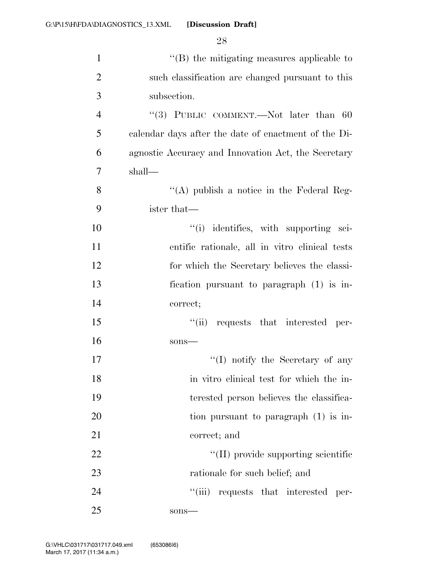| $\mathbf{1}$   | $\lq\lq$ the mitigating measures applicable to       |
|----------------|------------------------------------------------------|
| $\overline{2}$ | such classification are changed pursuant to this     |
| 3              | subsection.                                          |
| $\overline{4}$ | "(3) PUBLIC COMMENT.—Not later than 60               |
| 5              | calendar days after the date of enactment of the Di- |
| 6              | agnostic Accuracy and Innovation Act, the Secretary  |
| 7              | shall—                                               |
| 8              | "(A) publish a notice in the Federal Reg-            |
| 9              | ister that—                                          |
| 10             | "(i) identifies, with supporting sci-                |
| 11             | entific rationale, all in vitro clinical tests       |
| 12             | for which the Secretary believes the classi-         |
| 13             | fication pursuant to paragraph (1) is in-            |
| 14             | correct;                                             |
| 15             | "(ii) requests that interested per-                  |
| 16             | $sons$ —                                             |
| 17             | $\lq\lq$ (I) notify the Secretary of any             |
| 18             | in vitro clinical test for which the in-             |
| 19             | terested person believes the classifica-             |
| 20             | tion pursuant to paragraph (1) is in-                |
| 21             | correct; and                                         |
| 22             | "(II) provide supporting scientific                  |
| 23             | rationale for such belief; and                       |
| 24             | "(iii) requests that interested per-                 |
| 25             | sons-                                                |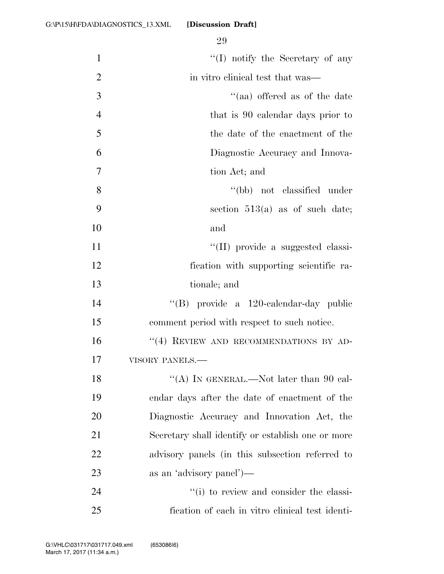**[Discussion Draft]** 

| $\mathbf{1}$   | "(I) notify the Secretary of any                  |
|----------------|---------------------------------------------------|
| $\overline{2}$ | in vitro clinical test that was—                  |
| $\overline{3}$ | "(aa) offered as of the date                      |
| $\overline{4}$ | that is 90 calendar days prior to                 |
| 5              | the date of the enactment of the                  |
| 6              | Diagnostic Accuracy and Innova-                   |
| 7              | tion Act; and                                     |
| 8              | "(bb) not classified under                        |
| 9              | section $513(a)$ as of such date;                 |
| 10             | and                                               |
| 11             | "(II) provide a suggested classi-                 |
| 12             | fication with supporting scientific ra-           |
| 13             | tionale; and                                      |
| 14             | "(B) provide a 120-calendar-day public            |
| 15             | comment period with respect to such notice.       |
| 16             | "(4) REVIEW AND RECOMMENDATIONS BY AD-            |
| 17             | VISORY PANELS.-                                   |
| 18             | "(A) IN GENERAL.—Not later than 90 cal-           |
| 19             | endar days after the date of enactment of the     |
| 20             | Diagnostic Accuracy and Innovation Act, the       |
| 21             | Secretary shall identify or establish one or more |
| 22             | advisory panels (in this subsection referred to   |
| 23             | as an 'advisory panel')—                          |
| 24             | "(i) to review and consider the classi-           |
| 25             | fication of each in vitro clinical test identi-   |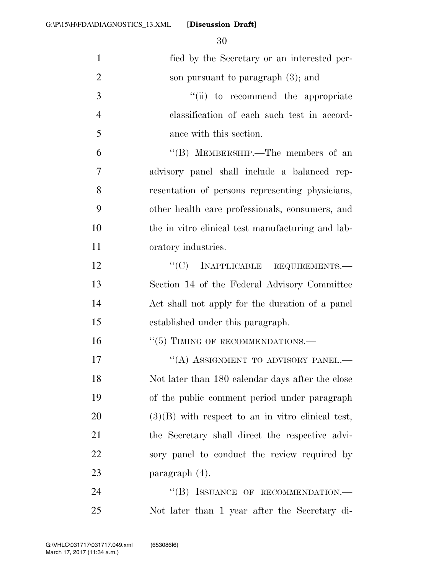**[Discussion Draft]** 

| $\mathbf{1}$   | fied by the Secretary or an interested per-         |
|----------------|-----------------------------------------------------|
| $\overline{2}$ | son pursuant to paragraph $(3)$ ; and               |
| 3              | "(ii) to recommend the appropriate                  |
| $\overline{4}$ | classification of each such test in accord-         |
| 5              | ance with this section.                             |
| 6              | "(B) MEMBERSHIP.—The members of an                  |
| 7              | advisory panel shall include a balanced rep-        |
| 8              | resentation of persons representing physicians,     |
| 9              | other health care professionals, consumers, and     |
| 10             | the in vitro clinical test manufacturing and lab-   |
| 11             | oratory industries.                                 |
| 12             | "(C) INAPPLICABLE REQUIREMENTS.—                    |
| 13             | Section 14 of the Federal Advisory Committee        |
| 14             | Act shall not apply for the duration of a panel     |
| 15             | established under this paragraph.                   |
| 16             | $``(5)$ TIMING OF RECOMMENDATIONS.—                 |
| 17             | "(A) ASSIGNMENT TO ADVISORY PANEL.—                 |
| 18             | Not later than 180 calendar days after the close    |
| 19             | of the public comment period under paragraph        |
| 20             | $(3)(B)$ with respect to an in vitro clinical test, |
| 21             | the Secretary shall direct the respective advi-     |
| 22             | sory panel to conduct the review required by        |
| 23             | paragraph $(4)$ .                                   |
| 24             | "(B) ISSUANCE OF RECOMMENDATION.-                   |
| 25             | Not later than 1 year after the Secretary di-       |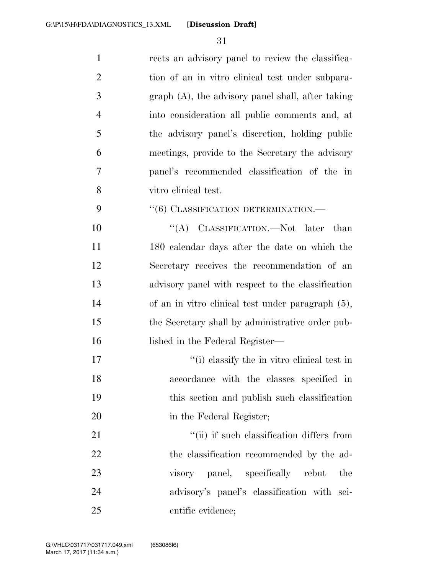| $\mathbf{1}$   | rects an advisory panel to review the classifica-    |
|----------------|------------------------------------------------------|
| $\overline{2}$ | tion of an in vitro clinical test under subpara-     |
| 3              | $graph(A)$ , the advisory panel shall, after taking  |
| $\overline{4}$ | into consideration all public comments and, at       |
| 5              | the advisory panel's discretion, holding public      |
| 6              | meetings, provide to the Secretary the advisory      |
| 7              | panel's recommended classification of the in         |
| 8              | vitro clinical test.                                 |
| 9              | "(6) CLASSIFICATION DETERMINATION.—                  |
| 10             | "(A) CLASSIFICATION.—Not later than                  |
| 11             | 180 calendar days after the date on which the        |
| 12             | Secretary receives the recommendation of an          |
| 13             | advisory panel with respect to the classification    |
| 14             | of an in vitro clinical test under paragraph $(5)$ , |
| 15             | the Secretary shall by administrative order pub-     |
| 16             | lished in the Federal Register—                      |
| 17             | "(i) classify the in vitro clinical test in          |
| 18             | accordance with the classes specified in             |
| 19             | this section and publish such classification         |
| 20             | in the Federal Register;                             |
| 21             | "(ii) if such classification differs from            |
| 22             | the classification recommended by the ad-            |
| 23             | visory panel, specifically rebut<br>the              |
| 24             | advisory's panel's classification with sci-          |
| 25             | entific evidence;                                    |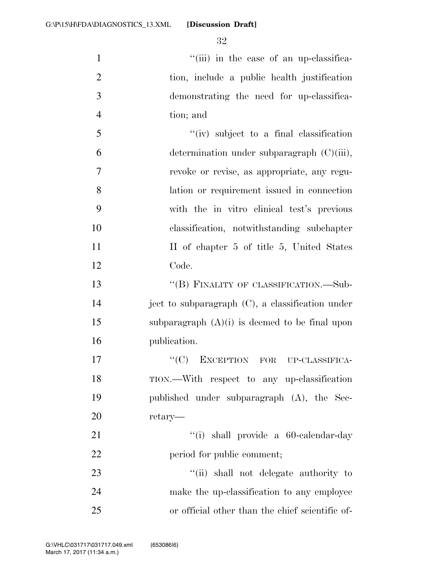**[Discussion Draft]** 

32

 $"$ (iii) in the case of an up-classifica- tion, include a public health justification demonstrating the need for up-classifica- tion; and ''(iv) subject to a final classification determination under subparagraph (C)(iii), revoke or revise, as appropriate, any regu- lation or requirement issued in connection with the in vitro clinical test's previous

10 classification, notwithstanding subchapter 11 II of chapter 5 of title 5, United States 12 Code.

13 "(B) FINALITY OF CLASSIFICATION.—Sub-14 ject to subparagraph (C), a classification under 15 subparagraph  $(A)(i)$  is deemed to be final upon 16 publication.

17 "'(C) EXCEPTION FOR UP-CLASSIFICA-18 TION.—With respect to any up-classification 19 published under subparagraph (A), the Sec-20 retary—

21 ''(i) shall provide a 60-calendar-day 22 period for public comment;

23  $\frac{1}{1}$   $\frac{1}{1}$  shall not delegate authority to 24 make the up-classification to any employee 25 or official other than the chief scientific of-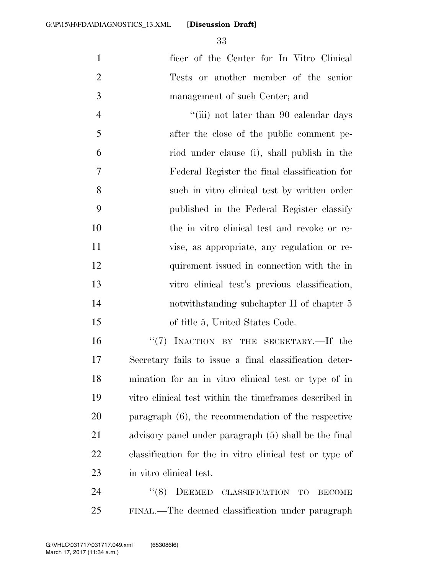ficer of the Center for In Vitro Clinical Tests or another member of the senior management of such Center; and

4 ''(iii) not later than 90 calendar days after the close of the public comment pe- riod under clause (i), shall publish in the Federal Register the final classification for such in vitro clinical test by written order published in the Federal Register classify the in vitro clinical test and revoke or re- vise, as appropriate, any regulation or re-12 quirement issued in connection with the in vitro clinical test's previous classification, notwithstanding subchapter II of chapter 5 of title 5, United States Code.

 $(7)$  INACTION BY THE SECRETARY.—If the Secretary fails to issue a final classification deter- mination for an in vitro clinical test or type of in vitro clinical test within the timeframes described in paragraph (6), the recommendation of the respective advisory panel under paragraph (5) shall be the final classification for the in vitro clinical test or type of in vitro clinical test.

24 "(8) DEEMED CLASSIFICATION TO BECOME FINAL.—The deemed classification under paragraph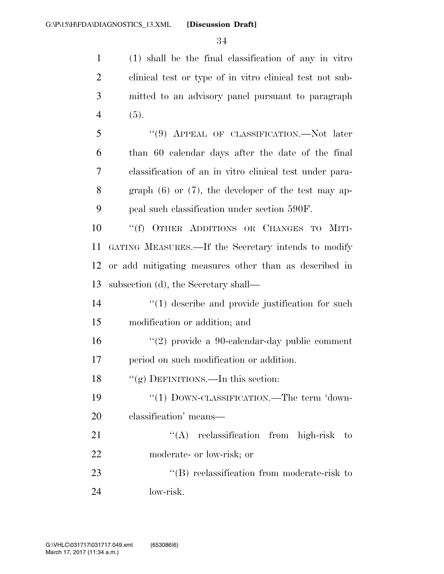(1) shall be the final classification of any in vitro clinical test or type of in vitro clinical test not sub- mitted to an advisory panel pursuant to paragraph (5). 5 "(9) APPEAL OF CLASSIFICATION.—Not later than 60 calendar days after the date of the final classification of an in vitro clinical test under para- graph (6) or (7), the developer of the test may ap-peal such classification under section 590F.

 ''(f) OTHER ADDITIONS OR CHANGES TO MITI- GATING MEASURES.—If the Secretary intends to modify or add mitigating measures other than as described in subsection (d), the Secretary shall—

14  $\frac{1}{2}$  (1) describe and provide justification for such modification or addition; and

 ''(2) provide a 90-calendar-day public comment period on such modification or addition.

18 "(g) DEFINITIONS.—In this section:

19 "(1) DOWN-CLASSIFICATION.—The term 'down-classification' means—

21 "'(A) reclassification from high-risk to moderate- or low-risk; or

23 "(B) reclassification from moderate-risk to low-risk.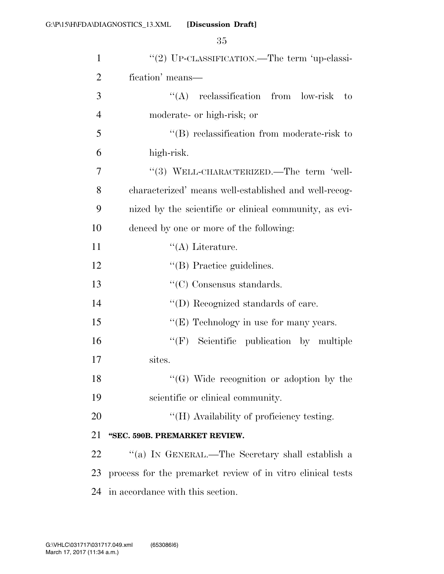| $\mathbf{1}$   | "(2) UP-CLASSIFICATION.—The term 'up-classi-                |
|----------------|-------------------------------------------------------------|
| $\overline{2}$ | fication' means—                                            |
| 3              | $\lq\lq$ reclassification from low-risk<br>to               |
| $\overline{4}$ | moderate- or high-risk; or                                  |
| 5              | $\lq\lq$ reclassification from moderate-risk to             |
| 6              | high-risk.                                                  |
| 7              | $\lq(3)$ WELL-CHARACTERIZED.—The term 'well-                |
| 8              | characterized' means well-established and well-recog-       |
| 9              | nized by the scientific or clinical community, as evi-      |
| 10             | denced by one or more of the following:                     |
| 11             | $\lq\lq$ Literature.                                        |
| 12             | "(B) Practice guidelines.                                   |
| 13             | $\lq\lq C$ Consensus standards.                             |
| 14             | $\lq\lq$ (D) Recognized standards of care.                  |
| 15             | "(E) Technology in use for many years.                      |
| 16             | "(F) Scientific publication by multiple                     |
| 17             | sites.                                                      |
| 18             | $\lq\lq (G)$ Wide recognition or adoption by the            |
| 19             | scientific or clinical community.                           |
| 20             | "(H) Availability of proficiency testing.                   |
| 21             | "SEC. 590B. PREMARKET REVIEW.                               |
| 22             | "(a) IN GENERAL.—The Secretary shall establish a            |
| 23             | process for the premarket review of in vitro clinical tests |
| 24             | in accordance with this section.                            |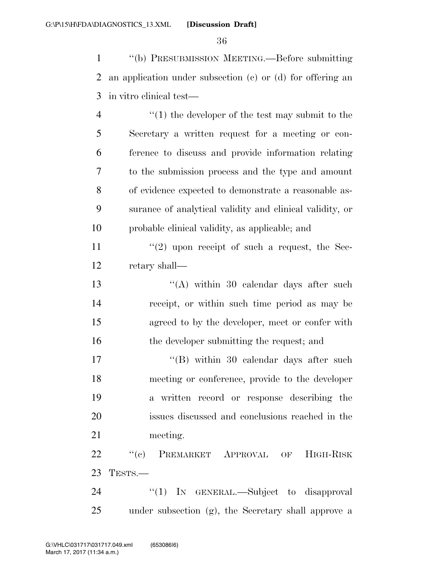''(b) PRESUBMISSION MEETING.—Before submitting an application under subsection (c) or (d) for offering an in vitro clinical test—

 $\frac{4}{1}$  the developer of the test may submit to the Secretary a written request for a meeting or con- ference to discuss and provide information relating to the submission process and the type and amount of evidence expected to demonstrate a reasonable as- surance of analytical validity and clinical validity, or probable clinical validity, as applicable; and

11  $\frac{1}{2}$  upon receipt of such a request, the Sec-retary shall—

13 ''(A) within 30 calendar days after such receipt, or within such time period as may be agreed to by the developer, meet or confer with 16 the developer submitting the request; and

17 ''(B) within 30 calendar days after such meeting or conference, provide to the developer a written record or response describing the issues discussed and conclusions reached in the meeting.

22 "(c) PREMARKET APPROVAL OF HIGH-RISK TESTS.—

24 "(1) In GENERAL.—Subject to disapproval under subsection (g), the Secretary shall approve a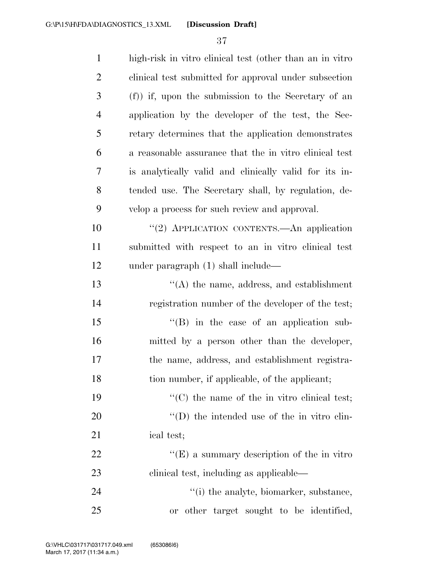| $\mathbf{1}$   | high-risk in vitro clinical test (other than an in vitro |
|----------------|----------------------------------------------------------|
| $\overline{2}$ | clinical test submitted for approval under subsection    |
| 3              | $(f)$ ) if, upon the submission to the Secretary of an   |
| $\overline{4}$ | application by the developer of the test, the Sec-       |
| 5              | retary determines that the application demonstrates      |
| 6              | a reasonable assurance that the in vitro clinical test   |
| 7              | is analytically valid and clinically valid for its in-   |
| 8              | tended use. The Secretary shall, by regulation, de-      |
| 9              | velop a process for such review and approval.            |
| 10             | "(2) APPLICATION CONTENTS.—An application                |
| 11             | submitted with respect to an in vitro clinical test      |
| 12             | under paragraph $(1)$ shall include—                     |
| 13             | $\lq\lq$ the name, address, and establishment            |
| 14             | registration number of the developer of the test;        |
| 15             | $\lq\lq$ (B) in the case of an application sub-          |
| 16             | mitted by a person other than the developer,             |
| 17             | the name, address, and establishment registra-           |
| 18             | tion number, if applicable, of the applicant;            |
| 19             | $\lq\lq$ (C) the name of the in vitro clinical test;     |
| 20             | $\lq\lq$ (D) the intended use of the in vitro clin-      |
| 21             | ical test;                                               |
| 22             | $\lq\lq(E)$ a summary description of the in vitro        |
| 23             | clinical test, including as applicable—                  |
| 24             | "(i) the analyte, biomarker, substance,                  |
| 25             | or other target sought to be identified,                 |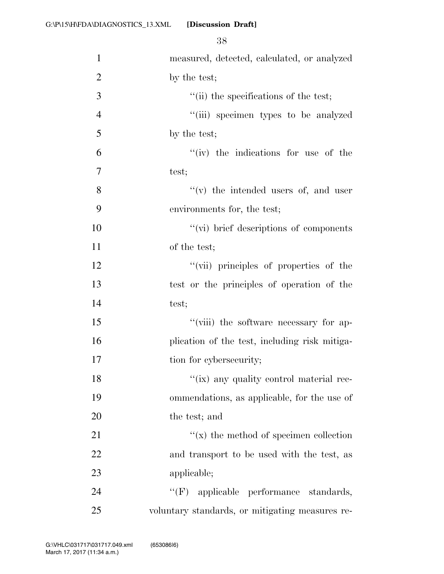| $\mathbf{1}$   | measured, detected, calculated, or analyzed     |
|----------------|-------------------------------------------------|
| $\overline{2}$ | by the test;                                    |
| 3              | "(ii) the specifications of the test;           |
| $\overline{4}$ | "(iii) specimen types to be analyzed            |
| 5              | by the test;                                    |
| 6              | "(iv) the indications for use of the            |
| 7              | test;                                           |
| 8              | "(v) the intended users of, and user            |
| 9              | environments for, the test;                     |
| 10             | $\lq\lq$ (vi) brief descriptions of components  |
| 11             | of the test;                                    |
| 12             | "(vii) principles of properties of the          |
| 13             | test or the principles of operation of the      |
| 14             | test;                                           |
| 15             | "(viii) the software necessary for ap-          |
| 16             | plication of the test, including risk mitiga-   |
| 17             | tion for cybersecurity;                         |
| 18             | "(ix) any quality control material rec-         |
| 19             | ommendations, as applicable, for the use of     |
| 20             | the test; and                                   |
| 21             | " $(x)$ the method of specimen collection"      |
| 22             | and transport to be used with the test, as      |
| 23             | applicable;                                     |
| 24             | "(F) applicable performance standards,          |
| 25             | voluntary standards, or mitigating measures re- |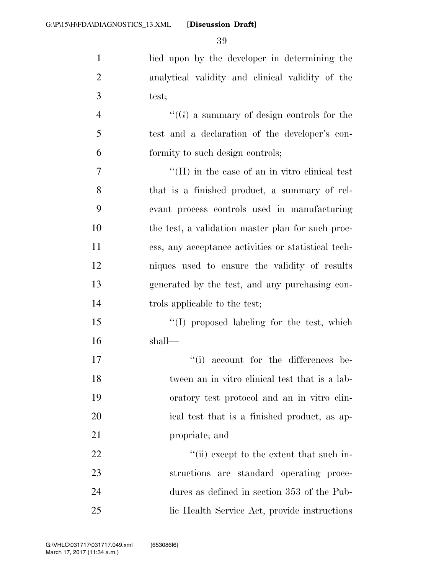| $\mathbf{1}$   | lied upon by the developer in determining the         |
|----------------|-------------------------------------------------------|
| $\overline{2}$ | analytical validity and clinical validity of the      |
| 3              | test;                                                 |
| $\overline{4}$ | $\lq\lq(G)$ a summary of design controls for the      |
| 5              | test and a declaration of the developer's con-        |
| 6              | formity to such design controls;                      |
| $\overline{7}$ | $\rm{``(H)}$ in the case of an in vitro clinical test |
| 8              | that is a finished product, a summary of rel-         |
| 9              | evant process controls used in manufacturing          |
| 10             | the test, a validation master plan for such proc-     |
| 11             | ess, any acceptance activities or statistical tech-   |
| 12             | niques used to ensure the validity of results         |
| 13             | generated by the test, and any purchasing con-        |
| 14             | trols applicable to the test;                         |
| 15             | "(I) proposed labeling for the test, which            |
| 16             | shall—                                                |
| 17             | account for the differences be-<br>``(i)              |
| 18             | tween an in vitro clinical test that is a lab-        |
| 19             | oratory test protocol and an in vitro clin-           |
| 20             | ical test that is a finished product, as ap-          |
| 21             | propriate; and                                        |
| 22             | "(ii) except to the extent that such in-              |
| 23             | structions are standard operating proce-              |
| 24             | dures as defined in section 353 of the Pub-           |
| 25             | lic Health Service Act, provide instructions          |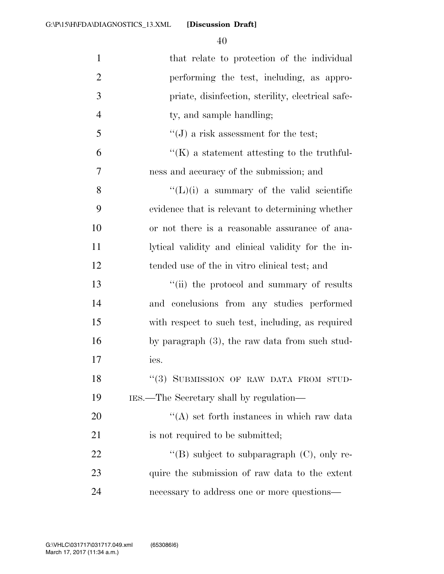| $\mathbf{1}$   | that relate to protection of the individual        |
|----------------|----------------------------------------------------|
| $\overline{2}$ | performing the test, including, as appro-          |
| 3              | priate, disinfection, sterility, electrical safe-  |
| $\overline{4}$ | ty, and sample handling;                           |
| 5              | $\lq\lq$ (J) a risk assessment for the test;       |
| 6              | $\lq\lq(K)$ a statement attesting to the truthful- |
| 7              | ness and accuracy of the submission; and           |
| 8              | $\lq\lq(L)(i)$ a summary of the valid scientific   |
| 9              | evidence that is relevant to determining whether   |
| 10             | or not there is a reasonable assurance of ana-     |
| 11             | lytical validity and clinical validity for the in- |
| 12             | tended use of the in vitro clinical test; and      |
| 13             | "(ii) the protocol and summary of results          |
| 14             | and conclusions from any studies performed         |
| 15             | with respect to such test, including, as required  |
| 16             | by paragraph $(3)$ , the raw data from such stud-  |
| 17             | ies.                                               |
| 18             | "(3) SUBMISSION OF RAW DATA FROM STUD-             |
| 19             | IES.—The Secretary shall by regulation—            |
| 20             | $\lq\lq$ set forth instances in which raw data     |
| 21             | is not required to be submitted;                   |
| 22             | "(B) subject to subparagraph (C), only re-         |
| 23             | quire the submission of raw data to the extent     |
| 24             | necessary to address one or more questions—        |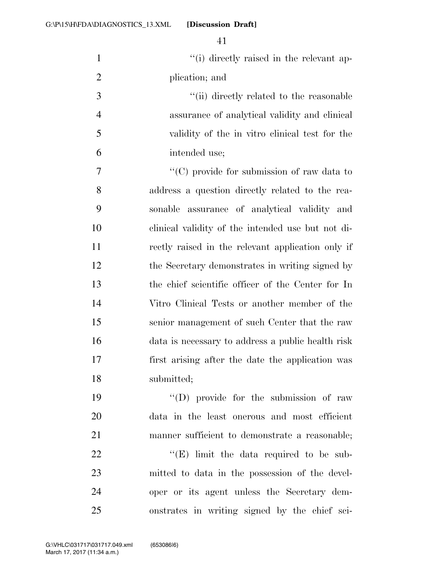| $\mathbf{1}$   | "(i) directly raised in the relevant ap-          |
|----------------|---------------------------------------------------|
| $\overline{2}$ | plication; and                                    |
| 3              | "(ii) directly related to the reasonable          |
| $\overline{4}$ | assurance of analytical validity and clinical     |
| 5              | validity of the in vitro clinical test for the    |
| 6              | intended use;                                     |
| 7              | "(C) provide for submission of raw data to        |
| 8              | address a question directly related to the rea-   |
| 9              | sonable assurance of analytical validity and      |
| 10             | clinical validity of the intended use but not di- |
| 11             | rectly raised in the relevant application only if |
| 12             | the Secretary demonstrates in writing signed by   |
| 13             | the chief scientific officer of the Center for In |
| 14             | Vitro Clinical Tests or another member of the     |
| 15             | senior management of such Center that the raw     |
| 16             | data is necessary to address a public health risk |
| 17             | first arising after the date the application was  |
| 18             | submitted;                                        |
| 19             | "(D) provide for the submission of raw            |
| 20             | data in the least onerous and most efficient      |
| 21             | manner sufficient to demonstrate a reasonable;    |
| 22             | " $(E)$ limit the data required to be sub-        |
| 23             | mitted to data in the possession of the devel-    |
| 24             | oper or its agent unless the Secretary dem-       |
| 25             | onstrates in writing signed by the chief sci-     |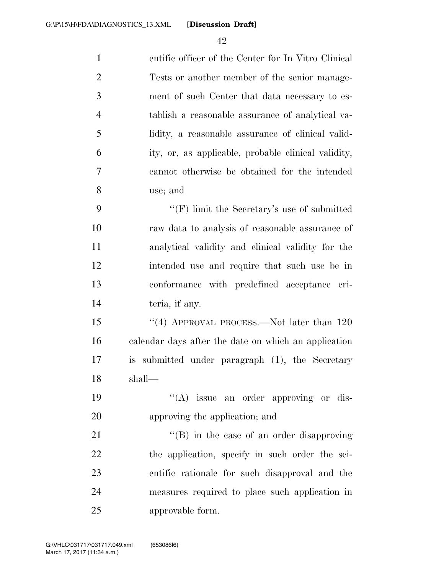| $\mathbf{1}$   | entific officer of the Center for In Vitro Clinical       |
|----------------|-----------------------------------------------------------|
| $\overline{2}$ | Tests or another member of the senior manage-             |
| 3              | ment of such Center that data necessary to es-            |
| $\overline{4}$ | tablish a reasonable assurance of analytical va-          |
| 5              | lidity, a reasonable assurance of clinical valid-         |
| 6              | ity, or, as applicable, probable clinical validity,       |
| 7              | cannot otherwise be obtained for the intended             |
| 8              | use; and                                                  |
| 9              | "(F) limit the Secretary's use of submitted               |
| 10             | raw data to analysis of reasonable assurance of           |
| 11             | analytical validity and clinical validity for the         |
| 12             | intended use and require that such use be in              |
| 13             | conformance with predefined acceptance cri-               |
| 14             | teria, if any.                                            |
| 15             | "(4) APPROVAL PROCESS.—Not later than $120$               |
| 16             | calendar days after the date on which an application      |
| 17             | submitted under paragraph (1), the Secretary<br><i>is</i> |
| 18             | shall—                                                    |
| 19             | $\lq\lq$ issue an order approving or dis-                 |
| 20             | approving the application; and                            |
| 21             | $\lq\lq (B)$ in the case of an order disapproving         |
| 22             | the application, specify in such order the sci-           |
| 23             | entific rationale for such disapproval and the            |
| 24             | measures required to place such application in            |

approvable form.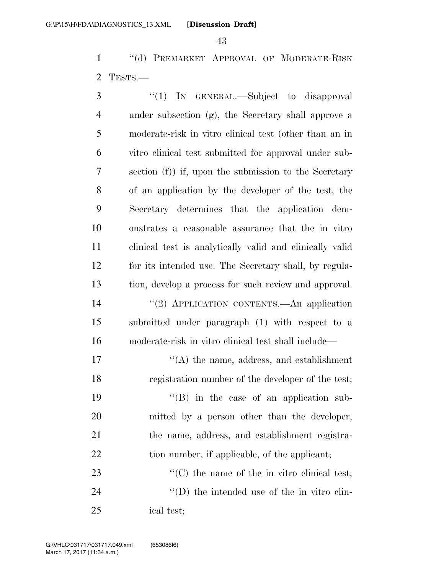''(d) PREMARKET APPROVAL OF MODERATE-RISK TESTS.—

| 3              | "(1) IN GENERAL.—Subject to disapproval                  |
|----------------|----------------------------------------------------------|
| $\overline{4}$ | under subsection (g), the Secretary shall approve a      |
| 5              | moderate-risk in vitro clinical test (other than an in   |
| 6              | vitro clinical test submitted for approval under sub-    |
| 7              | section (f) if, upon the submission to the Secretary     |
| 8              | of an application by the developer of the test, the      |
| 9              | Secretary determines that the application dem-           |
| 10             | onstrates a reasonable assurance that the in vitro       |
| 11             | clinical test is analytically valid and clinically valid |
| 12             | for its intended use. The Secretary shall, by regula-    |
| 13             | tion, develop a process for such review and approval.    |
| 14             | "(2) APPLICATION CONTENTS.—An application                |
| 15             | submitted under paragraph (1) with respect to a          |
| 16             | moderate-risk in vitro clinical test shall include—      |
| 17             | $\lq\lq$ the name, address, and establishment            |
| 18             | registration number of the developer of the test;        |
| 19             | $\lq\lq$ (B) in the case of an application sub-          |
| 20             | mitted by a person other than the developer,             |
| 21             | the name, address, and establishment registra-           |
| 22             | tion number, if applicable, of the applicant;            |
| 23             | "(C) the name of the in vitro clinical test;             |
| 24             | $\lq\lq$ (D) the intended use of the in vitro clin-      |

ical test;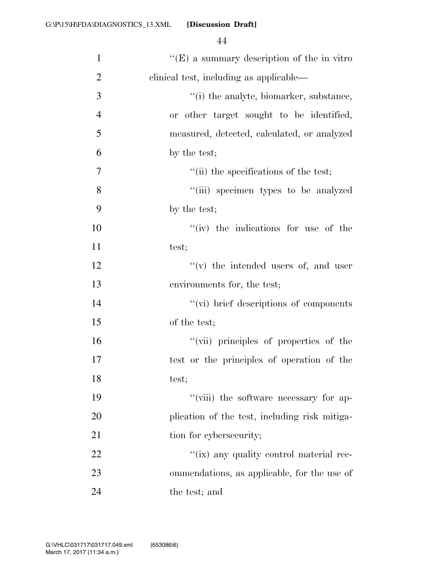| $\mathbf{1}$   | " $(E)$ a summary description of the in vitro" |
|----------------|------------------------------------------------|
| $\overline{2}$ | clinical test, including as applicable—        |
| 3              | "(i) the analyte, biomarker, substance,        |
| $\overline{4}$ | or other target sought to be identified,       |
| 5              | measured, detected, calculated, or analyzed    |
| 6              | by the test;                                   |
| $\overline{7}$ | "(ii) the specifications of the test;          |
| 8              | "(iii) specimen types to be analyzed           |
| 9              | by the test;                                   |
| 10             | "(iv) the indications for use of the           |
| 11             | test;                                          |
| 12             | $f'(v)$ the intended users of, and user        |
| 13             | environments for, the test;                    |
| 14             | $\lq\lq$ (vi) brief descriptions of components |
| 15             | of the test;                                   |
| 16             | "(vii) principles of properties of the         |
| 17             | test or the principles of operation of the     |
| 18             | test;                                          |
| 19             | "(viii) the software necessary for ap-         |
| 20             | plication of the test, including risk mitiga-  |
| 21             | tion for cybersecurity;                        |
| 22             | "(ix) any quality control material rec-        |
| 23             | ommendations, as applicable, for the use of    |
| 24             | the test; and                                  |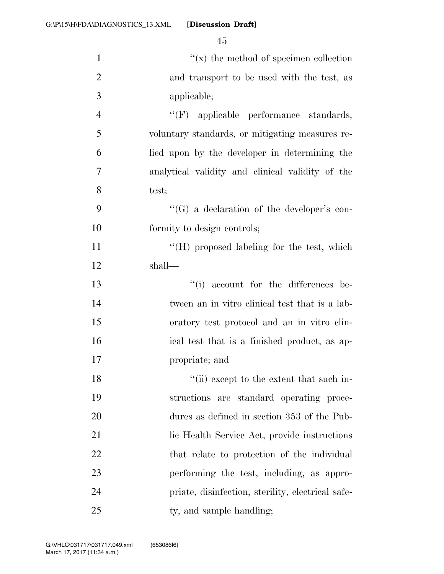| $\mathbf{1}$   | " $(x)$ the method of specimen collection"         |
|----------------|----------------------------------------------------|
| $\overline{2}$ | and transport to be used with the test, as         |
| 3              | applicable;                                        |
| $\overline{4}$ | "(F) applicable performance standards,             |
| 5              | voluntary standards, or mitigating measures re-    |
| 6              | lied upon by the developer in determining the      |
| 7              | analytical validity and clinical validity of the   |
| 8              | test;                                              |
| 9              | $\lq\lq (G)$ a declaration of the developer's con- |
| 10             | formity to design controls;                        |
| 11             | $H(H)$ proposed labeling for the test, which       |
| 12             | shall—                                             |
| 13             | "(i) account for the differences be-               |
| 14             | tween an in vitro clinical test that is a lab-     |
| 15             | oratory test protocol and an in vitro clin-        |
| 16             | ical test that is a finished product, as ap-       |
| 17             | propriate; and                                     |
| 18             | "(ii) except to the extent that such in-           |
| 19             | structions are standard operating proce-           |
| 20             | dures as defined in section 353 of the Pub-        |
| 21             | lic Health Service Act, provide instructions       |
| <u>22</u>      | that relate to protection of the individual        |
| 23             | performing the test, including, as appro-          |
| 24             | priate, disinfection, sterility, electrical safe-  |
| 25             | ty, and sample handling;                           |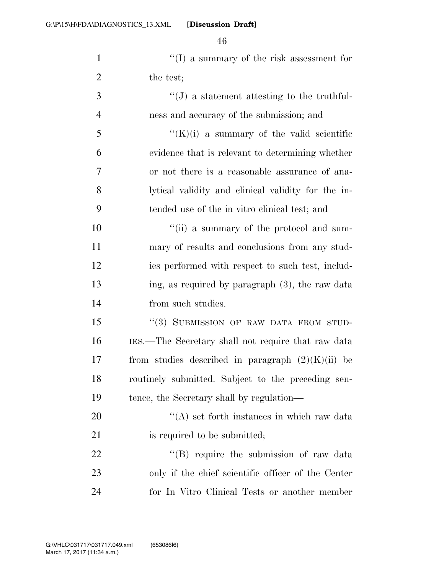| $\mathbf{1}$   | $\lq\lq$ a summary of the risk assessment for       |
|----------------|-----------------------------------------------------|
| $\overline{2}$ | the test;                                           |
| 3              | $\lq\lq(J)$ a statement attesting to the truthful-  |
| $\overline{4}$ | ness and accuracy of the submission; and            |
| 5              | $\lq\lq(K)(i)$ a summary of the valid scientific    |
| 6              | evidence that is relevant to determining whether    |
| $\overline{7}$ | or not there is a reasonable assurance of ana-      |
| 8              | lytical validity and clinical validity for the in-  |
| 9              | tended use of the in vitro clinical test; and       |
| 10             | "(ii) a summary of the protocol and sum-            |
| 11             | mary of results and conclusions from any stud-      |
| 12             | ies performed with respect to such test, includ-    |
| 13             | ing, as required by paragraph (3), the raw data     |
| 14             | from such studies.                                  |
| 15             | "(3) SUBMISSION OF RAW DATA FROM STUD-              |
| 16             | IES.—The Secretary shall not require that raw data  |
| 17             | from studies described in paragraph $(2)(K)(ii)$ be |
| 18             | routinely submitted. Subject to the preceding sen-  |
| 19             | tence, the Secretary shall by regulation—           |
| 20             | $\lq\lq$ set forth instances in which raw data      |
| 21             | is required to be submitted;                        |
| 22             | $\lq\lq$ require the submission of raw data         |
| 23             | only if the chief scientific officer of the Center  |
| 24             | for In Vitro Clinical Tests or another member       |
|                |                                                     |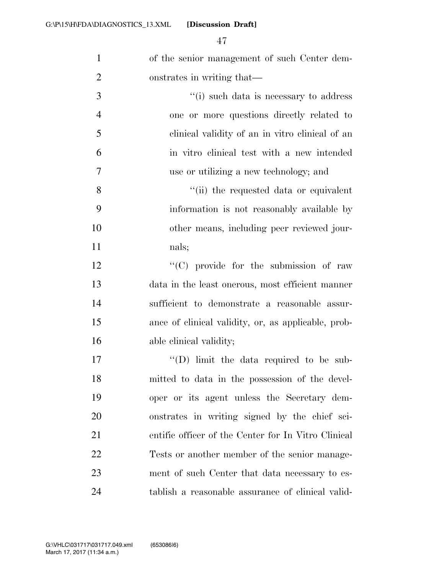| $\mathbf{1}$   | of the senior management of such Center dem-        |
|----------------|-----------------------------------------------------|
| $\overline{2}$ | onstrates in writing that—                          |
| 3              | "(i) such data is necessary to address              |
| $\overline{4}$ | one or more questions directly related to           |
| 5              | elinical validity of an in vitro elinical of an     |
| 6              | in vitro clinical test with a new intended          |
| 7              | use or utilizing a new technology; and              |
| 8              | "(ii) the requested data or equivalent              |
| 9              | information is not reasonably available by          |
| 10             | other means, including peer reviewed jour-          |
| 11             | nals;                                               |
| 12             | $\lq\lq$ (C) provide for the submission of raw      |
| 13             | data in the least onerous, most efficient manner    |
| 14             | sufficient to demonstrate a reasonable assur-       |
| 15             | ance of clinical validity, or, as applicable, prob- |
| 16             | able clinical validity;                             |
| 17             | "(D) limit the data required to be sub-             |
| 18             | mitted to data in the possession of the devel-      |
| 19             | oper or its agent unless the Secretary dem-         |
| 20             | onstrates in writing signed by the chief sci-       |
| 21             | entific officer of the Center for In Vitro Clinical |
| 22             | Tests or another member of the senior manage-       |
| 23             | ment of such Center that data necessary to es-      |
| 24             | tablish a reasonable assurance of clinical valid-   |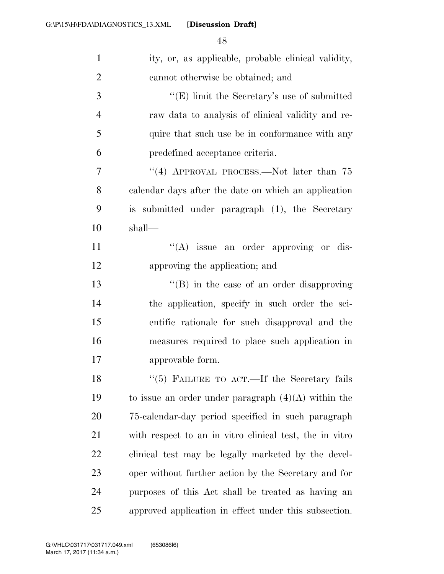| $\mathbf{1}$   | ity, or, as applicable, probable clinical validity,     |
|----------------|---------------------------------------------------------|
| $\overline{2}$ | cannot otherwise be obtained; and                       |
| 3              | " $(E)$ limit the Secretary's use of submitted          |
| $\overline{4}$ | raw data to analysis of clinical validity and re-       |
| 5              | quire that such use be in conformance with any          |
| 6              | predefined acceptance criteria.                         |
| 7              | "(4) APPROVAL PROCESS.—Not later than $75$              |
| 8              | calendar days after the date on which an application    |
| 9              | is submitted under paragraph (1), the Secretary         |
| 10             | shall—                                                  |
| 11             | $\lq\lq$ issue an order approving or dis-               |
| 12             | approving the application; and                          |
| 13             | $\lq\lq (B)$ in the case of an order disapproving       |
| 14             | the application, specify in such order the sci-         |
| 15             | entific rationale for such disapproval and the          |
| 16             | measures required to place such application in          |
| 17             | approvable form.                                        |
| 18             | " $(5)$ FAILURE TO ACT.—If the Secretary fails          |
| 19             | to issue an order under paragraph $(4)(A)$ within the   |
| 20             | 75-calendar-day period specified in such paragraph      |
| 21             | with respect to an in vitro clinical test, the in vitro |
| 22             | clinical test may be legally marketed by the devel-     |
| 23             | oper without further action by the Secretary and for    |
| 24             | purposes of this Act shall be treated as having an      |
| 25             | approved application in effect under this subsection.   |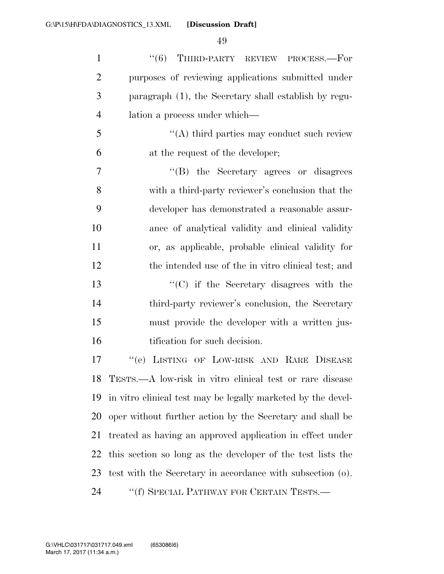| $\mathbf{1}$   | $\cdot\cdot$ (6) THIRD-PARTY REVIEW PROCESS.—For             |
|----------------|--------------------------------------------------------------|
| $\overline{2}$ | purposes of reviewing applications submitted under           |
| 3              | paragraph (1), the Secretary shall establish by regu-        |
| $\overline{4}$ | lation a process under which—                                |
| 5              | "(A) third parties may conduct such review                   |
| 6              | at the request of the developer;                             |
| 7              | "(B) the Secretary agrees or disagrees"                      |
| 8              | with a third-party reviewer's conclusion that the            |
| 9              | developer has demonstrated a reasonable assur-               |
| 10             | ance of analytical validity and clinical validity            |
| 11             | or, as applicable, probable clinical validity for            |
| 12             | the intended use of the in vitro clinical test; and          |
| 13             | $\lq\lq$ (C) if the Secretary disagrees with the             |
| 14             | third-party reviewer's conclusion, the Secretary             |
| 15             | must provide the developer with a written jus-               |
| 16             | tification for such decision.                                |
| 17             | "(e) LISTING OF LOW-RISK AND RARE DISEASE                    |
|                | 18 TESTS.—A low-risk in vitro clinical test or rare disease  |
| 19             | in vitro clinical test may be legally marketed by the devel- |
| 20             | oper without further action by the Secretary and shall be    |
| 21             | treated as having an approved application in effect under    |
| 22             | this section so long as the developer of the test lists the  |
| 23             | test with the Secretary in accordance with subsection (o).   |

24 ''(f) SPECIAL PATHWAY FOR CERTAIN TESTS.—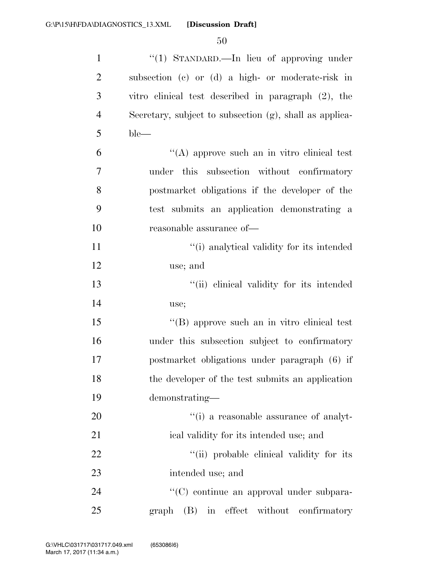| $\mathbf{1}$   | "(1) STANDARD.—In lieu of approving under               |
|----------------|---------------------------------------------------------|
| $\overline{2}$ | subsection (c) or (d) a high- or moderate-risk in       |
| 3              | vitro clinical test described in paragraph $(2)$ , the  |
| $\overline{4}$ | Secretary, subject to subsection (g), shall as applica- |
| 5              | $ble-$                                                  |
| 6              | $\lq\lq$ approve such an in vitro clinical test         |
| 7              | under this subsection without confirmatory              |
| 8              | postmarket obligations if the developer of the          |
| 9              | test submits an application demonstrating a             |
| 10             | reasonable assurance of—                                |
| 11             | "(i) analytical validity for its intended               |
| 12             | use; and                                                |
| 13             | "(ii) elinical validity for its intended                |
| 14             | use;                                                    |
| 15             | $\lq\lq (B)$ approve such an in vitro clinical test     |
| 16             | under this subsection subject to confirmatory           |
| 17             | postmarket obligations under paragraph (6) if           |
| 18             | the developer of the test submits an application        |
| 19             | demonstrating—                                          |
| 20             | "(i) a reasonable assurance of analyt-                  |
| 21             | ical validity for its intended use; and                 |
| 22             | "(ii) probable clinical validity for its                |
| 23             | intended use; and                                       |
| 24             | "(C) continue an approval under subpara-                |
| 25             | effect without<br>graph<br>(B)<br>confirmatory<br>in    |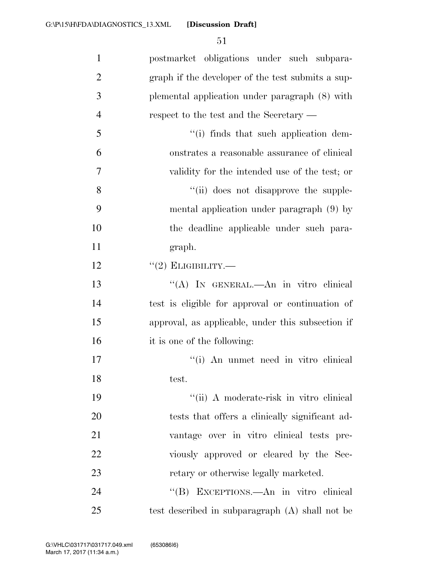| $\mathbf{1}$   | postmarket obligations under such subpara-        |
|----------------|---------------------------------------------------|
| $\overline{2}$ | graph if the developer of the test submits a sup- |
| 3              | plemental application under paragraph (8) with    |
| $\overline{4}$ | respect to the test and the Secretary —           |
| 5              | "(i) finds that such application dem-             |
| 6              | onstrates a reasonable assurance of clinical      |
| 7              | validity for the intended use of the test; or     |
| 8              | "(ii) does not disapprove the supple-             |
| 9              | mental application under paragraph (9) by         |
| 10             | the deadline applicable under such para-          |
| 11             | graph.                                            |
| 12             | $``(2)$ ELIGIBILITY.—                             |
| 13             | "(A) IN GENERAL.—An in vitro clinical             |
| 14             | test is eligible for approval or continuation of  |
| 15             | approval, as applicable, under this subsection if |
| 16             | it is one of the following:                       |
| 17             | "(i) An unmet need in vitro clinical              |
| 18             | test.                                             |
| 19             | "(ii) A moderate-risk in vitro clinical           |
| 20             | tests that offers a clinically significant ad-    |
| 21             | vantage over in vitro clinical tests pre-         |
| 22             | viously approved or cleared by the Sec-           |
| 23             | retary or otherwise legally marketed.             |
| 24             | "(B) EXCEPTIONS.—An in vitro clinical             |
| 25             | test described in subparagraph (A) shall not be   |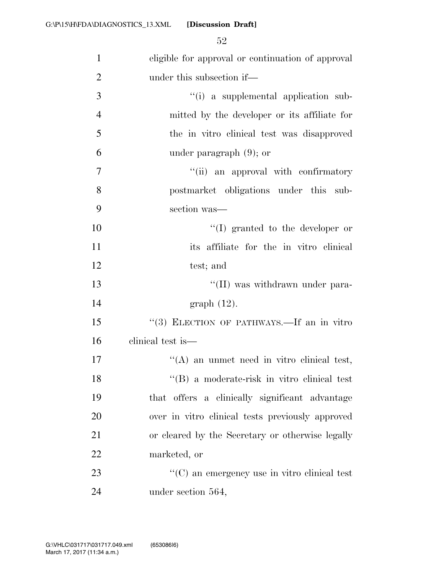| $\mathbf{1}$   | eligible for approval or continuation of approval    |
|----------------|------------------------------------------------------|
| $\overline{2}$ | under this subsection if—                            |
| 3              | "(i) a supplemental application sub-                 |
| $\overline{4}$ | mitted by the developer or its affiliate for         |
| 5              | the in vitro clinical test was disapproved           |
| 6              | under paragraph $(9)$ ; or                           |
| $\overline{7}$ | "(ii) an approval with confirmatory                  |
| 8              | postmarket obligations under this sub-               |
| 9              | section was-                                         |
| 10             | $\lq\lq$ (I) granted to the developer or             |
| 11             | its affiliate for the in vitro clinical              |
| 12             | test; and                                            |
| 13             | "(II) was withdrawn under para-                      |
| 14             | graph (12).                                          |
| 15             | "(3) ELECTION OF PATHWAYS.—If an in vitro            |
| 16             | clinical test is—                                    |
| 17             | $\lq\lq$ an unmet need in vitro clinical test,       |
| 18             | "(B) a moderate-risk in vitro clinical test          |
| 19             | that offers a clinically significant advantage       |
| 20             | over in vitro clinical tests previously approved     |
| 21             | or cleared by the Secretary or otherwise legally     |
| 22             | marketed, or                                         |
| 23             | $\lq\lq$ (C) an emergency use in vitro clinical test |
| 24             | under section 564,                                   |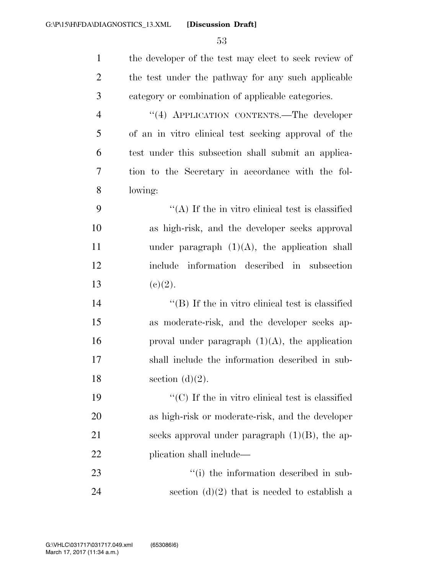| $\mathbf{1}$   | the developer of the test may elect to seek review of                 |
|----------------|-----------------------------------------------------------------------|
| $\overline{c}$ | the test under the pathway for any such applicable                    |
| 3              | category or combination of applicable categories.                     |
| $\overline{4}$ | "(4) APPLICATION CONTENTS.—The developer                              |
| 5              | of an in vitro clinical test seeking approval of the                  |
| 6              | test under this subsection shall submit an applica-                   |
| $\overline{7}$ | tion to the Secretary in accordance with the fol-                     |
| 8              | lowing:                                                               |
| 9              | $\lq\lq$ . If the in vitro clinical test is classified                |
| 10             | as high-risk, and the developer seeks approval                        |
| 11             | under paragraph $(1)(A)$ , the application shall                      |
| 12             | include information described in subsection                           |
| 13             | (c)(2).                                                               |
| 14             | $\lq\lq$ (B) If the in vitro clinical test is classified              |
| 15             | as moderate-risk, and the developer seeks ap-                         |
| 16             | proval under paragraph $(1)(A)$ , the application                     |
| 17             | shall include the information described in sub-                       |
| 18             | section $(d)(2)$ .                                                    |
| 19             | $\lq\lq$ <sup>c</sup> (C) If the in vitro clinical test is classified |
| 20             | as high-risk or moderate-risk, and the developer                      |
| 21             | seeks approval under paragraph $(1)(B)$ , the ap-                     |
| 22             | plication shall include—                                              |
| 23             | "(i) the information described in sub-                                |
| 24             | section $(d)(2)$ that is needed to establish a                        |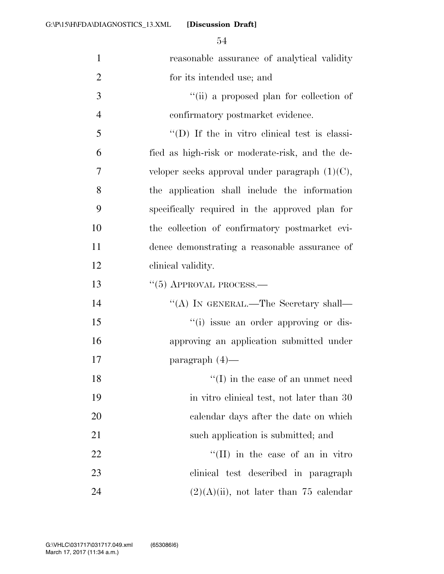| $\mathbf{1}$   | reasonable assurance of analytical validity           |
|----------------|-------------------------------------------------------|
| $\overline{2}$ | for its intended use; and                             |
| 3              | "(ii) a proposed plan for collection of               |
| $\overline{4}$ | confirmatory postmarket evidence.                     |
| 5              | $\lq\lq$ (D) If the in vitro clinical test is classi- |
| 6              | fied as high-risk or moderate-risk, and the de-       |
| $\overline{7}$ | veloper seeks approval under paragraph $(1)(C)$ ,     |
| 8              | the application shall include the information         |
| 9              | specifically required in the approved plan for        |
| 10             | the collection of confirmatory postmarket evi-        |
| 11             | dence demonstrating a reasonable assurance of         |
| 12             | clinical validity.                                    |
| 13             | $``(5)$ APPROVAL PROCESS.—                            |
|                |                                                       |
| 14             | "(A) IN GENERAL.—The Secretary shall—                 |
| 15             | "(i) issue an order approving or dis-                 |
| 16             | approving an application submitted under              |
| 17             | paragraph $(4)$ —                                     |
| 18             | $\lq\lq$ (I) in the case of an unmet need             |
| 19             | in vitro clinical test, not later than 30             |
| 20             | calendar days after the date on which                 |
| 21             | such application is submitted; and                    |
| 22             | "(II) in the case of an in vitro                      |
| 23             | clinical test described in paragraph                  |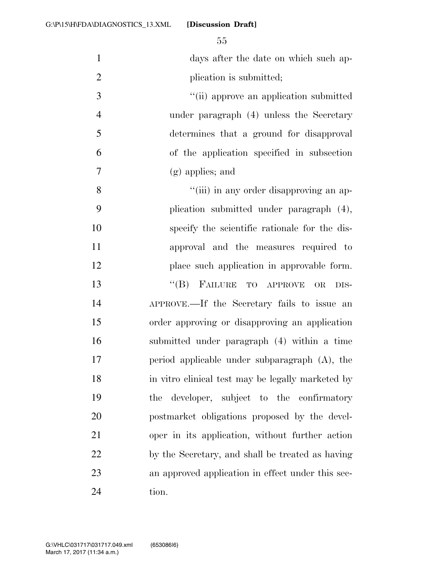**[Discussion Draft]** 

| $\mathbf{1}$   | days after the date on which such ap-                     |
|----------------|-----------------------------------------------------------|
| $\overline{2}$ | plication is submitted;                                   |
| 3              | "(ii) approve an application submitted                    |
| $\overline{4}$ | under paragraph (4) unless the Secretary                  |
| 5              | determines that a ground for disapproval                  |
| 6              | of the application specified in subsection                |
| $\overline{7}$ | $(g)$ applies; and                                        |
| 8              | "(iii) in any order disapproving an ap-                   |
| 9              | plication submitted under paragraph (4),                  |
| 10             | specify the scientific rationale for the dis-             |
| 11             | approval and the measures required to                     |
| 12             | place such application in approvable form.                |
| 13             | "(B) FAILURE TO APPROVE<br>$\overline{\text{OR}}$<br>DIS- |
| 14             | APPROVE.—If the Secretary fails to issue an               |
| 15             | order approving or disapproving an application            |
| 16             | submitted under paragraph (4) within a time               |
| 17             | period applicable under subparagraph (A), the             |
| 18             | in vitro clinical test may be legally marketed by         |
| 19             | developer, subject to the confirmatory<br>the             |
| <b>20</b>      | postmarket obligations proposed by the devel-             |
| 21             | oper in its application, without further action           |
| 22             | by the Secretary, and shall be treated as having          |
| 23             | an approved application in effect under this sec-         |
| 24             | tion.                                                     |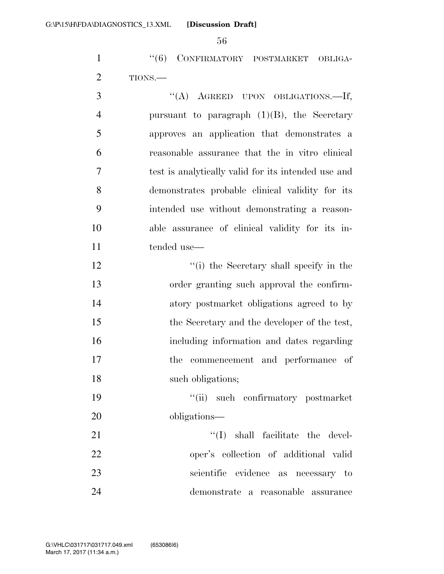1 ''(6) CONFIRMATORY POSTMARKET OBLIGA-TIONS.—

3 "(A) AGREED UPON OBLIGATIONS.—If, pursuant to paragraph (1)(B), the Secretary approves an application that demonstrates a reasonable assurance that the in vitro clinical test is analytically valid for its intended use and demonstrates probable clinical validity for its intended use without demonstrating a reason- able assurance of clinical validity for its in-tended use—

 ''(i) the Secretary shall specify in the order granting such approval the confirm- atory postmarket obligations agreed to by the Secretary and the developer of the test, including information and dates regarding the commencement and performance of 18 such obligations;

 ''(ii) such confirmatory postmarket obligations—

21 ''(I) shall facilitate the devel- oper's collection of additional valid scientific evidence as necessary to demonstrate a reasonable assurance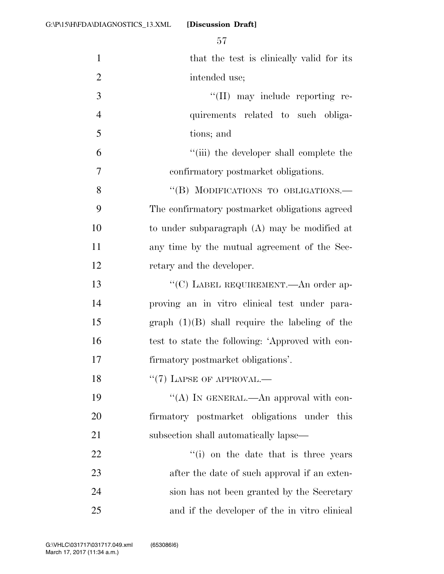**[Discussion Draft]** 

| $\mathbf{1}$   | that the test is clinically valid for its        |
|----------------|--------------------------------------------------|
| $\overline{2}$ | intended use;                                    |
| 3              | "(II) may include reporting re-                  |
| $\overline{4}$ | quirements related to such obliga-               |
| 5              | tions; and                                       |
| 6              | "(iii) the developer shall complete the          |
| 7              | confirmatory postmarket obligations.             |
| 8              | "(B) MODIFICATIONS TO OBLIGATIONS.-              |
| 9              | The confirmatory postmarket obligations agreed   |
| 10             | to under subparagraph $(A)$ may be modified at   |
| 11             | any time by the mutual agreement of the Sec-     |
| 12             | retary and the developer.                        |
| 13             | "(C) LABEL REQUIREMENT.—An order ap-             |
| 14             | proving an in vitro clinical test under para-    |
| 15             | graph $(1)(B)$ shall require the labeling of the |
| 16             | test to state the following: 'Approved with con- |
| 17             | firmatory postmarket obligations'.               |
| 18             | $``(7)$ LAPSE OF APPROVAL.—                      |
| 19             | "(A) IN GENERAL.—An approval with con-           |
| 20             | firmatory postmarket obligations under this      |
| 21             | subsection shall automatically lapse—            |
| 22             | "(i) on the date that is three years             |
| 23             | after the date of such approval if an exten-     |
| 24             | sion has not been granted by the Secretary       |
| 25             | and if the developer of the in vitro clinical    |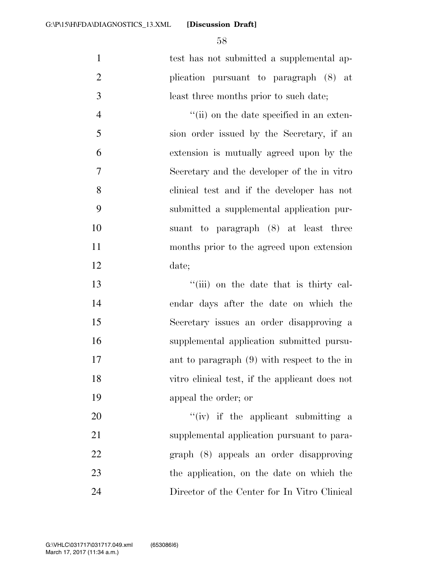test has not submitted a supplemental ap- plication pursuant to paragraph (8) at least three months prior to such date;  $''(ii)$  on the date specified in an exten- sion order issued by the Secretary, if an extension is mutually agreed upon by the Secretary and the developer of the in vitro clinical test and if the developer has not submitted a supplemental application pur- suant to paragraph (8) at least three months prior to the agreed upon extension date; ''(iii) on the date that is thirty cal- endar days after the date on which the Secretary issues an order disapproving a supplemental application submitted pursu- ant to paragraph (9) with respect to the in vitro clinical test, if the applicant does not appeal the order; or

 $\frac{1}{2}$  (iv) if the applicant submitting a supplemental application pursuant to para- graph (8) appeals an order disapproving the application, on the date on which the Director of the Center for In Vitro Clinical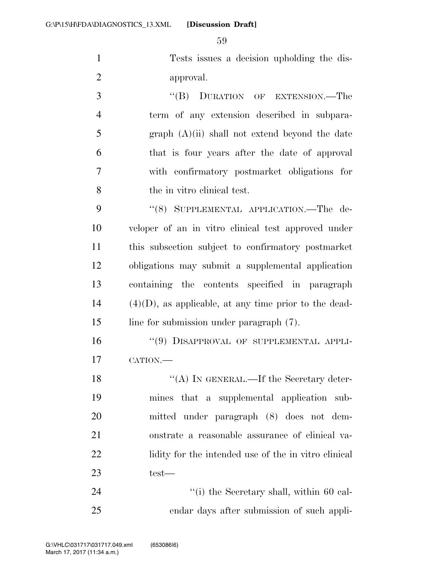Tests issues a decision upholding the dis-approval.

3 "(B) DURATION OF EXTENSION.—The term of any extension described in subpara- graph (A)(ii) shall not extend beyond the date that is four years after the date of approval with confirmatory postmarket obligations for the in vitro clinical test.

9 "(8) SUPPLEMENTAL APPLICATION.—The de- veloper of an in vitro clinical test approved under this subsection subject to confirmatory postmarket obligations may submit a supplemental application containing the contents specified in paragraph (4)(D), as applicable, at any time prior to the dead-line for submission under paragraph (7).

16 "(9) DISAPPROVAL OF SUPPLEMENTAL APPLI-CATION.—

18 "(A) In GENERAL.—If the Secretary deter- mines that a supplemental application sub- mitted under paragraph (8) does not dem- onstrate a reasonable assurance of clinical va-22 lidity for the intended use of the in vitro clinical test—

24 ''(i) the Secretary shall, within 60 cal-endar days after submission of such appli-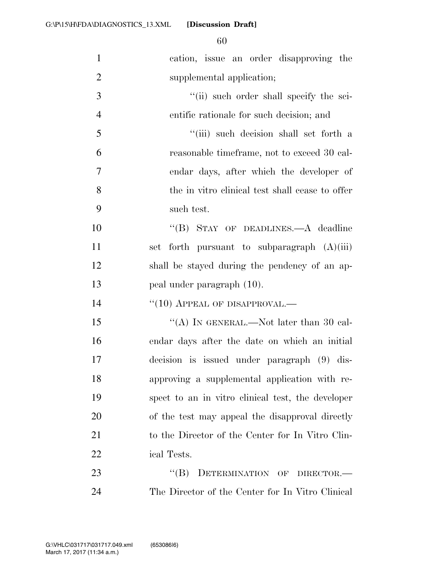| $\mathbf{1}$   | cation, issue an order disapproving the           |
|----------------|---------------------------------------------------|
| $\overline{2}$ | supplemental application;                         |
| 3              | "(ii) such order shall specify the sci-           |
| $\overline{4}$ | entific rationale for such decision; and          |
| 5              | "(iii) such decision shall set forth a            |
| 6              | reasonable time frame, not to exceed 30 cal-      |
| 7              | endar days, after which the developer of          |
| 8              | the in vitro clinical test shall cease to offer   |
| 9              | such test.                                        |
| 10             | "(B) STAY OF DEADLINES.—A deadline                |
| 11             | set forth pursuant to subparagraph $(A)(iii)$     |
| 12             | shall be stayed during the pendency of an ap-     |
| 13             | peal under paragraph (10).                        |
| 14             | $``(10)$ APPEAL OF DISAPPROVAL.—                  |
| 15             | "(A) IN GENERAL.—Not later than 30 cal-           |
| 16             | endar days after the date on which an initial     |
| 17             | decision is issued under paragraph (9) dis-       |
| 18             | approving a supplemental application with re-     |
| 19             | spect to an in vitro clinical test, the developer |
| 20             | of the test may appeal the disapproval directly   |
| 21             | to the Director of the Center for In Vitro Clin-  |
| 22             | ical Tests.                                       |
| 23             | $\lq\lq (B)$<br>DETERMINATION OF DIRECTOR.-       |
| 24             | The Director of the Center for In Vitro Clinical  |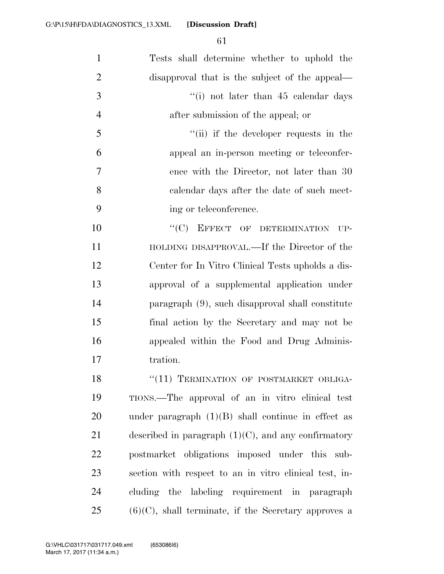| $\mathbf{1}$   | Tests shall determine whether to uphold the             |
|----------------|---------------------------------------------------------|
| $\overline{2}$ | disapproval that is the subject of the appeal—          |
| 3              | "(i) not later than 45 calendar days                    |
| 4              | after submission of the appeal; or                      |
| 5              | "(ii) if the developer requests in the                  |
| 6              | appeal an in-person meeting or teleconfer-              |
| 7              | ence with the Director, not later than 30               |
| 8              | calendar days after the date of such meet-              |
| 9              | ing or teleconference.                                  |
| 10             | "(C) EFFECT OF DETERMINATION<br>$UP$ -                  |
| 11             | HOLDING DISAPPROVAL.—If the Director of the             |
| 12             | Center for In Vitro Clinical Tests upholds a dis-       |
| 13             | approval of a supplemental application under            |
| 14             | paragraph (9), such disapproval shall constitute        |
| 15             | final action by the Secretary and may not be            |
| 16             | appealed within the Food and Drug Adminis-              |
| 17             | tration.                                                |
| 18             | "(11) TERMINATION OF POSTMARKET OBLIGA-                 |
| 19             | TIONS.—The approval of an in vitro clinical test        |
| 20             | under paragraph $(1)(B)$ shall continue in effect as    |
| 21             | described in paragraph $(1)(C)$ , and any confirmatory  |
| 22             | postmarket obligations imposed under this sub-          |
| 23             | section with respect to an in vitro clinical test, in-  |
| 24             | cluding the labeling requirement in paragraph           |
| 25             | $(6)(C)$ , shall terminate, if the Secretary approves a |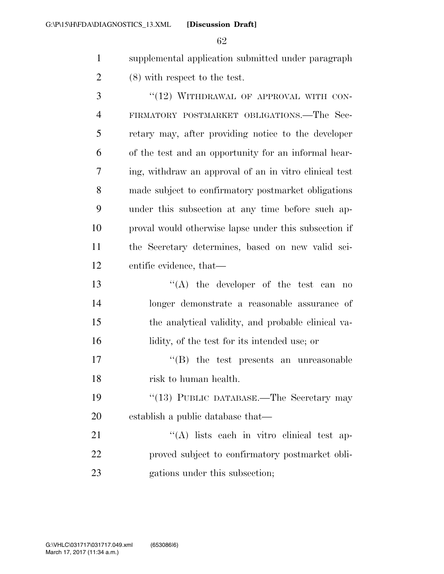supplemental application submitted under paragraph (8) with respect to the test.

| 3              | "(12) WITHDRAWAL OF APPROVAL WITH CON-                 |
|----------------|--------------------------------------------------------|
| $\overline{4}$ | FIRMATORY POSTMARKET OBLIGATIONS.-The Sec-             |
| 5              | retary may, after providing notice to the developer    |
| 6              | of the test and an opportunity for an informal hear-   |
| 7              | ing, withdraw an approval of an in vitro clinical test |
| 8              | made subject to confirmatory postmarket obligations    |
| 9              | under this subsection at any time before such ap-      |
| 10             | proval would otherwise lapse under this subsection if  |
| 11             | the Secretary determines, based on new valid sci-      |
| 12             | entific evidence, that—                                |
| 13             | $\lq\lq$ the developer of the test can<br>no           |
| 14             | longer demonstrate a reasonable assurance of           |
| 15             | the analytical validity, and probable clinical va-     |
| 16             | lidity, of the test for its intended use; or           |
| 17             | $\lq\lq$ (B) the test presents an unreasonable         |
| 18             | risk to human health.                                  |
| 19             | "(13) PUBLIC DATABASE.—The Secretary may               |
| 20             | establish a public database that—                      |
| 21             | "(A) lists each in vitro clinical test ap-             |
| 22             | proved subject to confirmatory postmarket obli-        |
| 23             | gations under this subsection;                         |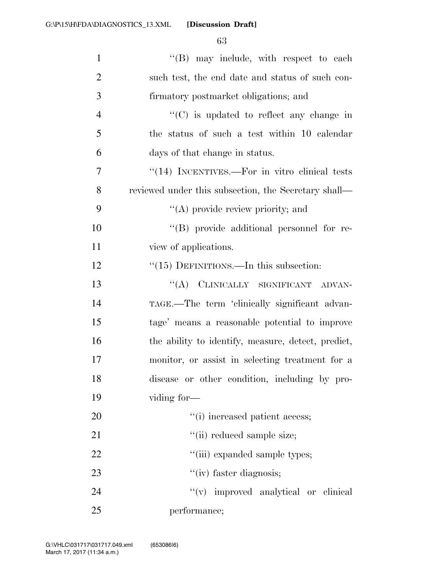| $\mathbf{1}$   | $\lq\lq(B)$ may include, with respect to each        |
|----------------|------------------------------------------------------|
| $\overline{2}$ | such test, the end date and status of such con-      |
| 3              | firmatory postmarket obligations; and                |
| $\overline{4}$ | $\lq\lq$ (C) is updated to reflect any change in     |
| 5              | the status of such a test within 10 calendar         |
| 6              | days of that change in status.                       |
| $\overline{7}$ | "(14) INCENTIVES.—For in vitro clinical tests        |
| 8              | reviewed under this subsection, the Secretary shall— |
| 9              | $\lq\lq$ provide review priority; and                |
| 10             | "(B) provide additional personnel for re-            |
| 11             | view of applications.                                |
| 12             | " $(15)$ DEFINITIONS.—In this subsection:            |
| 13             | "(A) CLINICALLY SIGNIFICANT ADVAN-                   |
| 14             | TAGE.—The term 'clinically significant advan-        |
| 15             | tage' means a reasonable potential to improve        |
| 16             | the ability to identify, measure, detect, predict,   |
| 17             | monitor, or assist in selecting treatment for a      |
| 18             | disease or other condition, including by pro-        |
| 19             | viding for-                                          |
| 20             | "(i) increased patient access;                       |
| 21             | "(ii) reduced sample size;                           |
| 22             | "(iii) expanded sample types;                        |
| 23             | "(iv) faster diagnosis;                              |
| 24             | "(v) improved analytical or clinical                 |
| 25             | performance;                                         |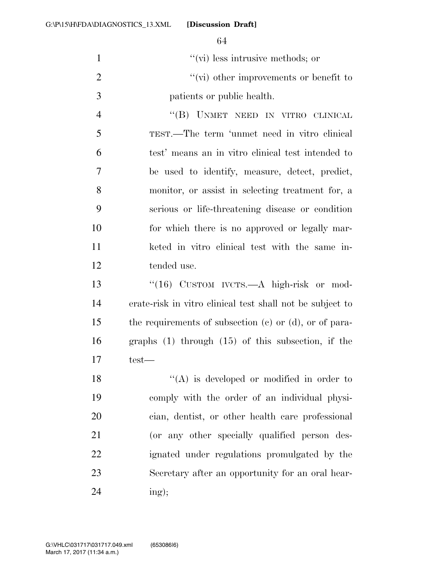**[Discussion Draft]** 

|                | 64                                                          |
|----------------|-------------------------------------------------------------|
| $\mathbf{1}$   | $\lq\lq$ (vi) less intrusive methods; or                    |
| $\overline{2}$ | "(vi) other improvements or benefit to                      |
| 3              | patients or public health.                                  |
| $\overline{4}$ | "(B) UNMET NEED IN VITRO CLINICAL                           |
| 5              | TEST.—The term 'unmet need in vitro clinical                |
| 6              | test' means an in vitro clinical test intended to           |
| 7              | be used to identify, measure, detect, predict,              |
| 8              | monitor, or assist in selecting treatment for, a            |
| 9              | serious or life-threatening disease or condition            |
| 10             | for which there is no approved or legally mar-              |
| 11             | keted in vitro clinical test with the same in-              |
| 12             | tended use.                                                 |
| 13             | " $(16)$ CUSTOM IVCTS.—A high-risk or mod-                  |
| 14             | erate-risk in vitro clinical test shall not be subject to   |
| 15             | the requirements of subsection $(c)$ or $(d)$ , or of para- |
| 16             | graphs $(1)$ through $(15)$ of this subsection, if the      |
| 17             | test—                                                       |
| 18             | $\lq\lq$ is developed or modified in order to               |

 comply with the order of an individual physi- cian, dentist, or other health care professional (or any other specially qualified person des- ignated under regulations promulgated by the Secretary after an opportunity for an oral hear-ing);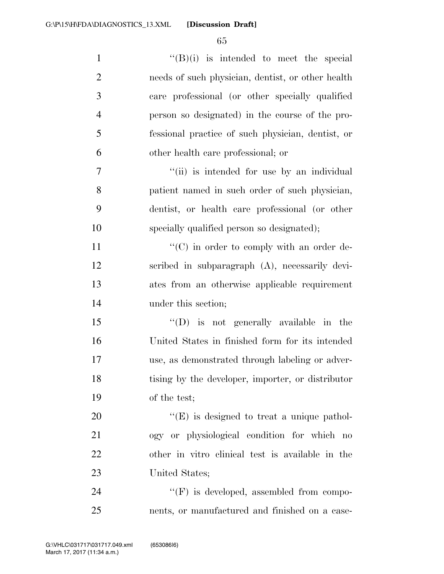| $\mathbf{1}$   | $\lq\lq(B)(i)$ is intended to meet the special    |
|----------------|---------------------------------------------------|
| $\overline{2}$ | needs of such physician, dentist, or other health |
| 3              | care professional (or other specially qualified   |
| $\overline{4}$ | person so designated) in the course of the pro-   |
| 5              | fessional practice of such physician, dentist, or |
| 6              | other health care professional; or                |
| 7              | "(ii) is intended for use by an individual        |
| 8              | patient named in such order of such physician,    |
| 9              | dentist, or health care professional (or other    |
| 10             | specially qualified person so designated);        |
| 11             | "(C) in order to comply with an order de-         |
| 12             | scribed in subparagraph (A), necessarily devi-    |
| 13             | ates from an otherwise applicable requirement     |
| 14             | under this section;                               |
| 15             | $\lq\lq$ (D) is not generally available in the    |
| 16             | United States in finished form for its intended   |
| 17             | use, as demonstrated through labeling or adver-   |
| 18             | tising by the developer, importer, or distributor |
| 19             | of the test;                                      |
| 20             | $\lq\lq(E)$ is designed to treat a unique pathol- |
| 21             | ogy or physiological condition for which no       |
| 22             | other in vitro clinical test is available in the  |
| 23             | United States;                                    |
| 24             | $\lq\lq(F)$ is developed, assembled from compo-   |
| 25             | nents, or manufactured and finished on a case-    |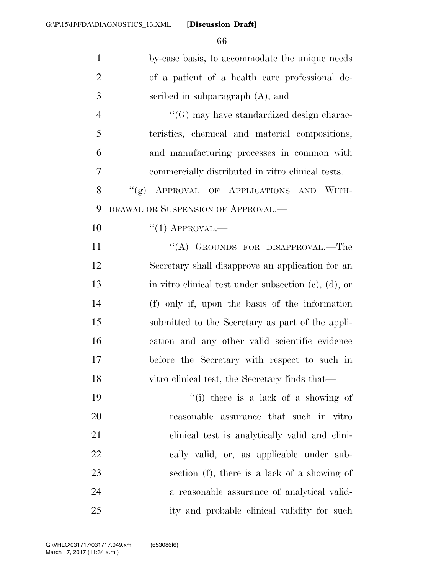| $\mathbf{1}$   | by-case basis, to accommodate the unique needs             |
|----------------|------------------------------------------------------------|
| $\overline{2}$ | of a patient of a health care professional de-             |
| 3              | scribed in subparagraph $(A)$ ; and                        |
| $\overline{4}$ | $\lq\lq(G)$ may have standardized design charac-           |
| 5              | teristics, chemical and material compositions,             |
| 6              | and manufacturing processes in common with                 |
| 7              | commercially distributed in vitro clinical tests.          |
| 8              | APPROVAL OF APPLICATIONS AND<br>``(g)<br>WITH-             |
| 9              | DRAWAL OR SUSPENSION OF APPROVAL.-                         |
| 10             | $``(1)$ APPROVAL.—                                         |
| 11             | "(A) GROUNDS FOR DISAPPROVAL.—The                          |
| 12             | Secretary shall disapprove an application for an           |
| 13             | in vitro clinical test under subsection $(c)$ , $(d)$ , or |
| 14             | (f) only if, upon the basis of the information             |
| 15             | submitted to the Secretary as part of the appli-           |
| 16             | cation and any other valid scientific evidence             |
| 17             | before the Secretary with respect to such in               |
| 18             | vitro clinical test, the Secretary finds that—             |
| 19             | "(i) there is a lack of a showing of                       |
| 20             | reasonable assurance that such in vitro                    |
| 21             | clinical test is analytically valid and clini-             |
| 22             | cally valid, or, as applicable under sub-                  |
| 23             | section (f), there is a lack of a showing of               |
| 24             | a reasonable assurance of analytical valid-                |
| 25             | ity and probable clinical validity for such                |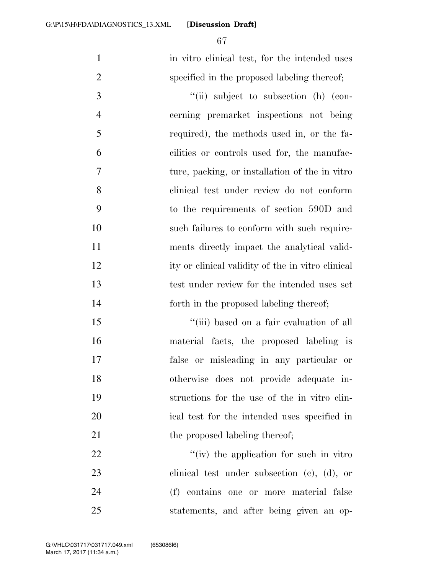| $\mathbf{1}$   | in vitro clinical test, for the intended uses     |
|----------------|---------------------------------------------------|
| $\mathbf{2}$   | specified in the proposed labeling thereof;       |
| 3              | "(ii) subject to subsection (h) (con-             |
| $\overline{4}$ | cerning premarket inspections not being           |
| 5              | required), the methods used in, or the fa-        |
| 6              | cilities or controls used for, the manufac-       |
| $\overline{7}$ | ture, packing, or installation of the in vitro    |
| 8              | clinical test under review do not conform         |
| 9              | to the requirements of section 590D and           |
| 10             | such failures to conform with such require-       |
| 11             | ments directly impact the analytical valid-       |
| 12             | ity or clinical validity of the in vitro clinical |
| 13             | test under review for the intended uses set       |
| 14             | forth in the proposed labeling thereof;           |
| 15             | "(iii) based on a fair evaluation of all          |
| 16             | material facts, the proposed labeling is          |
| 17             | false or misleading in any particular or          |
| 18             | otherwise does not provide adequate in-           |
| 19             | structions for the use of the in vitro clin-      |
| 20             | ical test for the intended uses specified in      |
| 21             | the proposed labeling thereof;                    |
| 22             | $f'(iv)$ the application for such in vitro        |
| 23             | clinical test under subsection $(c)$ , $(d)$ , or |
| 24             | (f) contains one or more material false           |
| 25             | statements, and after being given an op-          |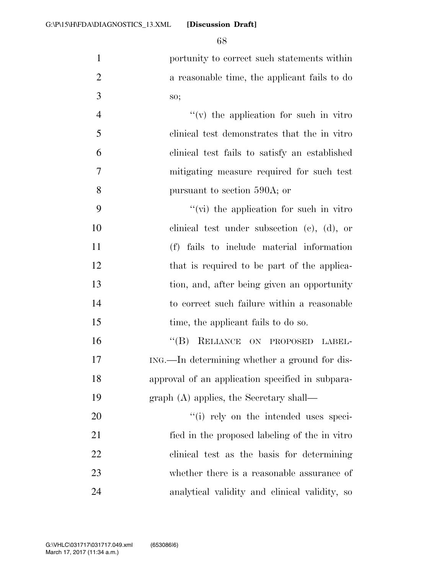portunity to correct such statements within a reasonable time, the applicant fails to do so;

 $\frac{4}{x}$  ''(v) the application for such in vitro clinical test demonstrates that the in vitro clinical test fails to satisfy an established mitigating measure required for such test pursuant to section 590A; or

 ''(vi) the application for such in vitro clinical test under subsection (c), (d), or (f) fails to include material information 12 that is required to be part of the applica- tion, and, after being given an opportunity to correct such failure within a reasonable 15 time, the applicant fails to do so.

16 "(B) RELIANCE ON PROPOSED LABEL- ING.—In determining whether a ground for dis- approval of an application specified in subpara-graph (A) applies, the Secretary shall—

 $\frac{1}{1}$  rely on the intended uses speci- fied in the proposed labeling of the in vitro clinical test as the basis for determining whether there is a reasonable assurance of analytical validity and clinical validity, so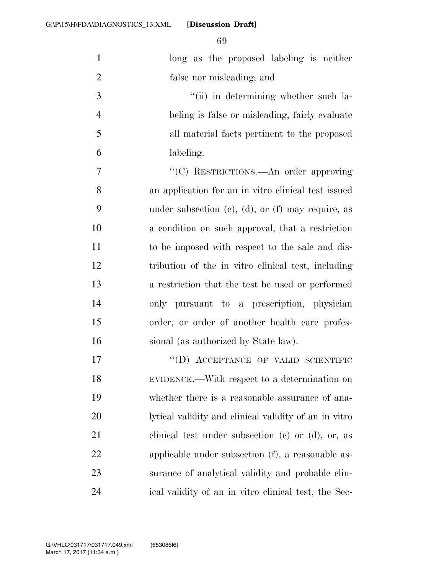| $\mathbf{1}$   | long as the proposed labeling is neither                  |
|----------------|-----------------------------------------------------------|
| $\overline{2}$ | false nor misleading; and                                 |
| 3              | "(ii) in determining whether such la-                     |
| $\overline{4}$ | beling is false or misleading, fairly evaluate            |
| 5              | all material facts pertinent to the proposed              |
| 6              | labeling.                                                 |
| 7              | "(C) RESTRICTIONS.—An order approving                     |
| 8              | an application for an in vitro clinical test issued       |
| 9              | under subsection $(c)$ , $(d)$ , or $(f)$ may require, as |
| 10             | a condition on such approval, that a restriction          |
| 11             | to be imposed with respect to the sale and dis-           |
| 12             | tribution of the in vitro clinical test, including        |
| 13             | a restriction that the test be used or performed          |
| 14             | only pursuant to a prescription, physician                |
| 15             | order, or order of another health care profes-            |
| 16             | sional (as authorized by State law).                      |
| 17             | "(D) ACCEPTANCE OF VALID SCIENTIFIC                       |
| 18             | EVIDENCE.—With respect to a determination on              |
| 19             | whether there is a reasonable assurance of ana-           |
| 20             | lytical validity and clinical validity of an in vitro     |
| 21             | clinical test under subsection (c) or (d), or, as         |
| 22             | applicable under subsection (f), a reasonable as-         |
| 23             | surance of analytical validity and probable clin-         |
| 24             | ical validity of an in vitro clinical test, the Sec-      |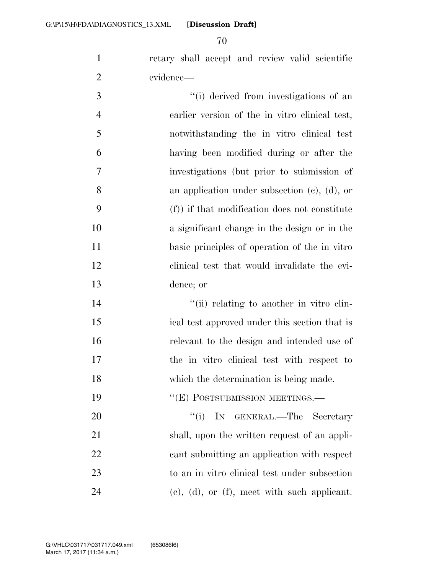retary shall accept and review valid scientific evidence—

 $\frac{1}{10}$  derived from investigations of an earlier version of the in vitro clinical test, notwithstanding the in vitro clinical test having been modified during or after the investigations (but prior to submission of an application under subsection (c), (d), or (f)) if that modification does not constitute a significant change in the design or in the basic principles of operation of the in vitro clinical test that would invalidate the evi-dence; or

 $\frac{1}{\sin}$  relating to another in vitro clin- ical test approved under this section that is relevant to the design and intended use of the in vitro clinical test with respect to which the determination is being made. 19 "(E) POSTSUBMISSION MEETINGS.—

 $\text{``(i)}$  IN GENERAL.—The Secretary shall, upon the written request of an appli- cant submitting an application with respect to an in vitro clinical test under subsection (c), (d), or (f), meet with such applicant.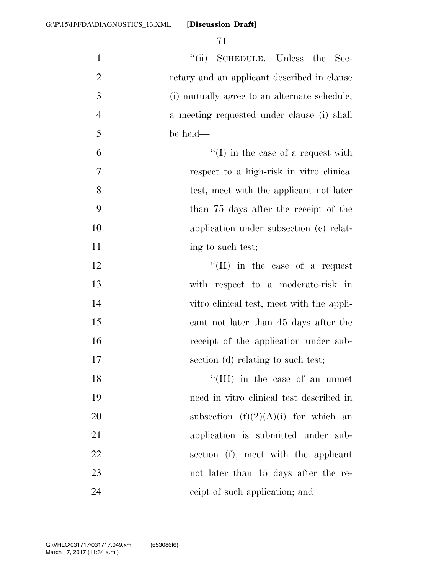**[Discussion Draft]** 

| $\mathbf{1}$   | "(ii) SCHEDULE.—Unless the<br>- Sec-         |
|----------------|----------------------------------------------|
| $\overline{2}$ | retary and an applicant described in clause  |
| 3              | (i) mutually agree to an alternate schedule, |
| $\overline{4}$ | a meeting requested under clause (i) shall   |
| 5              | be held—                                     |
| 6              | $\lq\lq$ (I) in the case of a request with   |
| $\overline{7}$ | respect to a high-risk in vitro clinical     |
| 8              | test, meet with the applicant not later      |
| 9              | than 75 days after the receipt of the        |
| 10             | application under subsection (c) relat-      |
| 11             | ing to such test;                            |
| 12             | "(II) in the case of a request               |
| 13             | with respect to a moderate-risk in           |
| 14             | vitro clinical test, meet with the appli-    |
| 15             | cant not later than 45 days after the        |
| 16             | receipt of the application under sub-        |
| 17             | section (d) relating to such test;           |
| 18             | "(III) in the case of an unmet               |
| 19             | need in vitro clinical test described in     |
| 20             | subsection $(f)(2)(A)(i)$ for which an       |
| 21             | application is submitted under sub-          |
| 22             | section (f), meet with the applicant         |
| 23             | not later than 15 days after the re-         |
| 24             | ceipt of such application; and               |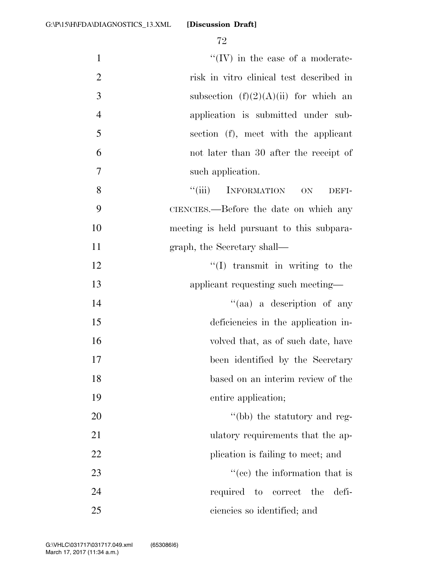**[Discussion Draft]** 

| $\mathbf{1}$   | $\lq\lq (IV)$ in the case of a moderate-     |
|----------------|----------------------------------------------|
| $\overline{2}$ | risk in vitro clinical test described in     |
| 3              | subsection $(f)(2)(A)(ii)$ for which an      |
| $\overline{4}$ | application is submitted under sub-          |
| 5              | section (f), meet with the applicant         |
| 6              | not later than 30 after the receipt of       |
| $\tau$         | such application.                            |
| 8              | ``(iii)<br><b>INFORMATION</b><br>ON<br>DEFI- |
| 9              | CIENCIES.—Before the date on which any       |
| 10             | meeting is held pursuant to this subpara-    |
| 11             | graph, the Secretary shall—                  |
| 12             | $\lq\lq$ transmit in writing to the          |
| 13             | applicant requesting such meeting—           |
| 14             | "(aa) a description of any                   |
| 15             | deficiencies in the application in-          |
| 16             | volved that, as of such date, have           |
| 17             | been identified by the Secretary             |
| 18             | based on an interim review of the            |
| 19             | entire application;                          |
| <b>20</b>      | "(bb) the statutory and reg-                 |
| 21             | ulatory requirements that the ap-            |
| 22             | plication is failing to meet; and            |
| 23             | $\cdot$ (ce) the information that is         |
| 24             | required to<br>correct the<br>defi-          |
| 25             | ciencies so identified; and                  |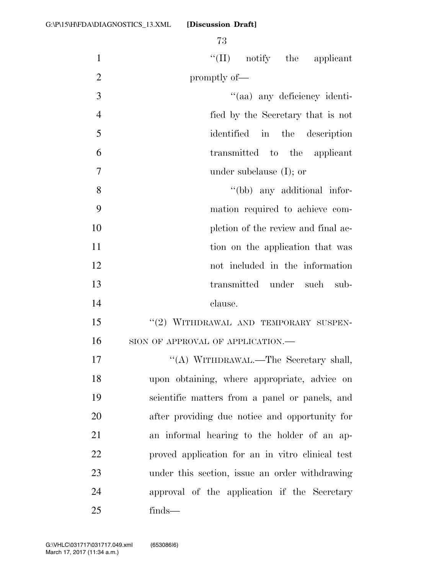| $\mathbf{1}$   | $\lq\lq$ (II) notify the applicant               |
|----------------|--------------------------------------------------|
| $\overline{2}$ | promptly of—                                     |
| 3              | "(aa) any deficiency identi-                     |
| $\overline{4}$ | fied by the Secretary that is not                |
| 5              | identified in the description                    |
| 6              | transmitted to the applicant                     |
| 7              | under subclause $(I)$ ; or                       |
| 8              | "(bb) any additional infor-                      |
| 9              | mation required to achieve com-                  |
| 10             | pletion of the review and final ac-              |
| 11             | tion on the application that was                 |
| 12             | not included in the information                  |
| 13             | transmitted under such sub-                      |
| 14             | clause.                                          |
| 15             | "(2) WITHDRAWAL AND TEMPORARY SUSPEN-            |
| 16             | SION OF APPROVAL OF APPLICATION.-                |
| 17             | "(A) WITHDRAWAL.—The Secretary shall,            |
| 18             | upon obtaining, where appropriate, advice on     |
| 19             | scientific matters from a panel or panels, and   |
| 20             | after providing due notice and opportunity for   |
| 21             | an informal hearing to the holder of an ap-      |
| 22             | proved application for an in vitro clinical test |
| 23             | under this section, issue an order withdrawing   |
| 24             | approval of the application if the Secretary     |
| 25             | finds—                                           |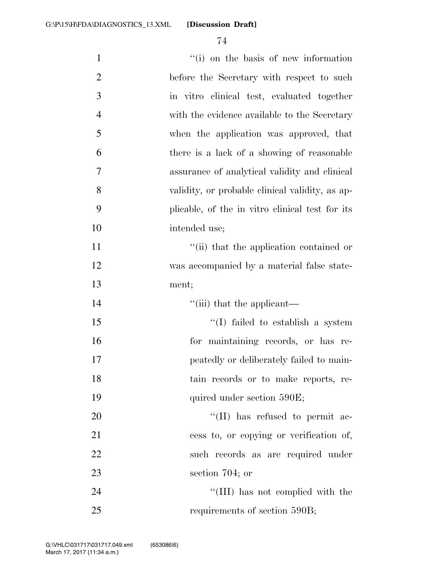| $\mathbf{1}$   | "(i) on the basis of new information            |
|----------------|-------------------------------------------------|
| $\overline{2}$ | before the Secretary with respect to such       |
| 3              | in vitro clinical test, evaluated together      |
| $\overline{4}$ | with the evidence available to the Secretary    |
| 5              | when the application was approved, that         |
| 6              | there is a lack of a showing of reasonable      |
| 7              | assurance of analytical validity and clinical   |
| 8              | validity, or probable clinical validity, as ap- |
| 9              | plicable, of the in vitro clinical test for its |
| 10             | intended use;                                   |
| 11             | "(ii) that the application contained or         |
| 12             | was accompanied by a material false state-      |
| 13             | ment;                                           |
| 14             | $\lq$ <sup>"</sup> (iii) that the applicant—    |
| 15             | $\lq (I)$ failed to establish a system          |
| 16             | for maintaining records, or has re-             |
| 17             | peatedly or deliberately failed to main-        |
| 18             | tain records or to make reports, re-            |
| 19             | quired under section 590E;                      |
| 20             | $\lq\lq$ (II) has refused to permit ac-         |
| 21             | cess to, or copying or verification of,         |
| 22             | such records as are required under              |
| 23             | section 704; or                                 |
| 24             | "(III) has not complied with the                |
| 25             | requirements of section 590B;                   |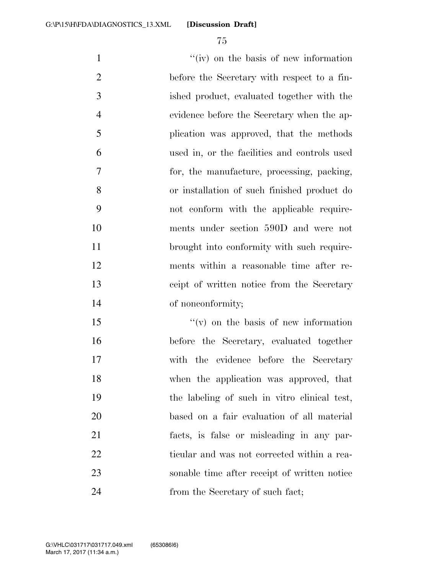1 ''(iv) on the basis of new information before the Secretary with respect to a fin- ished product, evaluated together with the evidence before the Secretary when the ap- plication was approved, that the methods used in, or the facilities and controls used for, the manufacture, processing, packing, or installation of such finished product do not conform with the applicable require- ments under section 590D and were not 11 brought into conformity with such require- ments within a reasonable time after re- ceipt of written notice from the Secretary of nonconformity; ''(v) on the basis of new information before the Secretary, evaluated together with the evidence before the Secretary when the application was approved, that the labeling of such in vitro clinical test, based on a fair evaluation of all material facts, is false or misleading in any par-

22 ticular and was not corrected within a rea-

sonable time after receipt of written notice

24 from the Secretary of such fact;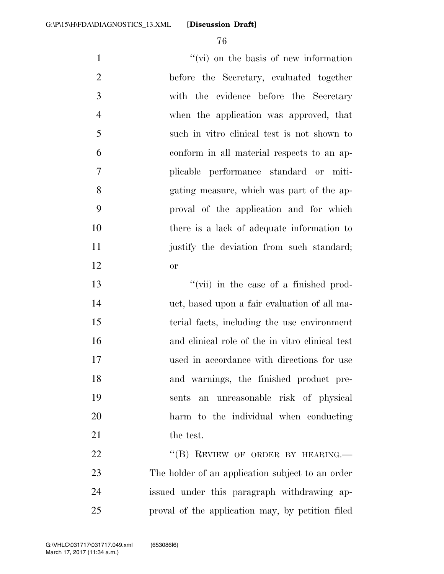1 ''(vi) on the basis of new information before the Secretary, evaluated together with the evidence before the Secretary when the application was approved, that such in vitro clinical test is not shown to conform in all material respects to an ap- plicable performance standard or miti- gating measure, which was part of the ap- proval of the application and for which there is a lack of adequate information to 11 justify the deviation from such standard; or ''(vii) in the case of a finished prod- uct, based upon a fair evaluation of all ma- terial facts, including the use environment and clinical role of the in vitro clinical test used in accordance with directions for use and warnings, the finished product pre- sents an unreasonable risk of physical harm to the individual when conducting 21 the test. 22 "(B) REVIEW OF ORDER BY HEARING. The holder of an application subject to an order issued under this paragraph withdrawing ap-

proval of the application may, by petition filed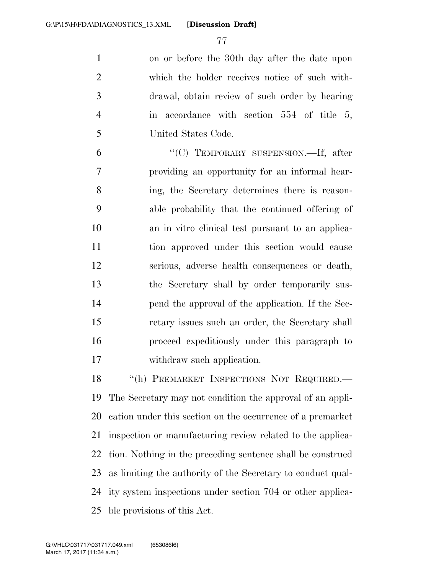on or before the 30th day after the date upon which the holder receives notice of such with- drawal, obtain review of such order by hearing in accordance with section 554 of title 5, United States Code.

 ''(C) TEMPORARY SUSPENSION.—If, after providing an opportunity for an informal hear- ing, the Secretary determines there is reason- able probability that the continued offering of an in vitro clinical test pursuant to an applica- tion approved under this section would cause serious, adverse health consequences or death, the Secretary shall by order temporarily sus- pend the approval of the application. If the Sec- retary issues such an order, the Secretary shall proceed expeditiously under this paragraph to withdraw such application.

18 "(h) PREMARKET INSPECTIONS NOT REQUIRED. The Secretary may not condition the approval of an appli- cation under this section on the occurrence of a premarket inspection or manufacturing review related to the applica- tion. Nothing in the preceding sentence shall be construed as limiting the authority of the Secretary to conduct qual- ity system inspections under section 704 or other applica-ble provisions of this Act.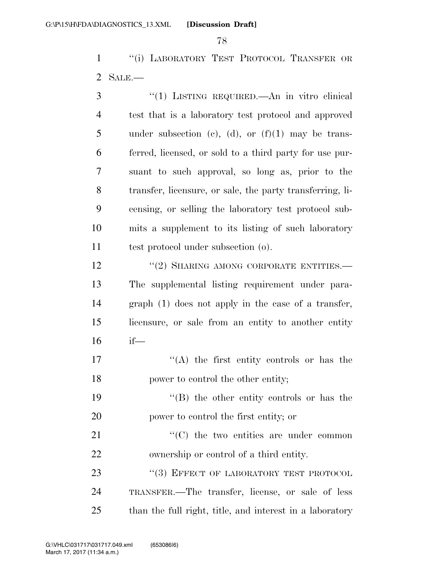''(i) LABORATORY TEST PROTOCOL TRANSFER OR SALE.—

 ''(1) LISTING REQUIRED.—An in vitro clinical test that is a laboratory test protocol and approved 5 under subsection (c), (d), or  $(f)(1)$  may be trans- ferred, licensed, or sold to a third party for use pur- suant to such approval, so long as, prior to the transfer, licensure, or sale, the party transferring, li- censing, or selling the laboratory test protocol sub- mits a supplement to its listing of such laboratory test protocol under subsection (o). 12 "(2) SHARING AMONG CORPORATE ENTITIES. The supplemental listing requirement under para- graph (1) does not apply in the case of a transfer, licensure, or sale from an entity to another entity if—  $'$ (A) the first entity controls or has the 18 power to control the other entity; ''(B) the other entity controls or has the power to control the first entity; or  $\cdot$  (C) the two entities are under common ownership or control of a third entity.

23 "(3) EFFECT OF LABORATORY TEST PROTOCOL TRANSFER.—The transfer, license, or sale of less than the full right, title, and interest in a laboratory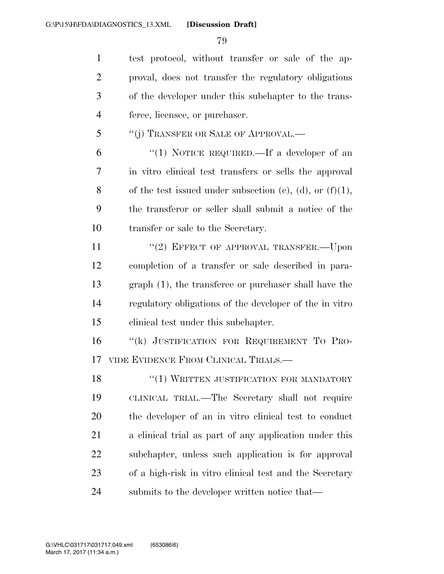test protocol, without transfer or sale of the ap- proval, does not transfer the regulatory obligations of the developer under this subchapter to the trans-feree, licensee, or purchaser.

''(j) TRANSFER OR SALE OF APPROVAL.—

 ''(1) NOTICE REQUIRED.—If a developer of an in vitro clinical test transfers or sells the approval 8 of the test issued under subsection (c), (d), or  $(f)(1)$ , the transferor or seller shall submit a notice of the 10 transfer or sale to the Secretary.

11 "(2) EFFECT OF APPROVAL TRANSFER. Upon completion of a transfer or sale described in para- graph (1), the transferee or purchaser shall have the regulatory obligations of the developer of the in vitro clinical test under this subchapter.

16 "(k) JUSTIFICATION FOR REQUIREMENT TO PRO-VIDE EVIDENCE FROM CLINICAL TRIALS.—

18 "(1) WRITTEN JUSTIFICATION FOR MANDATORY CLINICAL TRIAL.—The Secretary shall not require the developer of an in vitro clinical test to conduct a clinical trial as part of any application under this subchapter, unless such application is for approval of a high-risk in vitro clinical test and the Secretary submits to the developer written notice that—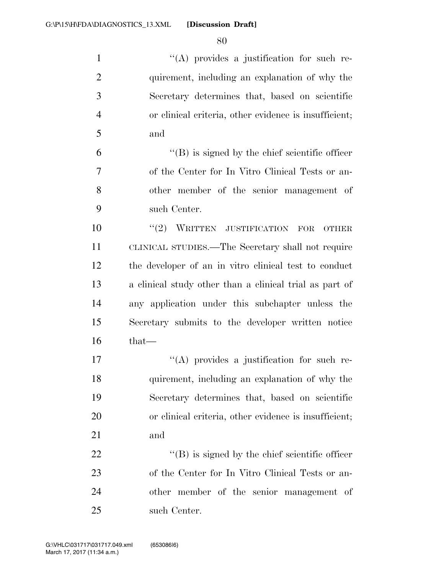1  $\langle (A) \rangle$  provides a justification for such re-2 quirement, including an explanation of why the Secretary determines that, based on scientific or clinical criteria, other evidence is insufficient; and

 $^4$ (B) is signed by the chief scientific officer of the Center for In Vitro Clinical Tests or an- other member of the senior management of such Center.

 $\frac{u(2)}{2}$  WRITTEN JUSTIFICATION FOR OTHER CLINICAL STUDIES.—The Secretary shall not require the developer of an in vitro clinical test to conduct a clinical study other than a clinical trial as part of any application under this subchapter unless the Secretary submits to the developer written notice that—

 $\langle (A)$  provides a justification for such re- quirement, including an explanation of why the Secretary determines that, based on scientific or clinical criteria, other evidence is insufficient; and

 $\text{``(B)}$  is signed by the chief scientific officer of the Center for In Vitro Clinical Tests or an- other member of the senior management of such Center.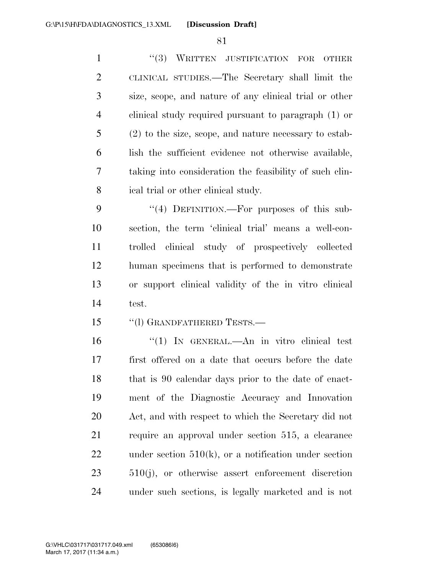1 "(3) WRITTEN JUSTIFICATION FOR OTHER CLINICAL STUDIES.—The Secretary shall limit the size, scope, and nature of any clinical trial or other clinical study required pursuant to paragraph (1) or (2) to the size, scope, and nature necessary to estab- lish the sufficient evidence not otherwise available, taking into consideration the feasibility of such clin-ical trial or other clinical study.

9 "(4) DEFINITION.—For purposes of this sub- section, the term 'clinical trial' means a well-con- trolled clinical study of prospectively collected human specimens that is performed to demonstrate or support clinical validity of the in vitro clinical test.

''(l) GRANDFATHERED TESTS.—

 ''(1) IN GENERAL.—An in vitro clinical test first offered on a date that occurs before the date that is 90 calendar days prior to the date of enact- ment of the Diagnostic Accuracy and Innovation Act, and with respect to which the Secretary did not require an approval under section 515, a clearance 22 under section  $510(k)$ , or a notification under section 510(j), or otherwise assert enforcement discretion under such sections, is legally marketed and is not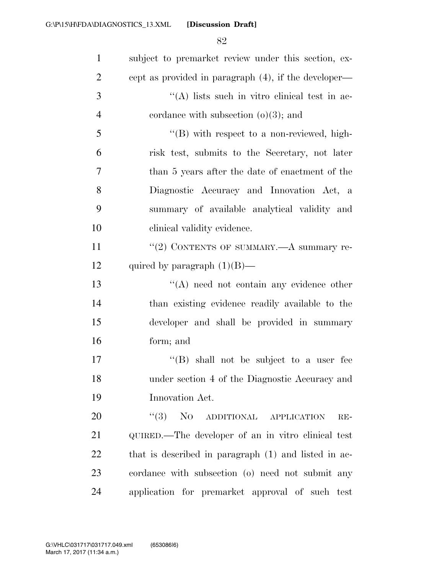| $\mathbf{1}$   | subject to premarket review under this section, ex-                |
|----------------|--------------------------------------------------------------------|
| $\overline{2}$ | cept as provided in paragraph (4), if the developer—               |
| 3              | "(A) lists such in vitro clinical test in ac-                      |
| $\overline{4}$ | cordance with subsection $(0)(3)$ ; and                            |
| 5              | $\lq\lq (B)$ with respect to a non-reviewed, high-                 |
| 6              | risk test, submits to the Secretary, not later                     |
| 7              | than 5 years after the date of enactment of the                    |
| 8              | Diagnostic Accuracy and Innovation Act, a                          |
| 9              | summary of available analytical validity and                       |
| 10             | clinical validity evidence.                                        |
| 11             | "(2) CONTENTS OF SUMMARY.—A summary re-                            |
| 12             | quired by paragraph $(1)(B)$ —                                     |
| 13             | $\lq\lq$ need not contain any evidence other                       |
| 14             | than existing evidence readily available to the                    |
| 15             | developer and shall be provided in summary                         |
| 16             | form; and                                                          |
| 17             | $\lq\lq$ shall not be subject to a user fee                        |
| 18             | under section 4 of the Diagnostic Accuracy and                     |
| 19             | Innovation Act.                                                    |
| 20             | (3)<br>N <sub>O</sub><br>ADDITIONAL<br><b>APPLICATION</b><br>$RE-$ |
| 21             | QUIRED.—The developer of an in vitro clinical test                 |
| 22             | that is described in paragraph (1) and listed in ac-               |
| 23             | cordance with subsection (o) need not submit any                   |
| 24             | application for premarket approval of such test                    |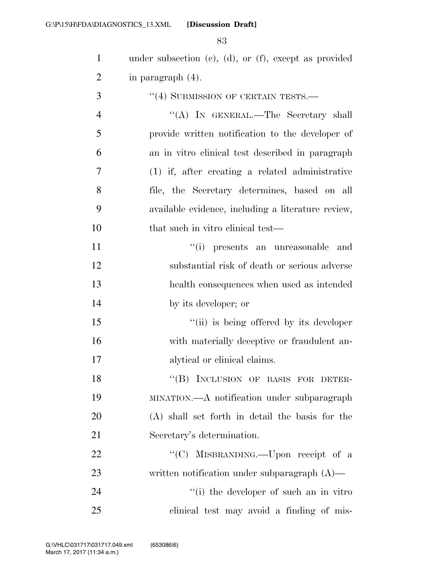**[Discussion Draft]**  G:\P\15\H\FDA\DIAGNOSTICS\_13.XML

| $\mathbf{1}$   | under subsection $(c)$ , $(d)$ , or $(f)$ , except as provided |
|----------------|----------------------------------------------------------------|
| $\overline{2}$ | in paragraph (4).                                              |
| 3              | "(4) SUBMISSION OF CERTAIN TESTS.—                             |
| $\overline{4}$ | "(A) IN GENERAL.—The Secretary shall                           |
| 5              | provide written notification to the developer of               |
| 6              | an in vitro clinical test described in paragraph               |
| 7              | (1) if, after creating a related administrative                |
| 8              | file, the Secretary determines, based on all                   |
| 9              | available evidence, including a literature review,             |
| 10             | that such in vitro clinical test—                              |
| 11             | "(i) presents an unreasonable<br>and                           |
| 12             | substantial risk of death or serious adverse                   |
| 13             | health consequences when used as intended                      |
| 14             | by its developer; or                                           |
| 15             | "(ii) is being offered by its developer                        |
| 16             | with materially deceptive or fraudulent an-                    |
| 17             | alytical or clinical claims.                                   |
| 18             | "(B) INCLUSION OF BASIS FOR DETER-                             |
| 19             | MINATION.—A notification under subparagraph                    |
| 20             | (A) shall set forth in detail the basis for the                |
| 21             | Secretary's determination.                                     |
| 22             | "(C) MISBRANDING.—Upon receipt of a                            |
| 23             | written notification under subparagraph $(A)$ —                |
| 24             | "(i) the developer of such an in vitro"                        |
| 25             | clinical test may avoid a finding of mis-                      |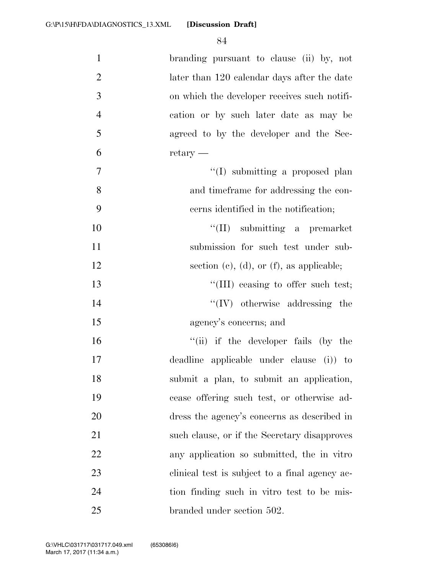| $\mathbf{1}$   | branding pursuant to clause (ii) by, not       |
|----------------|------------------------------------------------|
| $\overline{2}$ | later than 120 calendar days after the date    |
| 3              | on which the developer receives such notifi-   |
| $\overline{4}$ | cation or by such later date as may be         |
| 5              | agreed to by the developer and the Sec-        |
| 6              | $retary -$                                     |
| 7              | "(I) submitting a proposed plan                |
| 8              | and timeframe for addressing the con-          |
| 9              | cerns identified in the notification;          |
| 10             | $\lq\lq$ (II) submitting a premarket           |
| 11             | submission for such test under sub-            |
| 12             | section (c), (d), or (f), as applicable;       |
| 13             | "(III) ceasing to offer such test;             |
| 14             | $\lq\lq (IV)$ otherwise addressing the         |
| 15             | agency's concerns; and                         |
| 16             | "(ii) if the developer fails (by the           |
| 17             | deadline applicable under clause (i) to        |
| 18             | submit a plan, to submit an application,       |
| 19             | cease offering such test, or otherwise ad-     |
| 20             | dress the agency's concerns as described in    |
| 21             | such clause, or if the Secretary disapproves   |
| 22             | any application so submitted, the in vitro     |
| 23             | clinical test is subject to a final agency ac- |
| 24             | tion finding such in vitro test to be mis-     |
| 25             | branded under section 502.                     |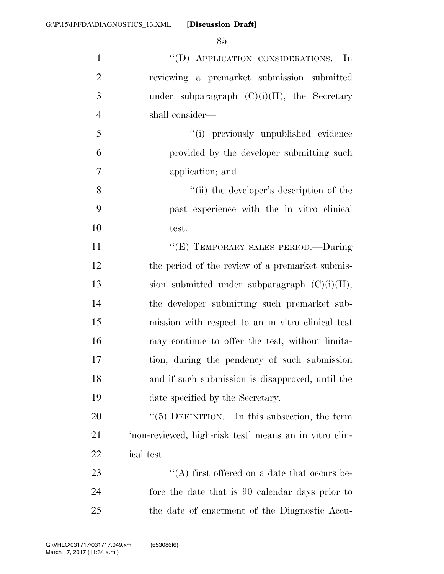| $\mathbf{1}$   | "(D) APPLICATION CONSIDERATIONS.—In                    |
|----------------|--------------------------------------------------------|
| $\overline{2}$ | reviewing a premarket submission submitted             |
| 3              | under subparagraph $(C)(i)(II)$ , the Secretary        |
| $\overline{4}$ | shall consider—                                        |
| 5              | "(i) previously unpublished evidence                   |
| 6              | provided by the developer submitting such              |
| $\overline{7}$ | application; and                                       |
| 8              | "(ii) the developer's description of the               |
| 9              | past experience with the in vitro clinical             |
| 10             | test.                                                  |
| 11             | "(E) TEMPORARY SALES PERIOD.-- During                  |
| 12             | the period of the review of a premarket submis-        |
| 13             | sion submitted under subparagraph $(C)(i)(II)$ ,       |
| 14             | the developer submitting such premarket sub-           |
| 15             | mission with respect to an in vitro clinical test      |
| 16             | may continue to offer the test, without limita-        |
| 17             | tion, during the pendency of such submission           |
| 18             | and if such submission is disapproved, until the       |
| 19             | date specified by the Secretary.                       |
| 20             | " $(5)$ DEFINITION.—In this subsection, the term       |
| 21             | 'non-reviewed, high-risk test' means an in vitro clin- |
| 22             | ical test—                                             |
| 23             | "(A) first offered on a date that occurs be-           |
| 24             | fore the date that is 90 calendar days prior to        |
| 25             | the date of enactment of the Diagnostic Accu-          |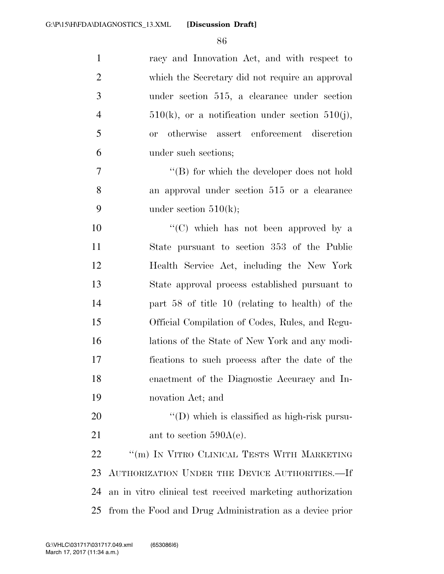| $\mathbf{1}$   | racy and Innovation Act, and with respect to               |
|----------------|------------------------------------------------------------|
| $\overline{2}$ | which the Secretary did not require an approval            |
| 3              | under section 515, a clearance under section               |
| $\overline{4}$ | $510(k)$ , or a notification under section $510(j)$ ,      |
| 5              | otherwise assert enforcement discretion<br>or              |
| 6              | under such sections;                                       |
| 7              | "(B) for which the developer does not hold                 |
| 8              | an approval under section 515 or a clearance               |
| 9              | under section $510(k)$ ;                                   |
| 10             | "(C) which has not been approved by a                      |
| 11             | State pursuant to section 353 of the Public                |
| 12             | Health Service Act, including the New York                 |
| 13             | State approval process established pursuant to             |
| 14             | part 58 of title 10 (relating to health) of the            |
| 15             | Official Compilation of Codes, Rules, and Regu-            |
| 16             | lations of the State of New York and any modi-             |
| 17             | fications to such process after the date of the            |
| 18             | enactment of the Diagnostic Accuracy and In-               |
| 19             | novation Act; and                                          |
| 20             | $\lq\lq$ (D) which is classified as high-risk pursu-       |
| 21             | ant to section $590A(e)$ .                                 |
| 22             | "(m) IN VITRO CLINICAL TESTS WITH MARKETING                |
| 23             | AUTHORIZATION UNDER THE DEVICE AUTHORITIES.—If             |
| 24             | an in vitro clinical test received marketing authorization |
| 25             | from the Food and Drug Administration as a device prior    |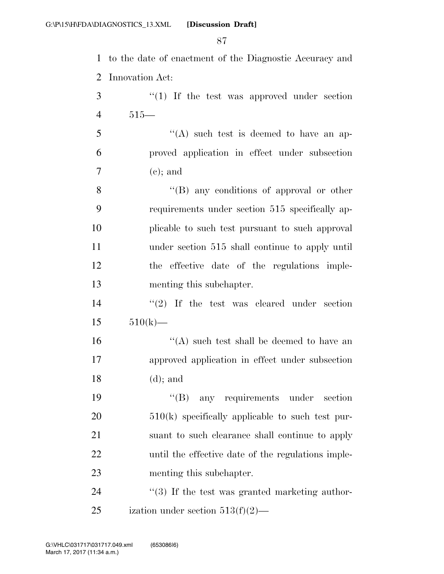to the date of enactment of the Diagnostic Accuracy and Innovation Act:

- ''(1) If the test was approved under section 515—
- ''(A) such test is deemed to have an ap- proved application in effect under subsection (c); and
- 8 ''(B) any conditions of approval or other requirements under section 515 specifically ap- plicable to such test pursuant to such approval under section 515 shall continue to apply until the effective date of the regulations imple-menting this subchapter.
- 14  $(2)$  If the test was cleared under section  $15 \t 510(k)$ —

16 ''(A) such test shall be deemed to have an approved application in effect under subsection (d); and

 ''(B) any requirements under section 510(k) specifically applicable to such test pur- suant to such clearance shall continue to apply until the effective date of the regulations imple-menting this subchapter.

24 ''(3) If the test was granted marketing author-ization under section 513(f)(2)—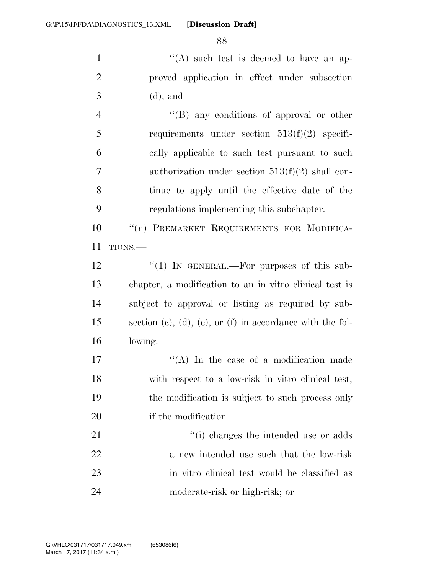1 ''(A) such test is deemed to have an ap- proved application in effect under subsection (d); and

 ''(B) any conditions of approval or other requirements under section  $513(f)(2)$  specifi- cally applicable to such test pursuant to such authorization under section 513(f)(2) shall con- tinue to apply until the effective date of the regulations implementing this subchapter.

 ''(n) PREMARKET REQUIREMENTS FOR MODIFICA-TIONS.—

12 "(1) IN GENERAL.—For purposes of this sub- chapter, a modification to an in vitro clinical test is subject to approval or listing as required by sub- section (c), (d), (e), or (f) in accordance with the fol-lowing:

17 ''(A) In the case of a modification made with respect to a low-risk in vitro clinical test, the modification is subject to such process only 20 if the modification—

 $\frac{1}{2}$  (i) changes the intended use or adds 22 a new intended use such that the low-risk in vitro clinical test would be classified as moderate-risk or high-risk; or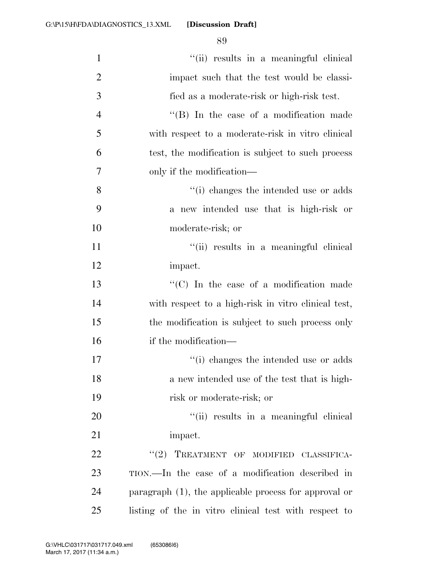| $\mathbf{1}$   | "(ii) results in a meaningful clinical                       |
|----------------|--------------------------------------------------------------|
| $\overline{2}$ | impact such that the test would be classi-                   |
| 3              | fied as a moderate-risk or high-risk test.                   |
| $\overline{4}$ | "(B) In the case of a modification made                      |
| 5              | with respect to a moderate-risk in vitro clinical            |
| 6              | test, the modification is subject to such process            |
| 7              | only if the modification—                                    |
| 8              | "(i) changes the intended use or adds                        |
| 9              | a new intended use that is high-risk or                      |
| 10             | moderate-risk; or                                            |
| 11             | "(ii) results in a meaningful clinical                       |
| 12             | impact.                                                      |
| 13             | $\lq\lq$ <sup>"</sup> (C) In the case of a modification made |
| 14             | with respect to a high-risk in vitro clinical test,          |
| 15             | the modification is subject to such process only             |
| 16             | if the modification—                                         |
| 17             | "(i) changes the intended use or adds                        |
| 18             | a new intended use of the test that is high-                 |
| 19             | risk or moderate-risk; or                                    |
| 20             | "(ii) results in a meaningful clinical                       |
| 21             | impact.                                                      |
| 22             | (2)<br>TREATMENT OF MODIFIED CLASSIFICA-                     |
| 23             | TION.—In the case of a modification described in             |
| 24             | paragraph $(1)$ , the applicable process for approval or     |
| 25             | listing of the in vitro clinical test with respect to        |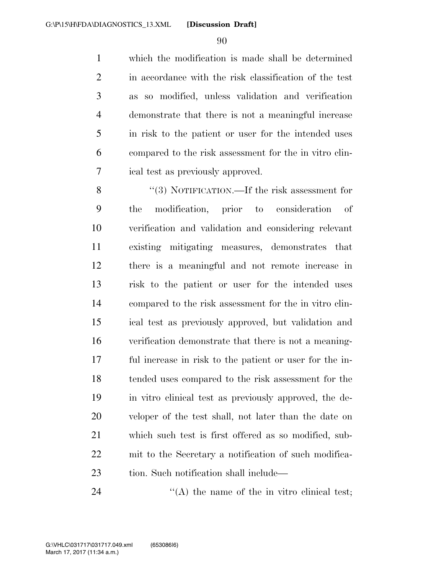which the modification is made shall be determined in accordance with the risk classification of the test as so modified, unless validation and verification demonstrate that there is not a meaningful increase in risk to the patient or user for the intended uses compared to the risk assessment for the in vitro clin-ical test as previously approved.

8 "(3) NOTIFICATION.—If the risk assessment for the modification, prior to consideration of verification and validation and considering relevant existing mitigating measures, demonstrates that there is a meaningful and not remote increase in risk to the patient or user for the intended uses compared to the risk assessment for the in vitro clin- ical test as previously approved, but validation and verification demonstrate that there is not a meaning- ful increase in risk to the patient or user for the in- tended uses compared to the risk assessment for the in vitro clinical test as previously approved, the de- veloper of the test shall, not later than the date on which such test is first offered as so modified, sub- mit to the Secretary a notification of such modifica-23 tion. Such notification shall include—

24  $\langle A \rangle$  the name of the in vitro clinical test;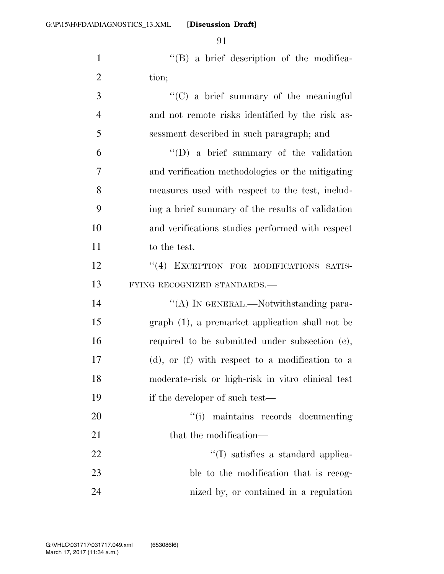1 ''(B) a brief description of the modifica-tion;

| 3              | "(C) a brief summary of the meaningful            |
|----------------|---------------------------------------------------|
| $\overline{4}$ | and not remote risks identified by the risk as-   |
| 5              | sessment described in such paragraph; and         |
| 6              | $\lq\lq$ (D) a brief summary of the validation    |
| 7              | and verification methodologies or the mitigating  |
| 8              | measures used with respect to the test, includ-   |
| 9              | ing a brief summary of the results of validation  |
| 10             | and verifications studies performed with respect  |
| 11             | to the test.                                      |
| 12             | "(4) EXCEPTION FOR MODIFICATIONS SATIS-           |
| 13             | FYING RECOGNIZED STANDARDS.-                      |
| 14             | "(A) IN GENERAL.—Notwithstanding para-            |
| 15             | graph (1), a premarket application shall not be   |
| 16             | required to be submitted under subsection (c),    |
| 17             | (d), or (f) with respect to a modification to a   |
| 18             | moderate-risk or high-risk in vitro clinical test |
| 19             | if the developer of such test—                    |
| 20             | "(i) maintains records documenting                |
| 21             | that the modification—                            |
| 22             | $\lq\lq$ satisfies a standard applica-            |
| 23             | ble to the modification that is recog-            |
|                |                                                   |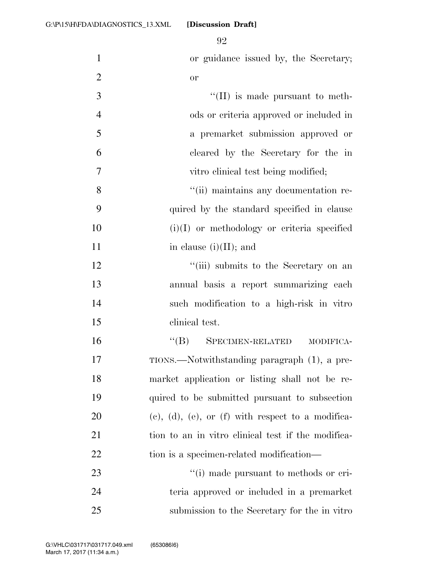| $\mathbf{1}$   | or guidance issued by, the Secretary;                        |
|----------------|--------------------------------------------------------------|
| $\overline{2}$ | <b>or</b>                                                    |
| 3              | $\lq\lq$ (II) is made pursuant to meth-                      |
| $\overline{4}$ | ods or criteria approved or included in                      |
| 5              | a premarket submission approved or                           |
| 6              | cleared by the Secretary for the in                          |
| 7              | vitro clinical test being modified;                          |
| 8              | "(ii) maintains any documentation re-                        |
| 9              | quired by the standard specified in clause                   |
| 10             | $(i)(I)$ or methodology or criteria specified                |
| 11             | in clause $(i)(II)$ ; and                                    |
| 12             | "(iii) submits to the Secretary on an                        |
| 13             | annual basis a report summarizing each                       |
| 14             | such modification to a high-risk in vitro                    |
| 15             | clinical test.                                               |
| 16             | "(B) SPECIMEN-RELATED MODIFICA-                              |
| 17             | TIONS.—Notwithstanding paragraph (1), a pre-                 |
| 18             | market application or listing shall not be re-               |
| 19             | quired to be submitted pursuant to subsection                |
| 20             | $(e)$ , $(d)$ , $(e)$ , or $(f)$ with respect to a modifica- |
| 21             | tion to an in vitro clinical test if the modifica-           |
| 22             | tion is a specimen-related modification—                     |
| 23             | "(i) made pursuant to methods or cri-                        |
| 24             | teria approved or included in a premarket                    |
| 25             | submission to the Secretary for the in vitro                 |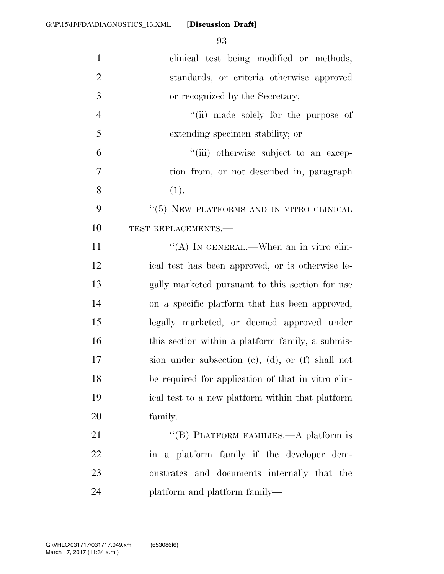| $\mathbf{1}$   | clinical test being modified or methods,           |
|----------------|----------------------------------------------------|
| $\overline{2}$ | standards, or criteria otherwise approved          |
| 3              | or recognized by the Secretary;                    |
| $\overline{4}$ | "(ii) made solely for the purpose of               |
| 5              | extending specimen stability; or                   |
| 6              | "(iii) otherwise subject to an excep-              |
| 7              | tion from, or not described in, paragraph          |
| 8              | (1).                                               |
| 9              | "(5) NEW PLATFORMS AND IN VITRO CLINICAL           |
| 10             | TEST REPLACEMENTS.-                                |
| 11             | "(A) IN GENERAL.—When an in vitro clin-            |
| 12             | ical test has been approved, or is otherwise le-   |
| 13             | gally marketed pursuant to this section for use    |
| 14             | on a specific platform that has been approved,     |
| 15             | legally marketed, or deemed approved under         |
| 16             | this section within a platform family, a submis-   |
| 17             | sion under subsection (c), (d), or (f) shall not   |
| 18             | be required for application of that in vitro clin- |
| 19             | ical test to a new platform within that platform   |
| 20             | family.                                            |
| 21             | "(B) PLATFORM FAMILIES.—A platform is              |
| 22             | in a platform family if the developer dem-         |
| 23             | onstrates and documents internally that the        |
| 24             | platform and platform family—                      |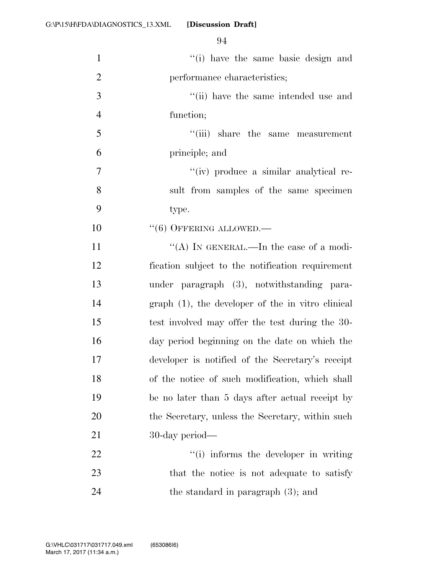| $\mathbf{1}$   | "(i) have the same basic design and                 |
|----------------|-----------------------------------------------------|
| $\overline{2}$ | performance characteristics;                        |
| 3              | "(ii) have the same intended use and                |
| $\overline{4}$ | function;                                           |
| 5              | "(iii) share the same measurement                   |
| 6              | principle; and                                      |
| 7              | "(iv) produce a similar analytical re-              |
| 8              | sult from samples of the same specimen              |
| 9              | type.                                               |
| 10             | $``(6)$ OFFERING ALLOWED.—                          |
| 11             | "(A) IN GENERAL.—In the case of a modi-             |
| 12             | fication subject to the notification requirement    |
| 13             | under paragraph (3), notwithstanding para-          |
| 14             | $graph(1)$ , the developer of the in vitro clinical |
| 15             | test involved may offer the test during the 30-     |
| 16             | day period beginning on the date on which the       |
| 17             | developer is notified of the Secretary's receipt    |
| 18             | of the notice of such modification, which shall     |
| 19             | be no later than 5 days after actual receipt by     |
| 20             | the Secretary, unless the Secretary, within such    |
| 21             | 30-day period-                                      |
| 22             | "(i) informs the developer in writing               |
| 23             | that the notice is not adequate to satisfy          |
| 24             | the standard in paragraph $(3)$ ; and               |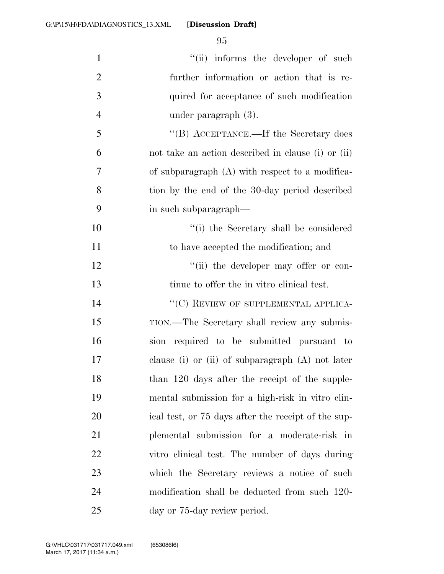| $\mathbf{1}$   | "(ii) informs the developer of such                 |
|----------------|-----------------------------------------------------|
| $\overline{2}$ | further information or action that is re-           |
| 3              | quired for acceptance of such modification          |
| $\overline{4}$ | under paragraph $(3)$ .                             |
| 5              | "(B) ACCEPTANCE.—If the Secretary does              |
| 6              | not take an action described in clause (i) or (ii)  |
| 7              | of subparagraph $(A)$ with respect to a modifica-   |
| 8              | tion by the end of the 30-day period described      |
| 9              | in such subparagraph—                               |
| 10             | "(i) the Secretary shall be considered              |
| 11             | to have accepted the modification; and              |
| 12             | "(ii) the developer may offer or con-               |
| 13             | tinue to offer the in vitro clinical test.          |
| 14             | "(C) REVIEW OF SUPPLEMENTAL APPLICA-                |
| 15             | TION.—The Secretary shall review any submis-        |
| 16             | sion required to be submitted pursuant to           |
| 17             | clause (i) or (ii) of subparagraph $(A)$ not later  |
| 18             | than 120 days after the receipt of the supple-      |
| 19             | mental submission for a high-risk in vitro clin-    |
| 20             | ical test, or 75 days after the receipt of the sup- |
| 21             | plemental submission for a moderate-risk in         |
| 22             | vitro clinical test. The number of days during      |
| 23             | which the Secretary reviews a notice of such        |
| 24             | modification shall be deducted from such 120-       |
| 25             | day or 75-day review period.                        |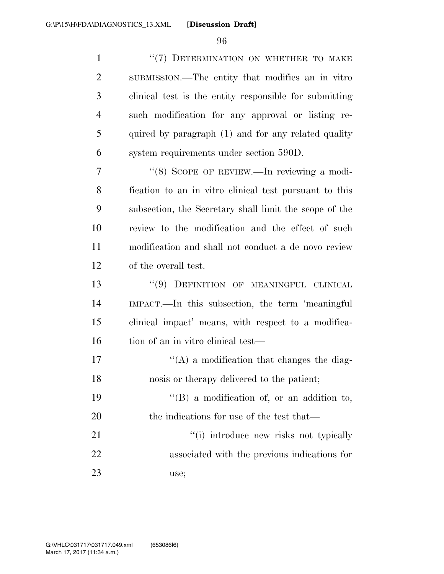1 "(7) DETERMINATION ON WHETHER TO MAKE SUBMISSION.—The entity that modifies an in vitro clinical test is the entity responsible for submitting such modification for any approval or listing re- quired by paragraph (1) and for any related quality system requirements under section 590D.

 ''(8) SCOPE OF REVIEW.—In reviewing a modi- fication to an in vitro clinical test pursuant to this subsection, the Secretary shall limit the scope of the review to the modification and the effect of such modification and shall not conduct a de novo review of the overall test.

13 "(9) DEFINITION OF MEANINGFUL CLINICAL IMPACT.—In this subsection, the term 'meaningful clinical impact' means, with respect to a modifica-16 tion of an in vitro clinical test—

 $i'(A)$  a modification that changes the diag-nosis or therapy delivered to the patient;

 ''(B) a modification of, or an addition to, 20 the indications for use of the test that—

21  $\frac{1}{2}$  (i) introduce new risks not typically associated with the previous indications for use;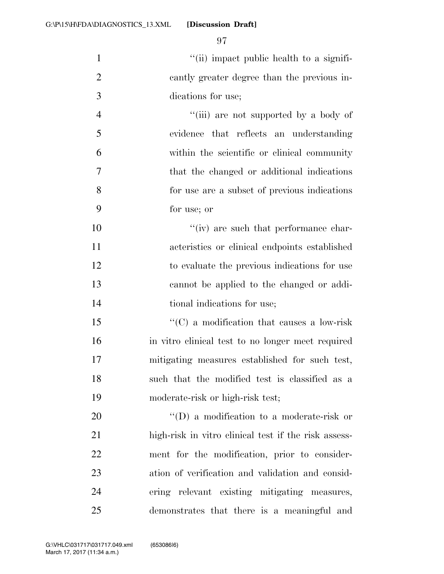| $\mathbf{1}$   | "(ii) impact public health to a signifi-             |
|----------------|------------------------------------------------------|
| $\overline{2}$ | cantly greater degree than the previous in-          |
| 3              | dications for use;                                   |
| $\overline{4}$ | "(iii) are not supported by a body of                |
| 5              | evidence that reflects an understanding              |
| 6              | within the scientific or clinical community          |
| $\tau$         | that the changed or additional indications           |
| 8              | for use are a subset of previous indications         |
| 9              | for use; or                                          |
| 10             | "(iv) are such that performance char-                |
| 11             | acteristics or clinical endpoints established        |
| 12             | to evaluate the previous indications for use         |
| 13             | cannot be applied to the changed or addi-            |
| 14             | tional indications for use;                          |
| 15             | $\lq\lq (C)$ a modification that causes a low-risk   |
| 16             | in vitro clinical test to no longer meet required    |
| 17             | mitigating measures established for such test,       |
| 18             | such that the modified test is classified as a       |
| 19             | moderate-risk or high-risk test;                     |
| 20             | $\lq\lq$ a modification to a moderate-risk or        |
| 21             | high-risk in vitro clinical test if the risk assess- |
| 22             | ment for the modification, prior to consider-        |
| 23             | ation of verification and validation and consid-     |
| 24             | ering relevant existing mitigating measures,         |
| 25             | demonstrates that there is a meaningful and          |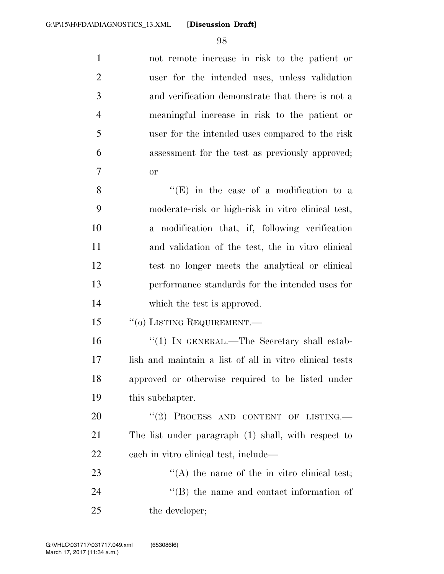| $\mathbf{1}$   | not remote increase in risk to the patient or           |
|----------------|---------------------------------------------------------|
| $\overline{2}$ | user for the intended uses, unless validation           |
| 3              | and verification demonstrate that there is not a        |
| $\overline{4}$ | meaningful increase in risk to the patient or           |
| 5              | user for the intended uses compared to the risk         |
| 6              | assessment for the test as previously approved;         |
| 7              | or                                                      |
| 8              | "(E) in the case of a modification to a                 |
| 9              | moderate-risk or high-risk in vitro clinical test,      |
| 10             | a modification that, if, following verification         |
| 11             | and validation of the test, the in vitro clinical       |
| 12             | test no longer meets the analytical or clinical         |
| 13             | performance standards for the intended uses for         |
| 14             | which the test is approved.                             |
| 15             | $``(o)$ LISTING REQUIREMENT.—                           |
| 16             | "(1) IN GENERAL.—The Secretary shall estab-             |
| 17             | lish and maintain a list of all in vitro clinical tests |
| 18             | approved or otherwise required to be listed under       |
| 19             | this subchapter.                                        |
| 20             | "(2) PROCESS AND CONTENT OF LISTING.                    |
| 21             | The list under paragraph (1) shall, with respect to     |
| 22             | each in vitro clinical test, include—                   |
| 23             | $\lq\lq$ the name of the in vitro clinical test;        |
| 24             | $\lq\lq$ (B) the name and contact information of        |
| 25             | the developer;                                          |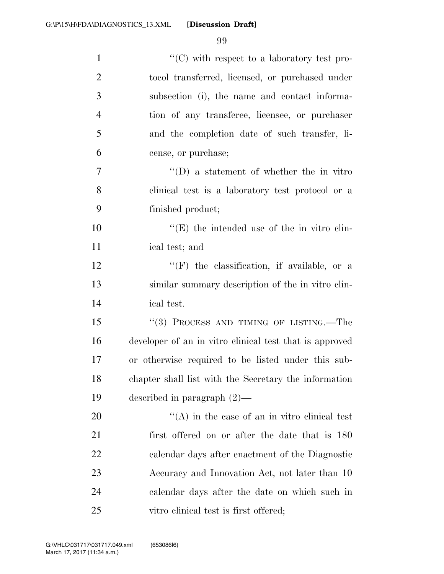| $\mathbf{1}$   | $\lq\lq$ (C) with respect to a laboratory test pro-     |
|----------------|---------------------------------------------------------|
| $\overline{2}$ | tocol transferred, licensed, or purchased under         |
| 3              | subsection (i), the name and contact informa-           |
| $\overline{4}$ | tion of any transferee, licensee, or purchaser          |
| 5              | and the completion date of such transfer, li-           |
| 6              | cense, or purchase;                                     |
| $\tau$         | $\lq\lq$ a statement of whether the in vitro            |
| 8              | clinical test is a laboratory test protocol or a        |
| 9              | finished product;                                       |
| 10             | $\lq\lq(E)$ the intended use of the in vitro clin-      |
| 11             | ical test; and                                          |
| 12             | $\lq\lq(F)$ the classification, if available, or a      |
| 13             | similar summary description of the in vitro clin-       |
| 14             | ical test.                                              |
| 15             | "(3) PROCESS AND TIMING OF LISTING.—The                 |
| 16             | developer of an in vitro clinical test that is approved |
| 17             | or otherwise required to be listed under this sub-      |
| 18             | chapter shall list with the Secretary the information   |
| 19             | described in paragraph $(2)$ —                          |
| 20             | $\lq\lq$ in the case of an in vitro clinical test       |
| 21             | first offered on or after the date that is 180          |
| 22             | calendar days after enactment of the Diagnostic         |
| 23             | Accuracy and Innovation Act, not later than 10          |
| 24             | calendar days after the date on which such in           |
| 25             | vitro clinical test is first offered;                   |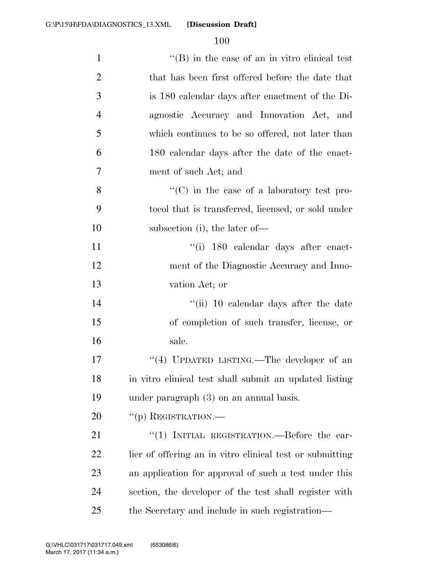| $\mathbf{1}$   | $\lq\lq$ (B) in the case of an in vitro clinical test    |
|----------------|----------------------------------------------------------|
| $\overline{2}$ | that has been first offered before the date that         |
| 3              | is 180 calendar days after enactment of the Di-          |
| $\overline{4}$ | agnostic Accuracy and Innovation Act, and                |
| 5              | which continues to be so offered, not later than         |
| 6              | 180 calendar days after the date of the enact-           |
| $\overline{7}$ | ment of such Act; and                                    |
| 8              | $\lq\lq$ (C) in the case of a laboratory test pro-       |
| 9              | to col that is transferred, licensed, or sold under      |
| 10             | subsection (i), the later of $\equiv$                    |
| 11             | "(i) 180 calendar days after enact-                      |
| 12             | ment of the Diagnostic Accuracy and Inno-                |
| 13             | vation Act; or                                           |
| 14             | "(ii) 10 calendar days after the date                    |
| 15             | of completion of such transfer, license, or              |
| 16             | sale.                                                    |
| 17             | "(4) UPDATED LISTING.—The developer of an                |
| 18             | in vitro clinical test shall submit an updated listing   |
| 19             | under paragraph $(3)$ on an annual basis.                |
| 20             | $``(p)$ REGISTRATION.—                                   |
| 21             | "(1) INITIAL REGISTRATION.—Before the ear-               |
| 22             | lier of offering an in vitro clinical test or submitting |
| 23             | an application for approval of such a test under this    |
| 24             | section, the developer of the test shall register with   |
| 25             | the Secretary and include in such registration—          |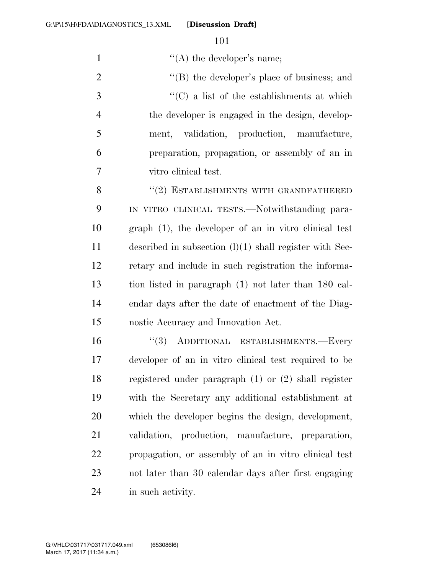1  $"$ (A) the developer's name;

 $\langle$  (B) the developer's place of business; and ''(C) a list of the establishments at which the developer is engaged in the design, develop- ment, validation, production, manufacture, preparation, propagation, or assembly of an in vitro clinical test.

8 "(2) ESTABLISHMENTS WITH GRANDFATHERED IN VITRO CLINICAL TESTS.—Notwithstanding para- graph (1), the developer of an in vitro clinical test described in subsection (l)(1) shall register with Sec- retary and include in such registration the informa- tion listed in paragraph (1) not later than 180 cal- endar days after the date of enactment of the Diag-nostic Accuracy and Innovation Act.

 ''(3) ADDITIONAL ESTABLISHMENTS.—Every developer of an in vitro clinical test required to be registered under paragraph (1) or (2) shall register with the Secretary any additional establishment at which the developer begins the design, development, validation, production, manufacture, preparation, propagation, or assembly of an in vitro clinical test not later than 30 calendar days after first engaging in such activity.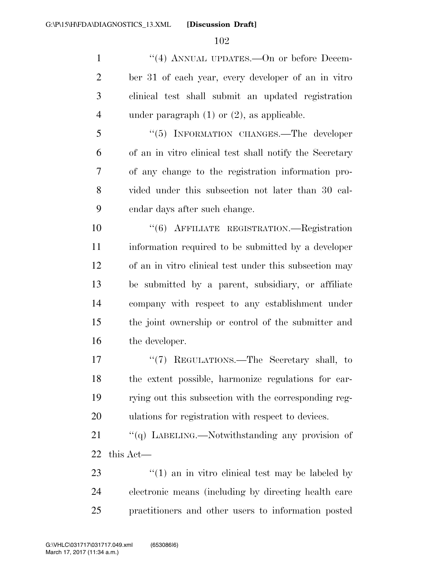1 "(4) ANNUAL UPDATES.—On or before Decem- ber 31 of each year, every developer of an in vitro clinical test shall submit an updated registration 4 under paragraph (1) or (2), as applicable.

5 "(5) INFORMATION CHANGES.—The developer of an in vitro clinical test shall notify the Secretary of any change to the registration information pro- vided under this subsection not later than 30 cal-endar days after such change.

 ''(6) AFFILIATE REGISTRATION.—Registration information required to be submitted by a developer of an in vitro clinical test under this subsection may be submitted by a parent, subsidiary, or affiliate company with respect to any establishment under the joint ownership or control of the submitter and 16 the developer.

17 ''(7) REGULATIONS.—The Secretary shall, to the extent possible, harmonize regulations for car- rying out this subsection with the corresponding reg-ulations for registration with respect to devices.

21 "(q) LABELING.—Notwithstanding any provision of this Act—

23  $\frac{1}{2}$  (1) an in vitro clinical test may be labeled by electronic means (including by directing health care practitioners and other users to information posted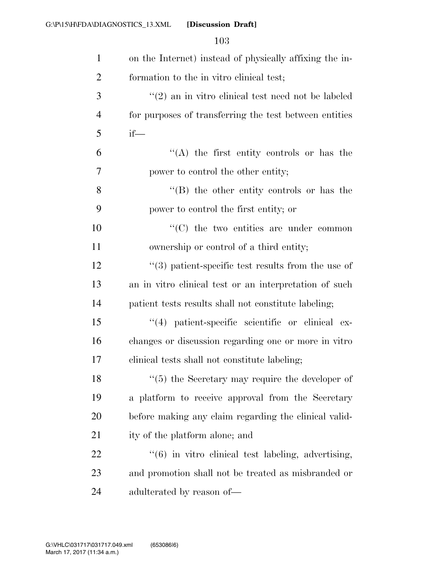| $\mathbf{1}$   | on the Internet) instead of physically affixing the in-            |
|----------------|--------------------------------------------------------------------|
| $\overline{2}$ | formation to the in vitro clinical test;                           |
| 3              | $(2)$ an in vitro clinical test need not be labeled                |
| $\overline{4}$ | for purposes of transferring the test between entities             |
| 5              | $if$ —                                                             |
| 6              | $\lq\lq$ the first entity controls or has the                      |
| 7              | power to control the other entity;                                 |
| 8              | $\lq$ (B) the other entity controls or has the                     |
| 9              | power to control the first entity; or                              |
| 10             | "(C) the two entities are under common                             |
| 11             | ownership or control of a third entity;                            |
| 12             | $(3)$ patient-specific test results from the use of                |
| 13             | an in vitro clinical test or an interpretation of such             |
| 14             | patient tests results shall not constitute labeling;               |
| 15             | "(4) patient-specific scientific or clinical ex-                   |
| 16             | changes or discussion regarding one or more in vitro               |
| 17             | clinical tests shall not constitute labeling;                      |
| 18             | $\lq(5)$ the Secretary may require the developer of                |
| 19             | a platform to receive approval from the Secretary                  |
| 20             | before making any claim regarding the clinical valid-              |
| 21             | ity of the platform alone; and                                     |
| 22             | $\cdot\cdot\cdot(6)$ in vitro clinical test labeling, advertising, |
| 23             | and promotion shall not be treated as misbranded or                |
| 24             | adulterated by reason of—                                          |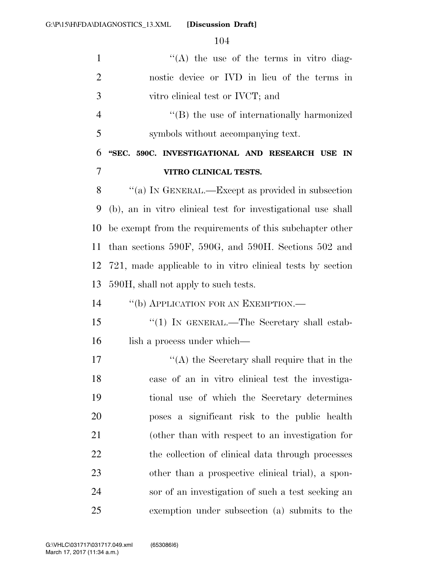| $\mathbf{1}$   | $\lq\lq$ the use of the terms in vitro diag-                    |
|----------------|-----------------------------------------------------------------|
| $\overline{2}$ | nostic device or IVD in lieu of the terms in                    |
| 3              | vitro clinical test or IVCT; and                                |
| $\overline{4}$ | "(B) the use of internationally harmonized                      |
| 5              | symbols without accompanying text.                              |
| 6              | "SEC. 590C. INVESTIGATIONAL AND RESEARCH USE IN                 |
| 7              | VITRO CLINICAL TESTS.                                           |
| 8              | "(a) IN GENERAL.—Except as provided in subsection               |
| 9              | (b), an in vitro clinical test for investigational use shall    |
| 10             | be exempt from the requirements of this subchapter other        |
| 11             | than sections $590F$ , $590G$ , and $590H$ . Sections $502$ and |
| 12             | 721, made applicable to in vitro clinical tests by section      |
| 13             | 590H, shall not apply to such tests.                            |
| 14             | "(b) APPLICATION FOR AN EXEMPTION.—                             |
| 15             | " $(1)$ IN GENERAL.—The Secretary shall estab-                  |
| 16             | lish a process under which—                                     |
| 17             | $\lq (A)$ the Secretary shall require that in the               |
| 18             | case of an in vitro clinical test the investiga-                |
| 19             | tional use of which the Secretary determines                    |
| 20             | poses a significant risk to the public health                   |
| 21             | (other than with respect to an investigation for                |
| 22             | the collection of clinical data through processes               |
| 23             | other than a prospective clinical trial), a spon-               |
| 24             | sor of an investigation of such a test seeking an               |
| 25             | exemption under subsection (a) submits to the                   |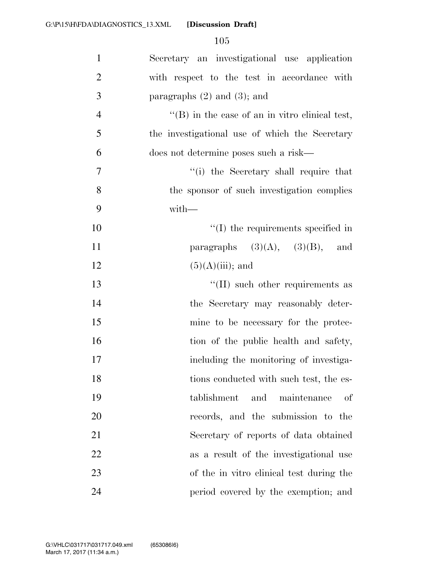| $\mathbf{1}$   | Secretary an investigational use application           |
|----------------|--------------------------------------------------------|
| $\overline{2}$ | with respect to the test in accordance with            |
| 3              | paragraphs $(2)$ and $(3)$ ; and                       |
| $\overline{4}$ | $\lq\lq$ (B) in the case of an in vitro clinical test, |
| 5              | the investigational use of which the Secretary         |
| 6              | does not determine poses such a risk—                  |
| $\tau$         | "(i) the Secretary shall require that                  |
| 8              | the sponsor of such investigation complies             |
| 9              | $with-$                                                |
| 10             | $\lq\lq$ (I) the requirements specified in             |
| 11             | paragraphs $(3)(A)$ , $(3)(B)$ , and                   |
| 12             | $(5)(A)(iii)$ ; and                                    |
| 13             | $\lq\lq$ (II) such other requirements as               |
| 14             | the Secretary may reasonably deter-                    |
| 15             | mine to be necessary for the protec-                   |
| 16             | tion of the public health and safety,                  |
| 17             | including the monitoring of investiga-                 |
| 18             | tions conducted with such test, the es-                |
| 19             | tablishment<br>and<br>maintenance<br>of                |
| 20             | records, and the submission to the                     |
| 21             | Secretary of reports of data obtained                  |
| 22             | as a result of the investigational use                 |
| 23             | of the in vitro clinical test during the               |
| 24             | period covered by the exemption; and                   |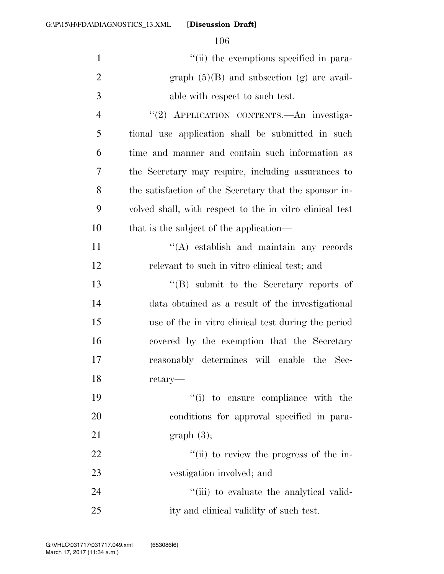| $\mathbf{1}$   | "(ii) the exemptions specified in para-                  |
|----------------|----------------------------------------------------------|
| $\overline{2}$ | graph $(5)(B)$ and subsection (g) are avail-             |
| 3              | able with respect to such test.                          |
| $\overline{4}$ | "(2) APPLICATION CONTENTS. An investiga-                 |
| 5              | tional use application shall be submitted in such        |
| 6              | time and manner and contain such information as          |
| 7              | the Secretary may require, including assurances to       |
| 8              | the satisfaction of the Secretary that the sponsor in-   |
| 9              | volved shall, with respect to the in vitro clinical test |
| 10             | that is the subject of the application—                  |
| 11             | "(A) establish and maintain any records                  |
| 12             | relevant to such in vitro clinical test; and             |
| 13             | $\lq\lq$ submit to the Secretary reports of              |
| 14             | data obtained as a result of the investigational         |
| 15             | use of the in vitro clinical test during the period      |
| 16             | covered by the exemption that the Secretary              |
| 17             | reasonably determines will enable the<br>- Sec-          |
| 18             | retary—                                                  |
| 19             | "(i) to ensure compliance with the                       |
| 20             | conditions for approval specified in para-               |
| 21             | graph(3);                                                |
| 22             | "(ii) to review the progress of the in-                  |
| 23             | vestigation involved; and                                |
| 24             | "(iii) to evaluate the analytical valid-                 |
| 25             | ity and clinical validity of such test.                  |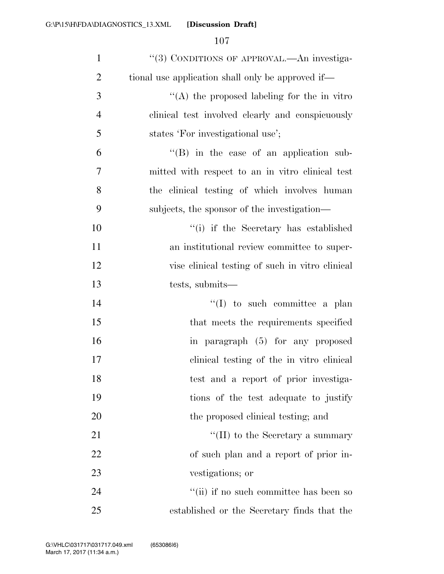| $\mathbf{1}$   | "(3) CONDITIONS OF APPROVAL.—An investiga-        |
|----------------|---------------------------------------------------|
| $\overline{2}$ | tional use application shall only be approved if— |
| 3              | $\lq\lq$ the proposed labeling for the in vitro   |
| $\overline{4}$ | clinical test involved clearly and conspicuously  |
| 5              | states 'For investigational use';                 |
| 6              | $\lq\lq$ (B) in the case of an application sub-   |
| 7              | mitted with respect to an in vitro clinical test  |
| 8              | the clinical testing of which involves human      |
| 9              | subjects, the sponsor of the investigation—       |
| 10             | "(i) if the Secretary has established             |
| 11             | an institutional review committee to super-       |
| 12             | vise clinical testing of such in vitro clinical   |
| 13             | tests, submits—                                   |
| 14             | $\lq\lq$ to such committee a plan                 |
| 15             | that meets the requirements specified             |
| 16             | in paragraph (5) for any proposed                 |
| 17             | clinical testing of the in vitro clinical         |
| 18             | test and a report of prior investiga-             |
| 19             | tions of the test adequate to justify             |
| 20             | the proposed clinical testing; and                |
| 21             | $\lq\lq$ (II) to the Secretary a summary          |
| 22             | of such plan and a report of prior in-            |
| 23             | vestigations; or                                  |
| 24             | "(ii) if no such committee has been so            |
| 25             | established or the Secretary finds that the       |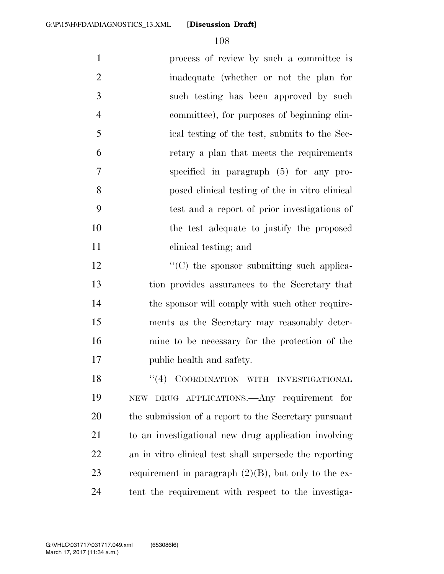| $\mathbf{1}$   | process of review by such a committee is                |
|----------------|---------------------------------------------------------|
| $\overline{2}$ | inadequate (whether or not the plan for                 |
| 3              | such testing has been approved by such                  |
| $\overline{4}$ | committee), for purposes of beginning clin-             |
| 5              | ical testing of the test, submits to the Sec-           |
| 6              | retary a plan that meets the requirements               |
| 7              | specified in paragraph $(5)$ for any pro-               |
| 8              | posed clinical testing of the in vitro clinical         |
| 9              | test and a report of prior investigations of            |
| 10             | the test adequate to justify the proposed               |
| 11             | clinical testing; and                                   |
| 12             | $\cdot$ (C) the sponsor submitting such applica-        |
| 13             | tion provides assurances to the Secretary that          |
| 14             | the sponsor will comply with such other require-        |
| 15             | ments as the Secretary may reasonably deter-            |
| 16             | mine to be necessary for the protection of the          |
| 17             | public health and safety.                               |
| 18             | COORDINATION WITH INVESTIGATIONAL<br>``(4)              |
| 19             | DRUG APPLICATIONS. Any requirement for<br><b>NEW</b>    |
| 20             | the submission of a report to the Secretary pursuant    |
| 21             | to an investigational new drug application involving    |
| 22             | an in vitro clinical test shall supersede the reporting |
| 23             | requirement in paragraph $(2)(B)$ , but only to the ex- |
| 24             | tent the requirement with respect to the investiga-     |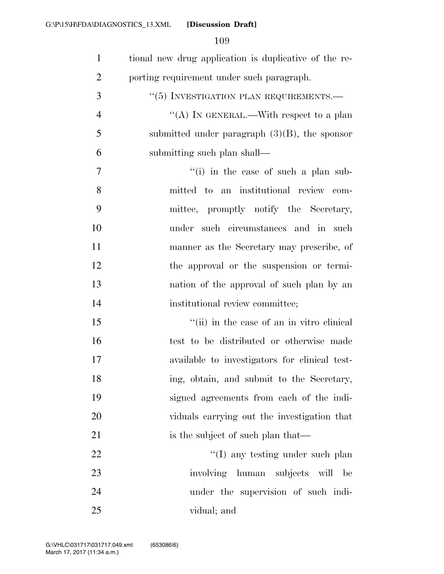| $\mathbf{1}$   | tional new drug application is duplicative of the re- |
|----------------|-------------------------------------------------------|
| $\overline{2}$ | porting requirement under such paragraph.             |
| 3              | "(5) INVESTIGATION PLAN REQUIREMENTS.-                |
| $\overline{4}$ | "(A) IN GENERAL.—With respect to a plan               |
| 5              | submitted under paragraph $(3)(B)$ , the sponsor      |
| 6              | submitting such plan shall—                           |
| 7              | $f'(i)$ in the case of such a plan sub-               |
| 8              | mitted to an institutional review com-                |
| 9              | mittee, promptly notify the Secretary,                |
| 10             | under such circumstances and in such                  |
| 11             | manner as the Secretary may prescribe, of             |
| 12             | the approval or the suspension or termi-              |
| 13             | nation of the approval of such plan by an             |
| 14             | institutional review committee;                       |
| 15             | "(ii) in the case of an in vitro clinical             |
| 16             | test to be distributed or otherwise made              |
| 17             | available to investigators for clinical test-         |
| 18             | ing, obtain, and submit to the Secretary,             |
| 19             | signed agreements from each of the indi-              |
| 20             | viduals carrying out the investigation that           |
| 21             | is the subject of such plan that—                     |
| 22             | "(I) any testing under such plan                      |
| 23             | involving human subjects will<br>be                   |
| 24             | under the supervision of such indi-                   |
| 25             | vidual; and                                           |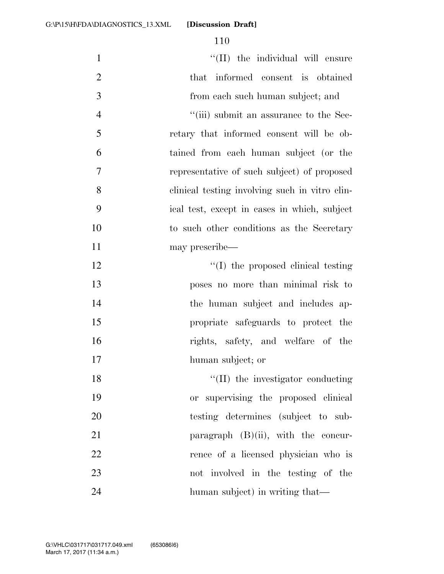110

 $\text{``(II)}$  the individual will ensure 2 that informed consent is obtained from each such human subject; and ''(iii) submit an assurance to the Sec- retary that informed consent will be ob- tained from each human subject (or the representative of such subject) of proposed clinical testing involving such in vitro clin- ical test, except in cases in which, subject to such other conditions as the Secretary 11 may prescribe—  $\text{``(I)}$  the proposed clinical testing poses no more than minimal risk to 14 the human subject and includes ap- propriate safeguards to protect the rights, safety, and welfare of the human subject; or 18 ''(II) the investigator conducting or supervising the proposed clinical testing determines (subject to sub-21 paragraph (B)(ii), with the concur- rence of a licensed physician who is not involved in the testing of the 24 human subject) in writing that—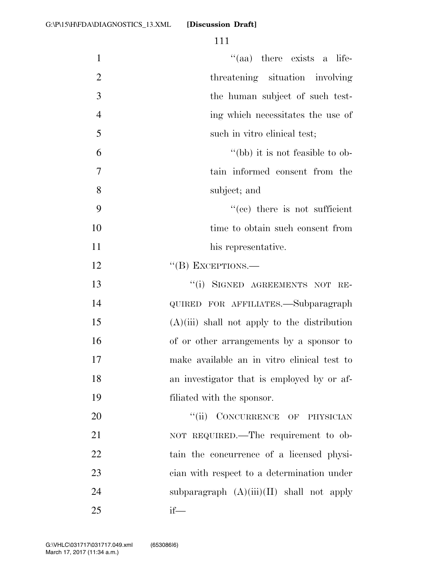| $\mathbf{1}$   | $\cdot$ (aa) there exists a life-              |
|----------------|------------------------------------------------|
| $\overline{2}$ | threatening situation involving                |
| 3              | the human subject of such test-                |
| $\overline{4}$ | ing which necessitates the use of              |
| 5              | such in vitro clinical test;                   |
| 6              | "(bb) it is not feasible to ob-                |
| 7              | tain informed consent from the                 |
| 8              | subject; and                                   |
| 9              | $f''(ce)$ there is not sufficient              |
| 10             | time to obtain such consent from               |
| 11             | his representative.                            |
| 12             | $\lq\lq (B)$ EXCEPTIONS.—                      |
| 13             | "(i) SIGNED AGREEMENTS NOT RE-                 |
| 14             | QUIRED FOR AFFILIATES.—Subparagraph            |
| 15             | $(A)(iii)$ shall not apply to the distribution |
| 16             | of or other arrangements by a sponsor to       |
| 17             | make available an in vitro clinical test to    |
| 18             | an investigator that is employed by or af-     |
| 19             | filiated with the sponsor.                     |
| 20             | ``(ii)<br>CONCURRENCE OF PHYSICIAN             |
| 21             | NOT REQUIRED.—The requirement to ob-           |
| 22             | tain the concurrence of a licensed physi-      |
| 23             | cian with respect to a determination under     |
| 24             | subparagraph $(A)(iii)(II)$ shall not apply    |
| 25             | $if$ —                                         |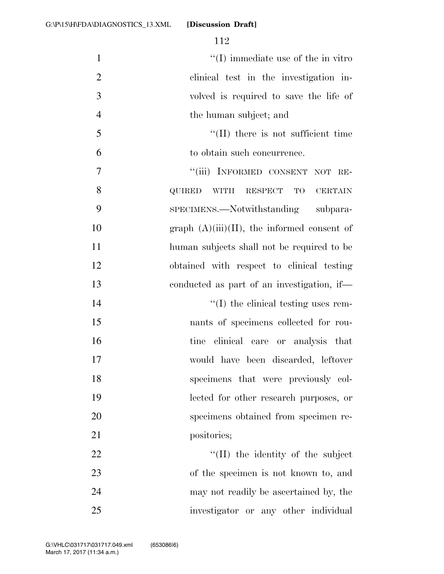112

 $\frac{1}{1}$  immediate use of the in vitro clinical test in the investigation in- volved is required to save the life of 4 the human subject; and  $\frac{1}{2}$  (II) there is not sufficient time to obtain such concurrence. 7 "(iii) INFORMED CONSENT NOT RE- QUIRED WITH RESPECT TO CERTAIN 9 SPECIMENS.—Notwithstanding subpara-10 graph  $(A)(iii)(II)$ , the informed consent of human subjects shall not be required to be obtained with respect to clinical testing conducted as part of an investigation, if—  $\text{``(I)}$  the clinical testing uses rem- nants of specimens collected for rou- tine clinical care or analysis that would have been discarded, leftover specimens that were previously col- lected for other research purposes, or specimens obtained from specimen re-21 positories; 22 ''(II) the identity of the subject of the specimen is not known to, and may not readily be ascertained by, the investigator or any other individual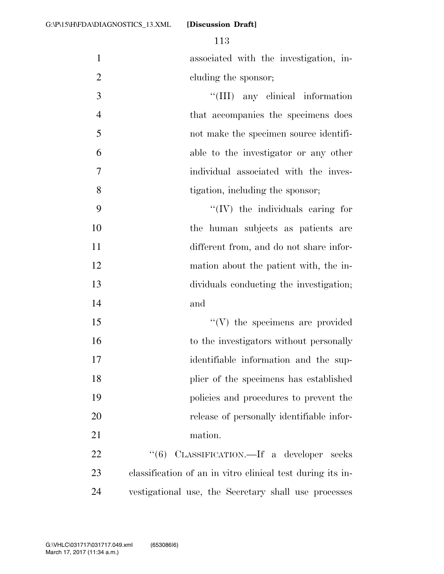## 113

1 associated with the investigation, in-2 cluding the sponsor;

3 ''(III) any clinical information that accompanies the specimens does not make the specimen source identifi- able to the investigator or any other individual associated with the inves-8 tigation, including the sponsor;

 $\mathcal{C}(IV)$  the individuals caring for the human subjects as patients are different from, and do not share infor- mation about the patient with, the in- dividuals conducting the investigation; 14 and

15  $\langle V \rangle$  the specimens are provided 16 to the investigators without personally 17 identifiable information and the sup-18 plier of the specimens has established 19 policies and procedures to prevent the 20 release of personally identifiable infor-21 mation.

22 "(6) CLASSIFICATION.—If a developer seeks 23 classification of an in vitro clinical test during its in-24 vestigational use, the Secretary shall use processes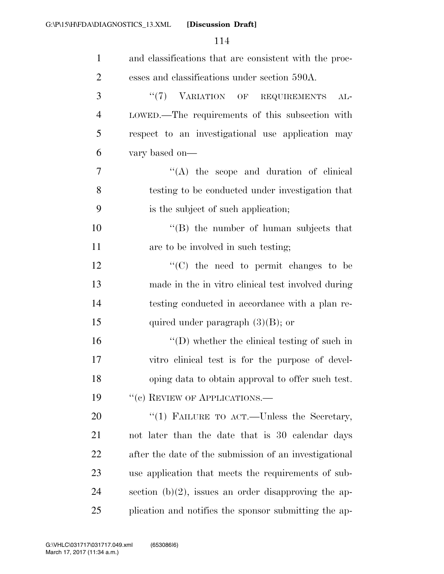| $\mathbf{1}$   | and classifications that are consistent with the proc-  |
|----------------|---------------------------------------------------------|
| $\overline{2}$ | esses and classifications under section 590A.           |
| 3              | "(7) VARIATION OF REQUIREMENTS<br>$AL-$                 |
| 4              | LOWED.—The requirements of this subsection with         |
| 5              | respect to an investigational use application may       |
| 6              | vary based on-                                          |
| 7              | $\lq\lq$ the scope and duration of clinical             |
| 8              | testing to be conducted under investigation that        |
| 9              | is the subject of such application;                     |
| 10             | "(B) the number of human subjects that                  |
| 11             | are to be involved in such testing;                     |
| 12             | " $(C)$ the need to permit changes to be                |
| 13             | made in the in vitro clinical test involved during      |
| 14             | testing conducted in accordance with a plan re-         |
| 15             | quired under paragraph $(3)(B)$ ; or                    |
| 16             | $\lq\lq$ (D) whether the clinical testing of such in    |
| 17             | vitro clinical test is for the purpose of devel-        |
| 18             | oping data to obtain approval to offer such test.       |
| 19             | "(c) REVIEW OF APPLICATIONS.—                           |
| 20             | "(1) FAILURE TO ACT.—Unless the Secretary,              |
| 21             | not later than the date that is 30 calendar days        |
| 22             | after the date of the submission of an investigational  |
| 23             | use application that meets the requirements of sub-     |
| 24             | section $(b)(2)$ , issues an order disapproving the ap- |
| 25             | plication and notifies the sponsor submitting the ap-   |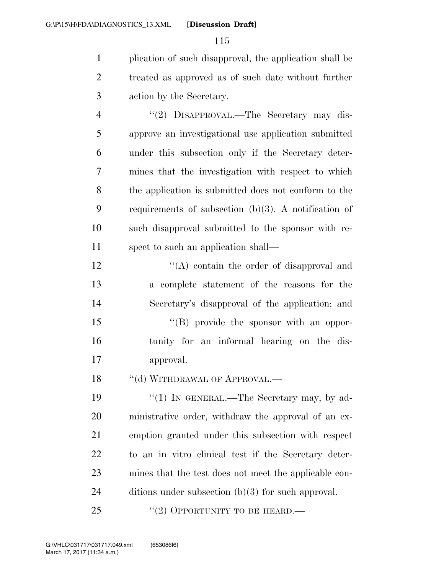plication of such disapproval, the application shall be treated as approved as of such date without further action by the Secretary.

4 "(2) DISAPPROVAL.—The Secretary may dis- approve an investigational use application submitted under this subsection only if the Secretary deter- mines that the investigation with respect to which the application is submitted does not conform to the requirements of subsection (b)(3). A notification of such disapproval submitted to the sponsor with re-11 spect to such an application shall—

12 ''(A) contain the order of disapproval and a complete statement of the reasons for the Secretary's disapproval of the application; and 15 "(B) provide the sponsor with an oppor- tunity for an informal hearing on the dis-approval.

18 "(d) WITHDRAWAL OF APPROVAL.—

19 "(1) IN GENERAL.—The Secretary may, by ad- ministrative order, withdraw the approval of an ex- emption granted under this subsection with respect to an in vitro clinical test if the Secretary deter- mines that the test does not meet the applicable con-ditions under subsection (b)(3) for such approval.

25 "(2) OPPORTUNITY TO BE HEARD.—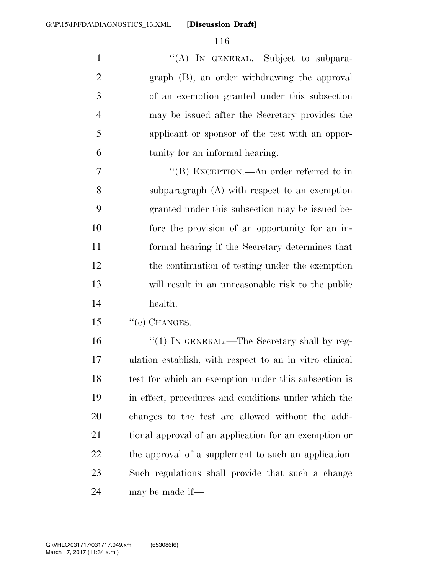1 "(A) IN GENERAL.—Subject to subpara- graph (B), an order withdrawing the approval of an exemption granted under this subsection may be issued after the Secretary provides the applicant or sponsor of the test with an oppor-tunity for an informal hearing.

 ''(B) EXCEPTION.—An order referred to in subparagraph (A) with respect to an exemption granted under this subsection may be issued be- fore the provision of an opportunity for an in- formal hearing if the Secretary determines that the continuation of testing under the exemption will result in an unreasonable risk to the public health.

"(e) CHANGES.—

16 "(1) IN GENERAL.—The Secretary shall by reg- ulation establish, with respect to an in vitro clinical test for which an exemption under this subsection is in effect, procedures and conditions under which the changes to the test are allowed without the addi- tional approval of an application for an exemption or the approval of a supplement to such an application. Such regulations shall provide that such a change may be made if—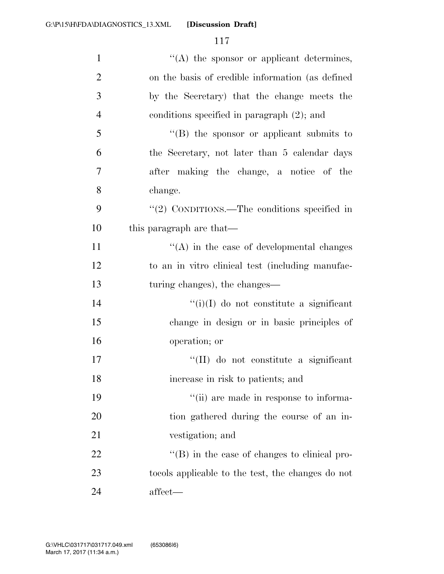| $\mathbf{1}$   | $\lq\lq$ the sponsor or applicant determines,        |
|----------------|------------------------------------------------------|
| $\overline{2}$ | on the basis of credible information (as defined     |
| 3              | by the Secretary) that the change meets the          |
| $\overline{4}$ | conditions specified in paragraph $(2)$ ; and        |
| 5              | "(B) the sponsor or applicant submits to             |
| 6              | the Secretary, not later than 5 calendar days        |
| 7              | after making the change, a notice of the             |
| 8              | change.                                              |
| 9              | "(2) CONDITIONS.—The conditions specified in         |
| 10             | this paragraph are that—                             |
| 11             | $\lq\lq$ in the case of developmental changes        |
| 12             | to an in vitro clinical test (including manufac-     |
| 13             | turing changes), the changes—                        |
| 14             | $\lq\lq(i)(I)$ do not constitute a significant       |
| 15             | change in design or in basic principles of           |
| 16             | operation; or                                        |
| 17             | "(II) do not constitute a significant                |
| 18             | increase in risk to patients; and                    |
| 19             | "(ii) are made in response to informa-               |
| <b>20</b>      | tion gathered during the course of an in-            |
| 21             | vestigation; and                                     |
| 22             | $\lq\lq (B)$ in the case of changes to clinical pro- |
| 23             | to to the test, the changes do not                   |
| 24             | affect—                                              |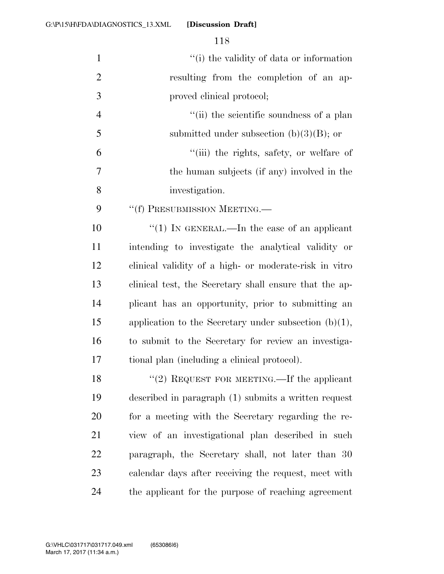| $\mathbf{1}$   | "(i) the validity of data or information                 |
|----------------|----------------------------------------------------------|
| $\overline{2}$ | resulting from the completion of an ap-                  |
| 3              | proved clinical protocol;                                |
| $\overline{4}$ | "(ii) the scientific soundness of a plan                 |
| 5              | submitted under subsection $(b)(3)(B)$ ; or              |
| 6              | "(iii) the rights, safety, or welfare of                 |
| $\overline{7}$ | the human subjects (if any) involved in the              |
| 8              | investigation.                                           |
| 9              | "(f) PRESUBMISSION MEETING.—                             |
| 10             | "(1) IN GENERAL.—In the case of an applicant             |
| 11             | intending to investigate the analytical validity or      |
| 12             | clinical validity of a high- or moderate-risk in vitro   |
| 13             | clinical test, the Secretary shall ensure that the ap-   |
| 14             | plicant has an opportunity, prior to submitting an       |
| 15             | application to the Secretary under subsection $(b)(1)$ , |
| 16             | to submit to the Secretary for review an investiga-      |
| 17             | tional plan (including a clinical protocol).             |
| 18             | "(2) REQUEST FOR MEETING.—If the applicant               |
| 19             | described in paragraph (1) submits a written request     |
| 20             | for a meeting with the Secretary regarding the re-       |
| 21             | view of an investigational plan described in such        |
| 22             | paragraph, the Secretary shall, not later than 30        |
| 23             | calendar days after receiving the request, meet with     |
| 24             | the applicant for the purpose of reaching agreement      |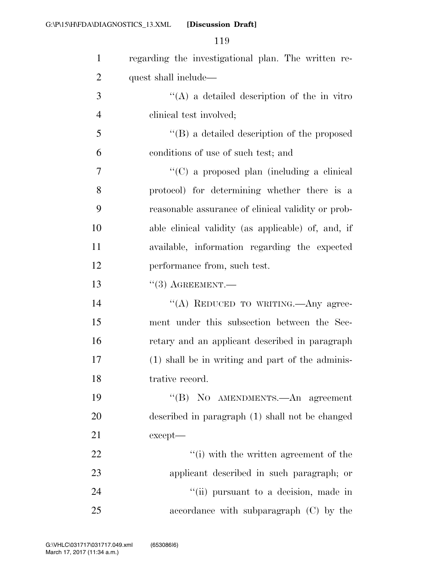| $\mathbf{1}$   | regarding the investigational plan. The written re- |
|----------------|-----------------------------------------------------|
| $\overline{2}$ | quest shall include—                                |
| 3              | $\lq\lq$ a detailed description of the in vitro     |
| $\overline{4}$ | clinical test involved;                             |
| 5              | $\lq\lq (B)$ a detailed description of the proposed |
| 6              | conditions of use of such test; and                 |
| 7              | "(C) a proposed plan (including a clinical          |
| 8              | protocol) for determining whether there is a        |
| 9              | reasonable assurance of clinical validity or prob-  |
| 10             | able clinical validity (as applicable) of, and, if  |
| 11             | available, information regarding the expected       |
| 12             | performance from, such test.                        |
| 13             | $``(3)$ AGREEMENT.—                                 |
| 14             | "(A) REDUCED TO WRITING.—Any agree-                 |
| 15             | ment under this subsection between the Sec-         |
| 16             | retary and an applicant described in paragraph      |
| 17             | (1) shall be in writing and part of the adminis-    |
| 18             | trative record.                                     |
| 19             | "(B) NO AMENDMENTS.—An agreement                    |
| 20             | described in paragraph (1) shall not be changed     |
| 21             | $except$ —                                          |
| 22             | "(i) with the written agreement of the              |
| 23             | applicant described in such paragraph; or           |
| 24             | "(ii) pursuant to a decision, made in               |
| 25             | accordance with subparagraph $(C)$ by the           |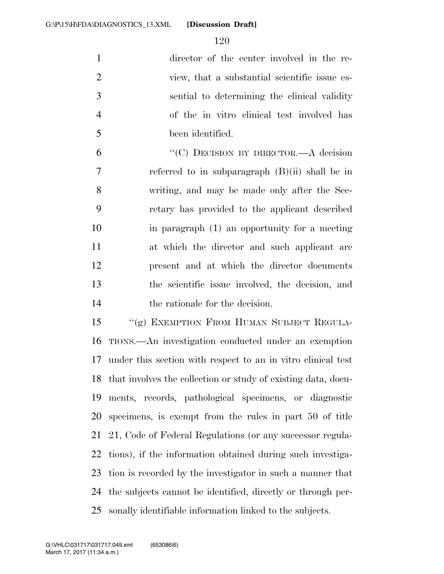director of the center involved in the re- view, that a substantial scientific issue es- sential to determining the clinical validity of the in vitro clinical test involved has been identified.

 ''(C) DECISION BY DIRECTOR.—A decision referred to in subparagraph (B)(ii) shall be in writing, and may be made only after the Sec- retary has provided to the applicant described in paragraph (1) an opportunity for a meeting at which the director and such applicant are present and at which the director documents the scientific issue involved, the decision, and the rationale for the decision.

15 "(g) EXEMPTION FROM HUMAN SUBJECT REGULA- TIONS.—An investigation conducted under an exemption under this section with respect to an in vitro clinical test that involves the collection or study of existing data, docu- ments, records, pathological specimens, or diagnostic specimens, is exempt from the rules in part 50 of title 21, Code of Federal Regulations (or any successor regula- tions), if the information obtained during such investiga- tion is recorded by the investigator in such a manner that the subjects cannot be identified, directly or through per-sonally identifiable information linked to the subjects.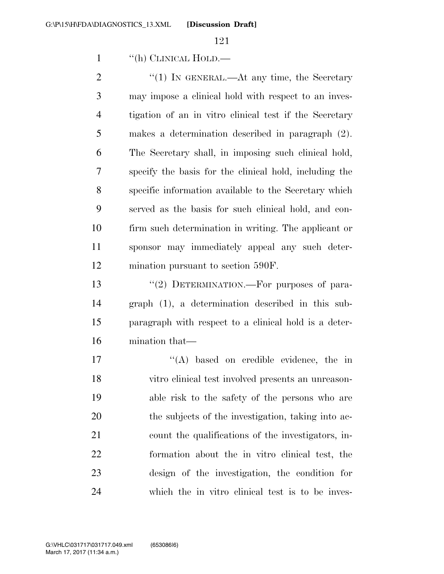''(h) CLINICAL HOLD.—

2 "(1) In GENERAL.—At any time, the Secretary may impose a clinical hold with respect to an inves- tigation of an in vitro clinical test if the Secretary makes a determination described in paragraph (2). The Secretary shall, in imposing such clinical hold, specify the basis for the clinical hold, including the specific information available to the Secretary which served as the basis for such clinical hold, and con- firm such determination in writing. The applicant or sponsor may immediately appeal any such deter-mination pursuant to section 590F.

13 "(2) DETERMINATION.—For purposes of para- graph (1), a determination described in this sub- paragraph with respect to a clinical hold is a deter-mination that—

 $((A)$  based on credible evidence, the in vitro clinical test involved presents an unreason- able risk to the safety of the persons who are the subjects of the investigation, taking into ac- count the qualifications of the investigators, in- formation about the in vitro clinical test, the design of the investigation, the condition for which the in vitro clinical test is to be inves-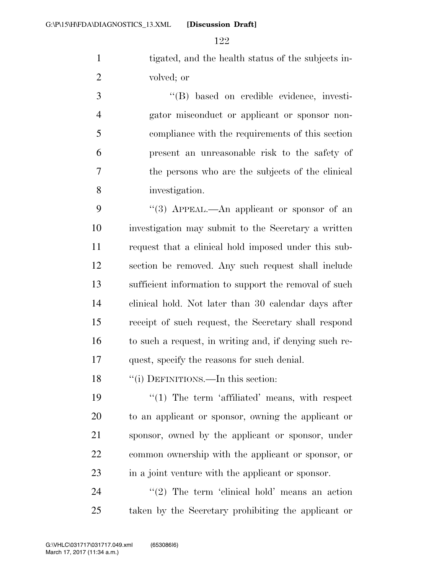tigated, and the health status of the subjects in-volved; or

 $\langle (B) \rangle$  based on credible evidence, investi- gator misconduct or applicant or sponsor non- compliance with the requirements of this section present an unreasonable risk to the safety of the persons who are the subjects of the clinical investigation.

9 "(3) APPEAL.—An applicant or sponsor of an investigation may submit to the Secretary a written request that a clinical hold imposed under this sub- section be removed. Any such request shall include sufficient information to support the removal of such clinical hold. Not later than 30 calendar days after receipt of such request, the Secretary shall respond to such a request, in writing and, if denying such re-quest, specify the reasons for such denial.

18 "(i) DEFINITIONS.—In this section:

 $\frac{1}{2}$  The term 'affiliated' means, with respect to an applicant or sponsor, owning the applicant or sponsor, owned by the applicant or sponsor, under common ownership with the applicant or sponsor, or in a joint venture with the applicant or sponsor.

24  $(2)$  The term 'clinical hold' means an action taken by the Secretary prohibiting the applicant or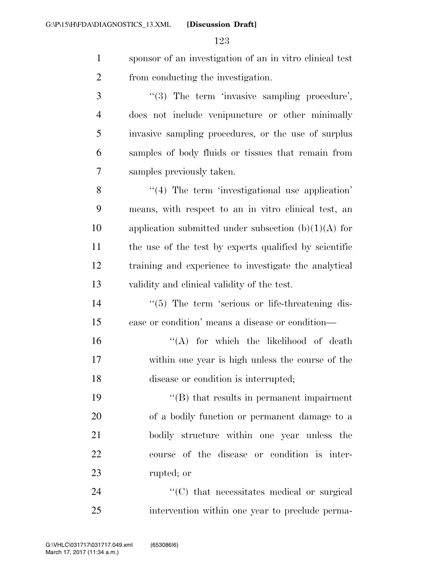- sponsor of an investigation of an in vitro clinical test from conducting the investigation.
- 3 ''(3) The term 'invasive sampling procedure', does not include venipuncture or other minimally invasive sampling procedures, or the use of surplus samples of body fluids or tissues that remain from samples previously taken.
- 8 "(4) The term 'investigational use application' means, with respect to an in vitro clinical test, an 10 application submitted under subsection  $(b)(1)(A)$  for the use of the test by experts qualified by scientific training and experience to investigate the analytical validity and clinical validity of the test.
- 14 ''(5) The term 'serious or life-threatening dis-ease or condition' means a disease or condition—
- 16 "(A) for which the likelihood of death within one year is high unless the course of the disease or condition is interrupted;
- ''(B) that results in permanent impairment of a bodily function or permanent damage to a bodily structure within one year unless the course of the disease or condition is inter-rupted; or
- 24  $\cdot$  (C) that necessitates medical or surgical intervention within one year to preclude perma-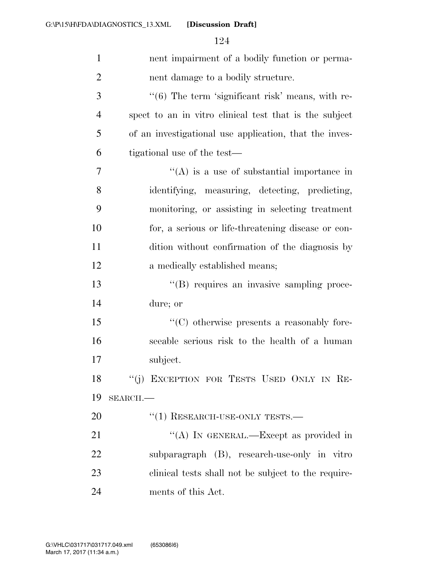| $\mathbf{1}$   | nent impairment of a bodily function or perma-               |
|----------------|--------------------------------------------------------------|
| $\overline{2}$ | nent damage to a bodily structure.                           |
| 3              | $\cdot\cdot$ (6) The term 'significant risk' means, with re- |
| $\overline{4}$ | spect to an in vitro clinical test that is the subject       |
| 5              | of an investigational use application, that the inves-       |
| 6              | tigational use of the test—                                  |
| $\overline{7}$ | $\lq\lq$ is a use of substantial importance in               |
| 8              | identifying, measuring, detecting, predicting,               |
| 9              | monitoring, or assisting in selecting treatment              |
| 10             | for, a serious or life-threatening disease or con-           |
| 11             | dition without confirmation of the diagnosis by              |
| 12             | a medically established means;                               |
| 13             | "(B) requires an invasive sampling proce-                    |
| 14             | dure; or                                                     |
| 15             | "(C) otherwise presents a reasonably fore-                   |
| 16             | seeable serious risk to the health of a human                |
| 17             | subject.                                                     |
| 18             | "(j) EXCEPTION FOR TESTS USED ONLY IN RE-                    |
| 19             | $SEARCH$ .                                                   |
| 20             | $``(1)$ RESEARCH-USE-ONLY TESTS.—                            |
| 21             | "(A) IN GENERAL.—Except as provided in                       |
| 22             | subparagraph (B), research-use-only in vitro                 |
| 23             | clinical tests shall not be subject to the require-          |
| 24             | ments of this Act.                                           |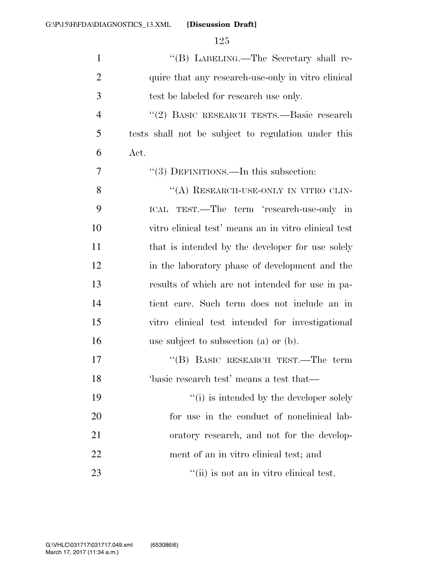| $\mathbf{1}$   | "(B) LABELING.—The Secretary shall re-                    |
|----------------|-----------------------------------------------------------|
| $\overline{2}$ | quire that any research-use-only in vitro clinical        |
| 3              | test be labeled for research use only.                    |
| $\overline{4}$ | "(2) BASIC RESEARCH TESTS.—Basic research                 |
| 5              | tests shall not be subject to regulation under this       |
| 6              | Act.                                                      |
| 7              | $\cdot\cdot(3)$ DEFINITIONS.—In this subsection:          |
| 8              | "(A) RESEARCH-USE-ONLY IN VITRO CLIN-                     |
| 9              | TEST.—The term 'research-use-only in<br><b>ICAL</b>       |
| 10             | vitro clinical test' means an in vitro clinical test      |
| 11             | that is intended by the developer for use solely          |
| 12             | in the laboratory phase of development and the            |
| 13             | results of which are not intended for use in pa-          |
| 14             | tient care. Such term does not include an in              |
| 15             | vitro clinical test intended for investigational          |
| 16             | use subject to subsection (a) or $(b)$ .                  |
| 17             | "(B) BASIC RESEARCH TEST.—The term                        |
| 18             | basic research test' means a test that—                   |
| 19             | "(i) is intended by the developer solely                  |
| 20             | for use in the conduct of nonclinical lab-                |
| 21             | oratory research, and not for the develop-                |
| 22             | ment of an in vitro clinical test; and                    |
| 23             | $\lq$ <sup>"</sup> (ii) is not an in vitro clinical test. |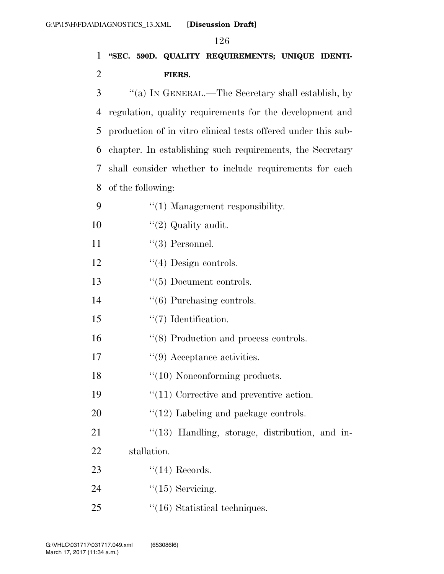|                | 126                                                           |
|----------------|---------------------------------------------------------------|
| 1              | "SEC. 590D. QUALITY REQUIREMENTS; UNIQUE IDENTI-              |
| $\overline{2}$ | FIERS.                                                        |
| 3              | "(a) IN GENERAL.—The Secretary shall establish, by            |
| 4              | regulation, quality requirements for the development and      |
| 5              | production of in vitro clinical tests offered under this sub- |
| 6              | chapter. In establishing such requirements, the Secretary     |
| 7              | shall consider whether to include requirements for each       |
| 8              | of the following:                                             |
| 9              | $"(1)$ Management responsibility.                             |
| 10             | " $(2)$ Quality audit.                                        |
| 11             | $"(3)$ Personnel.                                             |
| 12             | $\lq(4)$ Design controls.                                     |
| 13             | $``(5)$ Document controls.                                    |
| 14             | $\lq(6)$ Purchasing controls.                                 |
| 15             | $\lq(7)$ Identification.                                      |
| 16             | $``(8)$ Production and process controls.                      |
| 17             | $\lq(9)$ Acceptance activities.                               |
| 18             | $\lq(10)$ Nonconforming products.                             |
| 19             | $\lq(11)$ Corrective and preventive action.                   |
| 20             | $\lq(12)$ Labeling and package controls.                      |

- 21 ''(13) Handling, storage, distribution, and in-stallation.
- 23  $\cdot$  (14) Records.
- 24 ''(15) Servicing.
- 25 "(16) Statistical techniques.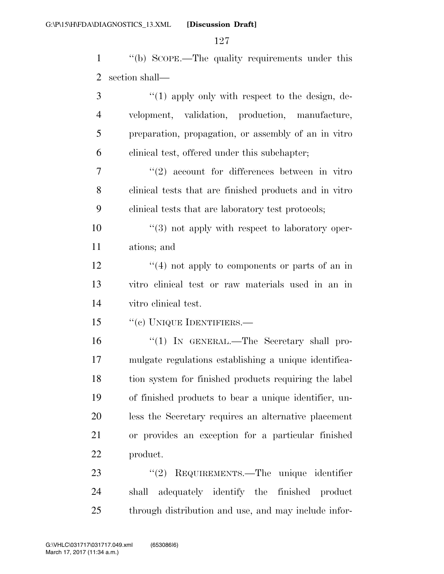''(b) SCOPE.—The quality requirements under this section shall—

| 3              | $\lq(1)$ apply only with respect to the design, de-    |
|----------------|--------------------------------------------------------|
| $\overline{4}$ | velopment, validation, production, manufacture,        |
| 5              | preparation, propagation, or assembly of an in vitro   |
| 6              | clinical test, offered under this subchapter;          |
| 7              | $\lq(2)$ account for differences between in vitro      |
| 8              | clinical tests that are finished products and in vitro |
| 9              | clinical tests that are laboratory test protocols;     |
| 10             | $\lq(3)$ not apply with respect to laboratory oper-    |
| 11             | ations; and                                            |
| 12             | $\lq(4)$ not apply to components or parts of an in     |
| 13             | vitro clinical test or raw materials used in an in     |
| 14             | vitro clinical test.                                   |
| 15             | "(c) UNIQUE IDENTIFIERS.—                              |
| 16             | " $(1)$ IN GENERAL.—The Secretary shall pro-           |
| 17             | mulgate regulations establishing a unique identifica-  |
| 18             | tion system for finished products requiring the label  |
| 19             | of finished products to bear a unique identifier, un-  |
| 20             | less the Secretary requires an alternative placement   |
| 21             | or provides an exception for a particular finished     |
| 22             | product.                                               |
| 23             | $\lq(2)$ REQUIREMENTS.—The unique identifier           |
| 24             | adequately identify the finished product<br>shall      |

through distribution and use, and may include infor-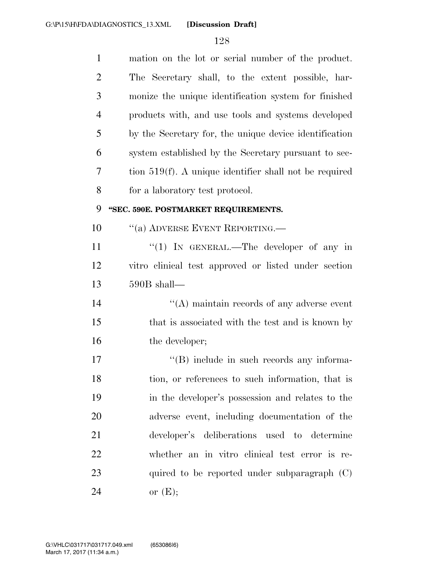| $\mathbf{1}$   | mation on the lot or serial number of the product.        |
|----------------|-----------------------------------------------------------|
| $\overline{2}$ | The Secretary shall, to the extent possible, har-         |
| 3              | monize the unique identification system for finished      |
| $\overline{4}$ | products with, and use tools and systems developed        |
| 5              | by the Secretary for, the unique device identification    |
| 6              | system established by the Secretary pursuant to sec-      |
| 7              | tion $519(f)$ . A unique identifier shall not be required |
| 8              | for a laboratory test protocol.                           |
| 9              | "SEC. 590E. POSTMARKET REQUIREMENTS.                      |
| 10             | "(a) ADVERSE EVENT REPORTING.—                            |
| 11             | "(1) IN GENERAL.—The developer of any in                  |
| 12             | vitro clinical test approved or listed under section      |
| 13             | $590B$ shall-                                             |
| 14             | "(A) maintain records of any adverse event                |
| 15             | that is associated with the test and is known by          |
| 16             | the developer;                                            |
| 17             | $\lq\lq$ (B) include in such records any informa-         |
| 18             | tion, or references to such information, that is          |
| 19             | in the developer's possession and relates to the          |
| 20             | adverse event, including documentation of the             |
| 21             | developer's deliberations used to determine               |
| 22             |                                                           |
|                | whether an in vitro clinical test error is re-            |
| 23             | quired to be reported under subparagraph $(C)$            |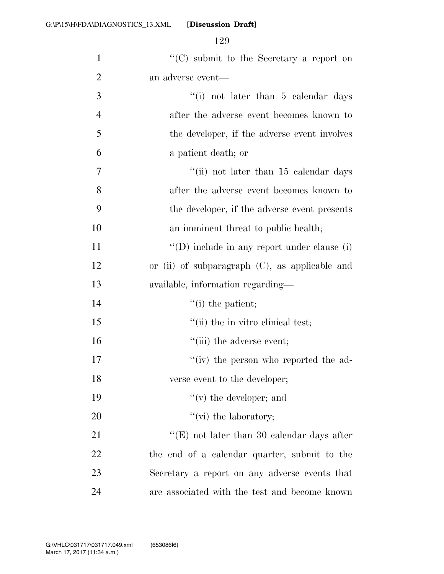| $\mathbf{1}$   | "(C) submit to the Secretary a report on            |
|----------------|-----------------------------------------------------|
| $\overline{2}$ | an adverse event—                                   |
| 3              | "(i) not later than $5$ calendar days               |
| $\overline{4}$ | after the adverse event becomes known to            |
| 5              | the developer, if the adverse event involves        |
| 6              | a patient death; or                                 |
| 7              | "(ii) not later than 15 calendar days               |
| 8              | after the adverse event becomes known to            |
| 9              | the developer, if the adverse event presents        |
| 10             | an imminent threat to public health;                |
| 11             | $\lq\lq$ (D) include in any report under clause (i) |
| 12             | or (ii) of subparagraph $(C)$ , as applicable and   |
| 13             | available, information regarding—                   |
| 14             | $\lq$ <sup>"</sup> (i) the patient;                 |
| 15             | "(ii) the in vitro clinical test;                   |
| 16             | "(iii) the adverse event;                           |
| 17             | "(iv) the person who reported the ad-               |
| 18             | verse event to the developer;                       |
| 19             | $f'(v)$ the developer; and                          |
| 20             | " $(vi)$ the laboratory;                            |
| 21             | "(E) not later than 30 calendar days after          |
| 22             | the end of a calendar quarter, submit to the        |
| 23             | Secretary a report on any adverse events that       |
| 24             | are associated with the test and become known       |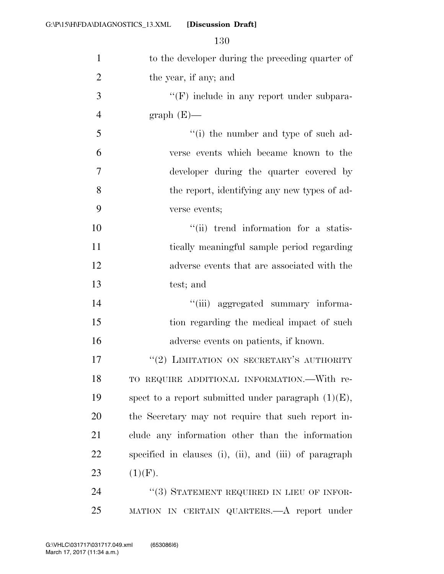| $\mathbf{1}$   | to the developer during the preceding quarter of       |
|----------------|--------------------------------------------------------|
| $\overline{2}$ | the year, if any; and                                  |
| 3              | "(F) include in any report under subpara-              |
| $\overline{4}$ | $graph(E)$ —                                           |
| 5              | "(i) the number and type of such ad-                   |
| 6              | verse events which became known to the                 |
| 7              | developer during the quarter covered by                |
| 8              | the report, identifying any new types of ad-           |
| 9              | verse events;                                          |
| 10             | "(ii) trend information for a statis-                  |
| 11             | tically meaningful sample period regarding             |
| 12             | adverse events that are associated with the            |
| 13             | test; and                                              |
| 14             | "(iii) aggregated summary informa-                     |
| 15             | tion regarding the medical impact of such              |
| 16             | adverse events on patients, if known.                  |
| 17             | "(2) LIMITATION ON SECRETARY'S AUTHORITY               |
| 18             | TO REQUIRE ADDITIONAL INFORMATION.-With re-            |
| 19             | spect to a report submitted under paragraph $(1)(E)$ , |
| 20             | the Secretary may not require that such report in-     |
| 21             | clude any information other than the information       |
| 22             | specified in clauses (i), (ii), and (iii) of paragraph |
| 23             | (1)(F).                                                |
| 24             | "(3) STATEMENT REQUIRED IN LIEU OF INFOR-              |
| 25             | MATION IN CERTAIN QUARTERS. A report under             |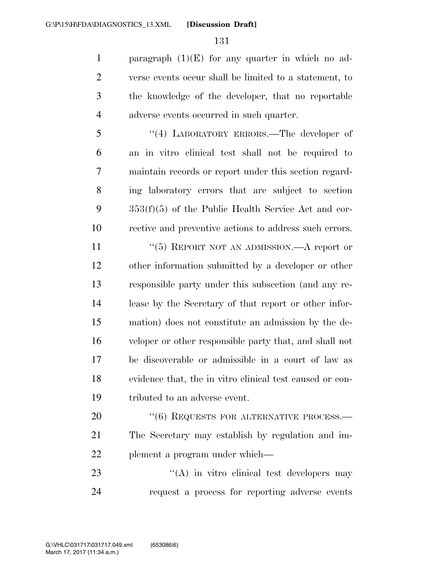paragraph (1)(E) for any quarter in which no ad- verse events occur shall be limited to a statement, to the knowledge of the developer, that no reportable adverse events occurred in such quarter.

5 "(4) LABORATORY ERRORS.—The developer of an in vitro clinical test shall not be required to maintain records or report under this section regard- ing laboratory errors that are subject to section 353(f)(5) of the Public Health Service Act and cor-rective and preventive actions to address such errors.

 ''(5) REPORT NOT AN ADMISSION.—A report or other information submitted by a developer or other responsible party under this subsection (and any re- lease by the Secretary of that report or other infor- mation) does not constitute an admission by the de- veloper or other responsible party that, and shall not be discoverable or admissible in a court of law as evidence that, the in vitro clinical test caused or con-tributed to an adverse event.

20 "(6) REQUESTS FOR ALTERNATIVE PROCESS.— The Secretary may establish by regulation and im-plement a program under which—

23 ''(A) in vitro clinical test developers may request a process for reporting adverse events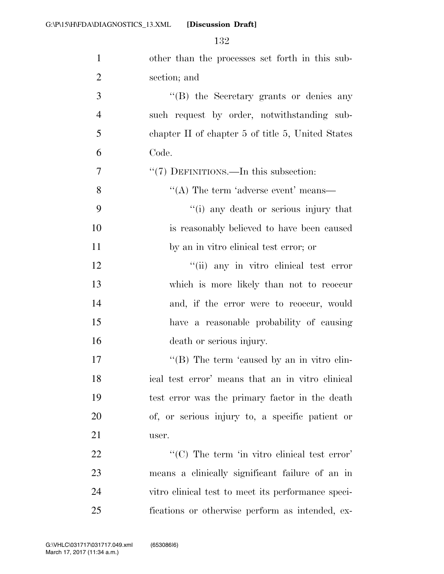| $\mathbf{1}$   | other than the processes set forth in this sub-    |
|----------------|----------------------------------------------------|
| $\overline{2}$ | section; and                                       |
| 3              | "(B) the Secretary grants or denies any            |
| $\overline{4}$ | such request by order, notwithstanding sub-        |
| 5              | chapter II of chapter 5 of title 5, United States  |
| 6              | Code.                                              |
| 7              | "(7) DEFINITIONS.—In this subsection:              |
| 8              | "(A) The term 'adverse event' means—               |
| 9              | "(i) any death or serious injury that              |
| 10             | is reasonably believed to have been caused         |
| 11             | by an in vitro clinical test error; or             |
| 12             | "(ii) any in vitro clinical test error             |
| 13             | which is more likely than not to reoccur           |
| 14             | and, if the error were to reoccur, would           |
| 15             | have a reasonable probability of causing           |
| 16             | death or serious injury.                           |
| 17             | "(B) The term 'caused by an in vitro clin-         |
| 18             | ical test error' means that an in vitro clinical   |
| 19             | test error was the primary factor in the death     |
| 20             | of, or serious injury to, a specific patient or    |
| 21             | user.                                              |
| 22             | " $(C)$ The term 'in vitro clinical test error'    |
| 23             | means a clinically significant failure of an in    |
| 24             | vitro clinical test to meet its performance speci- |
| 25             | fications or otherwise perform as intended, ex-    |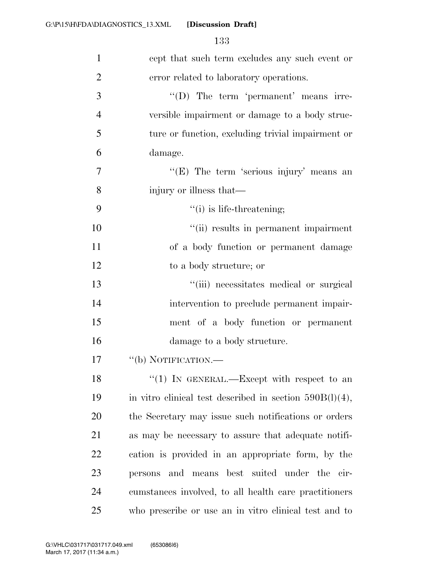| $\mathbf{1}$   | cept that such term excludes any such event or             |
|----------------|------------------------------------------------------------|
| $\overline{2}$ | error related to laboratory operations.                    |
| 3              | $\lq\lq$ . The term 'permanent' means irre-                |
| $\overline{4}$ | versible impairment or damage to a body struc-             |
| 5              | ture or function, excluding trivial impairment or          |
| 6              | damage.                                                    |
| $\overline{7}$ | "(E) The term 'serious injury' means an                    |
| 8              | injury or illness that—                                    |
| 9              | $"(i)$ is life-threatening;                                |
| 10             | "(ii) results in permanent impairment                      |
| 11             | of a body function or permanent damage                     |
| 12             | to a body structure; or                                    |
| 13             | "(iii) necessitates medical or surgical                    |
| 14             | intervention to preclude permanent impair-                 |
| 15             | ment of a body function or permanent                       |
| 16             | damage to a body structure.                                |
| 17             | "(b) NOTIFICATION.—                                        |
| 18             | $(1)$ IN GENERAL.—Except with respect to an                |
| 19             | in vitro clinical test described in section $590B(1)(4)$ , |
| 20             | the Secretary may issue such notifications or orders       |
| 21             | as may be necessary to assure that adequate notifi-        |
| 22             | cation is provided in an appropriate form, by the          |
| 23             | persons and means best suited under the cir-               |
| 24             | cumstances involved, to all health care practitioners      |
| 25             | who prescribe or use an in vitro clinical test and to      |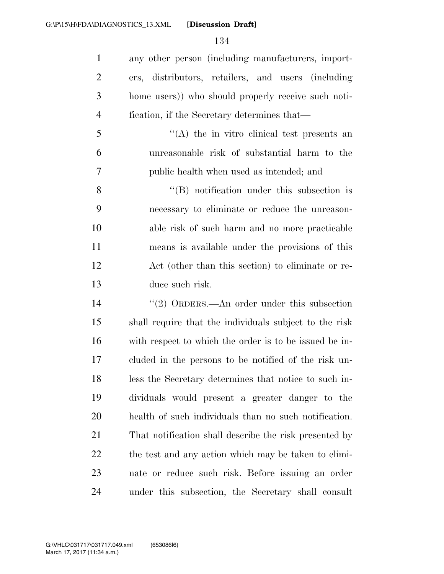any other person (including manufacturers, import- ers, distributors, retailers, and users (including home users)) who should properly receive such noti-fication, if the Secretary determines that—

 ''(A) the in vitro clinical test presents an unreasonable risk of substantial harm to the public health when used as intended; and

 ''(B) notification under this subsection is necessary to eliminate or reduce the unreason- able risk of such harm and no more practicable means is available under the provisions of this Act (other than this section) to eliminate or re-duce such risk.

 ''(2) ORDERS.—An order under this subsection shall require that the individuals subject to the risk with respect to which the order is to be issued be in- cluded in the persons to be notified of the risk un- less the Secretary determines that notice to such in- dividuals would present a greater danger to the health of such individuals than no such notification. That notification shall describe the risk presented by the test and any action which may be taken to elimi- nate or reduce such risk. Before issuing an order under this subsection, the Secretary shall consult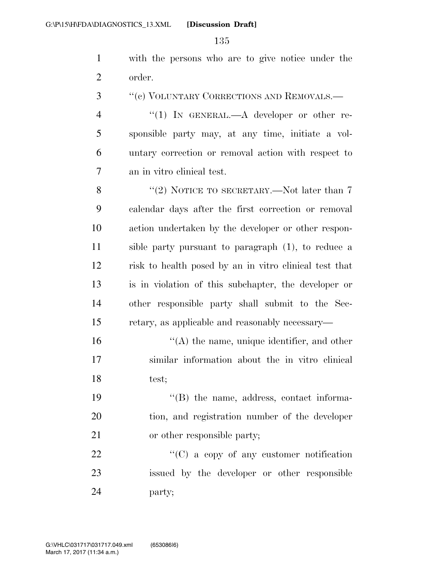with the persons who are to give notice under the order.

''(c) VOLUNTARY CORRECTIONS AND REMOVALS.—

4 "(1) IN GENERAL.—A developer or other re- sponsible party may, at any time, initiate a vol- untary correction or removal action with respect to an in vitro clinical test.

8 "(2) NOTICE TO SECRETARY.—Not later than 7 calendar days after the first correction or removal action undertaken by the developer or other respon- sible party pursuant to paragraph (1), to reduce a risk to health posed by an in vitro clinical test that is in violation of this subchapter, the developer or other responsible party shall submit to the Sec-retary, as applicable and reasonably necessary—

 ''(A) the name, unique identifier, and other similar information about the in vitro clinical 18 test;

 ''(B) the name, address, contact informa- tion, and registration number of the developer or other responsible party;

22 "'(C) a copy of any customer notification issued by the developer or other responsible party;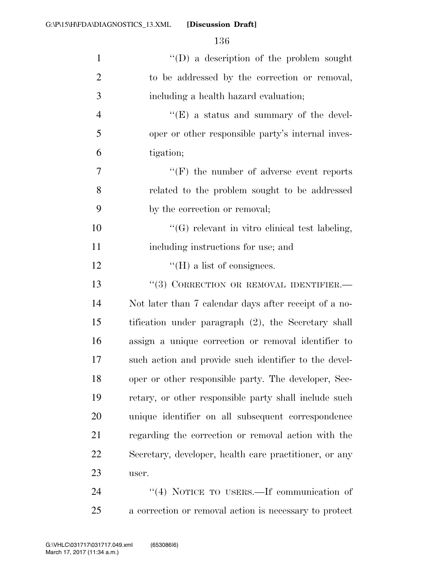| $\mathbf{1}$   | "(D) a description of the problem sought               |
|----------------|--------------------------------------------------------|
| $\overline{2}$ | to be addressed by the correction or removal,          |
| 3              | including a health hazard evaluation;                  |
| $\overline{4}$ | $\lq\lq(E)$ a status and summary of the devel-         |
| 5              | oper or other responsible party's internal inves-      |
| 6              | tigation;                                              |
| $\tau$         | $\lq\lq(F)$ the number of adverse event reports        |
| 8              | related to the problem sought to be addressed          |
| 9              | by the correction or removal;                          |
| 10             | $\lq\lq(G)$ relevant in vitro clinical test labeling,  |
| 11             | including instructions for use; and                    |
| 12             | "(H) a list of consignees.                             |
| 13             | $``(3)$ CORRECTION OR REMOVAL IDENTIFIER.              |
| 14             | Not later than 7 calendar days after receipt of a no-  |
| 15             | tification under paragraph (2), the Secretary shall    |
| 16             | assign a unique correction or removal identifier to    |
| 17             | such action and provide such identifier to the devel-  |
| 18             | oper or other responsible party. The developer, Sec-   |
| 19             | retary, or other responsible party shall include such  |
| 20             | unique identifier on all subsequent correspondence     |
| 21             | regarding the correction or removal action with the    |
| 22             | Secretary, developer, health care practitioner, or any |
| 23             | user.                                                  |
| 24             | "(4) NOTICE TO USERS.—If communication of              |
| 25             | a correction or removal action is necessary to protect |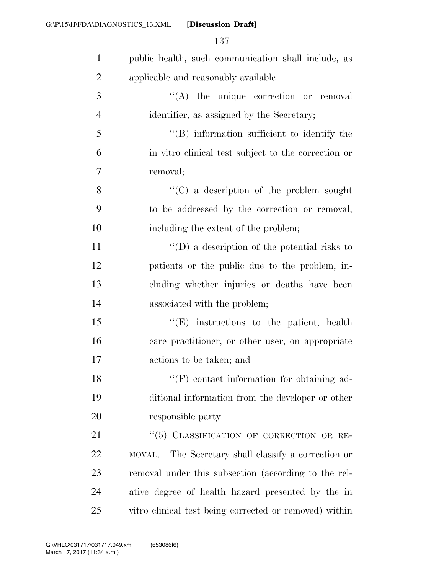| $\mathbf{1}$   | public health, such communication shall include, as          |
|----------------|--------------------------------------------------------------|
| $\overline{2}$ | applicable and reasonably available—                         |
| 3              | "(A) the unique correction or removal                        |
| $\overline{4}$ | identifier, as assigned by the Secretary;                    |
| 5              | "(B) information sufficient to identify the                  |
| 6              | in vitro clinical test subject to the correction or          |
| 7              | removal;                                                     |
| 8              | "(C) a description of the problem sought                     |
| 9              | to be addressed by the correction or removal,                |
| 10             | including the extent of the problem;                         |
| 11             | $\lq\lq$ (D) a description of the potential risks to         |
| 12             | patients or the public due to the problem, in-               |
| 13             | cluding whether injuries or deaths have been                 |
| 14             | associated with the problem;                                 |
| 15             | $\lq\lq(E)$ instructions to the patient, health              |
| 16             | care practitioner, or other user, on appropriate             |
| 17             | actions to be taken; and                                     |
| 18             | $\lq$ <sup>"</sup> (F) contact information for obtaining ad- |
| 19             | ditional information from the developer or other             |
| 20             | responsible party.                                           |
| 21             | "(5) CLASSIFICATION OF CORRECTION OR RE-                     |
| 22             | MOVAL.—The Secretary shall classify a correction or          |
| 23             | removal under this subsection (according to the rel-         |
| 24             | ative degree of health hazard presented by the in            |
| 25             | vitro clinical test being corrected or removed) within       |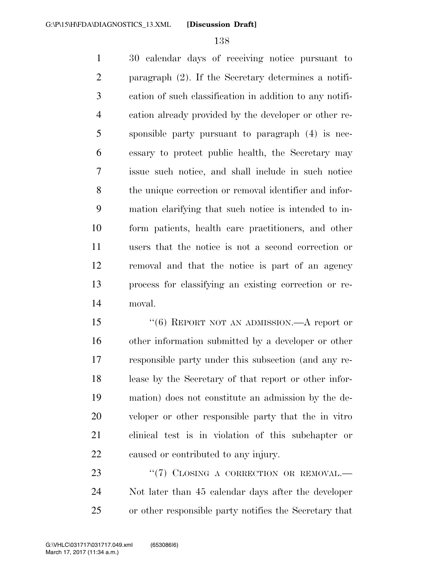30 calendar days of receiving notice pursuant to paragraph (2). If the Secretary determines a notifi- cation of such classification in addition to any notifi- cation already provided by the developer or other re- sponsible party pursuant to paragraph (4) is nec- essary to protect public health, the Secretary may issue such notice, and shall include in such notice the unique correction or removal identifier and infor- mation clarifying that such notice is intended to in- form patients, health care practitioners, and other users that the notice is not a second correction or removal and that the notice is part of an agency process for classifying an existing correction or re-moval.

15 "(6) REPORT NOT AN ADMISSION.—A report or other information submitted by a developer or other responsible party under this subsection (and any re- lease by the Secretary of that report or other infor- mation) does not constitute an admission by the de- veloper or other responsible party that the in vitro clinical test is in violation of this subchapter or caused or contributed to any injury.

23 "(7) CLOSING A CORRECTION OR REMOVAL.— Not later than 45 calendar days after the developer or other responsible party notifies the Secretary that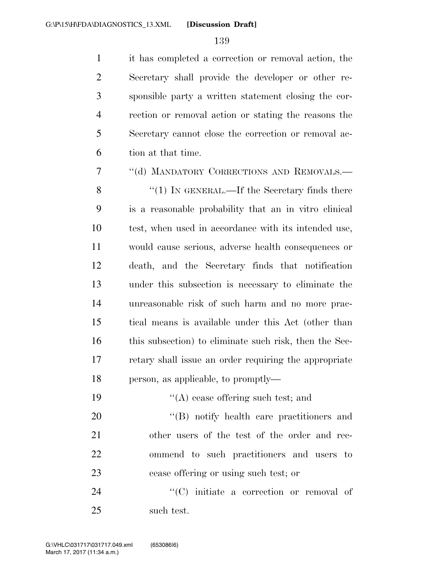it has completed a correction or removal action, the Secretary shall provide the developer or other re- sponsible party a written statement closing the cor- rection or removal action or stating the reasons the Secretary cannot close the correction or removal ac-tion at that time.

7 "(d) MANDATORY CORRECTIONS AND REMOVALS.— 8 "(1) IN GENERAL.—If the Secretary finds there is a reasonable probability that an in vitro clinical test, when used in accordance with its intended use, would cause serious, adverse health consequences or death, and the Secretary finds that notification under this subsection is necessary to eliminate the unreasonable risk of such harm and no more prac- tical means is available under this Act (other than 16 this subsection) to eliminate such risk, then the Sec- retary shall issue an order requiring the appropriate person, as applicable, to promptly—

''(A) cease offering such test; and

 $"$ (B) notify health care practitioners and other users of the test of the order and rec- ommend to such practitioners and users to cease offering or using such test; or

24  $\langle ^{\prime}(C) \rangle$  initiate a correction or removal of such test.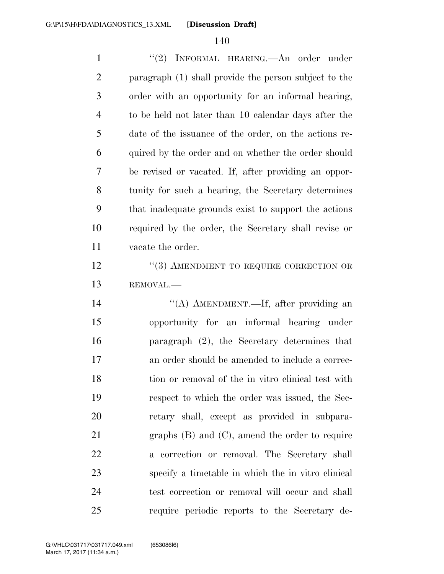1 ''(2) INFORMAL HEARING.—An order under paragraph (1) shall provide the person subject to the order with an opportunity for an informal hearing, to be held not later than 10 calendar days after the date of the issuance of the order, on the actions re- quired by the order and on whether the order should be revised or vacated. If, after providing an oppor- tunity for such a hearing, the Secretary determines that inadequate grounds exist to support the actions required by the order, the Secretary shall revise or vacate the order. 12 "(3) AMENDMENT TO REQUIRE CORRECTION OR REMOVAL.—

14 "(A) AMENDMENT.—If, after providing an opportunity for an informal hearing under paragraph (2), the Secretary determines that an order should be amended to include a correc- tion or removal of the in vitro clinical test with respect to which the order was issued, the Sec- retary shall, except as provided in subpara- graphs (B) and (C), amend the order to require a correction or removal. The Secretary shall specify a timetable in which the in vitro clinical test correction or removal will occur and shall require periodic reports to the Secretary de-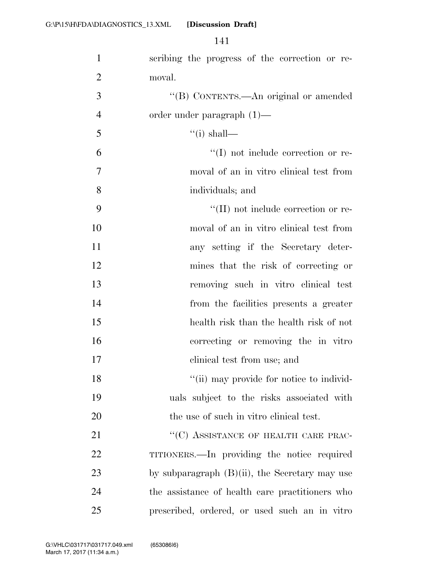| $\mathbf{1}$   | scribing the progress of the correction or re-    |
|----------------|---------------------------------------------------|
| $\overline{2}$ | moval.                                            |
| 3              | "(B) CONTENTS.—An original or amended             |
| $\overline{4}$ | order under paragraph $(1)$ —                     |
| 5              | ``(i) shall                                       |
| 6              | $\lq\lq$ not include correction or re-            |
| $\overline{7}$ | moval of an in vitro clinical test from           |
| 8              | individuals; and                                  |
| 9              | $\lq\lq$ (II) not include correction or re-       |
| 10             | moval of an in vitro clinical test from           |
| 11             | any setting if the Secretary deter-               |
| 12             | mines that the risk of correcting or              |
| 13             | removing such in vitro clinical test              |
| 14             | from the facilities presents a greater            |
| 15             | health risk than the health risk of not           |
| 16             | correcting or removing the in vitro               |
| 17             | clinical test from use; and                       |
| 18             | "(ii) may provide for notice to individ-          |
| 19             | uals subject to the risks associated with         |
| 20             | the use of such in vitro clinical test.           |
| 21             | "(C) ASSISTANCE OF HEALTH CARE PRAC-              |
| 22             | TITIONERS.—In providing the notice required       |
| 23             | by subparagraph $(B)(ii)$ , the Secretary may use |
| 24             | the assistance of health care practitioners who   |
| 25             | prescribed, ordered, or used such an in vitro     |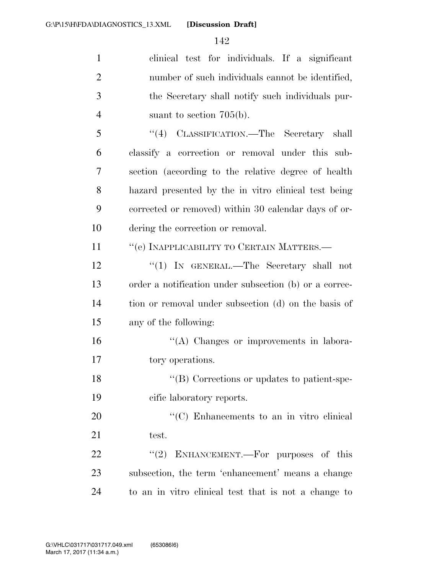| $\mathbf{1}$   | clinical test for individuals. If a significant        |
|----------------|--------------------------------------------------------|
| $\overline{2}$ | number of such individuals cannot be identified,       |
| 3              | the Secretary shall notify such individuals pur-       |
| $\overline{4}$ | suant to section $705(b)$ .                            |
| 5              | "(4) CLASSIFICATION.—The Secretary shall               |
| 6              | classify a correction or removal under this sub-       |
| 7              | section (according to the relative degree of health    |
| 8              | hazard presented by the in vitro clinical test being   |
| 9              | corrected or removed) within 30 calendar days of or-   |
| 10             | dering the correction or removal.                      |
| 11             | $\lq\lq (e)$ INAPPLICABILITY TO CERTAIN MATTERS.—      |
| 12             | "(1) IN GENERAL.—The Secretary shall not               |
| 13             | order a notification under subsection (b) or a correc- |
| 14             | tion or removal under subsection (d) on the basis of   |
| 15             | any of the following:                                  |
| 16             | "(A) Changes or improvements in labora-                |
| 17             | tory operations.                                       |
| 18             | $\lq\lq (B)$ Corrections or updates to patient-spe-    |
| 19             | cific laboratory reports.                              |
| 20             | $\lq\lq$ Enhancements to an in vitro clinical          |
| 21             | test.                                                  |
| 22             | " $(2)$ ENHANCEMENT.—For purposes of this              |
| 23             | subsection, the term 'enhancement' means a change      |
| 24             | to an in vitro clinical test that is not a change to   |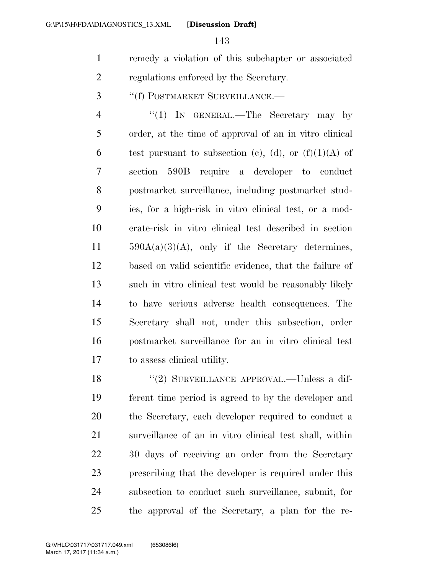- remedy a violation of this subchapter or associated regulations enforced by the Secretary.
- 3 <sup>"</sup>(f) POSTMARKET SURVEILLANCE.—

4 "(1) IN GENERAL.—The Secretary may by order, at the time of approval of an in vitro clinical 6 test pursuant to subsection (c), (d), or  $(f)(1)(A)$  of section 590B require a developer to conduct postmarket surveillance, including postmarket stud- ies, for a high-risk in vitro clinical test, or a mod- erate-risk in vitro clinical test described in section  $590A(a)(3)(A)$ , only if the Secretary determines, based on valid scientific evidence, that the failure of such in vitro clinical test would be reasonably likely to have serious adverse health consequences. The Secretary shall not, under this subsection, order postmarket surveillance for an in vitro clinical test to assess clinical utility.

18 "(2) SURVEILLANCE APPROVAL.—Unless a dif- ferent time period is agreed to by the developer and the Secretary, each developer required to conduct a surveillance of an in vitro clinical test shall, within 30 days of receiving an order from the Secretary prescribing that the developer is required under this subsection to conduct such surveillance, submit, for the approval of the Secretary, a plan for the re-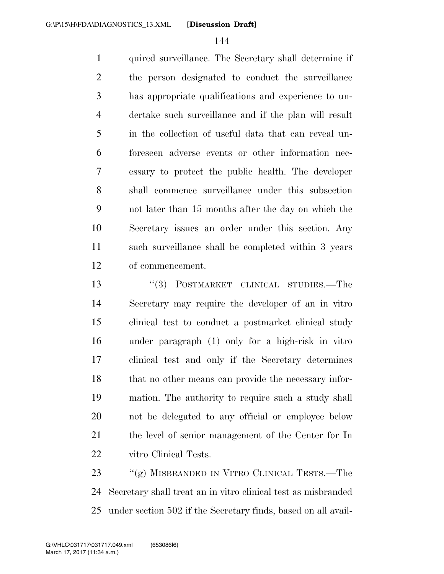quired surveillance. The Secretary shall determine if the person designated to conduct the surveillance has appropriate qualifications and experience to un- dertake such surveillance and if the plan will result in the collection of useful data that can reveal un- foreseen adverse events or other information nec- essary to protect the public health. The developer shall commence surveillance under this subsection not later than 15 months after the day on which the Secretary issues an order under this section. Any such surveillance shall be completed within 3 years of commencement.

13 ''(3) POSTMARKET CLINICAL STUDIES.—The Secretary may require the developer of an in vitro clinical test to conduct a postmarket clinical study under paragraph (1) only for a high-risk in vitro clinical test and only if the Secretary determines 18 that no other means can provide the necessary infor- mation. The authority to require such a study shall not be delegated to any official or employee below the level of senior management of the Center for In vitro Clinical Tests.

23 "(g) MISBRANDED IN VITRO CLINICAL TESTS.—The Secretary shall treat an in vitro clinical test as misbranded under section 502 if the Secretary finds, based on all avail-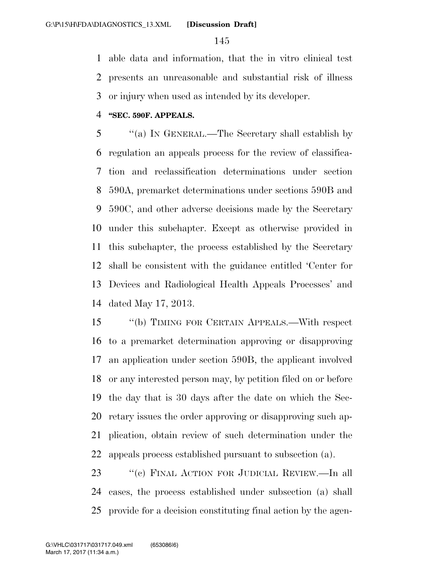able data and information, that the in vitro clinical test presents an unreasonable and substantial risk of illness or injury when used as intended by its developer.

### **''SEC. 590F. APPEALS.**

 ''(a) IN GENERAL.—The Secretary shall establish by regulation an appeals process for the review of classifica- tion and reclassification determinations under section 590A, premarket determinations under sections 590B and 590C, and other adverse decisions made by the Secretary under this subchapter. Except as otherwise provided in this subchapter, the process established by the Secretary shall be consistent with the guidance entitled 'Center for Devices and Radiological Health Appeals Processes' and dated May 17, 2013.

 ''(b) TIMING FOR CERTAIN APPEALS.—With respect to a premarket determination approving or disapproving an application under section 590B, the applicant involved or any interested person may, by petition filed on or before the day that is 30 days after the date on which the Sec- retary issues the order approving or disapproving such ap- plication, obtain review of such determination under the appeals process established pursuant to subsection (a).

 ''(c) FINAL ACTION FOR JUDICIAL REVIEW.—In all cases, the process established under subsection (a) shall provide for a decision constituting final action by the agen-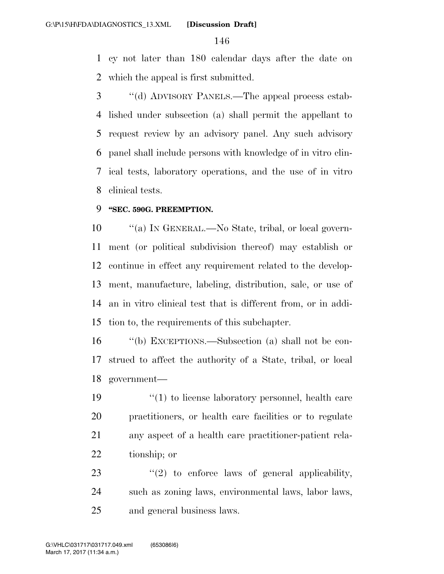cy not later than 180 calendar days after the date on which the appeal is first submitted.

 ''(d) ADVISORY PANELS.—The appeal process estab- lished under subsection (a) shall permit the appellant to request review by an advisory panel. Any such advisory panel shall include persons with knowledge of in vitro clin- ical tests, laboratory operations, and the use of in vitro clinical tests.

### **''SEC. 590G. PREEMPTION.**

 ''(a) IN GENERAL.—No State, tribal, or local govern- ment (or political subdivision thereof) may establish or continue in effect any requirement related to the develop- ment, manufacture, labeling, distribution, sale, or use of an in vitro clinical test that is different from, or in addi-tion to, the requirements of this subchapter.

 ''(b) EXCEPTIONS.—Subsection (a) shall not be con- strued to affect the authority of a State, tribal, or local government—

 ''(1) to license laboratory personnel, health care practitioners, or health care facilities or to regulate any aspect of a health care practitioner-patient rela-tionship; or

23  $\frac{1}{2}$  to enforce laws of general applicability, such as zoning laws, environmental laws, labor laws, and general business laws.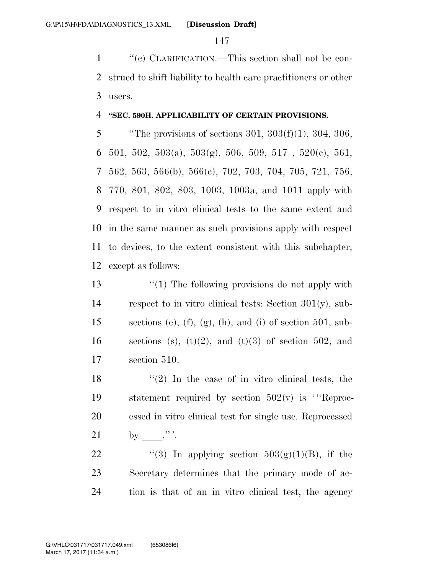1 ''(c) CLARIFICATION.—This section shall not be con-2 strued to shift liability to health care practitioners or other 3 users.

#### 4 **''SEC. 590H. APPLICABILITY OF CERTAIN PROVISIONS.**

 $\text{``The provisions of sections } 301, 303(f)(1), 304, 306,$ 6 501, 502, 503(a), 503(g), 506, 509, 517, 520(c), 561, 562, 563, 566(b), 566(e), 702, 703, 704, 705, 721, 756, 770, 801, 802, 803, 1003, 1003a, and 1011 apply with respect to in vitro clinical tests to the same extent and in the same manner as such provisions apply with respect to devices, to the extent consistent with this subchapter, except as follows:

13 ''(1) The following provisions do not apply with 14 respect to in vitro clinical tests: Section  $301(y)$ , sub-15 sections (e), (f), (g), (h), and (i) of section 501, sub-16 sections (s), (t)(2), and (t)(3) of section 502, and 17 section 510.

18  $\frac{1}{2}$  In the case of in vitro clinical tests, the 19 statement required by section  $502(v)$  is "Reproc-20 essed in vitro clinical test for single use. Reprocessed 21 by  $\frac{1}{2}$ .''.

22  $\frac{4}{3}$  In applying section  $503(g)(1)(B)$ , if the 23 Secretary determines that the primary mode of ac-24 tion is that of an in vitro clinical test, the agency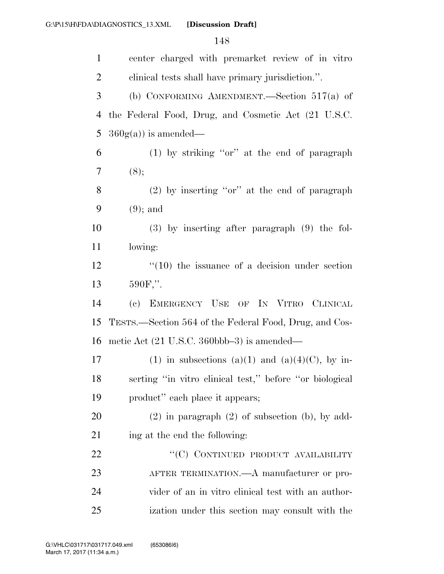| $\mathbf{1}$   | center charged with premarket review of in vitro                |
|----------------|-----------------------------------------------------------------|
| $\overline{c}$ | clinical tests shall have primary jurisdiction.".               |
| 3              | (b) CONFORMING AMENDMENT.—Section $517(a)$ of                   |
| 4              | the Federal Food, Drug, and Cosmetic Act (21 U.S.C.             |
| 5              | $360g(a)$ is amended—                                           |
| 6              | $(1)$ by striking "or" at the end of paragraph                  |
| 7              | (8);                                                            |
| 8              | $(2)$ by inserting "or" at the end of paragraph                 |
| 9              | $(9)$ ; and                                                     |
| 10             | $(3)$ by inserting after paragraph $(9)$ the fol-               |
| 11             | lowing:                                                         |
| 12             | $\degree$ (10) the issuance of a decision under section         |
| 13             | $590F$ ,".                                                      |
| 14             | (c) EMERGENCY USE OF IN VITRO CLINICAL                          |
| 15             | TESTS.—Section 564 of the Federal Food, Drug, and Cos-          |
| 16             | metic Act $(21 \text{ U.S.C. } 360 \text{bbb} - 3)$ is amended— |
| $17\,$         | (1) in subsections (a)(1) and (a)(4)(C), by in-                 |
| 18             | serting "in vitro clinical test," before "or biological         |
| 19             | product" each place it appears;                                 |
| 20             | $(2)$ in paragraph $(2)$ of subsection $(b)$ , by add-          |
| 21             | ing at the end the following:                                   |
| 22             | "(C) CONTINUED PRODUCT AVAILABILITY                             |
| 23             | AFTER TERMINATION. A manufacturer or pro-                       |
| 24             | vider of an in vitro clinical test with an author-              |
| 25             | ization under this section may consult with the                 |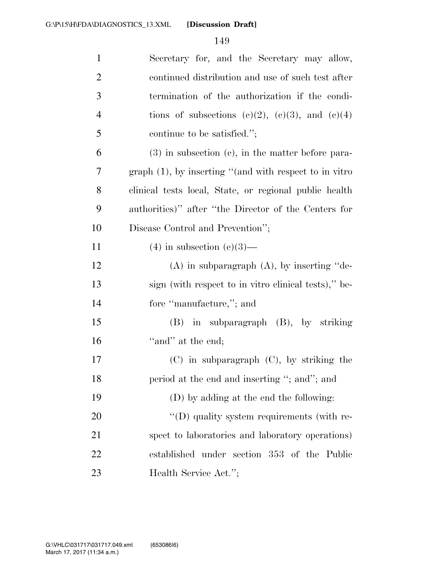| $\mathbf{1}$   | Secretary for, and the Secretary may allow,              |
|----------------|----------------------------------------------------------|
| $\mathbf{2}$   | continued distribution and use of such test after        |
| 3              | termination of the authorization if the condi-           |
| $\overline{4}$ | tions of subsections (c)(2), (e)(3), and (e)(4)          |
| 5              | continue to be satisfied.";                              |
| 6              | $(3)$ in subsection $(e)$ , in the matter before para-   |
| 7              | $graph(1)$ , by inserting "(and with respect to in vitro |
| 8              | clinical tests local, State, or regional public health   |
| 9              | authorities)" after "the Director of the Centers for     |
| 10             | Disease Control and Prevention";                         |
| 11             | $(4)$ in subsection $(e)(3)$ —                           |
| 12             | $(A)$ in subparagraph $(A)$ , by inserting "de-          |
| 13             | sign (with respect to in vitro clinical tests)," be-     |
| 14             | fore "manufacture,"; and                                 |
| 15             | (B) in subparagraph (B), by striking                     |
| 16             | "and" at the end;                                        |
| 17             | $(C)$ in subparagraph $(C)$ , by striking the            |
| 18             | period at the end and inserting "; and"; and             |
| 19             | (D) by adding at the end the following:                  |
| 20             | $\lq\lq$ quality system requirements (with re-           |
| 21             | spect to laboratories and laboratory operations)         |
| 22             | established under section 353 of the Public              |
| 23             | Health Service Act.";                                    |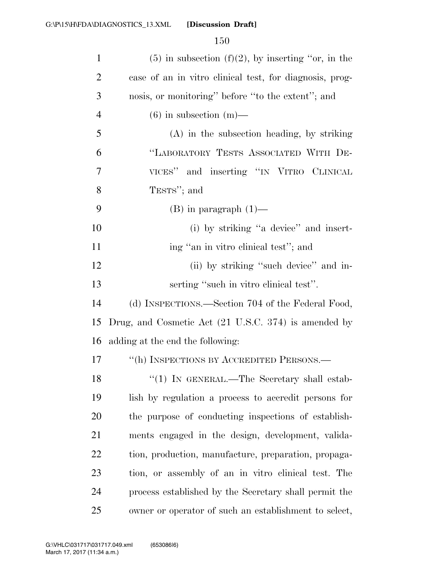| $\mathbf{1}$   | $(5)$ in subsection $(f)(2)$ , by inserting "or, in the |
|----------------|---------------------------------------------------------|
| $\overline{2}$ | case of an in vitro clinical test, for diagnosis, prog- |
| 3              | nosis, or monitoring" before "to the extent"; and       |
| $\overline{4}$ | $(6)$ in subsection $(m)$ —                             |
| 5              | (A) in the subsection heading, by striking              |
| 6              | "LABORATORY TESTS ASSOCIATED WITH DE-                   |
| 7              | VICES" and inserting "IN VITRO CLINICAL                 |
| 8              | TESTS"; and                                             |
| 9              | $(B)$ in paragraph $(1)$ —                              |
| 10             | (i) by striking "a device" and insert-                  |
| 11             | ing "an in vitro clinical test"; and                    |
| 12             | (ii) by striking "such device" and in-                  |
| 13             | serting "such in vitro clinical test".                  |
| 14             | (d) INSPECTIONS.—Section 704 of the Federal Food,       |
| 15             | Drug, and Cosmetic Act (21 U.S.C. 374) is amended by    |
| 16             | adding at the end the following:                        |
| 17             | "(h) INSPECTIONS BY ACCREDITED PERSONS.—                |
| 18             | $\lq(1)$ IN GENERAL.—The Secretary shall estab-         |
| 19             | lish by regulation a process to accredit persons for    |
| 20             | the purpose of conducting inspections of establish-     |
| 21             | ments engaged in the design, development, valida-       |
| 22             | tion, production, manufacture, preparation, propaga-    |
| 23             | tion, or assembly of an in vitro clinical test. The     |
| 24             | process established by the Secretary shall permit the   |
| 25             | owner or operator of such an establishment to select,   |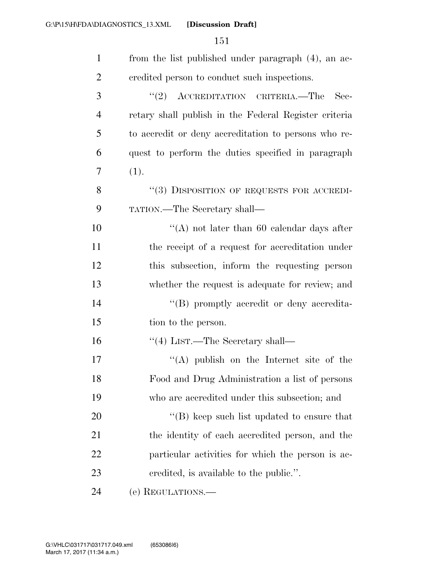| $\mathbf{1}$   | from the list published under paragraph (4), an ac-   |
|----------------|-------------------------------------------------------|
| $\overline{2}$ | credited person to conduct such inspections.          |
| 3              | (2)<br>ACCREDITATION CRITERIA.-The<br>Sec-            |
| $\overline{4}$ | retary shall publish in the Federal Register criteria |
| 5              | to accredit or deny accreditation to persons who re-  |
| 6              | quest to perform the duties specified in paragraph    |
| 7              | (1).                                                  |
| 8              | "(3) DISPOSITION OF REQUESTS FOR ACCREDI-             |
| 9              | TATION.—The Secretary shall—                          |
| 10             | "(A) not later than $60$ calendar days after          |
| 11             | the receipt of a request for accreditation under      |
| 12             | this subsection, inform the requesting person         |
| 13             | whether the request is adequate for review; and       |
| 14             | "(B) promptly accredit or deny accredita-             |
| 15             | tion to the person.                                   |
| 16             | "(4) LIST.—The Secretary shall—                       |
| 17             | "(A) publish on the Internet site of the              |
| 18             | Food and Drug Administration a list of persons        |
| 19             | who are accredited under this subsection; and         |
| 20             | $\lq\lq$ (B) keep such list updated to ensure that    |
| 21             | the identity of each accredited person, and the       |
| 22             | particular activities for which the person is ac-     |
| 23             | credited, is available to the public.".               |
| 24             | (e) REGULATIONS.—                                     |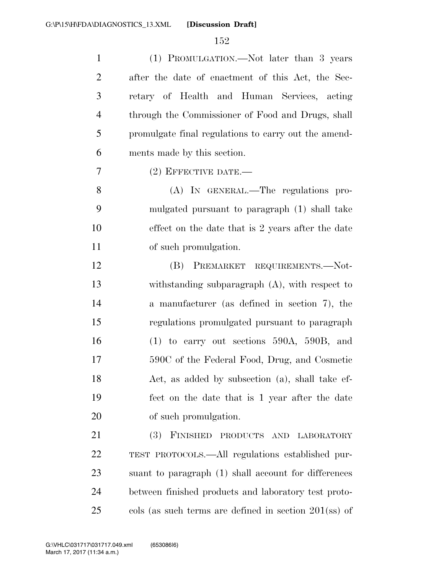| $\mathbf{1}$   | (1) PROMULGATION.—Not later than 3 years                 |
|----------------|----------------------------------------------------------|
| $\overline{2}$ | after the date of enactment of this Act, the Sec-        |
| 3              | retary of Health and Human Services, acting              |
| $\overline{4}$ | through the Commissioner of Food and Drugs, shall        |
| 5              | promulgate final regulations to carry out the amend-     |
| 6              | ments made by this section.                              |
| 7              | $(2)$ EFFECTIVE DATE.—                                   |
| 8              | (A) IN GENERAL.—The regulations pro-                     |
| 9              | mulgated pursuant to paragraph (1) shall take            |
| 10             | effect on the date that is 2 years after the date        |
| 11             | of such promulgation.                                    |
| 12             | (B) PREMARKET REQUIREMENTS.-Not-                         |
| 13             | with standing subparagraph $(A)$ , with respect to       |
| 14             | a manufacturer (as defined in section 7), the            |
| 15             | regulations promulgated pursuant to paragraph            |
| 16             | (1) to carry out sections 590A, 590B, and                |
| 17             | 590C of the Federal Food, Drug, and Cosmetic             |
| 18             | Act, as added by subsection (a), shall take ef-          |
| 19             | fect on the date that is 1 year after the date           |
| 20             | of such promulgation.                                    |
| 21             | (3) FINISHED PRODUCTS AND LABORATORY                     |
| 22             | TEST PROTOCOLS.—All regulations established pur-         |
| 23             | suant to paragraph (1) shall account for differences     |
| 24             | between finished products and laboratory test proto-     |
| 25             | cols (as such terms are defined in section $201$ (ss) of |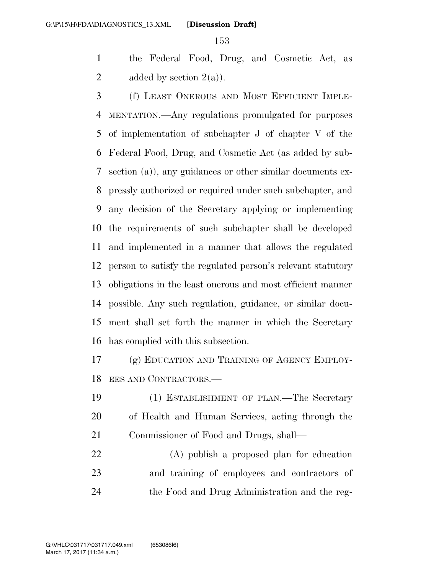the Federal Food, Drug, and Cosmetic Act, as 2 added by section  $2(a)$ ).

 (f) LEAST ONEROUS AND MOST EFFICIENT IMPLE- MENTATION.—Any regulations promulgated for purposes of implementation of subchapter J of chapter V of the Federal Food, Drug, and Cosmetic Act (as added by sub- section (a)), any guidances or other similar documents ex- pressly authorized or required under such subchapter, and any decision of the Secretary applying or implementing the requirements of such subchapter shall be developed and implemented in a manner that allows the regulated person to satisfy the regulated person's relevant statutory obligations in the least onerous and most efficient manner possible. Any such regulation, guidance, or similar docu- ment shall set forth the manner in which the Secretary has complied with this subsection.

 (g) EDUCATION AND TRAINING OF AGENCY EMPLOY-EES AND CONTRACTORS.—

 (1) ESTABLISHMENT OF PLAN.—The Secretary of Health and Human Services, acting through the Commissioner of Food and Drugs, shall—

 (A) publish a proposed plan for education and training of employees and contractors of the Food and Drug Administration and the reg-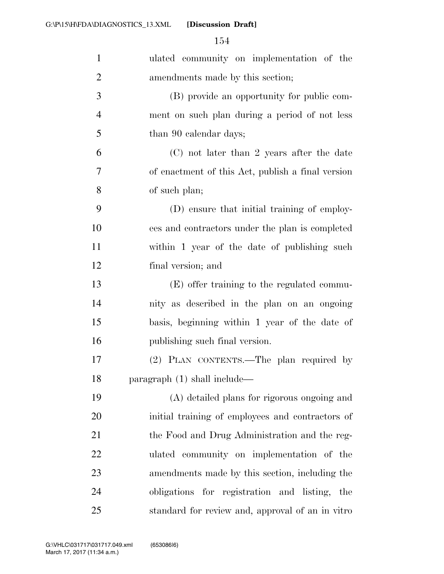| $\mathbf{1}$   | ulated community on implementation of the         |
|----------------|---------------------------------------------------|
| $\overline{2}$ | amendments made by this section;                  |
| 3              | (B) provide an opportunity for public com-        |
| $\overline{4}$ | ment on such plan during a period of not less     |
| 5              | than 90 calendar days;                            |
| 6              | (C) not later than 2 years after the date         |
| 7              | of enactment of this Act, publish a final version |
| 8              | of such plan;                                     |
| 9              | (D) ensure that initial training of employ-       |
| 10             | ees and contractors under the plan is completed   |
| 11             | within 1 year of the date of publishing such      |
| 12             | final version; and                                |
| 13             | (E) offer training to the regulated commu-        |
| 14             | nity as described in the plan on an ongoing       |
| 15             | basis, beginning within 1 year of the date of     |
| 16             | publishing such final version.                    |
| 17             | (2) PLAN CONTENTS.—The plan required by           |
| 18             | paragraph (1) shall include—                      |
| 19             | (A) detailed plans for rigorous ongoing and       |
| 20             | initial training of employees and contractors of  |
| 21             | the Food and Drug Administration and the reg-     |
| 22             | ulated community on implementation of the         |
| 23             | amendments made by this section, including the    |
| 24             | obligations for registration and listing, the     |
| 25             | standard for review and, approval of an in vitro  |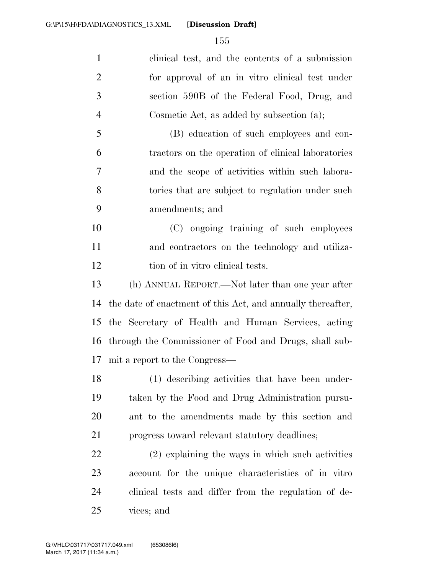| $\mathbf{1}$   | clinical test, and the contents of a submission             |
|----------------|-------------------------------------------------------------|
| $\overline{2}$ | for approval of an in vitro clinical test under             |
| 3              | section 590B of the Federal Food, Drug, and                 |
| $\overline{4}$ | Cosmetic Act, as added by subsection $(a)$ ;                |
| 5              | (B) education of such employees and con-                    |
| 6              | tractors on the operation of clinical laboratories          |
| 7              | and the scope of activities within such labora-             |
| 8              | tories that are subject to regulation under such            |
| 9              | amendments; and                                             |
| 10             | (C) ongoing training of such employees                      |
| 11             | and contractors on the technology and utiliza-              |
| 12             | tion of in vitro clinical tests.                            |
| 13             | (h) ANNUAL REPORT.—Not later than one year after            |
| 14             | the date of enactment of this Act, and annually thereafter, |
| 15             | the Secretary of Health and Human Services, acting          |
| 16             | through the Commissioner of Food and Drugs, shall sub-      |
| 17             | mit a report to the Congress—                               |
| 18             | (1) describing activities that have been under-             |
| 19             | taken by the Food and Drug Administration pursu-            |
| 20             | ant to the amendments made by this section and              |
| 21             | progress toward relevant statutory deadlines;               |
| 22             | $(2)$ explaining the ways in which such activities          |
| 23             | account for the unique characteristics of in vitro          |
| 24             | clinical tests and differ from the regulation of de-        |
| 25             | vices; and                                                  |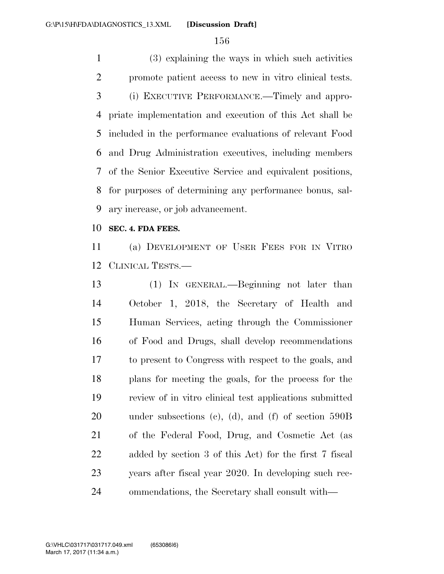(3) explaining the ways in which such activities promote patient access to new in vitro clinical tests. (i) EXECUTIVE PERFORMANCE.—Timely and appro- priate implementation and execution of this Act shall be included in the performance evaluations of relevant Food and Drug Administration executives, including members of the Senior Executive Service and equivalent positions, for purposes of determining any performance bonus, sal-ary increase, or job advancement.

**SEC. 4. FDA FEES.** 

 (a) DEVELOPMENT OF USER FEES FOR IN VITRO CLINICAL TESTS.—

 (1) IN GENERAL.—Beginning not later than October 1, 2018, the Secretary of Health and Human Services, acting through the Commissioner of Food and Drugs, shall develop recommendations to present to Congress with respect to the goals, and plans for meeting the goals, for the process for the review of in vitro clinical test applications submitted under subsections (c), (d), and (f) of section 590B of the Federal Food, Drug, and Cosmetic Act (as added by section 3 of this Act) for the first 7 fiscal years after fiscal year 2020. In developing such rec-ommendations, the Secretary shall consult with—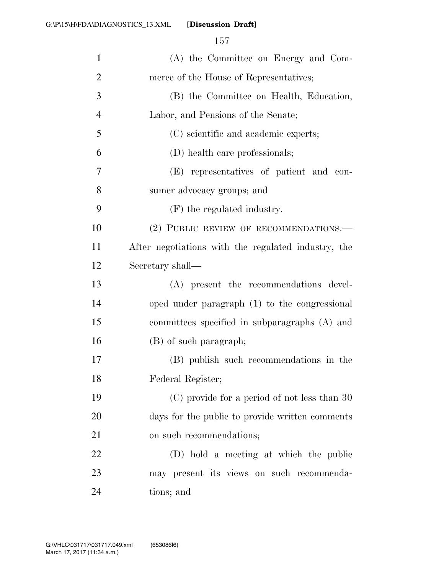| $\mathbf{1}$   | (A) the Committee on Energy and Com-                |
|----------------|-----------------------------------------------------|
| $\overline{2}$ | merce of the House of Representatives;              |
| 3              | (B) the Committee on Health, Education,             |
| $\overline{4}$ | Labor, and Pensions of the Senate;                  |
| 5              | (C) scientific and academic experts;                |
| 6              | (D) health care professionals;                      |
| $\tau$         | (E) representatives of patient and con-             |
| 8              | sumer advocacy groups; and                          |
| 9              | (F) the regulated industry.                         |
| 10             | (2) PUBLIC REVIEW OF RECOMMENDATIONS.—              |
| 11             | After negotiations with the regulated industry, the |
| 12             | Secretary shall—                                    |
| 13             | (A) present the recommendations devel-              |
| 14             | oped under paragraph (1) to the congressional       |
| 15             | committees specified in subparagraphs (A) and       |
| 16             | (B) of such paragraph;                              |
| 17             | (B) publish such recommendations in the             |
| 18             | Federal Register;                                   |
| 19             | (C) provide for a period of not less than 30        |
| <b>20</b>      | days for the public to provide written comments     |
| 21             | on such recommendations;                            |
| 22             | (D) hold a meeting at which the public              |
| 23             |                                                     |
|                | may present its views on such recommenda-           |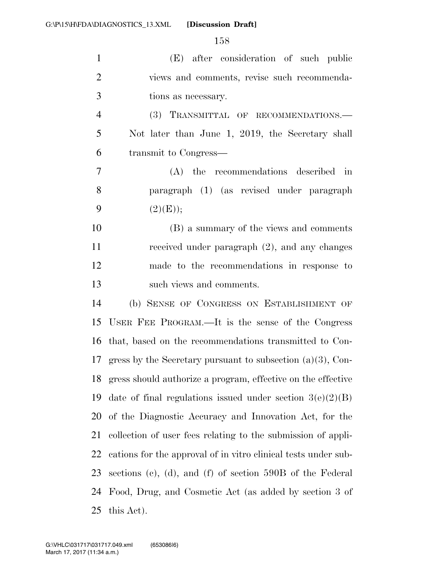| $\mathbf{1}$   | (E) after consideration of such public                            |
|----------------|-------------------------------------------------------------------|
| $\overline{2}$ | views and comments, revise such recommenda-                       |
| 3              | tions as necessary.                                               |
| $\overline{4}$ | (3) TRANSMITTAL OF RECOMMENDATIONS.—                              |
| 5              | Not later than June 1, 2019, the Secretary shall                  |
| 6              | transmit to Congress—                                             |
| $\overline{7}$ | (A) the recommendations described in                              |
| 8              | paragraph (1) (as revised under paragraph                         |
| 9              | (2)(E));                                                          |
| 10             | (B) a summary of the views and comments                           |
| 11             | received under paragraph $(2)$ , and any changes                  |
| 12             | made to the recommendations in response to                        |
| 13             | such views and comments.                                          |
| 14             | (b) SENSE OF CONGRESS ON ESTABLISHMENT OF                         |
| 15             | USER FEE PROGRAM.—It is the sense of the Congress                 |
| 16             | that, based on the recommendations transmitted to Con-            |
|                | 17 gress by the Secretary pursuant to subsection $(a)(3)$ , Con-  |
| 18             | gress should authorize a program, effective on the effective      |
| 19             | date of final regulations issued under section $3(e)(2)(B)$       |
| 20             | of the Diagnostic Accuracy and Innovation Act, for the            |
| 21             | collection of user fees relating to the submission of appli-      |
| 22             | cations for the approval of in vitro clinical tests under sub-    |
| 23             | sections $(e)$ , $(d)$ , and $(f)$ of section 590B of the Federal |
| 24             | Food, Drug, and Cosmetic Act (as added by section 3 of            |
| 25             | this Act).                                                        |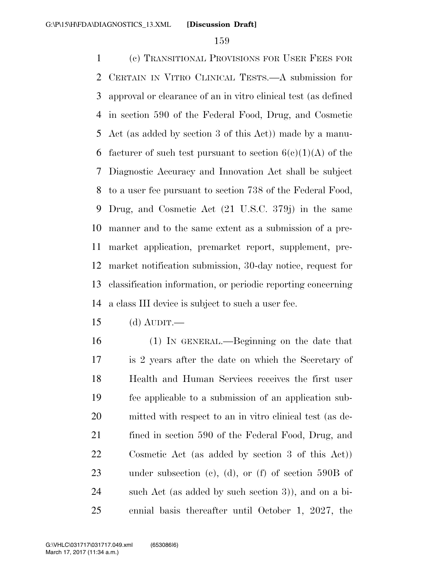(c) TRANSITIONAL PROVISIONS FOR USER FEES FOR CERTAIN IN VITRO CLINICAL TESTS.—A submission for approval or clearance of an in vitro clinical test (as defined in section 590 of the Federal Food, Drug, and Cosmetic Act (as added by section 3 of this Act)) made by a manu-6 facturer of such test pursuant to section  $6(c)(1)(A)$  of the Diagnostic Accuracy and Innovation Act shall be subject to a user fee pursuant to section 738 of the Federal Food, Drug, and Cosmetic Act (21 U.S.C. 379j) in the same manner and to the same extent as a submission of a pre- market application, premarket report, supplement, pre- market notification submission, 30-day notice, request for classification information, or periodic reporting concerning a class III device is subject to such a user fee.

- (d) AUDIT.—
- 

 (1) IN GENERAL.—Beginning on the date that is 2 years after the date on which the Secretary of Health and Human Services receives the first user fee applicable to a submission of an application sub- mitted with respect to an in vitro clinical test (as de- fined in section 590 of the Federal Food, Drug, and Cosmetic Act (as added by section 3 of this Act)) under subsection (c), (d), or (f) of section 590B of such Act (as added by such section 3)), and on a bi-ennial basis thereafter until October 1, 2027, the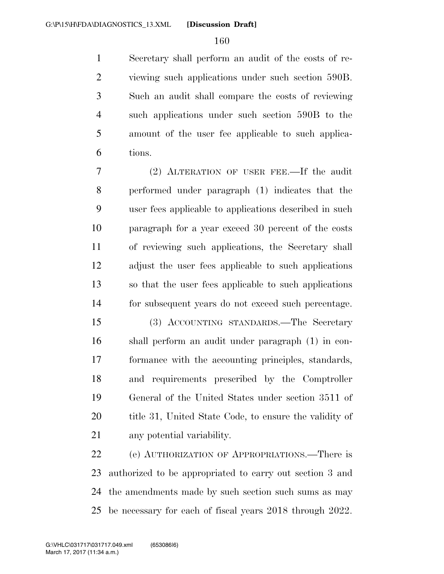Secretary shall perform an audit of the costs of re- viewing such applications under such section 590B. Such an audit shall compare the costs of reviewing such applications under such section 590B to the amount of the user fee applicable to such applica-tions.

 (2) ALTERATION OF USER FEE.—If the audit performed under paragraph (1) indicates that the user fees applicable to applications described in such paragraph for a year exceed 30 percent of the costs of reviewing such applications, the Secretary shall adjust the user fees applicable to such applications so that the user fees applicable to such applications for subsequent years do not exceed such percentage.

 (3) ACCOUNTING STANDARDS.—The Secretary shall perform an audit under paragraph (1) in con- formance with the accounting principles, standards, and requirements prescribed by the Comptroller General of the United States under section 3511 of 20 title 31, United State Code, to ensure the validity of any potential variability.

 (e) AUTHORIZATION OF APPROPRIATIONS.—There is authorized to be appropriated to carry out section 3 and the amendments made by such section such sums as may be necessary for each of fiscal years 2018 through 2022.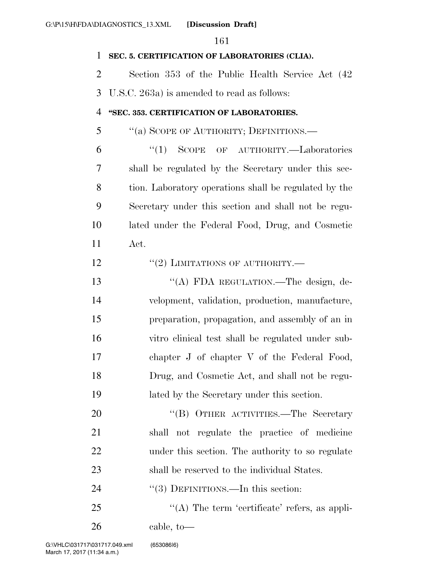# **SEC. 5. CERTIFICATION OF LABORATORIES (CLIA).**

 Section 353 of the Public Health Service Act (42 U.S.C. 263a) is amended to read as follows:

## **''SEC. 353. CERTIFICATION OF LABORATORIES.**

''(a) SCOPE OF AUTHORITY; DEFINITIONS.—

 ''(1) SCOPE OF AUTHORITY.—Laboratories shall be regulated by the Secretary under this sec- tion. Laboratory operations shall be regulated by the Secretary under this section and shall not be regu- lated under the Federal Food, Drug, and Cosmetic Act.

# 12 "(2) LIMITATIONS OF AUTHORITY.—

13 "(A) FDA REGULATION.—The design, de- velopment, validation, production, manufacture, preparation, propagation, and assembly of an in vitro clinical test shall be regulated under sub- chapter J of chapter V of the Federal Food, Drug, and Cosmetic Act, and shall not be regu-lated by the Secretary under this section.

20 "'(B) OTHER ACTIVITIES.—The Secretary shall not regulate the practice of medicine under this section. The authority to so regulate shall be reserved to the individual States.

- 24 "(3) DEFINITIONS.—In this section:
- $\mathcal{L}(A)$  The term 'certificate' refers, as appli-cable, to—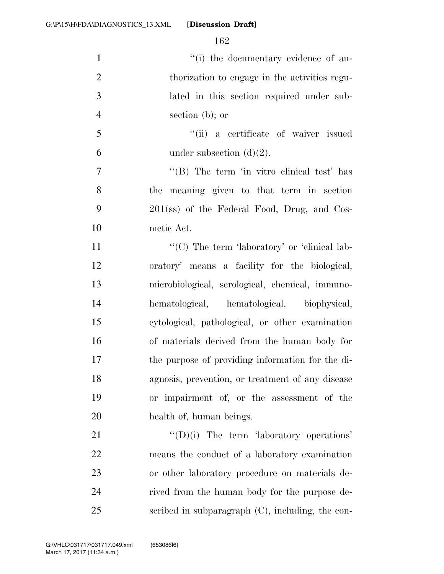**[Discussion Draft]** 

| $\mathbf{1}$   | "(i) the documentary evidence of au-                |
|----------------|-----------------------------------------------------|
| $\overline{2}$ | thorization to engage in the activities regu-       |
| $\mathfrak{Z}$ | lated in this section required under sub-           |
| $\overline{4}$ | section $(b)$ ; or                                  |
| $\mathfrak{S}$ | "(ii) a certificate of waiver issued                |
| 6              | under subsection $(d)(2)$ .                         |
| $\tau$         | "(B) The term 'in vitro clinical test' has          |
| 8              | the meaning given to that term in section           |
| 9              | 201(ss) of the Federal Food, Drug, and Cos-         |
| 10             | metic Act.                                          |
| 11             | "(C) The term 'laboratory' or 'clinical lab-        |
| 12             | oratory' means a facility for the biological,       |
| 13             | microbiological, serological, chemical, immuno-     |
| 14             | hematological, hematological, biophysical,          |
| 15             | cytological, pathological, or other examination     |
| 16             | of materials derived from the human body for        |
| 17             | the purpose of providing information for the di-    |
| 18             | agnosis, prevention, or treatment of any disease    |
| 19             | or impairment of, or the assessment of the          |
| 20             | health of, human beings.                            |
| 21             | $\lq\lq$ (D)(i) The term 'laboratory operations'    |
| 22             | means the conduct of a laboratory examination       |
| 23             | or other laboratory procedure on materials de-      |
| 24             | rived from the human body for the purpose de-       |
| 25             | scribed in subparagraph $(C)$ , including, the con- |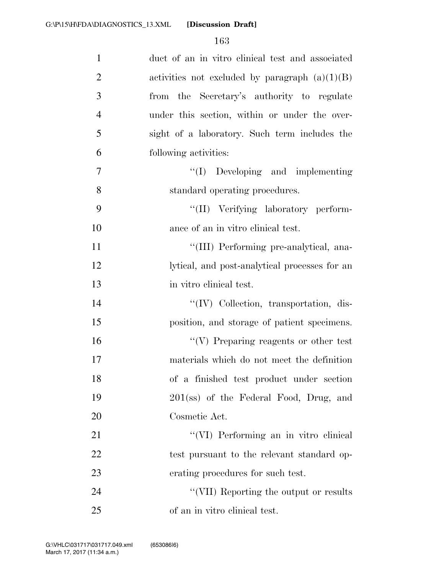| $\mathbf{1}$   | duct of an in vitro clinical test and associated |
|----------------|--------------------------------------------------|
| $\overline{2}$ | activities not excluded by paragraph $(a)(1)(B)$ |
| 3              | from the Secretary's authority to regulate       |
| $\overline{4}$ | under this section, within or under the over-    |
| 5              | sight of a laboratory. Such term includes the    |
| 6              | following activities:                            |
| $\overline{7}$ | $\lq\lq$ (I) Developing and implementing         |
| 8              | standard operating procedures.                   |
| 9              | "(II) Verifying laboratory perform-              |
| 10             | ance of an in vitro clinical test.               |
| 11             | "(III) Performing pre-analytical, ana-           |
| 12             | lytical, and post-analytical processes for an    |
| 13             | in vitro clinical test.                          |
| 14             | "(IV) Collection, transportation, dis-           |
| 15             | position, and storage of patient specimens.      |
| 16             | "(V) Preparing reagents or other test            |
| 17             | materials which do not meet the definition       |
| 18             | of a finished test product under section         |
| 19             | $201$ (ss) of the Federal Food, Drug, and        |
| 20             | Cosmetic Act.                                    |
| 21             | "(VI) Performing an in vitro clinical            |
| 22             | test pursuant to the relevant standard op-       |
| 23             | erating procedures for such test.                |
| 24             | "(VII) Reporting the output or results           |
| 25             | of an in vitro clinical test.                    |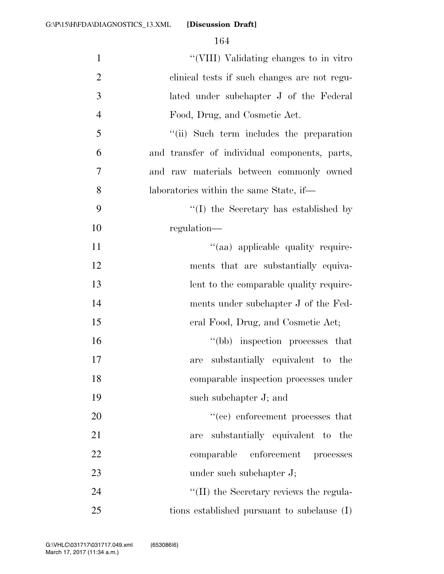**[Discussion Draft]** 

| $\mathbf{1}$   | "(VIII) Validating changes to in vitro        |
|----------------|-----------------------------------------------|
| $\overline{2}$ | clinical tests if such changes are not regu-  |
| 3              | lated under subchapter J of the Federal       |
| $\overline{4}$ | Food, Drug, and Cosmetic Act.                 |
| 5              | "(ii) Such term includes the preparation      |
| 6              | and transfer of individual components, parts, |
| $\overline{7}$ | and raw materials between commonly owned      |
| 8              | laboratories within the same State, if—       |
| 9              | "(I) the Secretary has established by         |
| 10             | regulation—                                   |
| 11             | "(aa) applicable quality require-             |
| 12             | ments that are substantially equiva-          |
| 13             | lent to the comparable quality require-       |
| 14             | ments under subchapter J of the Fed-          |
| 15             | eral Food, Drug, and Cosmetic Act;            |
| 16             | "(bb) inspection processes that               |
| 17             | substantially equivalent to the<br>are        |
| 18             | comparable inspection processes under         |
| 19             | such subchapter J; and                        |
| 20             | "(cc) enforcement processes that              |
| 21             | substantially equivalent to the<br>are        |
| 22             | comparable<br>enforcement<br>processes        |
| 23             | under such subchapter J;                      |
| 24             | "(II) the Secretary reviews the regula-       |
| 25             | tions established pursuant to subclause (I)   |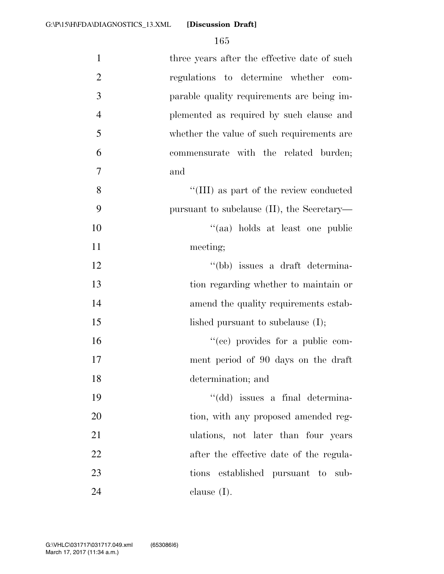| $\mathbf{1}$   | three years after the effective date of such  |
|----------------|-----------------------------------------------|
| $\overline{2}$ | regulations to determine whether com-         |
| 3              | parable quality requirements are being im-    |
| $\overline{4}$ | plemented as required by such clause and      |
| 5              | whether the value of such requirements are    |
| 6              | commensurate with the related burden;         |
| 7              | and                                           |
| 8              | "(III) as part of the review conducted        |
| 9              | pursuant to subclause $(II)$ , the Secretary— |
| 10             | "(aa) holds at least one public               |
| 11             | meeting;                                      |
| 12             | "(bb) issues a draft determina-               |
| 13             | tion regarding whether to maintain or         |
| 14             | amend the quality requirements estab-         |
| 15             | lished pursuant to subclause $(I);$           |
| 16             | "(cc) provides for a public com-              |
| 17             | ment period of 90 days on the draft           |
| 18             | determination; and                            |
| 19             | "(dd) issues a final determina-               |
| 20             | tion, with any proposed amended reg-          |
| 21             | ulations, not later than four years           |
| 22             | after the effective date of the regula-       |
| 23             | tions established pursuant to sub-            |
| 24             | clause $(I)$ .                                |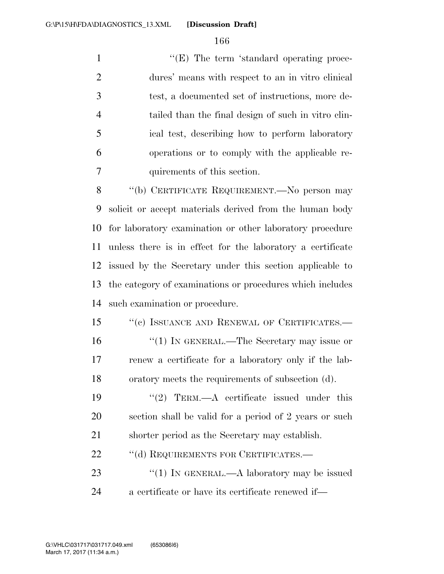$\langle$  (E) The term 'standard operating proce- dures' means with respect to an in vitro clinical test, a documented set of instructions, more de- tailed than the final design of such in vitro clin- ical test, describing how to perform laboratory operations or to comply with the applicable re-quirements of this section.

 ''(b) CERTIFICATE REQUIREMENT.—No person may solicit or accept materials derived from the human body for laboratory examination or other laboratory procedure unless there is in effect for the laboratory a certificate issued by the Secretary under this section applicable to the category of examinations or procedures which includes such examination or procedure.

- 15 "(c) ISSUANCE AND RENEWAL OF CERTIFICATES.— ''(1) IN GENERAL.—The Secretary may issue or renew a certificate for a laboratory only if the lab-oratory meets the requirements of subsection (d).
- 19 "(2) TERM.—A certificate issued under this section shall be valid for a period of 2 years or such shorter period as the Secretary may establish.

22 "(d) REQUIREMENTS FOR CERTIFICATES.—

23 "(1) IN GENERAL.—A laboratory may be issued a certificate or have its certificate renewed if—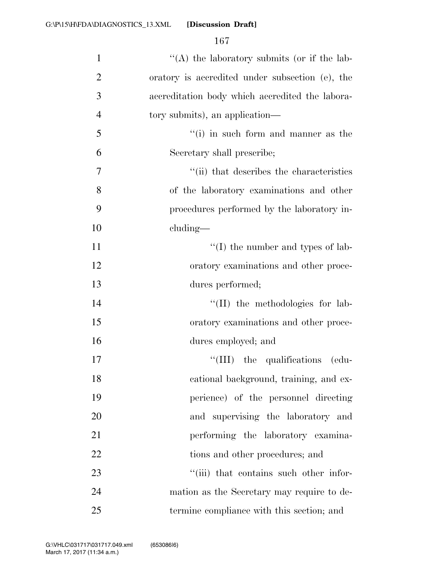| $\mathbf{1}$   | "(A) the laboratory submits (or if the lab-     |
|----------------|-------------------------------------------------|
| $\overline{2}$ | oratory is accredited under subsection (e), the |
| 3              | accreditation body which accredited the labora- |
| $\overline{4}$ | tory submits), an application—                  |
| 5              | "(i) in such form and manner as the             |
| 6              | Secretary shall prescribe;                      |
| $\overline{7}$ | "(ii) that describes the characteristics        |
| 8              | of the laboratory examinations and other        |
| 9              | procedures performed by the laboratory in-      |
| 10             | $cluding$ —                                     |
| 11             | "(I) the number and types of lab-               |
| 12             | oratory examinations and other proce-           |
| 13             | dures performed;                                |
| 14             | "(II) the methodologies for lab-                |
| 15             | oratory examinations and other proce-           |
| 16             | dures employed; and                             |
| 17             | "(III) the qualifications (edu-                 |
| 18             | cational background, training, and ex-          |
| 19             | perience) of the personnel directing            |
| 20             | and supervising the laboratory and              |
| 21             | performing the laboratory examina-              |
| 22             | tions and other procedures; and                 |
| 23             | "(iii) that contains such other infor-          |
| 24             | mation as the Secretary may require to de-      |
| 25             | termine compliance with this section; and       |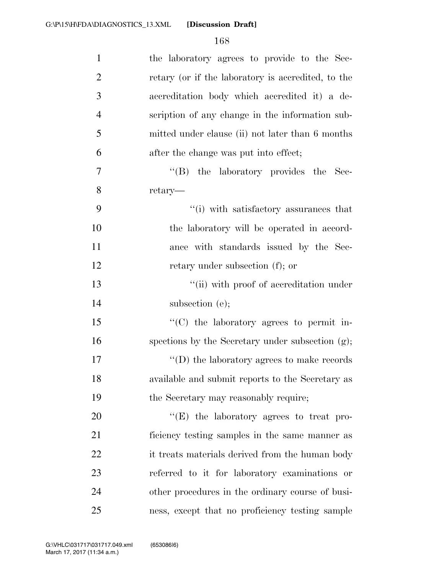| $\mathbf{1}$   | the laboratory agrees to provide to the Sec-       |
|----------------|----------------------------------------------------|
| $\overline{2}$ | retary (or if the laboratory is accredited, to the |
| 3              | accreditation body which accredited it) a de-      |
| $\overline{4}$ | scription of any change in the information sub-    |
| 5              | mitted under clause (ii) not later than 6 months   |
| 6              | after the change was put into effect;              |
| $\tau$         | $\cdot$ (B) the laboratory provides the Sec-       |
| 8              | retary—                                            |
| 9              | "(i) with satisfactory assurances that             |
| 10             | the laboratory will be operated in accord-         |
| 11             | ance with standards issued by the Sec-             |
| 12             | retary under subsection (f); or                    |
| 13             | "(ii) with proof of accreditation under            |
| 14             | subsection (e);                                    |
| 15             | "(C) the laboratory agrees to permit in-           |
| 16             | spections by the Secretary under subsection (g);   |
| 17             | $\lq\lq$ the laboratory agrees to make records     |
| 18             | available and submit reports to the Secretary as   |
| 19             | the Secretary may reasonably require;              |
| 20             | $\lq\lq(E)$ the laboratory agrees to treat pro-    |
| 21             | ficiency testing samples in the same manner as     |
| 22             | it treats materials derived from the human body    |
| 23             | referred to it for laboratory examinations or      |
| 24             | other procedures in the ordinary course of busi-   |
| 25             | ness, except that no proficiency testing sample    |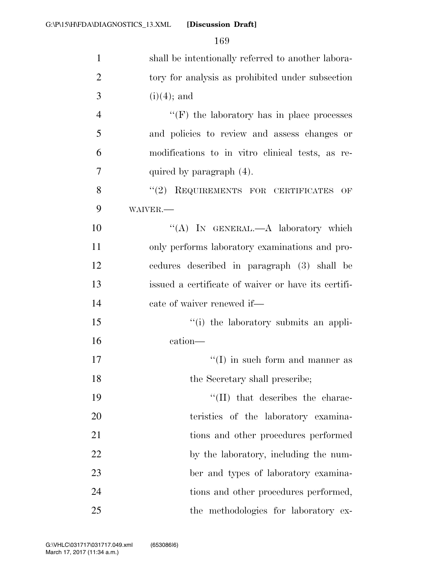| $\mathbf{1}$   | shall be intentionally referred to another labora-  |
|----------------|-----------------------------------------------------|
| $\overline{2}$ | tory for analysis as prohibited under subsection    |
| 3              | $(i)(4)$ ; and                                      |
| $\overline{4}$ | $\lq\lq(F)$ the laboratory has in place processes   |
| 5              | and policies to review and assess changes or        |
| 6              | modifications to in vitro clinical tests, as re-    |
| 7              | quired by paragraph (4).                            |
| 8              | "(2) REQUIREMENTS FOR CERTIFICATES OF               |
| 9              | WAIVER.                                             |
| 10             | "(A) IN GENERAL.—A laboratory which                 |
| 11             | only performs laboratory examinations and pro-      |
| 12             | cedures described in paragraph (3) shall be         |
| 13             | issued a certificate of waiver or have its certifi- |
| 14             | cate of waiver renewed if—                          |
| 15             | "(i) the laboratory submits an appli-               |
| 16             | cation-                                             |
| 17             | $\lq\lq$ (I) in such form and manner as             |
| 18             | the Secretary shall prescribe;                      |
| 19             | $\lq\lq$ (II) that describes the charac-            |
| 20             | teristics of the laboratory examina-                |
| 21             | tions and other procedures performed                |
| 22             | by the laboratory, including the num-               |
| 23             | ber and types of laboratory examina-                |
| 24             | tions and other procedures performed,               |
| 25             | the methodologies for laboratory ex-                |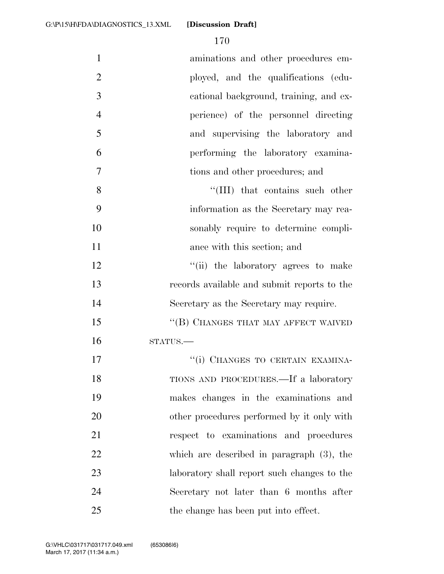**[Discussion Draft]** 

| $\mathbf{1}$   | aminations and other procedures em-          |
|----------------|----------------------------------------------|
| $\overline{2}$ | ployed, and the qualifications (edu-         |
| 3              | cational background, training, and ex-       |
| $\overline{4}$ | perience) of the personnel directing         |
| 5              | and supervising the laboratory and           |
| 6              | performing the laboratory examina-           |
| $\overline{7}$ | tions and other procedures; and              |
| 8              | "(III) that contains such other              |
| 9              | information as the Secretary may rea-        |
| 10             | sonably require to determine compli-         |
| 11             | ance with this section; and                  |
| 12             | "(ii) the laboratory agrees to make          |
| 13             | records available and submit reports to the  |
| 14             | Secretary as the Secretary may require.      |
| 15             | "(B) CHANGES THAT MAY AFFECT WAIVED          |
| 16             | STATUS                                       |
| 17             | "(i) CHANGES TO CERTAIN EXAMINA-             |
| 18             | TIONS AND PROCEDURES.—If a laboratory        |
| 19             | makes changes in the examinations and        |
| 20             | other procedures performed by it only with   |
| 21             | respect to examinations and procedures       |
| 22             | which are described in paragraph $(3)$ , the |
| 23             | laboratory shall report such changes to the  |
| 24             | Secretary not later than 6 months after      |
| 25             | the change has been put into effect.         |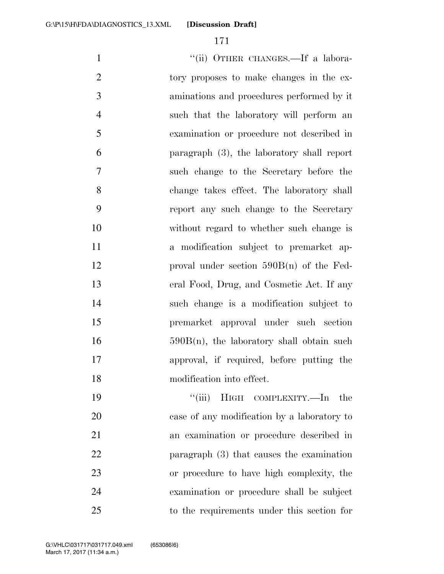**[Discussion Draft]** 

1 "(ii) OTHER CHANGES.—If a labora-2 tory proposes to make changes in the ex- aminations and procedures performed by it such that the laboratory will perform an examination or procedure not described in paragraph (3), the laboratory shall report such change to the Secretary before the change takes effect. The laboratory shall report any such change to the Secretary without regard to whether such change is a modification subject to premarket ap- proval under section 590B(n) of the Fed- eral Food, Drug, and Cosmetic Act. If any such change is a modification subject to premarket approval under such section 16 590B(n), the laboratory shall obtain such approval, if required, before putting the modification into effect. 19 ''(iii) HIGH COMPLEXITY.—In the case of any modification by a laboratory to

 an examination or procedure described in paragraph (3) that causes the examination or procedure to have high complexity, the examination or procedure shall be subject to the requirements under this section for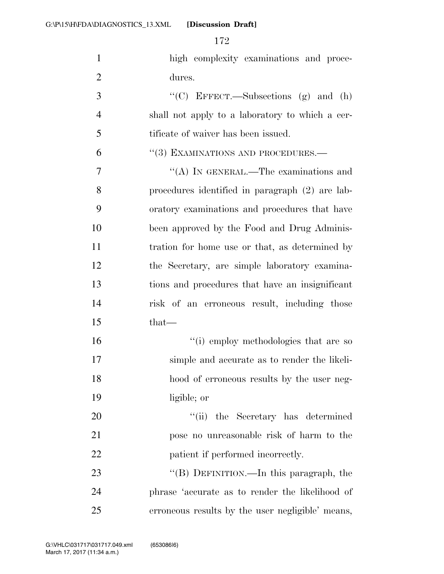| $\mathbf{1}$   | high complexity examinations and proce-          |
|----------------|--------------------------------------------------|
| $\overline{2}$ | dures.                                           |
| 3              | "(C) EFFECT.—Subsections (g) and (h)             |
| $\overline{4}$ | shall not apply to a laboratory to which a cer-  |
| 5              | tificate of waiver has been issued.              |
| 6              | "(3) EXAMINATIONS AND PROCEDURES.-               |
| 7              | "(A) IN GENERAL.—The examinations and            |
| 8              | procedures identified in paragraph (2) are lab-  |
| 9              | oratory examinations and procedures that have    |
| 10             | been approved by the Food and Drug Adminis-      |
| 11             | tration for home use or that, as determined by   |
| 12             | the Secretary, are simple laboratory examina-    |
| 13             | tions and procedures that have an insignificant  |
| 14             | risk of an erroneous result, including those     |
| 15             | $that-$                                          |
| 16             | "(i) employ methodologies that are so            |
| 17             | simple and accurate as to render the likeli-     |
| 18             | hood of erroneous results by the user neg-       |
| 19             | ligible; or                                      |
| 20             | "(ii) the Secretary has determined               |
| 21             | pose no unreasonable risk of harm to the         |
| 22             | patient if performed incorrectly.                |
| 23             | "(B) DEFINITION.—In this paragraph, the          |
| 24             | phrase 'accurate as to render the likelihood of  |
| 25             | erroneous results by the user negligible' means, |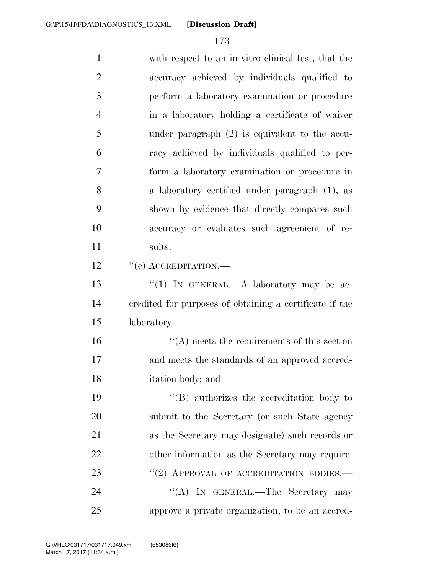| $\mathbf{1}$   | with respect to an in vitro clinical test, that the     |
|----------------|---------------------------------------------------------|
| $\overline{2}$ | accuracy achieved by individuals qualified to           |
| 3              | perform a laboratory examination or procedure           |
| $\overline{4}$ | in a laboratory holding a certificate of waiver         |
| 5              | under paragraph $(2)$ is equivalent to the accu-        |
| 6              | racy achieved by individuals qualified to per-          |
| $\overline{7}$ | form a laboratory examination or procedure in           |
| 8              | a laboratory certified under paragraph (1), as          |
| 9              | shown by evidence that directly compares such           |
| 10             | accuracy or evaluates such agreement of re-             |
| 11             | sults.                                                  |
| 12             | $``$ (e) ACCREDITATION.—                                |
| 13             | "(1) IN GENERAL.—A laboratory may be ac-                |
| 14             | credited for purposes of obtaining a certificate if the |
| 15             | laboratory—                                             |
| 16             | $\lq\lq$ meets the requirements of this section         |
| 17             | and meets the standards of an approved accred-          |
| 18             | itation body; and                                       |
| 19             | $\lq\lq$ authorizes the accreditation body to           |
| 20             | submit to the Secretary (or such State agency           |
| 21             | as the Secretary may designate) such records or         |
| 22             | other information as the Secretary may require.         |
| 23             | "(2) APPROVAL OF ACCREDITATION BODIES.                  |
| 24             | "(A) IN GENERAL.—The Secretary may                      |
|                |                                                         |

approve a private organization, to be an accred-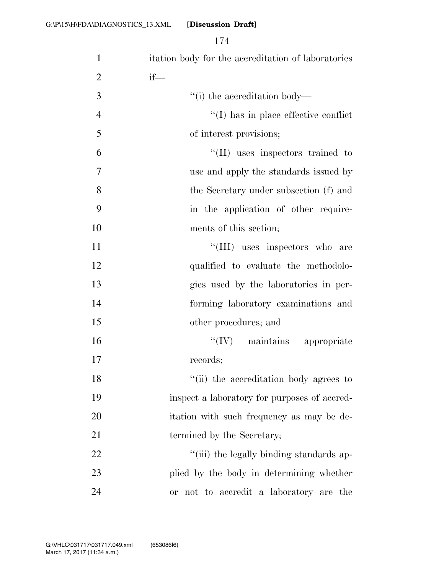**[Discussion Draft]** 

| $\mathbf{1}$   | itation body for the accreditation of laboratories |
|----------------|----------------------------------------------------|
| $\overline{2}$ | $if$ —                                             |
| 3              | "(i) the accreditation body—                       |
| $\overline{4}$ | $\lq\lq$ (I) has in place effective conflict       |
| 5              | of interest provisions;                            |
| 6              | $\lq\lq$ (II) uses inspectors trained to           |
| $\overline{7}$ | use and apply the standards issued by              |
| 8              | the Secretary under subsection (f) and             |
| 9              | in the application of other require-               |
| 10             | ments of this section;                             |
| 11             | "(III) uses inspectors who are                     |
| 12             | qualified to evaluate the methodolo-               |
| 13             | gies used by the laboratories in per-              |
| 14             | forming laboratory examinations and                |
| 15             | other procedures; and                              |
| 16             | $\lq\lq$ (IV) maintains appropriate                |
| 17             | records;                                           |
| 18             | "(ii) the accreditation body agrees to             |
| 19             | inspect a laboratory for purposes of accred-       |
| 20             | itation with such frequency as may be de-          |
| 21             | termined by the Secretary;                         |
| 22             | "(iii) the legally binding standards ap-           |
| 23             | plied by the body in determining whether           |
| 24             | or not to accredit a laboratory are the            |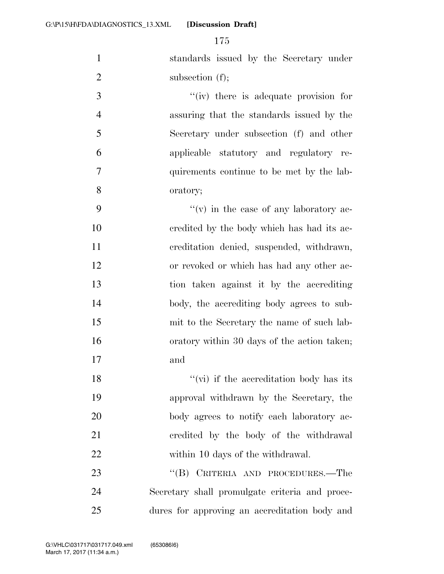| $\mathbf{1}$   | standards issued by the Secretary under          |
|----------------|--------------------------------------------------|
| $\overline{2}$ | subsection $(f)$ ;                               |
| 3              | "(iv) there is adequate provision for            |
| $\overline{4}$ | assuring that the standards issued by the        |
| 5              | Secretary under subsection (f) and other         |
| 6              | applicable statutory and regulatory re-          |
| 7              | quirements continue to be met by the lab-        |
| 8              | oratory;                                         |
| 9              | $f'(v)$ in the case of any laboratory ac-        |
| 10             | credited by the body which has had its ac-       |
| 11             | creditation denied, suspended, withdrawn,        |
| 12             | or revoked or which has had any other ac-        |
| 13             | tion taken against it by the accrediting         |
| 14             | body, the accrediting body agrees to sub-        |
| 15             | mit to the Secretary the name of such lab-       |
| 16             | oratory within 30 days of the action taken;      |
| 17             | and                                              |
| 18             | "(vi) if the accreditation body has its          |
| 19             | approval withdrawn by the Secretary, the         |
| 20             | body agrees to notify each laboratory ac-        |
| 21             | credited by the body of the withdrawal           |
| 22             | within 10 days of the withdrawal.                |
| 23             | CRITERIA AND PROCEDURES.—The<br>$\mathrm{``(B)}$ |
| 24             | Secretary shall promulgate criteria and proce-   |
| 25             | dures for approving an accreditation body and    |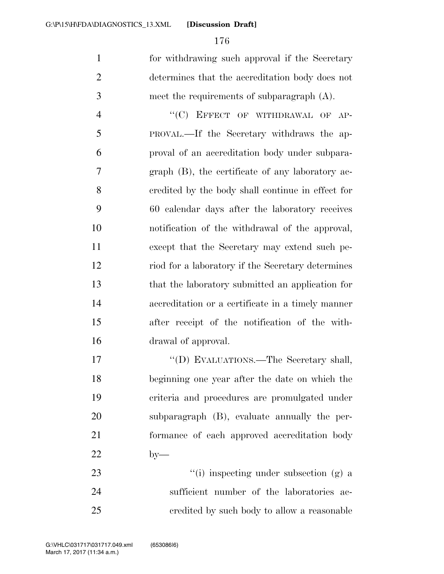for withdrawing such approval if the Secretary determines that the accreditation body does not meet the requirements of subparagraph (A).

4 "(C) EFFECT OF WITHDRAWAL OF AP- PROVAL.—If the Secretary withdraws the ap- proval of an accreditation body under subpara- graph (B), the certificate of any laboratory ac- credited by the body shall continue in effect for 60 calendar days after the laboratory receives notification of the withdrawal of the approval, except that the Secretary may extend such pe- riod for a laboratory if the Secretary determines that the laboratory submitted an application for accreditation or a certificate in a timely manner after receipt of the notification of the with-drawal of approval.

17 ""(D) EVALUATIONS.—The Secretary shall, beginning one year after the date on which the criteria and procedures are promulgated under subparagraph (B), evaluate annually the per- formance of each approved accreditation body by—

23  $\frac{1}{2}$   $\frac{1}{2}$  inspecting under subsection (g) a sufficient number of the laboratories ac-credited by such body to allow a reasonable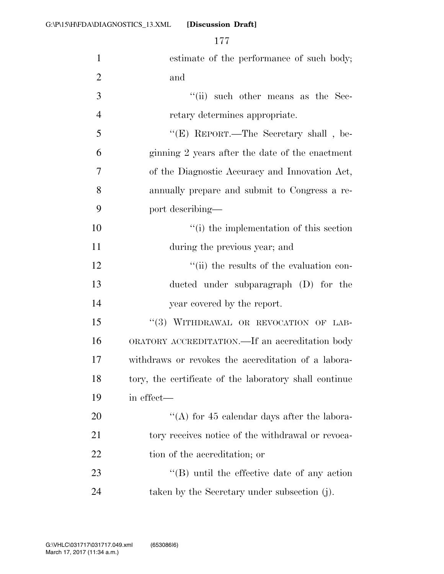| $\mathbf{1}$   | estimate of the performance of such body;              |
|----------------|--------------------------------------------------------|
| $\overline{2}$ | and                                                    |
| 3              | "(ii) such other means as the Sec-                     |
| $\overline{4}$ | retary determines appropriate.                         |
| 5              | "(E) REPORT.—The Secretary shall, be-                  |
| 6              | ginning 2 years after the date of the enactment        |
| 7              | of the Diagnostic Accuracy and Innovation Act,         |
| 8              | annually prepare and submit to Congress a re-          |
| 9              | port describing—                                       |
| 10             | "(i) the implementation of this section                |
| 11             | during the previous year; and                          |
| 12             | "(ii) the results of the evaluation con-               |
| 13             | ducted under subparagraph (D) for the                  |
| 14             | year covered by the report.                            |
| 15             | "(3) WITHDRAWAL OR REVOCATION OF LAB-                  |
| 16             | ORATORY ACCREDITATION. If an accreditation body        |
| 17             | withdraws or revokes the accreditation of a labora-    |
| 18             | tory, the certificate of the laboratory shall continue |
| 19             | in effect—                                             |
| 20             | $\lq\lq$ for 45 calendar days after the labora-        |
| 21             | tory receives notice of the withdrawal or revoca-      |
| 22             | tion of the accreditation; or                          |
| 23             | $\lq\lq$ (B) until the effective date of any action    |
| 24             | taken by the Secretary under subsection (j).           |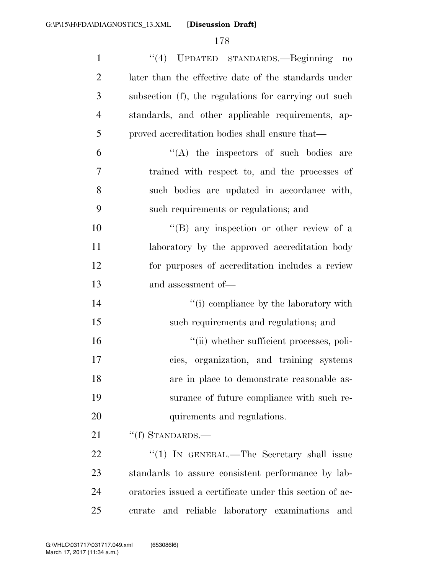| $\mathbf{1}$   | "(4) UPDATED STANDARDS.—Beginning no                     |
|----------------|----------------------------------------------------------|
| $\overline{2}$ | later than the effective date of the standards under     |
| 3              | subsection (f), the regulations for carrying out such    |
| $\overline{4}$ | standards, and other applicable requirements, ap-        |
| 5              | proved accreditation bodies shall ensure that—           |
| 6              | $\lq\lq$ the inspectors of such bodies are               |
| 7              | trained with respect to, and the processes of            |
| 8              | such bodies are updated in accordance with,              |
| 9              | such requirements or regulations; and                    |
| 10             | $\lq\lq (B)$ any inspection or other review of a         |
| 11             | laboratory by the approved accreditation body            |
| 12             | for purposes of accreditation includes a review          |
| 13             | and assessment of-                                       |
| 14             | "(i) compliance by the laboratory with                   |
| 15             | such requirements and regulations; and                   |
| 16             | "(ii) whether sufficient processes, poli-                |
| 17             | cies, organization, and training systems                 |
| 18             | are in place to demonstrate reasonable as-               |
| 19             | surance of future compliance with such re-               |
| 20             | quirements and regulations.                              |
| 21             | $``(f)$ STANDARDS.—                                      |
| 22             | "(1) IN GENERAL.—The Secretary shall issue               |
| 23             | standards to assure consistent performance by lab-       |
| 24             | oratories issued a certificate under this section of ac- |
| 25             | and reliable laboratory examinations<br>curate<br>and    |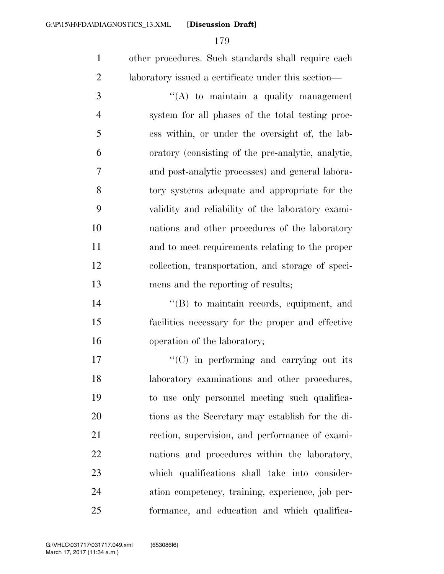other procedures. Such standards shall require each laboratory issued a certificate under this section—

 ''(A) to maintain a quality management system for all phases of the total testing proc- ess within, or under the oversight of, the lab- oratory (consisting of the pre-analytic, analytic, and post-analytic processes) and general labora- tory systems adequate and appropriate for the validity and reliability of the laboratory exami- nations and other procedures of the laboratory and to meet requirements relating to the proper collection, transportation, and storage of speci-mens and the reporting of results;

14  $\text{``(B)}$  to maintain records, equipment, and facilities necessary for the proper and effective operation of the laboratory;

 $\frac{17}{2}$  The meeting and carrying out its laboratory examinations and other procedures, to use only personnel meeting such qualifica- tions as the Secretary may establish for the di- rection, supervision, and performance of exami- nations and procedures within the laboratory, which qualifications shall take into consider- ation competency, training, experience, job per-formance, and education and which qualifica-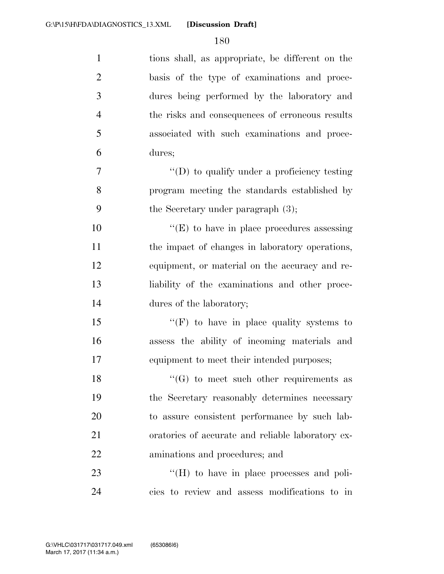| $\mathbf{1}$   | tions shall, as appropriate, be different on the  |
|----------------|---------------------------------------------------|
| $\overline{2}$ | basis of the type of examinations and proce-      |
| 3              | dures being performed by the laboratory and       |
| $\overline{4}$ | the risks and consequences of erroneous results   |
| 5              | associated with such examinations and proce-      |
| 6              | dures;                                            |
| $\overline{7}$ | $\lq\lq$ to qualify under a proficiency testing   |
| 8              | program meeting the standards established by      |
| 9              | the Secretary under paragraph $(3)$ ;             |
| 10             | " $(E)$ to have in place procedures assessing     |
| 11             | the impact of changes in laboratory operations,   |
| 12             | equipment, or material on the accuracy and re-    |
| 13             | liability of the examinations and other proce-    |
| 14             | dures of the laboratory;                          |
| 15             | "(F) to have in place quality systems to          |
| 16             | assess the ability of incoming materials and      |
| 17             | equipment to meet their intended purposes;        |
| 18             | $\lq\lq(G)$ to meet such other requirements as    |
| 19             | the Secretary reasonably determines necessary     |
| 20             | to assure consistent performance by such lab-     |
| 21             | oratories of accurate and reliable laboratory ex- |
| 22             | aminations and procedures; and                    |
| 23             | $\lq\lq (H)$ to have in place processes and poli- |
| 24             | cies to review and assess modifications to in     |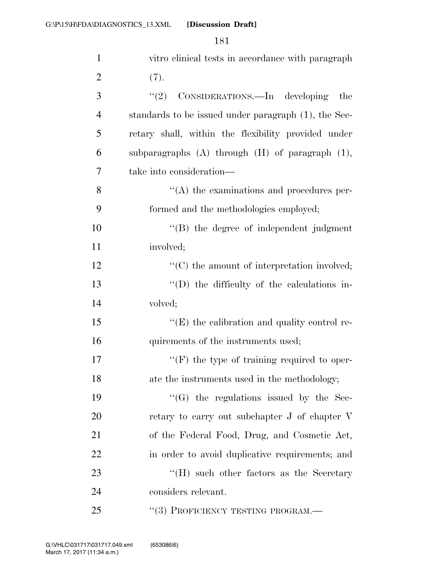| $\mathbf{1}$   | vitro clinical tests in accordance with paragraph      |
|----------------|--------------------------------------------------------|
| $\overline{2}$ | (7).                                                   |
| 3              | CONSIDERATIONS.—In developing<br>(2)<br>the            |
| $\overline{4}$ | standards to be issued under paragraph (1), the Sec-   |
| 5              | retary shall, within the flexibility provided under    |
| 6              | subparagraphs $(A)$ through $(H)$ of paragraph $(1)$ , |
| 7              | take into consideration—                               |
| 8              | $\lq\lq$ the examinations and procedures per-          |
| 9              | formed and the methodologies employed;                 |
| 10             | $\lq\lq(B)$ the degree of independent judgment         |
| 11             | involved;                                              |
| 12             | "(C) the amount of interpretation involved;            |
| 13             | $\lq\lq$ the difficulty of the calculations in-        |
| 14             | volved;                                                |
| 15             | $\lq\lq$ (E) the calibration and quality control re-   |
| 16             | quirements of the instruments used;                    |
| 17             | $\lq\lq(F)$ the type of training required to oper-     |
| 18             | ate the instruments used in the methodology;           |
| 19             | $\lq\lq(G)$ the regulations issued by the Sec-         |
| 20             | retary to carry out subchapter J of chapter V          |
| 21             | of the Federal Food, Drug, and Cosmetic Act,           |
| 22             | in order to avoid duplicative requirements; and        |
| 23             | "(H) such other factors as the Secretary               |
| 24             | considers relevant.                                    |
| 25             | "(3) PROFICIENCY TESTING PROGRAM.—                     |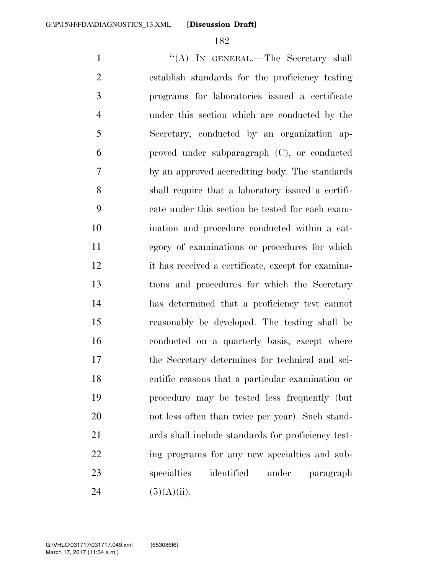1 ''(A) In GENERAL.—The Secretary shall establish standards for the proficiency testing programs for laboratories issued a certificate under this section which are conducted by the Secretary, conducted by an organization ap- proved under subparagraph (C), or conducted by an approved accrediting body. The standards shall require that a laboratory issued a certifi- cate under this section be tested for each exam- ination and procedure conducted within a cat- egory of examinations or procedures for which it has received a certificate, except for examina- tions and procedures for which the Secretary has determined that a proficiency test cannot reasonably be developed. The testing shall be conducted on a quarterly basis, except where the Secretary determines for technical and sci- entific reasons that a particular examination or procedure may be tested less frequently (but not less often than twice per year). Such stand- ards shall include standards for proficiency test- ing programs for any new specialties and sub- specialties identified under paragraph  $(5)(A)(ii)$ .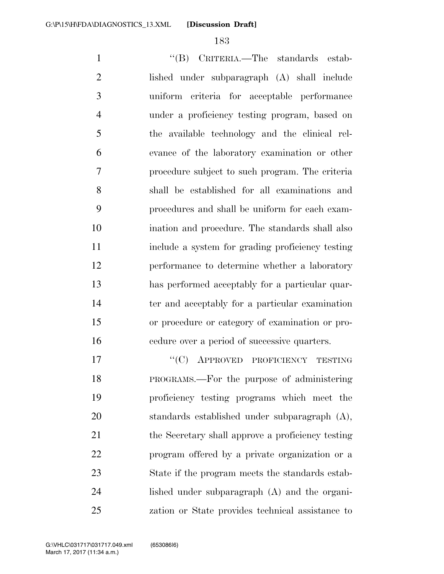''(B) CRITERIA.—The standards estab- lished under subparagraph (A) shall include uniform criteria for acceptable performance under a proficiency testing program, based on the available technology and the clinical rel- evance of the laboratory examination or other procedure subject to such program. The criteria shall be established for all examinations and procedures and shall be uniform for each exam- ination and procedure. The standards shall also include a system for grading proficiency testing performance to determine whether a laboratory has performed acceptably for a particular quar- ter and acceptably for a particular examination or procedure or category of examination or pro- cedure over a period of successive quarters. 17 "'(C) APPROVED PROFICIENCY TESTING

 PROGRAMS.—For the purpose of administering proficiency testing programs which meet the standards established under subparagraph (A), 21 the Secretary shall approve a proficiency testing program offered by a private organization or a State if the program meets the standards estab- lished under subparagraph (A) and the organi-zation or State provides technical assistance to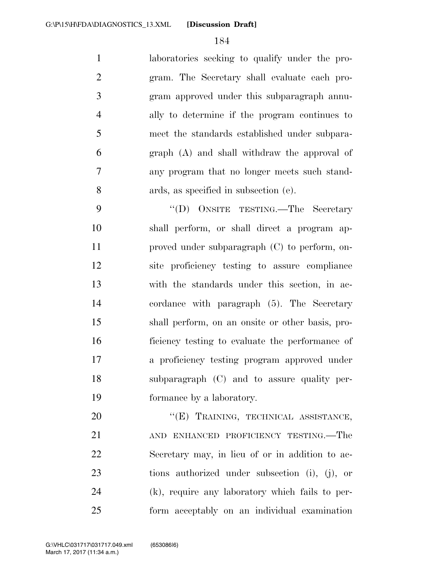laboratories seeking to qualify under the pro- gram. The Secretary shall evaluate each pro- gram approved under this subparagraph annu- ally to determine if the program continues to meet the standards established under subpara- graph (A) and shall withdraw the approval of any program that no longer meets such stand-ards, as specified in subsection (e).

9 "'(D) ONSITE TESTING.—The Secretary shall perform, or shall direct a program ap- proved under subparagraph (C) to perform, on- site proficiency testing to assure compliance with the standards under this section, in ac- cordance with paragraph (5). The Secretary shall perform, on an onsite or other basis, pro- ficiency testing to evaluate the performance of a proficiency testing program approved under subparagraph (C) and to assure quality per-formance by a laboratory.

20 "(E) TRAINING, TECHNICAL ASSISTANCE, AND ENHANCED PROFICIENCY TESTING.—The Secretary may, in lieu of or in addition to ac- tions authorized under subsection (i), (j), or (k), require any laboratory which fails to per-form acceptably on an individual examination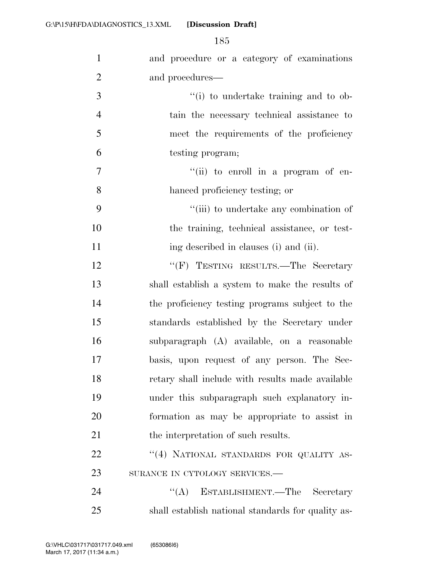| $\mathbf{1}$   | and procedure or a category of examinations        |
|----------------|----------------------------------------------------|
| $\overline{2}$ | and procedures—                                    |
| 3              | "(i) to undertake training and to ob-              |
| $\overline{4}$ | tain the necessary technical assistance to         |
| 5              | meet the requirements of the proficiency           |
| 6              | testing program;                                   |
| $\tau$         | "(ii) to enroll in a program of en-                |
| 8              | hanced proficiency testing; or                     |
| 9              | "(iii) to undertake any combination of             |
| 10             | the training, technical assistance, or test-       |
| 11             | ing described in clauses (i) and (ii).             |
| 12             | "(F) TESTING RESULTS.—The Secretary                |
| 13             | shall establish a system to make the results of    |
| 14             | the proficiency testing programs subject to the    |
| 15             | standards established by the Secretary under       |
| 16             | subparagraph (A) available, on a reasonable        |
| 17             | basis, upon request of any person. The Sec-        |
| 18             | retary shall include with results made available   |
| 19             | under this subparagraph such explanatory in-       |
| 20             | formation as may be appropriate to assist in       |
| 21             | the interpretation of such results.                |
| 22             | "(4) NATIONAL STANDARDS FOR QUALITY AS-            |
| 23             | SURANCE IN CYTOLOGY SERVICES.-                     |
| 24             | $\lq\lq (A)$<br>ESTABLISHMENT.—The<br>Secretary    |
| 25             | shall establish national standards for quality as- |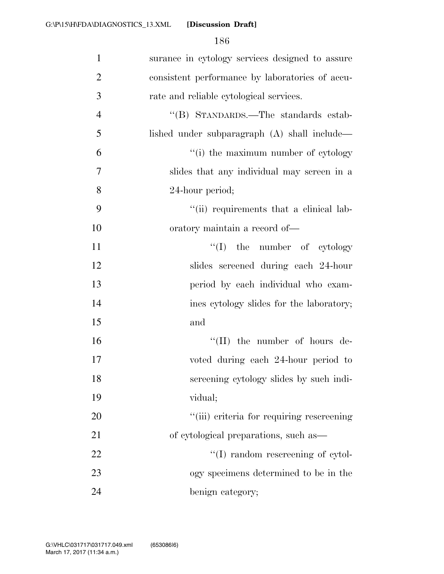| $\mathbf{1}$   | surance in cytology services designed to assure |
|----------------|-------------------------------------------------|
| $\overline{2}$ | consistent performance by laboratories of accu- |
| 3              | rate and reliable cytological services.         |
| $\overline{4}$ | "(B) STANDARDS.—The standards estab-            |
| 5              | lished under subparagraph (A) shall include—    |
| 6              | "(i) the maximum number of cytology             |
| 7              | slides that any individual may screen in a      |
| 8              | 24-hour period;                                 |
| 9              | "(ii) requirements that a clinical lab-         |
| 10             | oratory maintain a record of—                   |
| 11             | $\lq\lq$ (I) the number of cytology             |
| 12             | slides screened during each 24-hour             |
| 13             | period by each individual who exam-             |
| 14             | ines cytology slides for the laboratory;        |
| 15             | and                                             |
| 16             | "(II) the number of hours de-                   |
| 17             | voted during each 24-hour period to             |
| 18             | screening cytology slides by such indi-         |
| 19             | vidual;                                         |
| 20             | "(iii) criteria for requiring rescreening       |
| 21             | of cytological preparations, such as—           |
| 22             | $\lq\lq$ random rescreening of cytol-           |
| 23             | ogy specimens determined to be in the           |
| 24             | benign category;                                |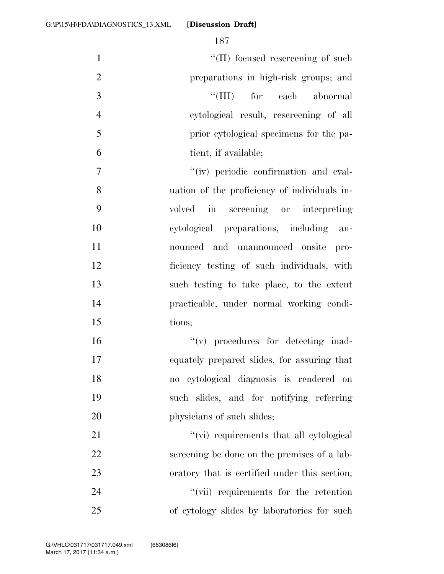**[Discussion Draft]** 

 $\text{``(II)}$  focused rescreening of such preparations in high-risk groups; and 3 ''(III) for each abnormal cytological result, rescreening of all prior cytological specimens for the pa- tient, if available;  $''(iv)$  periodic confirmation and eval- uation of the proficiency of individuals in- volved in screening or interpreting cytological preparations, including an- nounced and unannounced onsite pro- ficiency testing of such individuals, with such testing to take place, to the extent practicable, under normal working condi- tions; ''(v) procedures for detecting inad- equately prepared slides, for assuring that no cytological diagnosis is rendered on such slides, and for notifying referring 20 physicians of such slides;  $''(vi)$  requirements that all cytological screening be done on the premises of a lab- oratory that is certified under this section; 24 ''(vii) requirements for the retention

of cytology slides by laboratories for such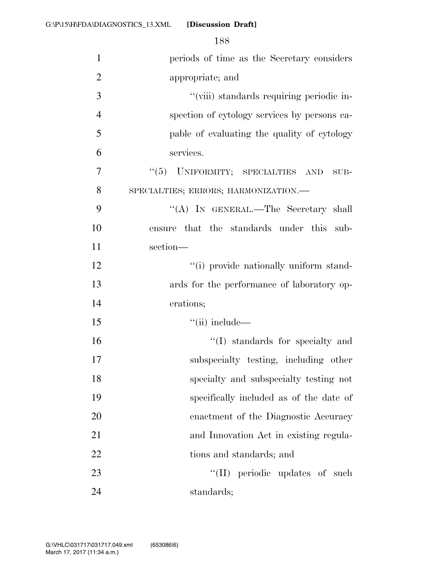| $\mathbf{1}$   | periods of time as the Secretary considers   |
|----------------|----------------------------------------------|
| $\overline{2}$ | appropriate; and                             |
| 3              | "(viii) standards requiring periodic in-     |
| $\overline{4}$ | spection of cytology services by persons ca- |
| 5              | pable of evaluating the quality of cytology  |
| 6              | services.                                    |
| 7              | "(5) UNIFORMITY; SPECIALTIES AND<br>$SUB-$   |
| 8              | SPECIALTIES; ERRORS; HARMONIZATION.-         |
| 9              | "(A) IN GENERAL.—The Secretary shall         |
| 10             | ensure that the standards under this sub-    |
| 11             | section-                                     |
| 12             | "(i) provide nationally uniform stand-       |
| 13             | ards for the performance of laboratory op-   |
| 14             | erations;                                    |
| 15             | $``(ii)$ include—                            |
| 16             | "(I) standards for specialty and             |
| 17             | subspecialty testing, including other        |
| 18             | specialty and subspecialty testing not       |
| 19             | specifically included as of the date of      |
| 20             | enactment of the Diagnostic Accuracy         |
| 21             | and Innovation Act in existing regula-       |
| 22             | tions and standards; and                     |
| 23             | "(II) periodic updates of such               |
| 24             | standards;                                   |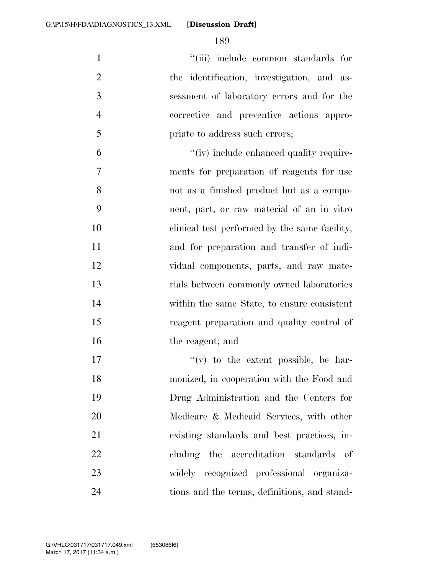**[Discussion Draft]** 

 $"$ (iii) include common standards for 2 the identification, investigation, and as- sessment of laboratory errors and for the corrective and preventive actions appro-**priate to address such errors;** 

 $''(iv)$  include enhanced quality require- ments for preparation of reagents for use not as a finished product but as a compo- nent, part, or raw material of an in vitro 10 clinical test performed by the same facility, and for preparation and transfer of indi- vidual components, parts, and raw mate- rials between commonly owned laboratories within the same State, to ensure consistent reagent preparation and quality control of 16 the reagent; and

 $\mathcal{L}(\mathbf{v})$  to the extent possible, be har- monized, in cooperation with the Food and Drug Administration and the Centers for Medicare & Medicaid Services, with other existing standards and best practices, in- cluding the accreditation standards of widely recognized professional organiza-24 tions and the terms, definitions, and stand-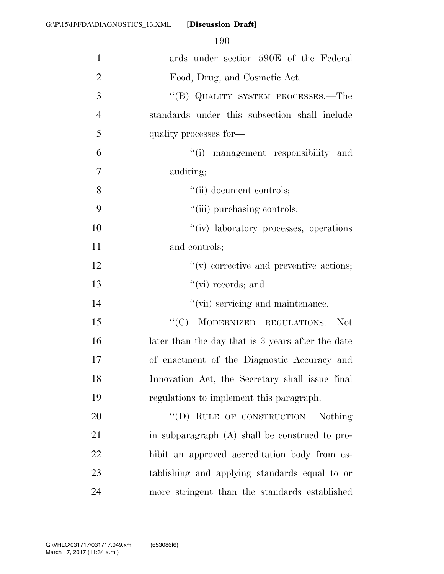| $\mathbf{1}$   | ards under section 590E of the Federal            |
|----------------|---------------------------------------------------|
| $\overline{2}$ | Food, Drug, and Cosmetic Act.                     |
| 3              | "(B) QUALITY SYSTEM PROCESSES.—The                |
| $\overline{4}$ | standards under this subsection shall include     |
| 5              | quality processes for—                            |
| 6              | "(i) management responsibility and                |
| 7              | auditing;                                         |
| 8              | "(ii) document controls;                          |
| 9              | "(iii) purchasing controls;                       |
| 10             | "(iv) laboratory processes, operations            |
| 11             | and controls;                                     |
| 12             | "(v) corrective and preventive actions;           |
| 13             | $\lq\lq$ (vi) records; and                        |
| 14             | "(vii) servicing and maintenance.                 |
| 15             | "(C) MODERNIZED REGULATIONS.-Not                  |
| 16             | later than the day that is 3 years after the date |
| 17             | of enactment of the Diagnostic Accuracy and       |
| 18             | Innovation Act, the Secretary shall issue final   |
| 19             | regulations to implement this paragraph.          |
| 20             | "(D) RULE OF CONSTRUCTION.—Nothing                |
| 21             | in subparagraph (A) shall be construed to pro-    |
| 22             | hibit an approved accreditation body from es-     |
| 23             | tablishing and applying standards equal to or     |
| 24             | more stringent than the standards established     |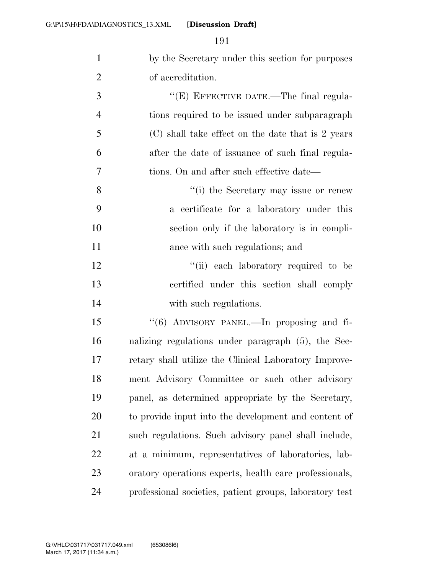| $\mathbf{1}$   | by the Secretary under this section for purposes        |
|----------------|---------------------------------------------------------|
| $\overline{2}$ | of accreditation.                                       |
| 3              | "(E) EFFECTIVE DATE.—The final regula-                  |
| $\overline{4}$ | tions required to be issued under subparagraph          |
| 5              | (C) shall take effect on the date that is 2 years       |
| 6              | after the date of issuance of such final regula-        |
| 7              | tions. On and after such effective date—                |
| 8              | "(i) the Secretary may issue or renew                   |
| 9              | a certificate for a laboratory under this               |
| 10             | section only if the laboratory is in compli-            |
| 11             | ance with such regulations; and                         |
| 12             | "(ii) each laboratory required to be                    |
| 13             | certified under this section shall comply               |
| 14             | with such regulations.                                  |
| 15             | "(6) ADVISORY PANEL.—In proposing and fi-               |
| 16             | nalizing regulations under paragraph (5), the Sec-      |
| 17             | retary shall utilize the Clinical Laboratory Improve-   |
| 18             | ment Advisory Committee or such other advisory          |
| 19             | panel, as determined appropriate by the Secretary,      |
| 20             | to provide input into the development and content of    |
| 21             | such regulations. Such advisory panel shall include,    |
| 22             | at a minimum, representatives of laboratories, lab-     |
| 23             | oratory operations experts, health care professionals,  |
| 24             | professional societies, patient groups, laboratory test |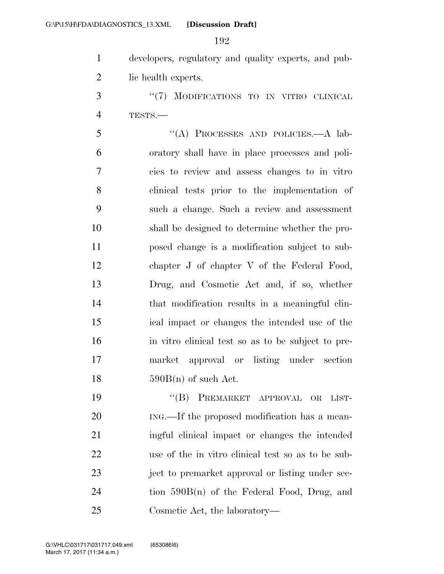- developers, regulatory and quality experts, and pub-2 lic health experts.
- ''(7) MODIFICATIONS TO IN VITRO CLINICAL TESTS.—

 ''(A) PROCESSES AND POLICIES.—A lab- oratory shall have in place processes and poli- cies to review and assess changes to in vitro clinical tests prior to the implementation of such a change. Such a review and assessment shall be designed to determine whether the pro- posed change is a modification subject to sub- chapter J of chapter V of the Federal Food, Drug, and Cosmetic Act and, if so, whether that modification results in a meaningful clin- ical impact or changes the intended use of the in vitro clinical test so as to be subject to pre- market approval or listing under section  $590B(n)$  of such Act.

19 "(B) PREMARKET APPROVAL OR LIST-20 ING.—If the proposed modification has a mean- ingful clinical impact or changes the intended use of the in vitro clinical test so as to be sub- ject to premarket approval or listing under sec- tion 590B(n) of the Federal Food, Drug, and Cosmetic Act, the laboratory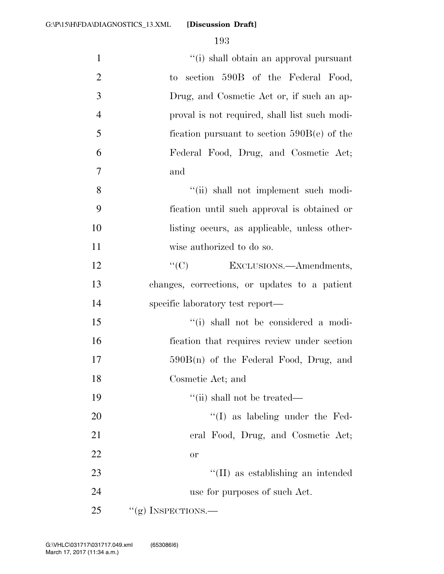**[Discussion Draft]** 

| $\mathbf{1}$   | "(i) shall obtain an approval pursuant        |
|----------------|-----------------------------------------------|
| $\overline{2}$ | to section 590B of the Federal Food,          |
| 3              | Drug, and Cosmetic Act or, if such an ap-     |
| $\overline{4}$ | proval is not required, shall list such modi- |
| 5              | fication pursuant to section $590B(e)$ of the |
| 6              | Federal Food, Drug, and Cosmetic Act;         |
| 7              | and                                           |
| 8              | "(ii) shall not implement such modi-          |
| 9              | fication until such approval is obtained or   |
| 10             | listing occurs, as applicable, unless other-  |
| 11             | wise authorized to do so.                     |
| 12             | ``(C)<br>EXCLUSIONS.—Amendments,              |
| 13             | changes, corrections, or updates to a patient |
| 14             | specific laboratory test report—              |
| 15             | "(i) shall not be considered a modi-          |
| 16             | fication that requires review under section   |
| 17             | $590B(n)$ of the Federal Food, Drug, and      |
| 18             | Cosmetic Act; and                             |
| 19             | $\lq$ <sup>"</sup> (ii) shall not be treated— |
| 20             | $\lq\lq$ (I) as labeling under the Fed-       |
| 21             | eral Food, Drug, and Cosmetic Act;            |
| 22             | or                                            |
| 23             | "(II) as establishing an intended             |
| 24             | use for purposes of such Act.                 |
| 25             | $``(g)$ INSPECTIONS.—                         |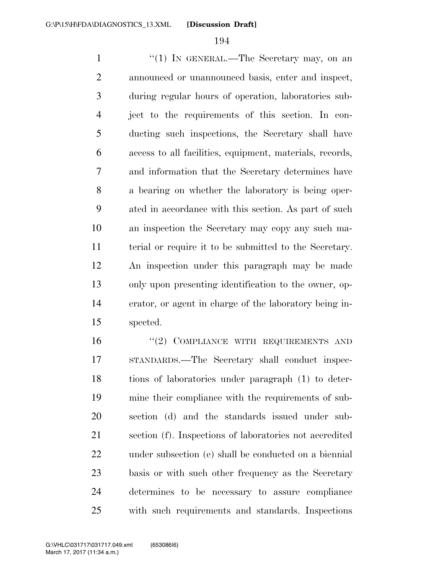1 "(1) IN GENERAL.—The Secretary may, on an announced or unannounced basis, enter and inspect, during regular hours of operation, laboratories sub- ject to the requirements of this section. In con- ducting such inspections, the Secretary shall have access to all facilities, equipment, materials, records, and information that the Secretary determines have a bearing on whether the laboratory is being oper- ated in accordance with this section. As part of such an inspection the Secretary may copy any such ma- terial or require it to be submitted to the Secretary. An inspection under this paragraph may be made only upon presenting identification to the owner, op- erator, or agent in charge of the laboratory being in-spected.

16 "(2) COMPLIANCE WITH REQUIREMENTS AND STANDARDS.—The Secretary shall conduct inspec- tions of laboratories under paragraph (1) to deter- mine their compliance with the requirements of sub- section (d) and the standards issued under sub- section (f). Inspections of laboratories not accredited under subsection (e) shall be conducted on a biennial basis or with such other frequency as the Secretary determines to be necessary to assure compliance with such requirements and standards. Inspections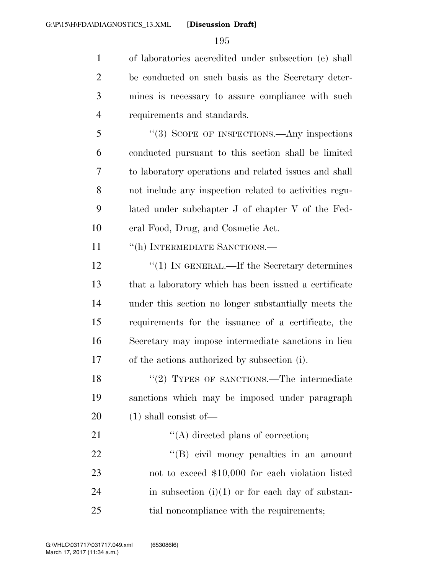of laboratories accredited under subsection (e) shall be conducted on such basis as the Secretary deter- mines is necessary to assure compliance with such requirements and standards.

5 "(3) SCOPE OF INSPECTIONS.—Any inspections conducted pursuant to this section shall be limited to laboratory operations and related issues and shall not include any inspection related to activities regu- lated under subchapter J of chapter V of the Fed-eral Food, Drug, and Cosmetic Act.

11 "(h) INTERMEDIATE SANCTIONS.—

12 "(1) IN GENERAL.—If the Secretary determines that a laboratory which has been issued a certificate under this section no longer substantially meets the requirements for the issuance of a certificate, the Secretary may impose intermediate sanctions in lieu of the actions authorized by subsection (i).

18 "(2) TYPES OF SANCTIONS.—The intermediate 19 sanctions which may be imposed under paragraph 20 (1) shall consist of—

21  $\langle (A) \rangle$  directed plans of correction; 22  $\text{``(B)}$  civil money penalties in an amount 23 not to exceed \$10,000 for each violation listed 24 in subsection  $(i)(1)$  or for each day of substan-25 tial noncompliance with the requirements;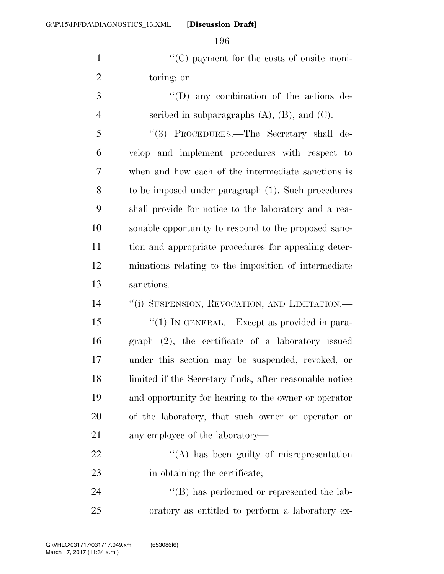''(C) payment for the costs of onsite moni-toring; or

 ''(D) any combination of the actions de-4 seribed in subparagraphs  $(A)$ ,  $(B)$ , and  $(C)$ .

 ''(3) PROCEDURES.—The Secretary shall de- velop and implement procedures with respect to when and how each of the intermediate sanctions is to be imposed under paragraph (1). Such procedures shall provide for notice to the laboratory and a rea- sonable opportunity to respond to the proposed sanc- tion and appropriate procedures for appealing deter- minations relating to the imposition of intermediate sanctions.

 ''(i) SUSPENSION, REVOCATION, AND LIMITATION.— 15 "(1) IN GENERAL.—Except as provided in para- graph (2), the certificate of a laboratory issued under this section may be suspended, revoked, or limited if the Secretary finds, after reasonable notice and opportunity for hearing to the owner or operator of the laboratory, that such owner or operator or any employee of the laboratory—

22 "(A) has been guilty of misrepresentation 23 in obtaining the certificate;

24  $\langle (B)$  has performed or represented the lab-oratory as entitled to perform a laboratory ex-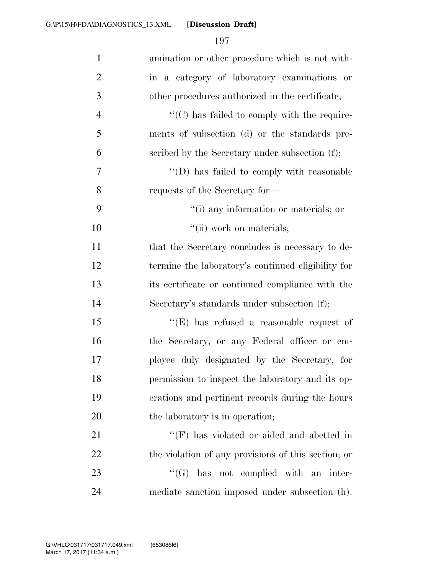| $\mathbf{1}$   | amination or other procedure which is not with-     |
|----------------|-----------------------------------------------------|
| $\overline{2}$ | in a category of laboratory examinations or         |
| 3              | other procedures authorized in the certificate;     |
| $\overline{4}$ | "(C) has failed to comply with the require-         |
| 5              | ments of subsection (d) or the standards pre-       |
| 6              | scribed by the Secretary under subsection (f);      |
| 7              | $\lq\lq$ (D) has failed to comply with reasonable   |
| 8              | requests of the Secretary for-                      |
| 9              | "(i) any information or materials; or               |
| 10             | "(ii) work on materials;                            |
| 11             | that the Secretary concludes is necessary to de-    |
| 12             | termine the laboratory's continued eligibility for  |
| 13             | its certificate or continued compliance with the    |
| 14             | Secretary's standards under subsection (f);         |
| 15             | "(E) has refused a reasonable request of            |
| 16             | the Secretary, or any Federal officer or em-        |
| 17             | ployee duly designated by the Secretary, for        |
| 18             | permission to inspect the laboratory and its op-    |
| 19             | erations and pertinent records during the hours     |
| 20             | the laboratory is in operation;                     |
| 21             | $\lq\lq(F)$ has violated or aided and abetted in    |
| 22             | the violation of any provisions of this section; or |
| 23             | $\lq\lq(G)$ has not complied with an inter-         |
| 24             | mediate sanction imposed under subsection (h).      |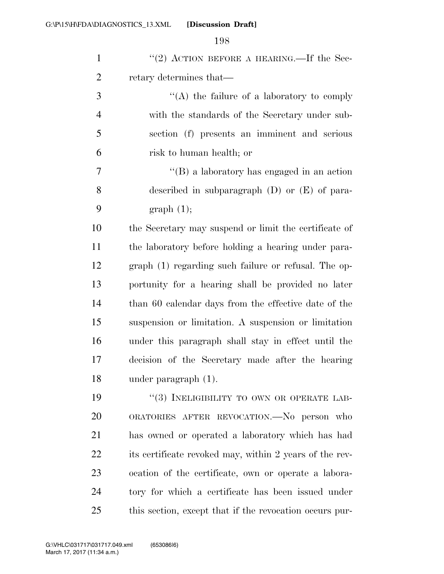| $\mathbf{1}$   | "(2) ACTION BEFORE A HEARING.—If the Sec-               |
|----------------|---------------------------------------------------------|
| $\overline{2}$ | retary determines that—                                 |
| 3              | "(A) the failure of a laboratory to comply              |
| $\overline{4}$ | with the standards of the Secretary under sub-          |
| 5              | section (f) presents an imminent and serious            |
| 6              | risk to human health; or                                |
| 7              | "(B) a laboratory has engaged in an action              |
| 8              | described in subparagraph $(D)$ or $(E)$ of para-       |
| 9              | graph(1);                                               |
| 10             | the Secretary may suspend or limit the certificate of   |
| 11             | the laboratory before holding a hearing under para-     |
| 12             | graph (1) regarding such failure or refusal. The op-    |
| 13             | portunity for a hearing shall be provided no later      |
| 14             | than 60 calendar days from the effective date of the    |
| 15             | suspension or limitation. A suspension or limitation    |
| 16             | under this paragraph shall stay in effect until the     |
| 17             | decision of the Secretary made after the hearing        |
| 18             | under paragraph (1).                                    |
| 19             | "(3) INELIGIBILITY TO OWN OR OPERATE LAB-               |
| 20             | ORATORIES AFTER REVOCATION. No person who               |
| 21             | has owned or operated a laboratory which has had        |
| 22             | its certificate revoked may, within 2 years of the rev- |
| 23             | ocation of the certificate, own or operate a labora-    |
| 24             | tory for which a certificate has been issued under      |
| 25             | this section, except that if the revocation occurs pur- |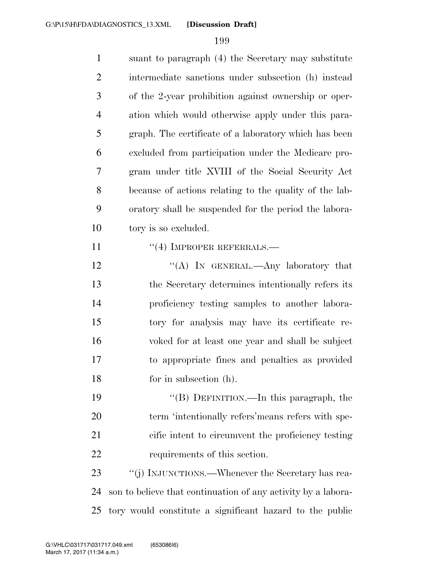suant to paragraph (4) the Secretary may substitute intermediate sanctions under subsection (h) instead of the 2-year prohibition against ownership or oper- ation which would otherwise apply under this para- graph. The certificate of a laboratory which has been excluded from participation under the Medicare pro- gram under title XVIII of the Social Security Act because of actions relating to the quality of the lab- oratory shall be suspended for the period the labora-10 tory is so excluded.

11 <sup>''</sup>(4) IMPROPER REFERRALS.—

12 "(A) In GENERAL.—Any laboratory that the Secretary determines intentionally refers its proficiency testing samples to another labora- tory for analysis may have its certificate re- voked for at least one year and shall be subject to appropriate fines and penalties as provided for in subsection (h).

 ''(B) DEFINITION.—In this paragraph, the term 'intentionally refers'means refers with spe- cific intent to circumvent the proficiency testing requirements of this section.

23 "(j) INJUNCTIONS.—Whenever the Secretary has rea- son to believe that continuation of any activity by a labora-tory would constitute a significant hazard to the public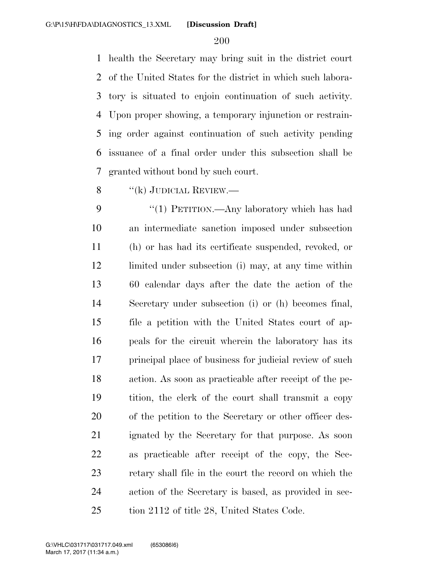health the Secretary may bring suit in the district court of the United States for the district in which such labora- tory is situated to enjoin continuation of such activity. Upon proper showing, a temporary injunction or restrain- ing order against continuation of such activity pending issuance of a final order under this subsection shall be granted without bond by such court.

8  $\langle$  (k) JUDICIAL REVIEW.—

9 "(1) PETITION.—Any laboratory which has had an intermediate sanction imposed under subsection (h) or has had its certificate suspended, revoked, or limited under subsection (i) may, at any time within 60 calendar days after the date the action of the Secretary under subsection (i) or (h) becomes final, file a petition with the United States court of ap- peals for the circuit wherein the laboratory has its principal place of business for judicial review of such action. As soon as practicable after receipt of the pe- tition, the clerk of the court shall transmit a copy of the petition to the Secretary or other officer des- ignated by the Secretary for that purpose. As soon as practicable after receipt of the copy, the Sec- retary shall file in the court the record on which the action of the Secretary is based, as provided in sec-25 tion 2112 of title 28, United States Code.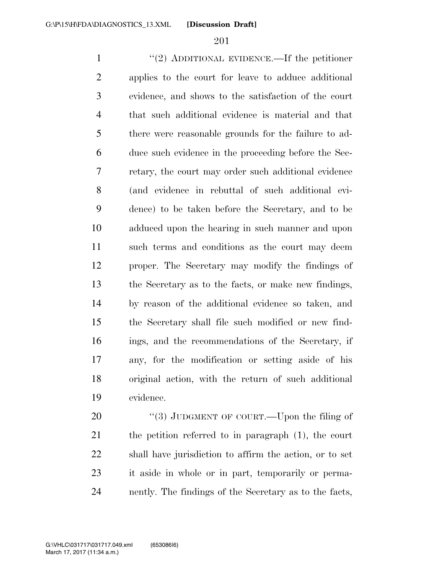1 "(2) ADDITIONAL EVIDENCE.—If the petitioner applies to the court for leave to adduce additional evidence, and shows to the satisfaction of the court that such additional evidence is material and that there were reasonable grounds for the failure to ad- duce such evidence in the proceeding before the Sec- retary, the court may order such additional evidence (and evidence in rebuttal of such additional evi- dence) to be taken before the Secretary, and to be adduced upon the hearing in such manner and upon such terms and conditions as the court may deem proper. The Secretary may modify the findings of the Secretary as to the facts, or make new findings, by reason of the additional evidence so taken, and the Secretary shall file such modified or new find- ings, and the recommendations of the Secretary, if any, for the modification or setting aside of his original action, with the return of such additional evidence.

20 "(3) JUDGMENT OF COURT.—Upon the filing of the petition referred to in paragraph (1), the court shall have jurisdiction to affirm the action, or to set it aside in whole or in part, temporarily or perma-nently. The findings of the Secretary as to the facts,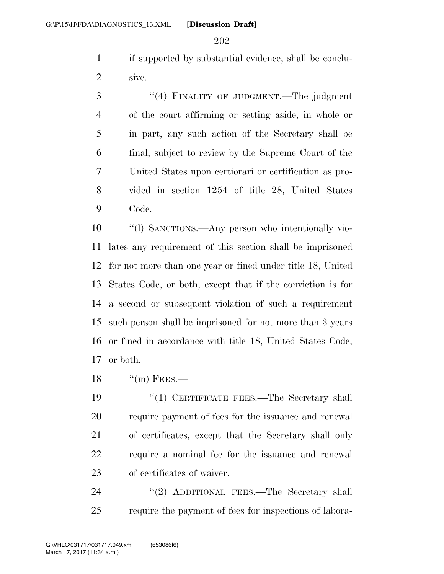if supported by substantial evidence, shall be conclu-sive.

3 "(4) FINALITY OF JUDGMENT.—The judgment of the court affirming or setting aside, in whole or in part, any such action of the Secretary shall be final, subject to review by the Supreme Court of the United States upon certiorari or certification as pro- vided in section 1254 of title 28, United States Code.

 ''(l) SANCTIONS.—Any person who intentionally vio- lates any requirement of this section shall be imprisoned for not more than one year or fined under title 18, United States Code, or both, except that if the conviction is for a second or subsequent violation of such a requirement such person shall be imprisoned for not more than 3 years or fined in accordance with title 18, United States Code, or both.

18  $\text{``(m)}$  FEES.—

19 "(1) CERTIFICATE FEES.—The Secretary shall require payment of fees for the issuance and renewal of certificates, except that the Secretary shall only require a nominal fee for the issuance and renewal of certificates of waiver.

24 "(2) ADDITIONAL FEES.—The Secretary shall require the payment of fees for inspections of labora-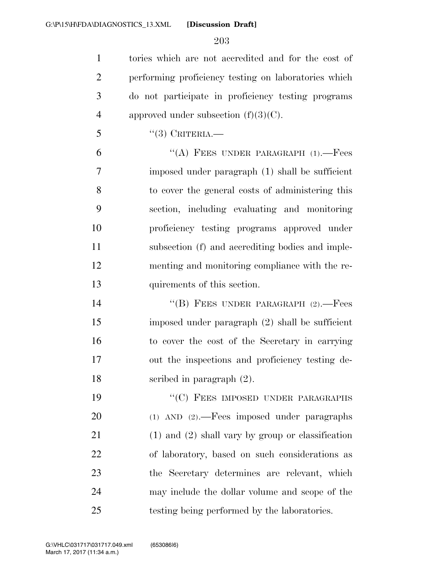tories which are not accredited and for the cost of performing proficiency testing on laboratories which do not participate in proficiency testing programs 4 approved under subsection  $(f)(3)(C)$ .

''(3) CRITERIA.

 $(4)$  FEES UNDER PARAGRAPH  $(1)$ . Fees imposed under paragraph (1) shall be sufficient to cover the general costs of administering this section, including evaluating and monitoring proficiency testing programs approved under subsection (f) and accrediting bodies and imple- menting and monitoring compliance with the re-quirements of this section.

14 "(B) FEES UNDER PARAGRAPH (2). Fees imposed under paragraph (2) shall be sufficient to cover the cost of the Secretary in carrying out the inspections and proficiency testing de-scribed in paragraph (2).

19 "'(C) FEES IMPOSED UNDER PARAGRAPHS (1) AND (2).—Fees imposed under paragraphs (1) and (2) shall vary by group or classification of laboratory, based on such considerations as the Secretary determines are relevant, which may include the dollar volume and scope of the testing being performed by the laboratories.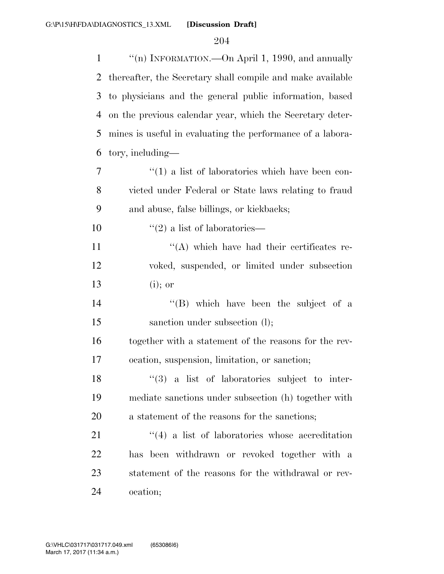| $\mathbf{1}$ | "(n) INFORMATION.—On April 1, 1990, and annually           |
|--------------|------------------------------------------------------------|
| 2            | thereafter, the Secretary shall compile and make available |
| 3            | to physicians and the general public information, based    |
| 4            | on the previous calendar year, which the Secretary deter-  |
| 5            | mines is useful in evaluating the performance of a labora- |
| 6            | tory, including—                                           |
| 7            | $\lq(1)$ a list of laboratories which have been con-       |
| 8            | victed under Federal or State laws relating to fraud       |
| 9            | and abuse, false billings, or kickbacks;                   |
| 10           | $\cdot\cdot(2)$ a list of laboratories—                    |
| 11           | $\lq\lq$ which have had their certificates re-             |
| 12           | voked, suspended, or limited under subsection              |
| 13           | $(i);$ or                                                  |
| 14           | "(B) which have been the subject of a                      |
| 15           | sanction under subsection (1);                             |
| 16           | together with a statement of the reasons for the rev-      |
| 17           | ocation, suspension, limitation, or sanction;              |
| 18           | $"(3)$ a list of laboratories subject to inter-            |
| 19           | mediate sanctions under subsection (h) together with       |
| 20           | a statement of the reasons for the sanctions;              |
| 21           | $\cdot$ (4) a list of laboratories whose accreditation     |
| 22           | has been withdrawn or revoked together with a              |
| 23           | statement of the reasons for the withdrawal or rev-        |
| 24           | ocation;                                                   |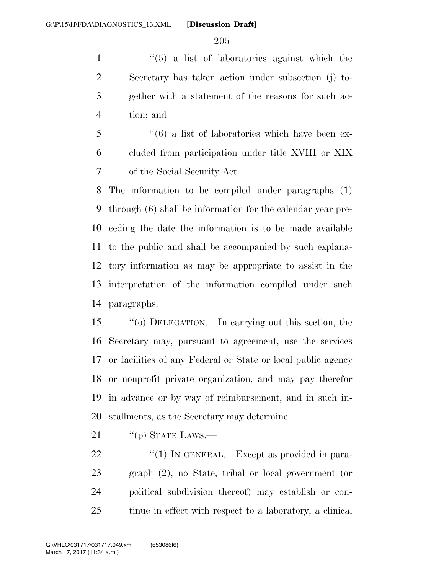1 ''(5) a list of laboratories against which the Secretary has taken action under subsection (j) to- gether with a statement of the reasons for such ac-tion; and

 ''(6) a list of laboratories which have been ex- cluded from participation under title XVIII or XIX of the Social Security Act.

 The information to be compiled under paragraphs (1) through (6) shall be information for the calendar year pre- ceding the date the information is to be made available to the public and shall be accompanied by such explana- tory information as may be appropriate to assist in the interpretation of the information compiled under such paragraphs.

 ''(o) DELEGATION.—In carrying out this section, the Secretary may, pursuant to agreement, use the services or facilities of any Federal or State or local public agency or nonprofit private organization, and may pay therefor in advance or by way of reimbursement, and in such in-stallments, as the Secretary may determine.

21  $\frac{1}{2}$  (p) STATE LAWS.

 $\frac{1}{2}$  (1) In GENERAL.—Except as provided in para- graph (2), no State, tribal or local government (or political subdivision thereof) may establish or con-tinue in effect with respect to a laboratory, a clinical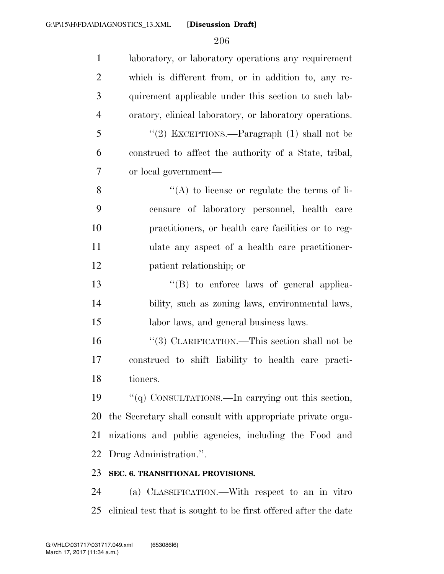| $\mathbf{1}$   | laboratory, or laboratory operations any requirement       |
|----------------|------------------------------------------------------------|
| $\overline{2}$ | which is different from, or in addition to, any re-        |
| 3              | quirement applicable under this section to such lab-       |
| $\overline{4}$ | oratory, clinical laboratory, or laboratory operations.    |
| 5              | "(2) EXCEPTIONS.—Paragraph $(1)$ shall not be              |
| 6              | construed to affect the authority of a State, tribal,      |
| $\overline{7}$ | or local government—                                       |
| 8              | $\lq\lq$ to license or regulate the terms of li-           |
| 9              | censure of laboratory personnel, health care               |
| 10             | practitioners, or health care facilities or to reg-        |
| 11             | ulate any aspect of a health care practitioner-            |
| 12             | patient relationship; or                                   |
| 13             | $\lq\lq (B)$ to enforce laws of general applica-           |
| 14             | bility, such as zoning laws, environmental laws,           |
| 15             | labor laws, and general business laws.                     |
| 16             | "(3) CLARIFICATION.—This section shall not be              |
| 17             | construed to shift liability to health care practi-        |
| 18             | tioners.                                                   |
| 19             | "(q) CONSULTATIONS.—In carrying out this section,          |
| 20             | the Secretary shall consult with appropriate private orga- |
| 21             | nizations and public agencies, including the Food and      |
| 22             | Drug Administration.".                                     |
| 23             | SEC. 6. TRANSITIONAL PROVISIONS.                           |
|                | 24 (a) CLASSIFICATION — With respect to an in vitro        |

 (a) CLASSIFICATION.—With respect to an in vitro clinical test that is sought to be first offered after the date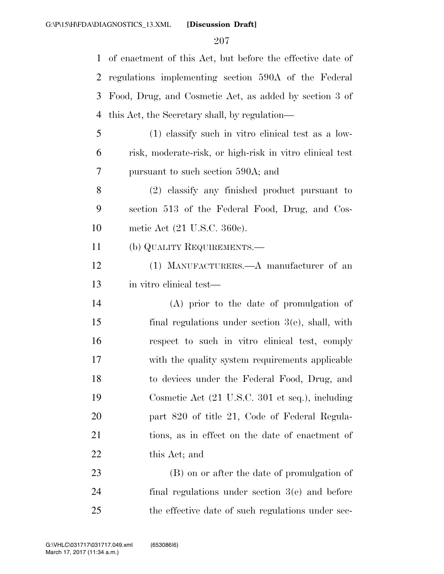of enactment of this Act, but before the effective date of regulations implementing section 590A of the Federal Food, Drug, and Cosmetic Act, as added by section 3 of this Act, the Secretary shall, by regulation—

 (1) classify such in vitro clinical test as a low- risk, moderate-risk, or high-risk in vitro clinical test pursuant to such section 590A; and

 (2) classify any finished product pursuant to section 513 of the Federal Food, Drug, and Cos-metic Act (21 U.S.C. 360c).

(b) QUALITY REQUIREMENTS.—

 (1) MANUFACTURERS.—A manufacturer of an in vitro clinical test—

 (A) prior to the date of promulgation of final regulations under section 3(e), shall, with respect to such in vitro clinical test, comply with the quality system requirements applicable to devices under the Federal Food, Drug, and Cosmetic Act (21 U.S.C. 301 et seq.), including part 820 of title 21, Code of Federal Regula- tions, as in effect on the date of enactment of this Act; and

 (B) on or after the date of promulgation of final regulations under section 3(e) and before the effective date of such regulations under sec-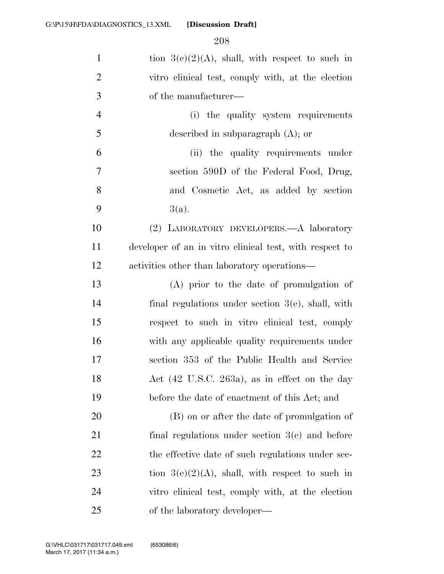| $\mathbf{1}$   | tion $3(e)(2)(A)$ , shall, with respect to such in      |
|----------------|---------------------------------------------------------|
| $\overline{2}$ | vitro clinical test, comply with, at the election       |
| 3              | of the manufacturer—                                    |
| $\overline{4}$ | (i) the quality system requirements                     |
| 5              | described in subparagraph $(A)$ ; or                    |
| 6              | (ii) the quality requirements under                     |
| $\overline{7}$ | section 590D of the Federal Food, Drug,                 |
| 8              | and Cosmetic Act, as added by section                   |
| 9              | $3(a)$ .                                                |
| 10             | (2) LABORATORY DEVELOPERS.—A laboratory                 |
| 11             | developer of an in vitro clinical test, with respect to |
| 12             | activities other than laboratory operations—            |
| 13             | $(A)$ prior to the date of promulgation of              |
| 14             | final regulations under section $3(e)$ , shall, with    |
| 15             | respect to such in vitro clinical test, comply          |
| 16             | with any applicable quality requirements under          |
| 17             | section 353 of the Public Health and Service            |
| 18             | Act (42 U.S.C. 263a), as in effect on the day           |
| 19             | before the date of enactment of this Act; and           |
| 20             | (B) on or after the date of promulgation of             |
| 21             | final regulations under section $3(e)$ and before       |
| 22             | the effective date of such regulations under sec-       |
| 23             | tion $3(e)(2)(A)$ , shall, with respect to such in      |
| 24             | vitro clinical test, comply with, at the election       |
| 25             | of the laboratory developer—                            |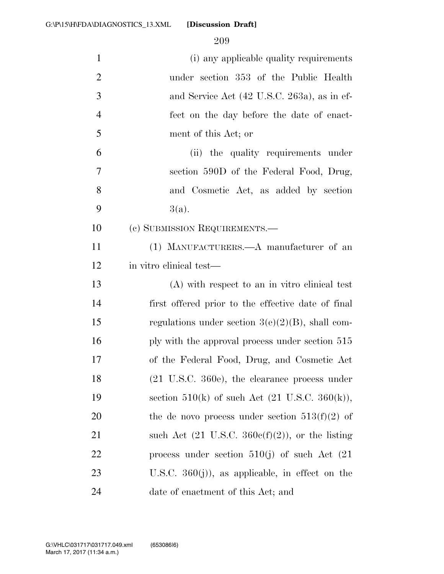**[Discussion Draft]** 

| $\mathbf{1}$   | (i) any applicable quality requirements                          |
|----------------|------------------------------------------------------------------|
| $\overline{2}$ | under section 353 of the Public Health                           |
| 3              | and Service Act (42 U.S.C. 263a), as in ef-                      |
| $\overline{4}$ | fect on the day before the date of enact-                        |
| 5              | ment of this Act; or                                             |
| 6              | (ii) the quality requirements under                              |
| 7              | section 590D of the Federal Food, Drug,                          |
| 8              | and Cosmetic Act, as added by section                            |
| 9              | $3(a)$ .                                                         |
| 10             | (c) SUBMISSION REQUIREMENTS.—                                    |
| 11             | (1) MANUFACTURERS.—A manufacturer of an                          |
| 12             | in vitro clinical test—                                          |
| 13             | (A) with respect to an in vitro clinical test                    |
| 14             | first offered prior to the effective date of final               |
| 15             | regulations under section $3(e)(2)(B)$ , shall com-              |
| 16             | ply with the approval process under section 515                  |
| 17             | of the Federal Food, Drug, and Cosmetic Act                      |
| 18             |                                                                  |
| 19             | section 510(k) of such Act $(21 \text{ U.S.C. } 360(\text{k})),$ |
| 20             | the de novo process under section $513(f)(2)$ of                 |
| 21             | such Act $(21 \text{ U.S.C. } 360c(f)(2))$ , or the listing      |
| 22             | process under section 510(j) of such Act $(21)$                  |
| 23             | U.S.C. $360(j)$ , as applicable, in effect on the                |
| 24             | date of enactment of this Act; and                               |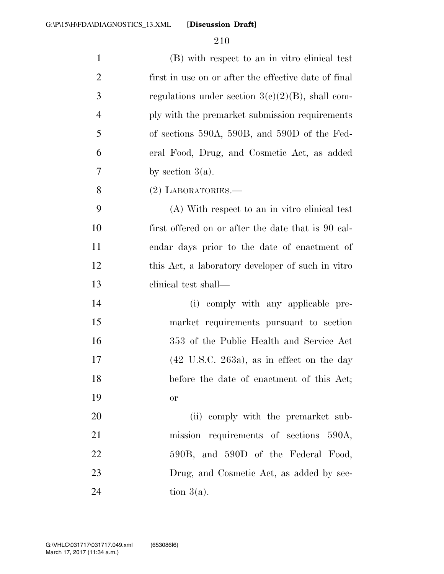| $\mathbf{1}$   | (B) with respect to an in vitro clinical test         |
|----------------|-------------------------------------------------------|
| $\overline{2}$ | first in use on or after the effective date of final  |
| 3              | regulations under section $3(e)(2)(B)$ , shall com-   |
| $\overline{4}$ | ply with the premarket submission requirements        |
| 5              | of sections $590A$ , $590B$ , and $590D$ of the Fed-  |
| 6              | eral Food, Drug, and Cosmetic Act, as added           |
| 7              | by section $3(a)$ .                                   |
| 8              | (2) LABORATORIES.—                                    |
| 9              | (A) With respect to an in vitro clinical test         |
| 10             | first offered on or after the date that is 90 cal-    |
| 11             | endar days prior to the date of enactment of          |
| 12             | this Act, a laboratory developer of such in vitro     |
| 13             | clinical test shall-                                  |
| 14             | (i) comply with any applicable pre-                   |
| 15             | market requirements pursuant to section               |
| 16             | 353 of the Public Health and Service Act              |
| 17             | $(42 \text{ U.S.C. } 263a)$ , as in effect on the day |
| 18             | before the date of enactment of this Act;             |
| 19             | <b>or</b>                                             |
| 20             | (ii) comply with the premarket sub-                   |
| 21             | mission requirements of sections 590A,                |
| 22             | 590B, and 590D of the Federal Food,                   |
| 23             | Drug, and Cosmetic Act, as added by sec-              |
| 24             | tion $3(a)$ .                                         |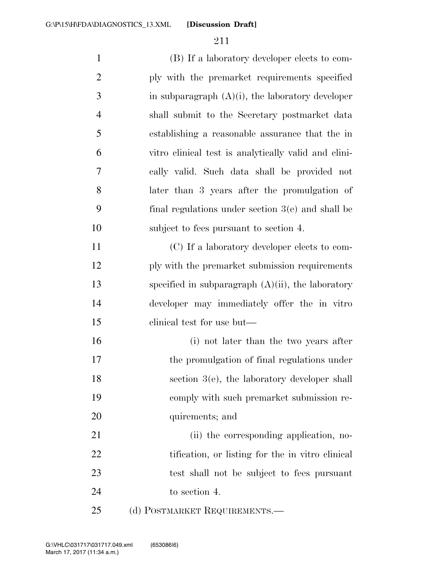(B) If a laboratory developer elects to com- ply with the premarket requirements specified in subparagraph  $(A)(i)$ , the laboratory developer shall submit to the Secretary postmarket data establishing a reasonable assurance that the in vitro clinical test is analytically valid and clini- cally valid. Such data shall be provided not later than 3 years after the promulgation of final regulations under section 3(e) and shall be subject to fees pursuant to section 4. (C) If a laboratory developer elects to com-12 ply with the premarket submission requirements specified in subparagraph (A)(ii), the laboratory developer may immediately offer the in vitro clinical test for use but— (i) not later than the two years after the promulgation of final regulations under section 3(e), the laboratory developer shall comply with such premarket submission re-20 quirements; and 21 (ii) the corresponding application, no-22 tification, or listing for the in vitro clinical test shall not be subject to fees pursuant to section 4. 25 (d) POSTMARKET REQUIREMENTS.—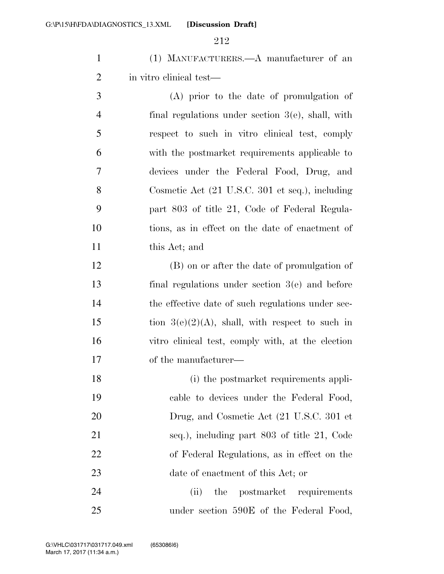(1) MANUFACTURERS.—A manufacturer of an 2 in vitro clinical test—

 (A) prior to the date of promulgation of final regulations under section 3(e), shall, with respect to such in vitro clinical test, comply with the postmarket requirements applicable to devices under the Federal Food, Drug, and Cosmetic Act (21 U.S.C. 301 et seq.), including part 803 of title 21, Code of Federal Regula- tions, as in effect on the date of enactment of this Act; and

 (B) on or after the date of promulgation of final regulations under section 3(e) and before the effective date of such regulations under sec-15 tion  $3(e)(2)(A)$ , shall, with respect to such in vitro clinical test, comply with, at the election of the manufacturer—

 (i) the postmarket requirements appli- cable to devices under the Federal Food, Drug, and Cosmetic Act (21 U.S.C. 301 et seq.), including part 803 of title 21, Code of Federal Regulations, as in effect on the 23 date of enactment of this Act; or

24 (ii) the postmarket requirements under section 590E of the Federal Food,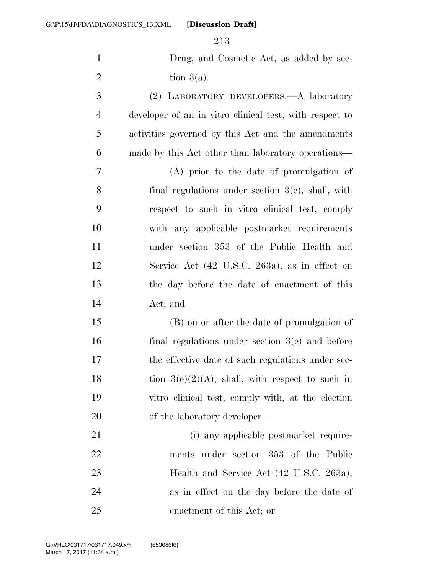Drug, and Cosmetic Act, as added by sec-2 tion  $3(a)$ .

 (2) LABORATORY DEVELOPERS.—A laboratory developer of an in vitro clinical test, with respect to activities governed by this Act and the amendments made by this Act other than laboratory operations—

 (A) prior to the date of promulgation of final regulations under section 3(e), shall, with respect to such in vitro clinical test, comply with any applicable postmarket requirements under section 353 of the Public Health and Service Act (42 U.S.C. 263a), as in effect on the day before the date of enactment of this Act; and

 (B) on or after the date of promulgation of final regulations under section 3(e) and before the effective date of such regulations under sec-18 tion  $3(e)(2)(A)$ , shall, with respect to such in vitro clinical test, comply with, at the election of the laboratory developer—

21 (i) any applicable postmarket require- ments under section 353 of the Public 23 Health and Service Act (42 U.S.C. 263a), as in effect on the day before the date of enactment of this Act; or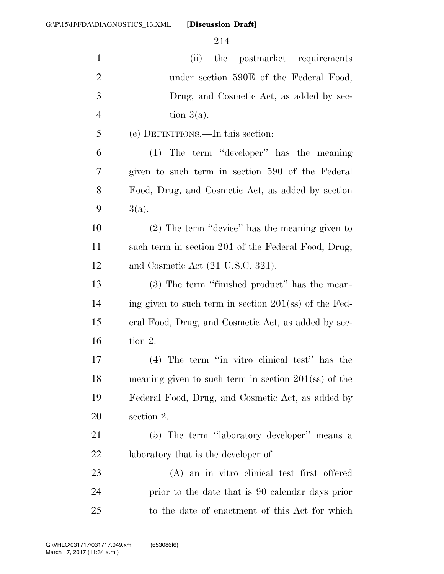**[Discussion Draft]** 

| $\mathbf{1}$   | the postmarket requirements<br>(ii)                      |
|----------------|----------------------------------------------------------|
| $\overline{2}$ | under section 590E of the Federal Food,                  |
| 3              | Drug, and Cosmetic Act, as added by sec-                 |
| 4              | tion $3(a)$ .                                            |
| 5              | (e) DEFINITIONS.—In this section:                        |
| 6              | (1) The term "developer" has the meaning                 |
| 7              | given to such term in section 590 of the Federal         |
| 8              | Food, Drug, and Cosmetic Act, as added by section        |
| 9              | $3(a)$ .                                                 |
| 10             | $(2)$ The term "device" has the meaning given to         |
| <sup>11</sup>  | such term in section 201 of the Federal Food, Drug,      |
| 12             | and Cosmetic Act (21 U.S.C. 321).                        |
| 13             | (3) The term "finished product" has the mean-            |
| 14             | ing given to such term in section $201$ (ss) of the Fed- |
| 15             | eral Food, Drug, and Cosmetic Act, as added by sec-      |
| 16             | tion 2.                                                  |
| 17             | $(4)$ The term "in vitro clinical test" has the          |
| 18             | meaning given to such term in section $201$ (ss) of the  |
| 19             | Federal Food, Drug, and Cosmetic Act, as added by        |
| 20             | section 2.                                               |
| 21             | (5) The term "laboratory developer" means a              |
| 22             | laboratory that is the developer of—                     |
| 23             | (A) an in vitro clinical test first offered              |
| 24             | prior to the date that is 90 calendar days prior         |
| 25             | to the date of enactment of this Act for which           |